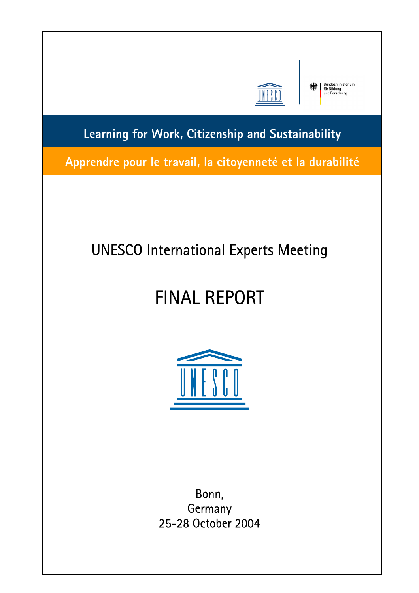

Bundesministerium<br>für Bildung<br>und Forschung

**Learning for Work, Citizenship and Sustainability** 

**Apprendre pour le travail, la citoyenneté et la durabilité** I

I

i

# UNESCO International Experts Meeting

 $\begin{array}{c} \hline \end{array}$ 

# FINAL REPORT



Bonn, **Germany** 25-28 October 2004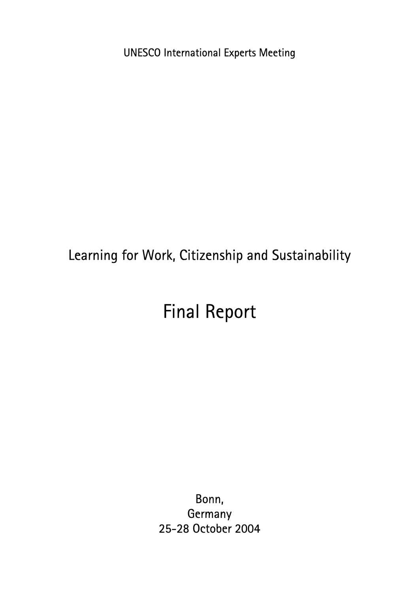UNESCO International Experts Meeting

# Learning for Work, Citizenship and Sustainability

# Final Report

Bonn, **Germany** 25-28 October 2004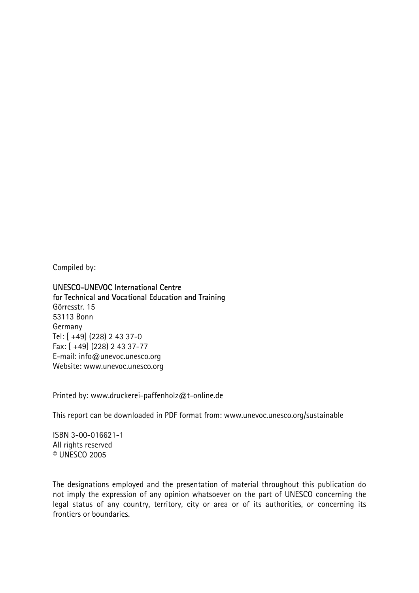Compiled by:

UNESCO-UNEVOC International Centre for Technical and Vocational Education and Training Görresstr. 15 53113 Bonn Germany Tel: [ +49] (228) 2 43 37-0 Fax: [ +49] (228) 2 43 37-77 E-mail: info@unevoc.unesco.org Website: www.unevoc.unesco.org

Printed by: www.druckerei-paffenholz@t-online.de

This report can be downloaded in PDF format from: www.unevoc.unesco.org/sustainable

ISBN 3-00-016621-1 All rights reserved © UNESCO 2005

The designations employed and the presentation of material throughout this publication do not imply the expression of any opinion whatsoever on the part of UNESCO concerning the legal status of any country, territory, city or area or of its authorities, or concerning its frontiers or boundaries.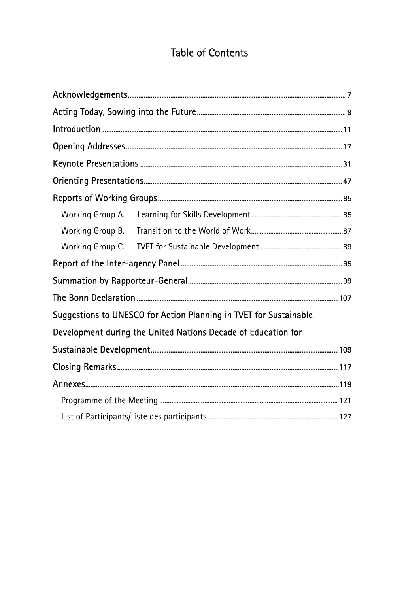## **Table of Contents**

| Working Group A. |                                                                   |  |
|------------------|-------------------------------------------------------------------|--|
|                  |                                                                   |  |
|                  |                                                                   |  |
|                  |                                                                   |  |
|                  |                                                                   |  |
|                  |                                                                   |  |
|                  | Suggestions to UNESCO for Action Planning in TVET for Sustainable |  |
|                  | Development during the United Nations Decade of Education for     |  |
|                  |                                                                   |  |
|                  |                                                                   |  |
|                  |                                                                   |  |
|                  |                                                                   |  |
|                  |                                                                   |  |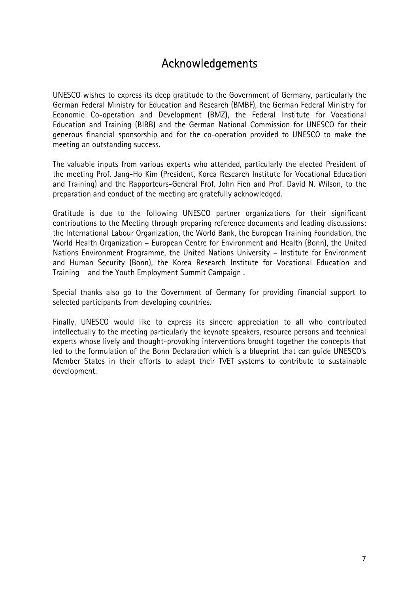## <span id="page-6-0"></span>Acknowledgements

UNESCO wishes to express its deep gratitude to the Government of Germany, particularly the German Federal Ministry for Education and Research (BMBF), the German Federal Ministry for Economic Co-operation and Development (BMZ), the Federal Institute for Vocational Education and Training (BIBB) and the German National Commission for UNESCO for their generous financial sponsorship and for the co-operation provided to UNESCO to make the meeting an outstanding success.

The valuable inputs from various experts who attended, particularly the elected President of the meeting Prof. Jang-Ho Kim (President, Korea Research Institute for Vocational Education and Training) and the Rapporteurs-General Prof. John Fien and Prof. David N. Wilson, to the preparation and conduct of the meeting are gratefully acknowledged.

Gratitude is due to the following UNESCO partner organizations for their significant contributions to the Meeting through preparing reference documents and leading discussions: the International Labour Organization, the World Bank, the European Training Foundation, the World Health Organization – European Centre for Environment and Health (Bonn), the United Nations Environment Programme, the United Nations University – Institute for Environment and Human Security (Bonn), the Korea Research Institute for Vocational Education and Training and the Youth Employment Summit Campaign .

Special thanks also go to the Government of Germany for providing financial support to selected participants from developing countries.

Finally, UNESCO would like to express its sincere appreciation to all who contributed intellectually to the meeting particularly the keynote speakers, resource persons and technical experts whose lively and thought-provoking interventions brought together the concepts that led to the formulation of the Bonn Declaration which is a blueprint that can guide UNESCO's Member States in their efforts to adapt their TVET systems to contribute to sustainable development.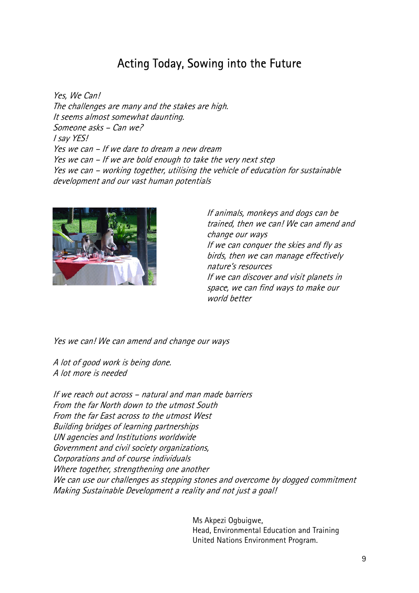## Acting Today, Sowing into the Future

<span id="page-8-0"></span>Yes, We Can! The challenges are many and the stakes are high. It seems almost somewhat daunting. Someone asks – Can we? I say YES! Yes we can – If we dare to dream a new dream Yes we can – If we are bold enough to take the very next step Yes we can – working together, utilising the vehicle of education for sustainable development and our vast human potentials



If animals, monkeys and dogs can be trained, then we can! We can amend and change our ways If we can conquer the skies and fly as birds, then we can manage effectively nature's resources If we can discover and visit planets in space, we can find ways to make our world better

Yes we can! We can amend and change our ways

A lot of good work is being done. A lot more is needed

If we reach out across – natural and man made barriers From the far North down to the utmost South From the far East across to the utmost West Building bridges of learning partnerships UN agencies and Institutions worldwide Government and civil society organizations, Corporations and of course individuals Where together, strengthening one another We can use our challenges as stepping stones and overcome by dogged commitment Making Sustainable Development a reality and not just a goal!

> Ms Akpezi Ogbuigwe, Head, Environmental Education and Training United Nations Environment Program.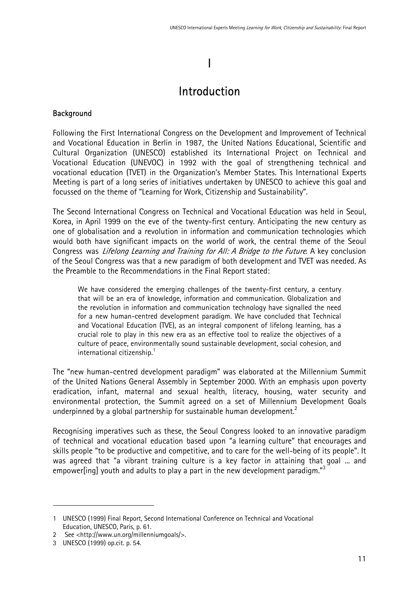# I

## <span id="page-10-0"></span>Introduction

#### **Background**

Following the First International Congress on the Development and Improvement of Technical and Vocational Education in Berlin in 1987, the United Nations Educational, Scientific and Cultural Organization (UNESCO) established its International Project on Technical and Vocational Education (UNEVOC) in 1992 with the goal of strengthening technical and vocational education (TVET) in the Organization's Member States. This International Experts Meeting is part of a long series of initiatives undertaken by UNESCO to achieve this goal and focussed on the theme of "Learning for Work, Citizenship and Sustainability".

The Second International Congress on Technical and Vocational Education was held in Seoul, Korea, in April 1999 on the eve of the twenty-first century. Anticipating the new century as one of globalisation and a revolution in information and communication technologies which would both have significant impacts on the world of work, the central theme of the Seoul Congress was *Lifelong Learning and Training for All: A Bridge to the Future*. A key conclusion of the Seoul Congress was that a new paradigm of both development and TVET was needed. As the Preamble to the Recommendations in the Final Report stated:

We have considered the emerging challenges of the twenty-first century, a century that will be an era of knowledge, information and communication. Globalization and the revolution in information and communication technology have signalled the need for a new human-centred development paradigm. We have concluded that Technical and Vocational Education (TVE), as an integral component of lifelong learning, has a crucial role to play in this new era as an effective tool to realize the objectives of a culture of peace, environmentally sound sustainable development, social cohesion, and international citizenship.<sup>[1](#page-10-1)</sup>

The "new human-centred development paradigm" was elaborated at the Millennium Summit of the United Nations General Assembly in September 2000. With an emphasis upon poverty eradication, infant, maternal and sexual health, literacy, housing, water security and environmental protection, the Summit agreed on a set of Millennium Development Goals underpinned by a global partnership for sustainable human development. $2$ 

Recognising imperatives such as these, the Seoul Congress looked to an innovative paradigm of technical and vocational education based upon "a learning culture" that encourages and skills people "to be productive and competitive, and to care for the well-being of its people". It was agreed that "a vibrant training culture is a key factor in attaining that goal ... and empower[ing] youth and adults to play a part in the new development paradigm." $3$ 

 $\overline{a}$ 

<span id="page-10-1"></span><sup>1</sup> UNESCO (1999) Final Report, Second International Conference on Technical and Vocational Education, UNESCO, Paris, p. 61.

<span id="page-10-2"></span><sup>2</sup> See <http://www.un.org/millenniumgoals/>.

<span id="page-10-3"></span><sup>3</sup> UNESCO (1999) op.cit. p. 54.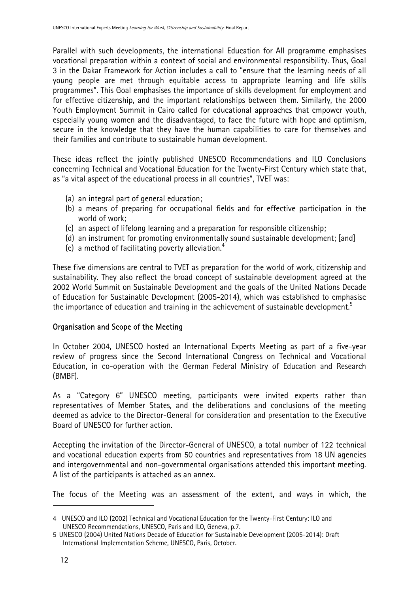Parallel with such developments, the international Education for All programme emphasises vocational preparation within a context of social and environmental responsibility. Thus, Goal 3 in the Dakar Framework for Action includes a call to "ensure that the learning needs of all young people are met through equitable access to appropriate learning and life skills programmes". This Goal emphasises the importance of skills development for employment and for effective citizenship, and the important relationships between them. Similarly, the 2000 Youth Employment Summit in Cairo called for educational approaches that empower youth, especially young women and the disadvantaged, to face the future with hope and optimism, secure in the knowledge that they have the human capabilities to care for themselves and their families and contribute to sustainable human development.

These ideas reflect the jointly published UNESCO Recommendations and ILO Conclusions concerning Technical and Vocational Education for the Twenty-First Century which state that, as "a vital aspect of the educational process in all countries", TVET was:

- (a) an integral part of general education;
- (b) a means of preparing for occupational fields and for effective participation in the world of work;
- (c) an aspect of lifelong learning and a preparation for responsible citizenship;
- (d) an instrument for promoting environmentally sound sustainable development; [and]
- (e) a method of facilitating poverty alleviation.<sup>[4](#page-11-0)</sup>

These five dimensions are central to TVET as preparation for the world of work, citizenship and sustainability. They also reflect the broad concept of sustainable development agreed at the 2002 World Summit on Sustainable Development and the goals of the United Nations Decade of Education for Sustainable Development (2005-2014), which was established to emphasise the importance of education and training in the achievement of sustainable development.<sup>[5](#page-11-1)</sup>

#### Organisation and Scope of the Meeting

In October 2004, UNESCO hosted an International Experts Meeting as part of a five-year review of progress since the Second International Congress on Technical and Vocational Education, in co-operation with the German Federal Ministry of Education and Research (BMBF).

As a "Category 6" UNESCO meeting, participants were invited experts rather than representatives of Member States, and the deliberations and conclusions of the meeting deemed as advice to the Director-General for consideration and presentation to the Executive Board of UNESCO for further action.

Accepting the invitation of the Director-General of UNESCO, a total number of 122 technical and vocational education experts from 50 countries and representatives from 18 UN agencies and intergovernmental and non-governmental organisations attended this important meeting. A list of the participants is attached as an annex.

The focus of the Meeting was an assessment of the extent, and ways in which, the

 $\overline{a}$ 

<span id="page-11-0"></span><sup>4</sup> UNESCO and ILO (2002) Technical and Vocational Education for the Twenty-First Century: ILO and UNESCO Recommendations, UNESCO, Paris and ILO, Geneva, p.7.

<span id="page-11-1"></span><sup>5</sup> UNESCO (2004) United Nations Decade of Education for Sustainable Development (2005-2014): Draft International Implementation Scheme, UNESCO, Paris, October.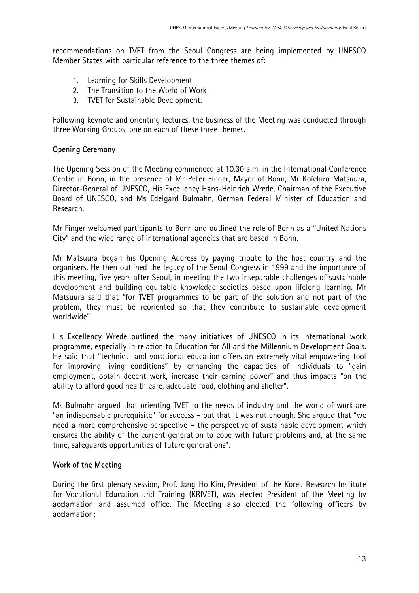recommendations on TVET from the Seoul Congress are being implemented by UNESCO Member States with particular reference to the three themes of:

- 1. Learning for Skills Development
- 2. The Transition to the World of Work
- 3. TVET for Sustainable Development.

Following keynote and orienting lectures, the business of the Meeting was conducted through three Working Groups, one on each of these three themes.

#### Opening Ceremony

The Opening Session of the Meeting commenced at 10.30 a.m. in the International Conference Centre in Bonn, in the presence of Mr Peter Finger, Mayor of Bonn, Mr Koïchiro Matsuura, Director-General of UNESCO, His Excellency Hans-Heinrich Wrede, Chairman of the Executive Board of UNESCO, and Ms Edelgard Bulmahn, German Federal Minister of Education and Research.

Mr Finger welcomed participants to Bonn and outlined the role of Bonn as a "United Nations City" and the wide range of international agencies that are based in Bonn.

Mr Matsuura began his Opening Address by paying tribute to the host country and the organisers. He then outlined the legacy of the Seoul Congress in 1999 and the importance of this meeting, five years after Seoul, in meeting the two inseparable challenges of sustainable development and building equitable knowledge societies based upon lifelong learning. Mr Matsuura said that "for TVET programmes to be part of the solution and not part of the problem, they must be reoriented so that they contribute to sustainable development worldwide".

His Excellency Wrede outlined the many initiatives of UNESCO in its international work programme, especially in relation to Education for All and the Millennium Development Goals. He said that "technical and vocational education offers an extremely vital empowering tool for improving living conditions" by enhancing the capacities of individuals to "gain employment, obtain decent work, increase their earning power" and thus impacts "on the ability to afford good health care, adequate food, clothing and shelter".

Ms Bulmahn argued that orienting TVET to the needs of industry and the world of work are "an indispensable prerequisite" for success – but that it was not enough. She argued that "we need a more comprehensive perspective – the perspective of sustainable development which ensures the ability of the current generation to cope with future problems and, at the same time, safeguards opportunities of future generations".

#### Work of the Meeting

During the first plenary session, Prof. Jang-Ho Kim, President of the Korea Research Institute for Vocational Education and Training (KRIVET), was elected President of the Meeting by acclamation and assumed office. The Meeting also elected the following officers by acclamation: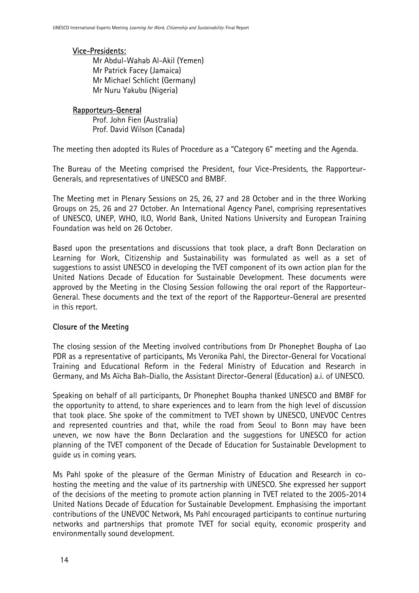#### Vice-Presidents:

Mr Abdul-Wahab Al-Akil (Yemen) Mr Patrick Facey (Jamaica) Mr Michael Schlicht (Germany) Mr Nuru Yakubu (Nigeria)

#### Rapporteurs-General

Prof. John Fien (Australia) Prof. David Wilson (Canada)

The meeting then adopted its Rules of Procedure as a "Category 6" meeting and the Agenda.

The Bureau of the Meeting comprised the President, four Vice-Presidents, the Rapporteur-Generals, and representatives of UNESCO and BMBF.

The Meeting met in Plenary Sessions on 25, 26, 27 and 28 October and in the three Working Groups on 25, 26 and 27 October. An International Agency Panel, comprising representatives of UNESCO, UNEP, WHO, ILO, World Bank, United Nations University and European Training Foundation was held on 26 October.

Based upon the presentations and discussions that took place, a draft Bonn Declaration on Learning for Work, Citizenship and Sustainability was formulated as well as a set of suggestions to assist UNESCO in developing the TVET component of its own action plan for the United Nations Decade of Education for Sustainable Development. These documents were approved by the Meeting in the Closing Session following the oral report of the Rapporteur-General. These documents and the text of the report of the Rapporteur-General are presented in this report.

### Closure of the Meeting

The closing session of the Meeting involved contributions from Dr Phonephet Boupha of Lao PDR as a representative of participants, Ms Veronika Pahl, the Director-General for Vocational Training and Educational Reform in the Federal Ministry of Education and Research in Germany, and Ms Aïcha Bah-Diallo, the Assistant Director-General (Education) a.i. of UNESCO.

Speaking on behalf of all participants, Dr Phonephet Boupha thanked UNESCO and BMBF for the opportunity to attend, to share experiences and to learn from the high level of discussion that took place. She spoke of the commitment to TVET shown by UNESCO, UNEVOC Centres and represented countries and that, while the road from Seoul to Bonn may have been uneven, we now have the Bonn Declaration and the suggestions for UNESCO for action planning of the TVET component of the Decade of Education for Sustainable Development to guide us in coming years.

Ms Pahl spoke of the pleasure of the German Ministry of Education and Research in cohosting the meeting and the value of its partnership with UNESCO. She expressed her support of the decisions of the meeting to promote action planning in TVET related to the 2005-2014 United Nations Decade of Education for Sustainable Development. Emphasising the important contributions of the UNEVOC Network, Ms Pahl encouraged participants to continue nurturing networks and partnerships that promote TVET for social equity, economic prosperity and environmentally sound development.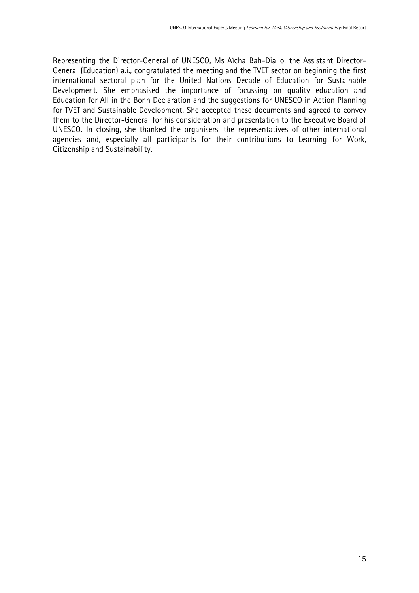Representing the Director-General of UNESCO, Ms Aïcha Bah-Diallo, the Assistant Director-General (Education) a.i., congratulated the meeting and the TVET sector on beginning the first international sectoral plan for the United Nations Decade of Education for Sustainable Development. She emphasised the importance of focussing on quality education and Education for All in the Bonn Declaration and the suggestions for UNESCO in Action Planning for TVET and Sustainable Development. She accepted these documents and agreed to convey them to the Director-General for his consideration and presentation to the Executive Board of UNESCO. In closing, she thanked the organisers, the representatives of other international agencies and, especially all participants for their contributions to Learning for Work, Citizenship and Sustainability.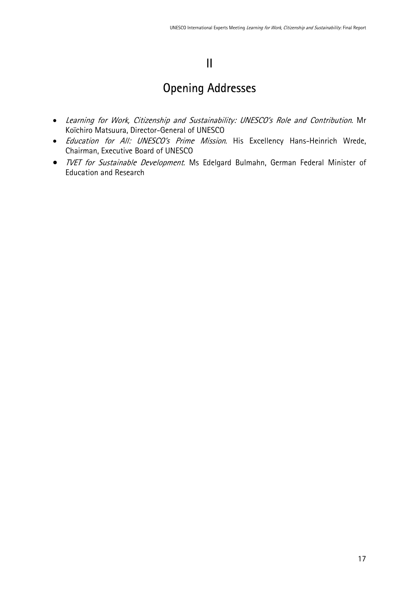## II

## <span id="page-16-0"></span>Opening Addresses

- Learning for Work, Citizenship and Sustainability: UNESCO's Role and Contribution. Mr Koïchiro Matsuura, Director-General of UNESCO
- Education for All: UNESCO's Prime Mission. His Excellency Hans-Heinrich Wrede, Chairman, Executive Board of UNESCO
- *TVET for Sustainable Development*. Ms Edelgard Bulmahn, German Federal Minister of Education and Research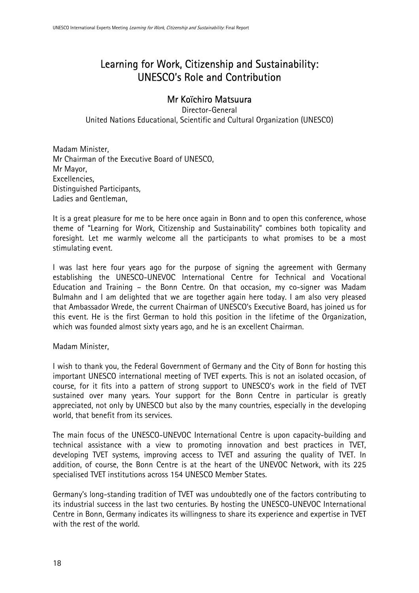## Learning for Work, Citizenship and Sustainability: UNESCO's Role and Contribution

### Mr Koïchiro Matsuura

Director-General United Nations Educational, Scientific and Cultural Organization (UNESCO)

Madam Minister, Mr Chairman of the Executive Board of UNESCO, Mr Mayor, Excellencies, Distinguished Participants, Ladies and Gentleman,

It is a great pleasure for me to be here once again in Bonn and to open this conference, whose theme of "Learning for Work, Citizenship and Sustainability" combines both topicality and foresight. Let me warmly welcome all the participants to what promises to be a most stimulating event.

I was last here four years ago for the purpose of signing the agreement with Germany establishing the UNESCO-UNEVOC International Centre for Technical and Vocational Education and Training – the Bonn Centre. On that occasion, my co-signer was Madam Bulmahn and I am delighted that we are together again here today. I am also very pleased that Ambassador Wrede, the current Chairman of UNESCO's Executive Board, has joined us for this event. He is the first German to hold this position in the lifetime of the Organization, which was founded almost sixty years ago, and he is an excellent Chairman.

#### Madam Minister,

I wish to thank you, the Federal Government of Germany and the City of Bonn for hosting this important UNESCO international meeting of TVET experts. This is not an isolated occasion, of course, for it fits into a pattern of strong support to UNESCO's work in the field of TVET sustained over many years. Your support for the Bonn Centre in particular is greatly appreciated, not only by UNESCO but also by the many countries, especially in the developing world, that benefit from its services.

The main focus of the UNESCO-UNEVOC International Centre is upon capacity-building and technical assistance with a view to promoting innovation and best practices in TVET, developing TVET systems, improving access to TVET and assuring the quality of TVET. In addition, of course, the Bonn Centre is at the heart of the UNEVOC Network, with its 225 specialised TVET institutions across 154 UNESCO Member States.

Germany's long-standing tradition of TVET was undoubtedly one of the factors contributing to its industrial success in the last two centuries. By hosting the UNESCO-UNEVOC International Centre in Bonn, Germany indicates its willingness to share its experience and expertise in TVET with the rest of the world.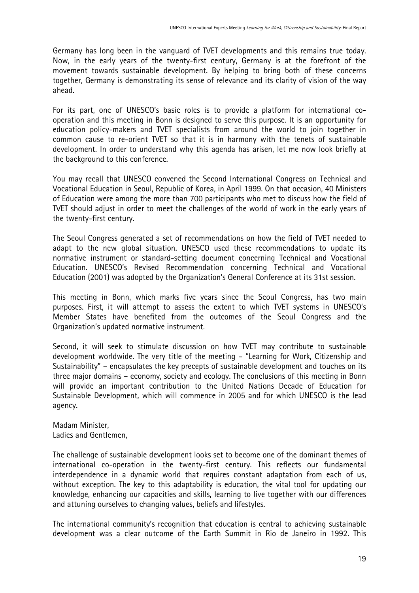Germany has long been in the vanguard of TVET developments and this remains true today. Now, in the early years of the twenty-first century, Germany is at the forefront of the movement towards sustainable development. By helping to bring both of these concerns together, Germany is demonstrating its sense of relevance and its clarity of vision of the way ahead.

For its part, one of UNESCO's basic roles is to provide a platform for international cooperation and this meeting in Bonn is designed to serve this purpose. It is an opportunity for education policy-makers and TVET specialists from around the world to join together in common cause to re-orient TVET so that it is in harmony with the tenets of sustainable development. In order to understand why this agenda has arisen, let me now look briefly at the background to this conference.

You may recall that UNESCO convened the Second International Congress on Technical and Vocational Education in Seoul, Republic of Korea, in April 1999. On that occasion, 40 Ministers of Education were among the more than 700 participants who met to discuss how the field of TVET should adjust in order to meet the challenges of the world of work in the early years of the twenty-first century.

The Seoul Congress generated a set of recommendations on how the field of TVET needed to adapt to the new global situation. UNESCO used these recommendations to update its normative instrument or standard-setting document concerning Technical and Vocational Education. UNESCO's Revised Recommendation concerning Technical and Vocational Education (2001) was adopted by the Organization's General Conference at its 31st session.

This meeting in Bonn, which marks five years since the Seoul Congress, has two main purposes. First, it will attempt to assess the extent to which TVET systems in UNESCO's Member States have benefited from the outcomes of the Seoul Congress and the Organization's updated normative instrument.

Second, it will seek to stimulate discussion on how TVET may contribute to sustainable development worldwide. The very title of the meeting – "Learning for Work, Citizenship and Sustainability" – encapsulates the key precepts of sustainable development and touches on its three major domains – economy, society and ecology. The conclusions of this meeting in Bonn will provide an important contribution to the United Nations Decade of Education for Sustainable Development, which will commence in 2005 and for which UNESCO is the lead agency.

Madam Minister, Ladies and Gentlemen,

The challenge of sustainable development looks set to become one of the dominant themes of international co-operation in the twenty-first century. This reflects our fundamental interdependence in a dynamic world that requires constant adaptation from each of us, without exception. The key to this adaptability is education, the vital tool for updating our knowledge, enhancing our capacities and skills, learning to live together with our differences and attuning ourselves to changing values, beliefs and lifestyles.

The international community's recognition that education is central to achieving sustainable development was a clear outcome of the Earth Summit in Rio de Janeiro in 1992. This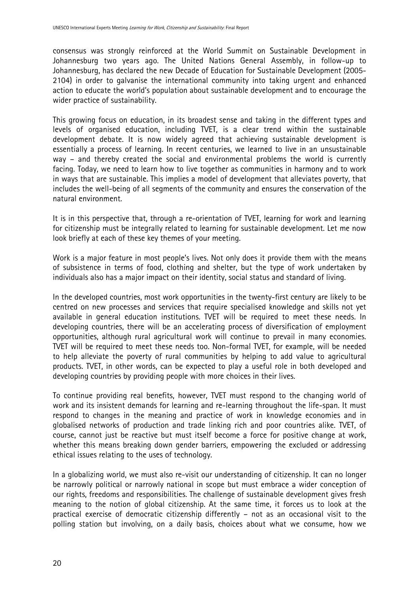consensus was strongly reinforced at the World Summit on Sustainable Development in Johannesburg two years ago. The United Nations General Assembly, in follow-up to Johannesburg, has declared the new Decade of Education for Sustainable Development (2005- 2104) in order to galvanise the international community into taking urgent and enhanced action to educate the world's population about sustainable development and to encourage the wider practice of sustainability.

This growing focus on education, in its broadest sense and taking in the different types and levels of organised education, including TVET, is a clear trend within the sustainable development debate. It is now widely agreed that achieving sustainable development is essentially a process of learning. In recent centuries, we learned to live in an unsustainable way – and thereby created the social and environmental problems the world is currently facing. Today, we need to learn how to live together as communities in harmony and to work in ways that are sustainable. This implies a model of development that alleviates poverty, that includes the well-being of all segments of the community and ensures the conservation of the natural environment.

It is in this perspective that, through a re-orientation of TVET, learning for work and learning for citizenship must be integrally related to learning for sustainable development. Let me now look briefly at each of these key themes of your meeting.

Work is a major feature in most people's lives. Not only does it provide them with the means of subsistence in terms of food, clothing and shelter, but the type of work undertaken by individuals also has a major impact on their identity, social status and standard of living.

In the developed countries, most work opportunities in the twenty-first century are likely to be centred on new processes and services that require specialised knowledge and skills not yet available in general education institutions. TVET will be required to meet these needs. In developing countries, there will be an accelerating process of diversification of employment opportunities, although rural agricultural work will continue to prevail in many economies. TVET will be required to meet these needs too. Non-formal TVET, for example, will be needed to help alleviate the poverty of rural communities by helping to add value to agricultural products. TVET, in other words, can be expected to play a useful role in both developed and developing countries by providing people with more choices in their lives.

To continue providing real benefits, however, TVET must respond to the changing world of work and its insistent demands for learning and re-learning throughout the life-span. It must respond to changes in the meaning and practice of work in knowledge economies and in globalised networks of production and trade linking rich and poor countries alike. TVET, of course, cannot just be reactive but must itself become a force for positive change at work, whether this means breaking down gender barriers, empowering the excluded or addressing ethical issues relating to the uses of technology.

In a globalizing world, we must also re-visit our understanding of citizenship. It can no longer be narrowly political or narrowly national in scope but must embrace a wider conception of our rights, freedoms and responsibilities. The challenge of sustainable development gives fresh meaning to the notion of global citizenship. At the same time, it forces us to look at the practical exercise of democratic citizenship differently – not as an occasional visit to the polling station but involving, on a daily basis, choices about what we consume, how we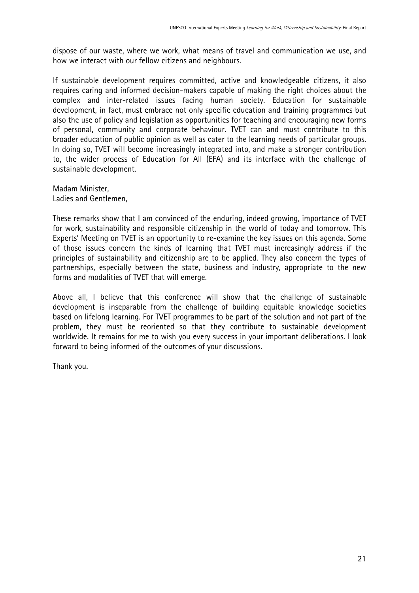dispose of our waste, where we work, what means of travel and communication we use, and how we interact with our fellow citizens and neighbours.

If sustainable development requires committed, active and knowledgeable citizens, it also requires caring and informed decision-makers capable of making the right choices about the complex and inter-related issues facing human society. Education for sustainable development, in fact, must embrace not only specific education and training programmes but also the use of policy and legislation as opportunities for teaching and encouraging new forms of personal, community and corporate behaviour. TVET can and must contribute to this broader education of public opinion as well as cater to the learning needs of particular groups. In doing so, TVET will become increasingly integrated into, and make a stronger contribution to, the wider process of Education for All (EFA) and its interface with the challenge of sustainable development.

Madam Minister, Ladies and Gentlemen,

These remarks show that I am convinced of the enduring, indeed growing, importance of TVET for work, sustainability and responsible citizenship in the world of today and tomorrow. This Experts' Meeting on TVET is an opportunity to re-examine the key issues on this agenda. Some of those issues concern the kinds of learning that TVET must increasingly address if the principles of sustainability and citizenship are to be applied. They also concern the types of partnerships, especially between the state, business and industry, appropriate to the new forms and modalities of TVET that will emerge.

Above all, I believe that this conference will show that the challenge of sustainable development is inseparable from the challenge of building equitable knowledge societies based on lifelong learning. For TVET programmes to be part of the solution and not part of the problem, they must be reoriented so that they contribute to sustainable development worldwide. It remains for me to wish you every success in your important deliberations. I look forward to being informed of the outcomes of your discussions.

Thank you.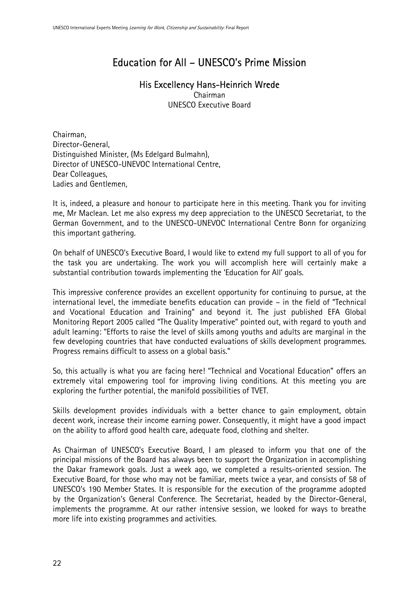## Education for All – UNESCO's Prime Mission

## His Excellency Hans-Heinrich Wrede

Chairman UNESCO Executive Board

Chairman, Director-General, Distinguished Minister, (Ms Edelgard Bulmahn), Director of UNESCO-UNEVOC International Centre, Dear Colleagues, Ladies and Gentlemen,

It is, indeed, a pleasure and honour to participate here in this meeting. Thank you for inviting me, Mr Maclean. Let me also express my deep appreciation to the UNESCO Secretariat, to the German Government, and to the UNESCO-UNEVOC International Centre Bonn for organizing this important gathering.

On behalf of UNESCO's Executive Board, I would like to extend my full support to all of you for the task you are undertaking. The work you will accomplish here will certainly make a substantial contribution towards implementing the 'Education for All' goals.

This impressive conference provides an excellent opportunity for continuing to pursue, at the international level, the immediate benefits education can provide – in the field of "Technical and Vocational Education and Training" and beyond it. The just published EFA Global Monitoring Report 2005 called "The Quality Imperative" pointed out, with regard to youth and adult learning: "Efforts to raise the level of skills among youths and adults are marginal in the few developing countries that have conducted evaluations of skills development programmes. Progress remains difficult to assess on a global basis."

So, this actually is what you are facing here! "Technical and Vocational Education" offers an extremely vital empowering tool for improving living conditions. At this meeting you are exploring the further potential, the manifold possibilities of TVET.

Skills development provides individuals with a better chance to gain employment, obtain decent work, increase their income earning power. Consequently, it might have a good impact on the ability to afford good health care, adequate food, clothing and shelter.

As Chairman of UNESCO's Executive Board, I am pleased to inform you that one of the principal missions of the Board has always been to support the Organization in accomplishing the Dakar framework goals. Just a week ago, we completed a results-oriented session. The Executive Board, for those who may not be familiar, meets twice a year, and consists of 58 of UNESCO's 190 Member States. It is responsible for the execution of the programme adopted by the Organization's General Conference. The Secretariat, headed by the Director-General, implements the programme. At our rather intensive session, we looked for ways to breathe more life into existing programmes and activities.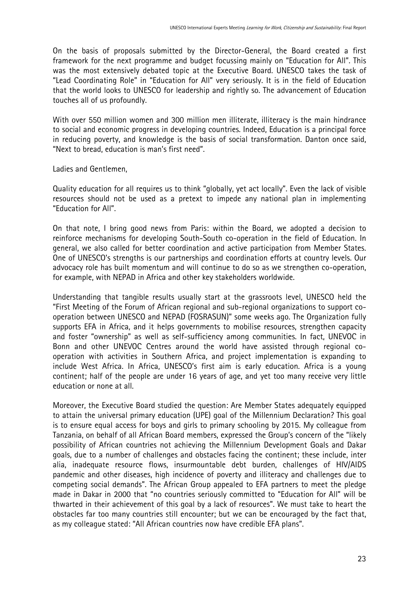On the basis of proposals submitted by the Director-General, the Board created a first framework for the next programme and budget focussing mainly on "Education for All". This was the most extensively debated topic at the Executive Board. UNESCO takes the task of "Lead Coordinating Role" in "Education for All" very seriously. It is in the field of Education that the world looks to UNESCO for leadership and rightly so. The advancement of Education touches all of us profoundly.

With over 550 million women and 300 million men illiterate, illiteracy is the main hindrance to social and economic progress in developing countries. Indeed, Education is a principal force in reducing poverty, and knowledge is the basis of social transformation. Danton once said, "Next to bread, education is man's first need".

Ladies and Gentlemen,

Quality education for all requires us to think "globally, yet act locally". Even the lack of visible resources should not be used as a pretext to impede any national plan in implementing "Education for All".

On that note, I bring good news from Paris: within the Board, we adopted a decision to reinforce mechanisms for developing South-South co-operation in the field of Education. In general, we also called for better coordination and active participation from Member States. One of UNESCO's strengths is our partnerships and coordination efforts at country levels. Our advocacy role has built momentum and will continue to do so as we strengthen co-operation, for example, with NEPAD in Africa and other key stakeholders worldwide.

Understanding that tangible results usually start at the grassroots level, UNESCO held the "First Meeting of the Forum of African regional and sub-regional organizations to support cooperation between UNESCO and NEPAD (FOSRASUN)" some weeks ago. The Organization fully supports EFA in Africa, and it helps governments to mobilise resources, strengthen capacity and foster "ownership" as well as self-sufficiency among communities. In fact, UNEVOC in Bonn and other UNEVOC Centres around the world have assisted through regional cooperation with activities in Southern Africa, and project implementation is expanding to include West Africa. In Africa, UNESCO's first aim is early education. Africa is a young continent; half of the people are under 16 years of age, and yet too many receive very little education or none at all.

Moreover, the Executive Board studied the question: Are Member States adequately equipped to attain the universal primary education (UPE) goal of the Millennium Declaration? This goal is to ensure equal access for boys and girls to primary schooling by 2015. My colleague from Tanzania, on behalf of all African Board members, expressed the Group's concern of the "likely possibility of African countries not achieving the Millennium Development Goals and Dakar goals, due to a number of challenges and obstacles facing the continent; these include, inter alia, inadequate resource flows, insurmountable debt burden, challenges of HIV/AIDS pandemic and other diseases, high incidence of poverty and illiteracy and challenges due to competing social demands". The African Group appealed to EFA partners to meet the pledge made in Dakar in 2000 that "no countries seriously committed to "Education for All" will be thwarted in their achievement of this goal by a lack of resources". We must take to heart the obstacles far too many countries still encounter; but we can be encouraged by the fact that, as my colleague stated: "All African countries now have credible EFA plans".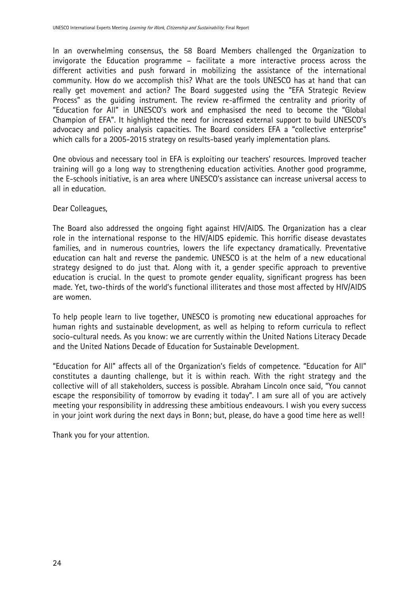In an overwhelming consensus, the 58 Board Members challenged the Organization to invigorate the Education programme – facilitate a more interactive process across the different activities and push forward in mobilizing the assistance of the international community. How do we accomplish this? What are the tools UNESCO has at hand that can really get movement and action? The Board suggested using the "EFA Strategic Review Process" as the guiding instrument. The review re-affirmed the centrality and priority of "Education for All" in UNESCO's work and emphasised the need to become the "Global Champion of EFA". It highlighted the need for increased external support to build UNESCO's advocacy and policy analysis capacities. The Board considers EFA a "collective enterprise" which calls for a 2005-2015 strategy on results-based yearly implementation plans.

One obvious and necessary tool in EFA is exploiting our teachers' resources. Improved teacher training will go a long way to strengthening education activities. Another good programme, the E-schools initiative, is an area where UNESCO's assistance can increase universal access to all in education.

#### Dear Colleagues,

The Board also addressed the ongoing fight against HIV/AIDS. The Organization has a clear role in the international response to the HIV/AIDS epidemic. This horrific disease devastates families, and in numerous countries, lowers the life expectancy dramatically. Preventative education can halt and reverse the pandemic. UNESCO is at the helm of a new educational strategy designed to do just that. Along with it, a gender specific approach to preventive education is crucial. In the quest to promote gender equality, significant progress has been made. Yet, two-thirds of the world's functional illiterates and those most affected by HIV/AIDS are women.

To help people learn to live together, UNESCO is promoting new educational approaches for human rights and sustainable development, as well as helping to reform curricula to reflect socio-cultural needs. As you know: we are currently within the United Nations Literacy Decade and the United Nations Decade of Education for Sustainable Development.

"Education for All" affects all of the Organization's fields of competence. "Education for All" constitutes a daunting challenge, but it is within reach. With the right strategy and the collective will of all stakeholders, success is possible. Abraham Lincoln once said, "You cannot escape the responsibility of tomorrow by evading it today". I am sure all of you are actively meeting your responsibility in addressing these ambitious endeavours. I wish you every success in your joint work during the next days in Bonn; but, please, do have a good time here as well!

Thank you for your attention.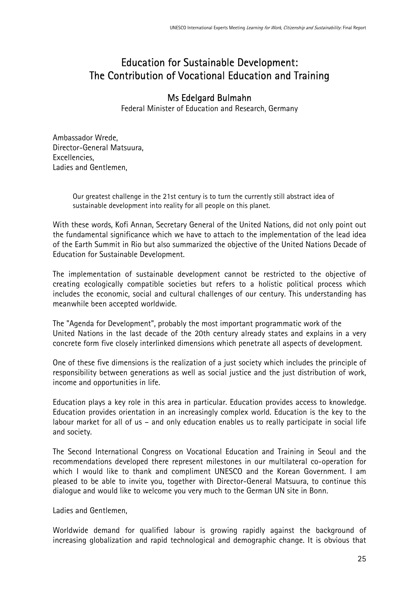## Education for Sustainable Development: The Contribution of Vocational Education and Training

### Ms Edelgard Bulmahn

Federal Minister of Education and Research, Germany

Ambassador Wrede, Director-General Matsuura, Excellencies, Ladies and Gentlemen,

> Our greatest challenge in the 21st century is to turn the currently still abstract idea of sustainable development into reality for all people on this planet.

With these words, Kofi Annan, Secretary General of the United Nations, did not only point out the fundamental significance which we have to attach to the implementation of the lead idea of the Earth Summit in Rio but also summarized the objective of the United Nations Decade of Education for Sustainable Development.

The implementation of sustainable development cannot be restricted to the objective of creating ecologically compatible societies but refers to a holistic political process which includes the economic, social and cultural challenges of our century. This understanding has meanwhile been accepted worldwide.

The "Agenda for Development", probably the most important programmatic work of the United Nations in the last decade of the 20th century already states and explains in a very concrete form five closely interlinked dimensions which penetrate all aspects of development.

One of these five dimensions is the realization of a just society which includes the principle of responsibility between generations as well as social justice and the just distribution of work, income and opportunities in life.

Education plays a key role in this area in particular. Education provides access to knowledge. Education provides orientation in an increasingly complex world. Education is the key to the labour market for all of us – and only education enables us to really participate in social life and society.

The Second International Congress on Vocational Education and Training in Seoul and the recommendations developed there represent milestones in our multilateral co-operation for which I would like to thank and compliment UNESCO and the Korean Government. I am pleased to be able to invite you, together with Director-General Matsuura, to continue this dialogue and would like to welcome you very much to the German UN site in Bonn.

Ladies and Gentlemen,

Worldwide demand for qualified labour is growing rapidly against the background of increasing globalization and rapid technological and demographic change. It is obvious that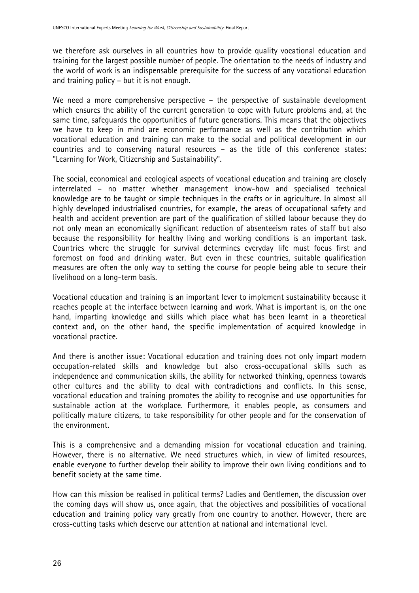we therefore ask ourselves in all countries how to provide quality vocational education and training for the largest possible number of people. The orientation to the needs of industry and the world of work is an indispensable prerequisite for the success of any vocational education and training policy – but it is not enough.

We need a more comprehensive perspective – the perspective of sustainable development which ensures the ability of the current generation to cope with future problems and, at the same time, safeguards the opportunities of future generations. This means that the objectives we have to keep in mind are economic performance as well as the contribution which vocational education and training can make to the social and political development in our countries and to conserving natural resources – as the title of this conference states: "Learning for Work, Citizenship and Sustainability".

The social, economical and ecological aspects of vocational education and training are closely interrelated – no matter whether management know-how and specialised technical knowledge are to be taught or simple techniques in the crafts or in agriculture. In almost all highly developed industrialised countries, for example, the areas of occupational safety and health and accident prevention are part of the qualification of skilled labour because they do not only mean an economically significant reduction of absenteeism rates of staff but also because the responsibility for healthy living and working conditions is an important task. Countries where the struggle for survival determines everyday life must focus first and foremost on food and drinking water. But even in these countries, suitable qualification measures are often the only way to setting the course for people being able to secure their livelihood on a long-term basis.

Vocational education and training is an important lever to implement sustainability because it reaches people at the interface between learning and work. What is important is, on the one hand, imparting knowledge and skills which place what has been learnt in a theoretical context and, on the other hand, the specific implementation of acquired knowledge in vocational practice.

And there is another issue: Vocational education and training does not only impart modern occupation-related skills and knowledge but also cross-occupational skills such as independence and communication skills, the ability for networked thinking, openness towards other cultures and the ability to deal with contradictions and conflicts. In this sense, vocational education and training promotes the ability to recognise and use opportunities for sustainable action at the workplace. Furthermore, it enables people, as consumers and politically mature citizens, to take responsibility for other people and for the conservation of the environment.

This is a comprehensive and a demanding mission for vocational education and training. However, there is no alternative. We need structures which, in view of limited resources, enable everyone to further develop their ability to improve their own living conditions and to benefit society at the same time.

How can this mission be realised in political terms? Ladies and Gentlemen, the discussion over the coming days will show us, once again, that the objectives and possibilities of vocational education and training policy vary greatly from one country to another. However, there are cross-cutting tasks which deserve our attention at national and international level.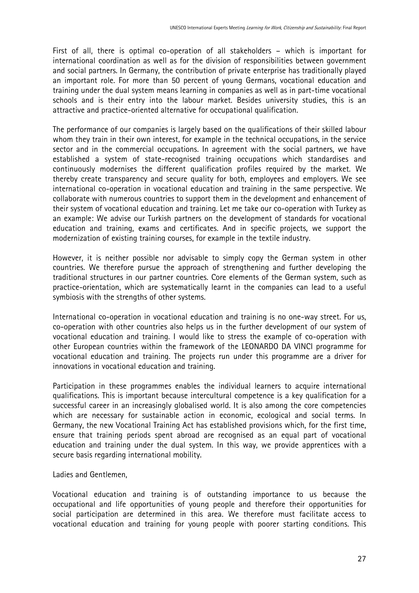First of all, there is optimal co-operation of all stakeholders – which is important for international coordination as well as for the division of responsibilities between government and social partners. In Germany, the contribution of private enterprise has traditionally played an important role. For more than 50 percent of young Germans, vocational education and training under the dual system means learning in companies as well as in part-time vocational schools and is their entry into the labour market. Besides university studies, this is an attractive and practice-oriented alternative for occupational qualification.

The performance of our companies is largely based on the qualifications of their skilled labour whom they train in their own interest, for example in the technical occupations, in the service sector and in the commercial occupations. In agreement with the social partners, we have established a system of state-recognised training occupations which standardises and continuously modernises the different qualification profiles required by the market. We thereby create transparency and secure quality for both, employees and employers. We see international co-operation in vocational education and training in the same perspective. We collaborate with numerous countries to support them in the development and enhancement of their system of vocational education and training. Let me take our co-operation with Turkey as an example: We advise our Turkish partners on the development of standards for vocational education and training, exams and certificates. And in specific projects, we support the modernization of existing training courses, for example in the textile industry.

However, it is neither possible nor advisable to simply copy the German system in other countries. We therefore pursue the approach of strengthening and further developing the traditional structures in our partner countries. Core elements of the German system, such as practice-orientation, which are systematically learnt in the companies can lead to a useful symbiosis with the strengths of other systems.

International co-operation in vocational education and training is no one-way street. For us, co-operation with other countries also helps us in the further development of our system of vocational education and training. I would like to stress the example of co-operation with other European countries within the framework of the LEONARDO DA VINCI programme for vocational education and training. The projects run under this programme are a driver for innovations in vocational education and training.

Participation in these programmes enables the individual learners to acquire international qualifications. This is important because intercultural competence is a key qualification for a successful career in an increasingly globalised world. It is also among the core competencies which are necessary for sustainable action in economic, ecological and social terms. In Germany, the new Vocational Training Act has established provisions which, for the first time, ensure that training periods spent abroad are recognised as an equal part of vocational education and training under the dual system. In this way, we provide apprentices with a secure basis regarding international mobility.

Ladies and Gentlemen,

Vocational education and training is of outstanding importance to us because the occupational and life opportunities of young people and therefore their opportunities for social participation are determined in this area. We therefore must facilitate access to vocational education and training for young people with poorer starting conditions. This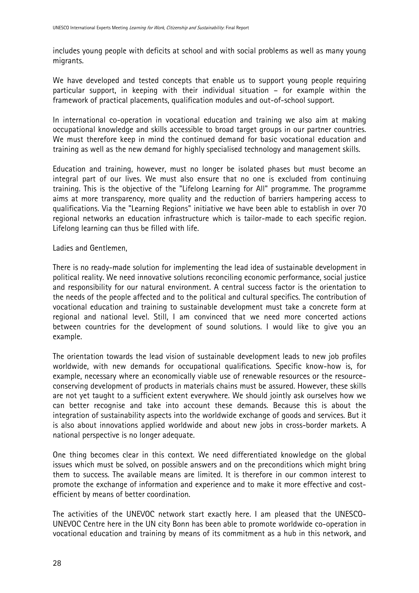includes young people with deficits at school and with social problems as well as many young migrants.

We have developed and tested concepts that enable us to support young people requiring particular support, in keeping with their individual situation – for example within the framework of practical placements, qualification modules and out-of-school support.

In international co-operation in vocational education and training we also aim at making occupational knowledge and skills accessible to broad target groups in our partner countries. We must therefore keep in mind the continued demand for basic vocational education and training as well as the new demand for highly specialised technology and management skills.

Education and training, however, must no longer be isolated phases but must become an integral part of our lives. We must also ensure that no one is excluded from continuing training. This is the objective of the "Lifelong Learning for All" programme. The programme aims at more transparency, more quality and the reduction of barriers hampering access to qualifications. Via the "Learning Regions" initiative we have been able to establish in over 70 regional networks an education infrastructure which is tailor-made to each specific region. Lifelong learning can thus be filled with life.

Ladies and Gentlemen,

There is no ready-made solution for implementing the lead idea of sustainable development in political reality. We need innovative solutions reconciling economic performance, social justice and responsibility for our natural environment. A central success factor is the orientation to the needs of the people affected and to the political and cultural specifics. The contribution of vocational education and training to sustainable development must take a concrete form at regional and national level. Still, I am convinced that we need more concerted actions between countries for the development of sound solutions. I would like to give you an example.

The orientation towards the lead vision of sustainable development leads to new job profiles worldwide, with new demands for occupational qualifications. Specific know-how is, for example, necessary where an economically viable use of renewable resources or the resourceconserving development of products in materials chains must be assured. However, these skills are not yet taught to a sufficient extent everywhere. We should jointly ask ourselves how we can better recognise and take into account these demands. Because this is about the integration of sustainability aspects into the worldwide exchange of goods and services. But it is also about innovations applied worldwide and about new jobs in cross-border markets. A national perspective is no longer adequate.

One thing becomes clear in this context. We need differentiated knowledge on the global issues which must be solved, on possible answers and on the preconditions which might bring them to success. The available means are limited. It is therefore in our common interest to promote the exchange of information and experience and to make it more effective and costefficient by means of better coordination.

The activities of the UNEVOC network start exactly here. I am pleased that the UNESCO-UNEVOC Centre here in the UN city Bonn has been able to promote worldwide co-operation in vocational education and training by means of its commitment as a hub in this network, and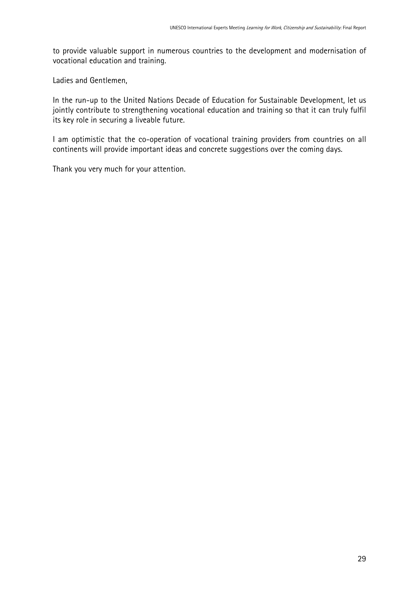to provide valuable support in numerous countries to the development and modernisation of vocational education and training.

Ladies and Gentlemen,

In the run-up to the United Nations Decade of Education for Sustainable Development, let us jointly contribute to strengthening vocational education and training so that it can truly fulfil its key role in securing a liveable future.

I am optimistic that the co-operation of vocational training providers from countries on all continents will provide important ideas and concrete suggestions over the coming days.

Thank you very much for your attention.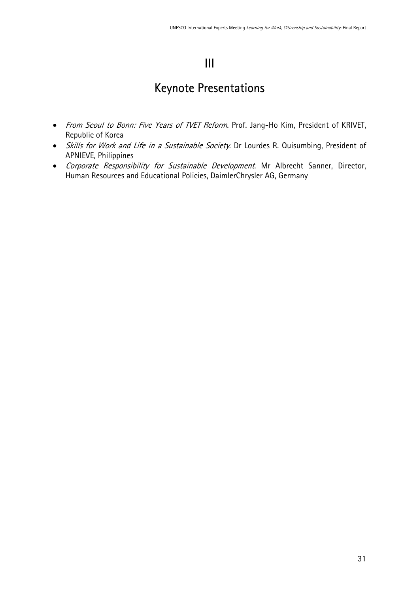## III

## <span id="page-30-0"></span>Keynote Presentations

- From Seoul to Bonn: Five Years of TVET Reform. Prof. Jang-Ho Kim, President of KRIVET, Republic of Korea
- Skills for Work and Life in a Sustainable Society. Dr Lourdes R. Quisumbing, President of APNIEVE, Philippines
- Corporate Responsibility for Sustainable Development. Mr Albrecht Sanner, Director, Human Resources and Educational Policies, DaimlerChrysler AG, Germany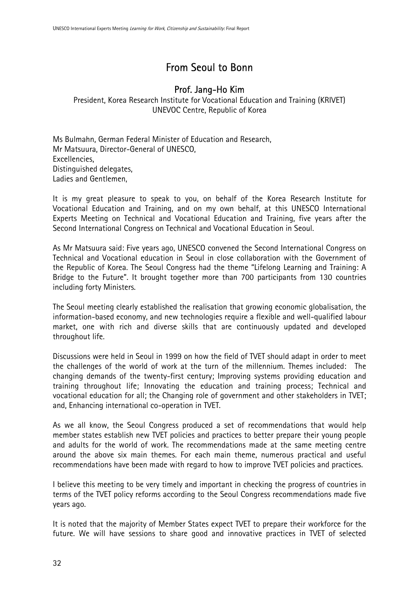## From Seoul to Bonn

## Prof. Jang-Ho Kim

President, Korea Research Institute for Vocational Education and Training (KRIVET) UNEVOC Centre, Republic of Korea

Ms Bulmahn, German Federal Minister of Education and Research, Mr Matsuura, Director-General of UNESCO, Excellencies, Distinguished delegates, Ladies and Gentlemen,

It is my great pleasure to speak to you, on behalf of the Korea Research Institute for Vocational Education and Training, and on my own behalf, at this UNESCO International Experts Meeting on Technical and Vocational Education and Training, five years after the Second International Congress on Technical and Vocational Education in Seoul.

As Mr Matsuura said: Five years ago, UNESCO convened the Second International Congress on Technical and Vocational education in Seoul in close collaboration with the Government of the Republic of Korea. The Seoul Congress had the theme "Lifelong Learning and Training: A Bridge to the Future". It brought together more than 700 participants from 130 countries including forty Ministers.

The Seoul meeting clearly established the realisation that growing economic globalisation, the information-based economy, and new technologies require a flexible and well-qualified labour market, one with rich and diverse skills that are continuously updated and developed throughout life.

Discussions were held in Seoul in 1999 on how the field of TVET should adapt in order to meet the challenges of the world of work at the turn of the millennium. Themes included: The changing demands of the twenty-first century; Improving systems providing education and training throughout life; Innovating the education and training process; Technical and vocational education for all; the Changing role of government and other stakeholders in TVET; and, Enhancing international co-operation in TVET.

As we all know, the Seoul Congress produced a set of recommendations that would help member states establish new TVET policies and practices to better prepare their young people and adults for the world of work. The recommendations made at the same meeting centre around the above six main themes. For each main theme, numerous practical and useful recommendations have been made with regard to how to improve TVET policies and practices.

I believe this meeting to be very timely and important in checking the progress of countries in terms of the TVET policy reforms according to the Seoul Congress recommendations made five years ago.

It is noted that the majority of Member States expect TVET to prepare their workforce for the future. We will have sessions to share good and innovative practices in TVET of selected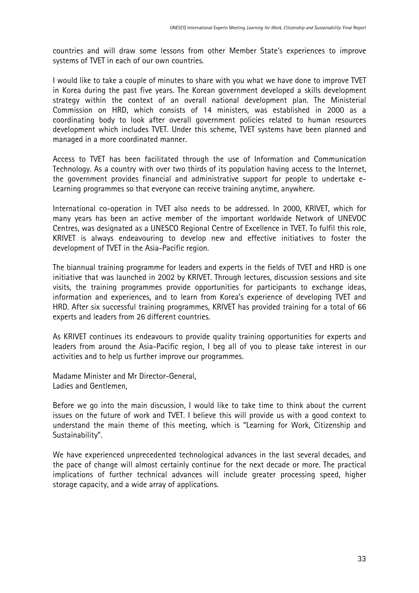countries and will draw some lessons from other Member State's experiences to improve systems of TVET in each of our own countries.

I would like to take a couple of minutes to share with you what we have done to improve TVET in Korea during the past five years. The Korean government developed a skills development strategy within the context of an overall national development plan. The Ministerial Commission on HRD, which consists of 14 ministers, was established in 2000 as a coordinating body to look after overall government policies related to human resources development which includes TVET. Under this scheme, TVET systems have been planned and managed in a more coordinated manner.

Access to TVET has been facilitated through the use of Information and Communication Technology. As a country with over two thirds of its population having access to the Internet, the government provides financial and administrative support for people to undertake e-Learning programmes so that everyone can receive training anytime, anywhere.

International co-operation in TVET also needs to be addressed. In 2000, KRIVET, which for many years has been an active member of the important worldwide Network of UNEVOC Centres, was designated as a UNESCO Regional Centre of Excellence in TVET. To fulfil this role, KRIVET is always endeavouring to develop new and effective initiatives to foster the development of TVET in the Asia-Pacific region.

The biannual training programme for leaders and experts in the fields of TVET and HRD is one initiative that was launched in 2002 by KRIVET. Through lectures, discussion sessions and site visits, the training programmes provide opportunities for participants to exchange ideas, information and experiences, and to learn from Korea's experience of developing TVET and HRD. After six successful training programmes, KRIVET has provided training for a total of 66 experts and leaders from 26 different countries.

As KRIVET continues its endeavours to provide quality training opportunities for experts and leaders from around the Asia-Pacific region, I beg all of you to please take interest in our activities and to help us further improve our programmes.

Madame Minister and Mr Director-General, Ladies and Gentlemen,

Before we go into the main discussion, I would like to take time to think about the current issues on the future of work and TVET. I believe this will provide us with a good context to understand the main theme of this meeting, which is "Learning for Work, Citizenship and Sustainability".

We have experienced unprecedented technological advances in the last several decades, and the pace of change will almost certainly continue for the next decade or more. The practical implications of further technical advances will include greater processing speed, higher storage capacity, and a wide array of applications.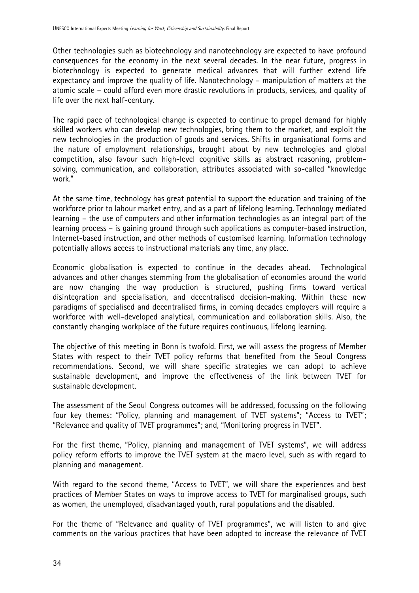Other technologies such as biotechnology and nanotechnology are expected to have profound consequences for the economy in the next several decades. In the near future, progress in biotechnology is expected to generate medical advances that will further extend life expectancy and improve the quality of life. Nanotechnology – manipulation of matters at the atomic scale – could afford even more drastic revolutions in products, services, and quality of life over the next half-century.

The rapid pace of technological change is expected to continue to propel demand for highly skilled workers who can develop new technologies, bring them to the market, and exploit the new technologies in the production of goods and services. Shifts in organisational forms and the nature of employment relationships, brought about by new technologies and global competition, also favour such high-level cognitive skills as abstract reasoning, problemsolving, communication, and collaboration, attributes associated with so-called "knowledge work."

At the same time, technology has great potential to support the education and training of the workforce prior to labour market entry, and as a part of lifelong learning. Technology mediated learning – the use of computers and other information technologies as an integral part of the learning process – is gaining ground through such applications as computer-based instruction, Internet-based instruction, and other methods of customised learning. Information technology potentially allows access to instructional materials any time, any place.

Economic globalisation is expected to continue in the decades ahead. Technological advances and other changes stemming from the globalisation of economies around the world are now changing the way production is structured, pushing firms toward vertical disintegration and specialisation, and decentralised decision-making. Within these new paradigms of specialised and decentralised firms, in coming decades employers will require a workforce with well-developed analytical, communication and collaboration skills. Also, the constantly changing workplace of the future requires continuous, lifelong learning.

The objective of this meeting in Bonn is twofold. First, we will assess the progress of Member States with respect to their TVET policy reforms that benefited from the Seoul Congress recommendations. Second, we will share specific strategies we can adopt to achieve sustainable development, and improve the effectiveness of the link between TVET for sustainable development.

The assessment of the Seoul Congress outcomes will be addressed, focussing on the following four key themes: "Policy, planning and management of TVET systems"; "Access to TVET"; "Relevance and quality of TVET programmes"; and, "Monitoring progress in TVET".

For the first theme, "Policy, planning and management of TVET systems", we will address policy reform efforts to improve the TVET system at the macro level, such as with regard to planning and management.

With regard to the second theme, "Access to TVET", we will share the experiences and best practices of Member States on ways to improve access to TVET for marginalised groups, such as women, the unemployed, disadvantaged youth, rural populations and the disabled.

For the theme of "Relevance and quality of TVET programmes", we will listen to and give comments on the various practices that have been adopted to increase the relevance of TVET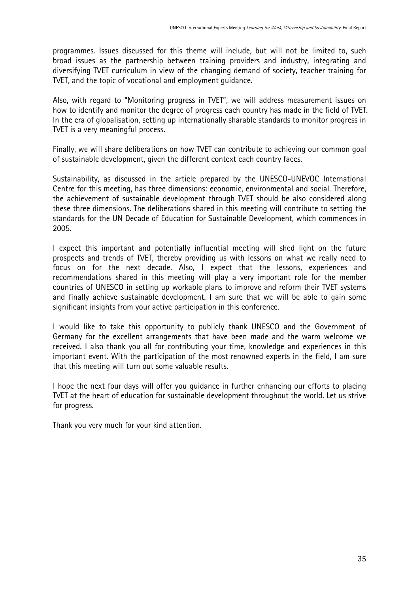programmes. Issues discussed for this theme will include, but will not be limited to, such broad issues as the partnership between training providers and industry, integrating and diversifying TVET curriculum in view of the changing demand of society, teacher training for TVET, and the topic of vocational and employment guidance.

Also, with regard to "Monitoring progress in TVET", we will address measurement issues on how to identify and monitor the degree of progress each country has made in the field of TVET. In the era of globalisation, setting up internationally sharable standards to monitor progress in TVET is a very meaningful process.

Finally, we will share deliberations on how TVET can contribute to achieving our common goal of sustainable development, given the different context each country faces.

Sustainability, as discussed in the article prepared by the UNESCO-UNEVOC International Centre for this meeting, has three dimensions: economic, environmental and social. Therefore, the achievement of sustainable development through TVET should be also considered along these three dimensions. The deliberations shared in this meeting will contribute to setting the standards for the UN Decade of Education for Sustainable Development, which commences in 2005.

I expect this important and potentially influential meeting will shed light on the future prospects and trends of TVET, thereby providing us with lessons on what we really need to focus on for the next decade. Also, I expect that the lessons, experiences and recommendations shared in this meeting will play a very important role for the member countries of UNESCO in setting up workable plans to improve and reform their TVET systems and finally achieve sustainable development. I am sure that we will be able to gain some significant insights from your active participation in this conference.

I would like to take this opportunity to publicly thank UNESCO and the Government of Germany for the excellent arrangements that have been made and the warm welcome we received. I also thank you all for contributing your time, knowledge and experiences in this important event. With the participation of the most renowned experts in the field, I am sure that this meeting will turn out some valuable results.

I hope the next four days will offer you guidance in further enhancing our efforts to placing TVET at the heart of education for sustainable development throughout the world. Let us strive for progress.

Thank you very much for your kind attention.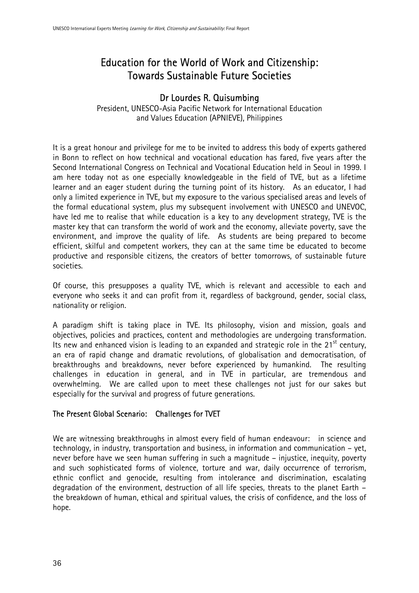## Education for the World of Work and Citizenship: Towards Sustainable Future Societies

## Dr Lourdes R. Quisumbing

President, UNESCO-Asia Pacific Network for International Education and Values Education (APNIEVE), Philippines

It is a great honour and privilege for me to be invited to address this body of experts gathered in Bonn to reflect on how technical and vocational education has fared, five years after the Second International Congress on Technical and Vocational Education held in Seoul in 1999. I am here today not as one especially knowledgeable in the field of TVE, but as a lifetime learner and an eager student during the turning point of its history. As an educator, I had only a limited experience in TVE, but my exposure to the various specialised areas and levels of the formal educational system, plus my subsequent involvement with UNESCO and UNEVOC, have led me to realise that while education is a key to any development strategy, TVE is the master key that can transform the world of work and the economy, alleviate poverty, save the environment, and improve the quality of life. As students are being prepared to become efficient, skilful and competent workers, they can at the same time be educated to become productive and responsible citizens, the creators of better tomorrows, of sustainable future societies.

Of course, this presupposes a quality TVE, which is relevant and accessible to each and everyone who seeks it and can profit from it, regardless of background, gender, social class, nationality or religion.

A paradigm shift is taking place in TVE. Its philosophy, vision and mission, goals and objectives, policies and practices, content and methodologies are undergoing transformation. Its new and enhanced vision is leading to an expanded and strategic role in the 21 $^{\rm st}$  century, an era of rapid change and dramatic revolutions, of globalisation and democratisation, of breakthroughs and breakdowns, never before experienced by humankind. The resulting challenges in education in general, and in TVE in particular, are tremendous and overwhelming. We are called upon to meet these challenges not just for our sakes but especially for the survival and progress of future generations.

### The Present Global Scenario: Challenges for TVET

We are witnessing breakthroughs in almost every field of human endeavour: in science and technology, in industry, transportation and business, in information and communication – yet, never before have we seen human suffering in such a magnitude – injustice, inequity, poverty and such sophisticated forms of violence, torture and war, daily occurrence of terrorism, ethnic conflict and genocide, resulting from intolerance and discrimination, escalating degradation of the environment, destruction of all life species, threats to the planet Earth – the breakdown of human, ethical and spiritual values, the crisis of confidence, and the loss of hope.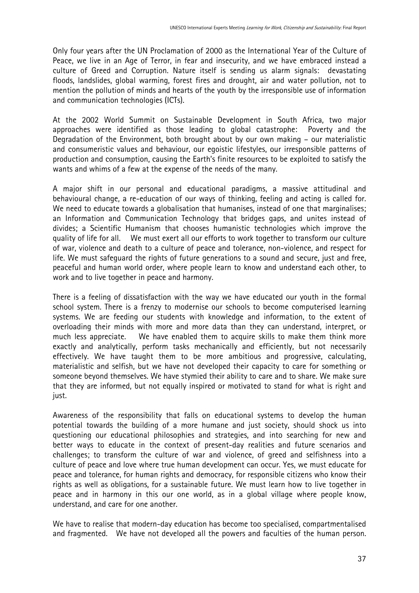Only four years after the UN Proclamation of 2000 as the International Year of the Culture of Peace, we live in an Age of Terror, in fear and insecurity, and we have embraced instead a culture of Greed and Corruption. Nature itself is sending us alarm signals: devastating floods, landslides, global warming, forest fires and drought, air and water pollution, not to mention the pollution of minds and hearts of the youth by the irresponsible use of information and communication technologies (ICTs).

At the 2002 World Summit on Sustainable Development in South Africa, two major approaches were identified as those leading to global catastrophe: Poverty and the Degradation of the Environment, both brought about by our own making – our materialistic and consumeristic values and behaviour, our egoistic lifestyles, our irresponsible patterns of production and consumption, causing the Earth's finite resources to be exploited to satisfy the wants and whims of a few at the expense of the needs of the many.

A major shift in our personal and educational paradigms, a massive attitudinal and behavioural change, a re-education of our ways of thinking, feeling and acting is called for. We need to educate towards a globalisation that humanises, instead of one that marginalises; an Information and Communication Technology that bridges gaps, and unites instead of divides; a Scientific Humanism that chooses humanistic technologies which improve the quality of life for all. We must exert all our efforts to work together to transform our culture of war, violence and death to a culture of peace and tolerance, non-violence, and respect for life. We must safeguard the rights of future generations to a sound and secure, just and free, peaceful and human world order, where people learn to know and understand each other, to work and to live together in peace and harmony.

There is a feeling of dissatisfaction with the way we have educated our youth in the formal school system. There is a frenzy to modernise our schools to become computerised learning systems. We are feeding our students with knowledge and information, to the extent of overloading their minds with more and more data than they can understand, interpret, or much less appreciate. We have enabled them to acquire skills to make them think more exactly and analytically, perform tasks mechanically and efficiently, but not necessarily effectively. We have taught them to be more ambitious and progressive, calculating, materialistic and selfish, but we have not developed their capacity to care for something or someone beyond themselves. We have stymied their ability to care and to share. We make sure that they are informed, but not equally inspired or motivated to stand for what is right and just.

Awareness of the responsibility that falls on educational systems to develop the human potential towards the building of a more humane and just society, should shock us into questioning our educational philosophies and strategies, and into searching for new and better ways to educate in the context of present-day realities and future scenarios and challenges; to transform the culture of war and violence, of greed and selfishness into a culture of peace and love where true human development can occur. Yes, we must educate for peace and tolerance, for human rights and democracy, for responsible citizens who know their rights as well as obligations, for a sustainable future. We must learn how to live together in peace and in harmony in this our one world, as in a global village where people know, understand, and care for one another.

We have to realise that modern-day education has become too specialised, compartmentalised and fragmented. We have not developed all the powers and faculties of the human person.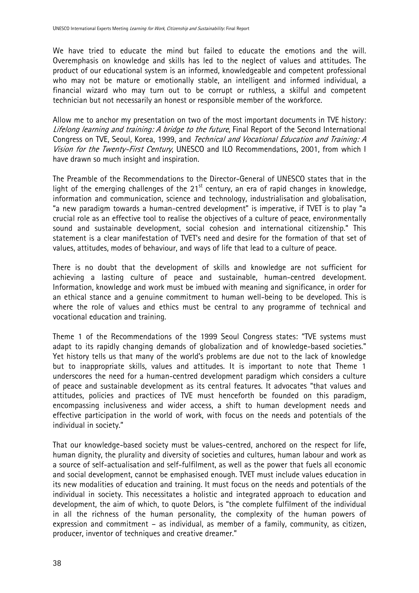We have tried to educate the mind but failed to educate the emotions and the will. Overemphasis on knowledge and skills has led to the neglect of values and attitudes. The product of our educational system is an informed, knowledgeable and competent professional who may not be mature or emotionally stable, an intelligent and informed individual, a financial wizard who may turn out to be corrupt or ruthless, a skilful and competent technician but not necessarily an honest or responsible member of the workforce.

Allow me to anchor my presentation on two of the most important documents in TVE history: Lifelong learning and training: A bridge to the future, Final Report of the Second International Congress on TVE, Seoul, Korea, 1999, and Technical and Vocational Education and Training: A Vision for the Twenty-First Century, UNESCO and ILO Recommendations, 2001, from which I have drawn so much insight and inspiration.

The Preamble of the Recommendations to the Director-General of UNESCO states that in the light of the emerging challenges of the  $21<sup>st</sup>$  century, an era of rapid changes in knowledge, information and communication, science and technology, industrialisation and globalisation, "a new paradigm towards a human-centred development" is imperative, if TVET is to play "a crucial role as an effective tool to realise the objectives of a culture of peace, environmentally sound and sustainable development, social cohesion and international citizenship." This statement is a clear manifestation of TVET's need and desire for the formation of that set of values, attitudes, modes of behaviour, and ways of life that lead to a culture of peace.

There is no doubt that the development of skills and knowledge are not sufficient for achieving a lasting culture of peace and sustainable, human-centred development. Information, knowledge and work must be imbued with meaning and significance, in order for an ethical stance and a genuine commitment to human well-being to be developed. This is where the role of values and ethics must be central to any programme of technical and vocational education and training.

Theme 1 of the Recommendations of the 1999 Seoul Congress states: "TVE systems must adapt to its rapidly changing demands of globalization and of knowledge-based societies." Yet history tells us that many of the world's problems are due not to the lack of knowledge but to inappropriate skills, values and attitudes. It is important to note that Theme 1 underscores the need for a human-centred development paradigm which considers a culture of peace and sustainable development as its central features. It advocates "that values and attitudes, policies and practices of TVE must henceforth be founded on this paradigm, encompassing inclusiveness and wider access, a shift to human development needs and effective participation in the world of work, with focus on the needs and potentials of the individual in society."

That our knowledge-based society must be values-centred, anchored on the respect for life, human dignity, the plurality and diversity of societies and cultures, human labour and work as a source of self-actualisation and self-fulfilment, as well as the power that fuels all economic and social development, cannot be emphasised enough. TVET must include values education in its new modalities of education and training. It must focus on the needs and potentials of the individual in society. This necessitates a holistic and integrated approach to education and development, the aim of which, to quote Delors, is "the complete fulfilment of the individual in all the richness of the human personality, the complexity of the human powers of expression and commitment – as individual, as member of a family, community, as citizen, producer, inventor of techniques and creative dreamer."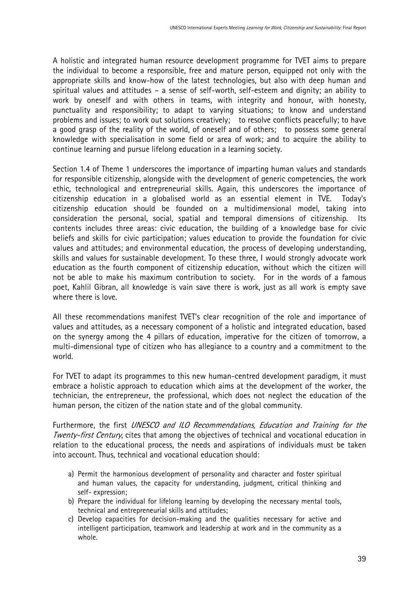A holistic and integrated human resource development programme for TVET aims to prepare the individual to become a responsible, free and mature person, equipped not only with the appropriate skills and know-how of the latest technologies, but also with deep human and spiritual values and attitudes – a sense of self-worth, self-esteem and dignity; an ability to work by oneself and with others in teams, with integrity and honour, with honesty, punctuality and responsibility; to adapt to varying situations; to know and understand problems and issues; to work out solutions creatively; to resolve conflicts peacefully; to have a good grasp of the reality of the world, of oneself and of others; to possess some general knowledge with specialisation in some field or area of work; and to acquire the ability to continue learning and pursue lifelong education in a learning society.

Section 1.4 of Theme 1 underscores the importance of imparting human values and standards for responsible citizenship, alongside with the development of generic competencies, the work ethic, technological and entrepreneurial skills. Again, this underscores the importance of citizenship education in a globalised world as an essential element in TVE. Today's citizenship education should be founded on a multidimensional model, taking into consideration the personal, social, spatial and temporal dimensions of citizenship. Its contents includes three areas: civic education, the building of a knowledge base for civic beliefs and skills for civic participation; values education to provide the foundation for civic values and attitudes; and environmental education, the process of developing understanding, skills and values for sustainable development. To these three, I would strongly advocate work education as the fourth component of citizenship education, without which the citizen will not be able to make his maximum contribution to society. For in the words of a famous poet, Kahlil Gibran, all knowledge is vain save there is work, just as all work is empty save where there is love.

All these recommendations manifest TVET's clear recognition of the role and importance of values and attitudes, as a necessary component of a holistic and integrated education, based on the synergy among the 4 pillars of education, imperative for the citizen of tomorrow, a multi-dimensional type of citizen who has allegiance to a country and a commitment to the world.

For TVET to adapt its programmes to this new human-centred development paradigm, it must embrace a holistic approach to education which aims at the development of the worker, the technician, the entrepreneur, the professional, which does not neglect the education of the human person, the citizen of the nation state and of the global community.

Furthermore, the first UNESCO and ILO Recommendations, Education and Training for the Twenty-first Century, cites that among the objectives of technical and vocational education in relation to the educational process, the needs and aspirations of individuals must be taken into account. Thus, technical and vocational education should:

- a) Permit the harmonious development of personality and character and foster spiritual and human values, the capacity for understanding, judgment, critical thinking and self- expression;
- b) Prepare the individual for lifelong learning by developing the necessary mental tools, technical and entrepreneurial skills and attitudes;
- c) Develop capacities for decision-making and the qualities necessary for active and intelligent participation, teamwork and leadership at work and in the community as a whole.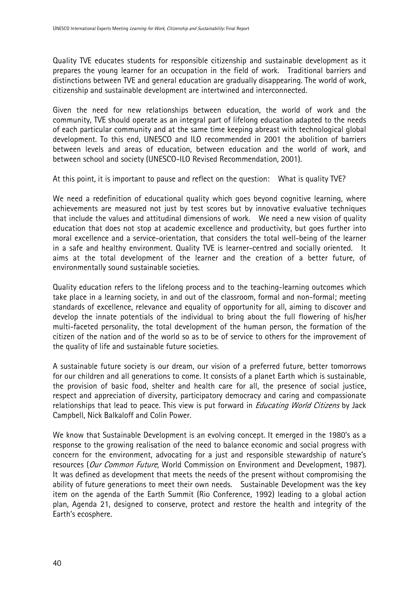Quality TVE educates students for responsible citizenship and sustainable development as it prepares the young learner for an occupation in the field of work. Traditional barriers and distinctions between TVE and general education are gradually disappearing. The world of work, citizenship and sustainable development are intertwined and interconnected.

Given the need for new relationships between education, the world of work and the community, TVE should operate as an integral part of lifelong education adapted to the needs of each particular community and at the same time keeping abreast with technological global development. To this end, UNESCO and ILO recommended in 2001 the abolition of barriers between levels and areas of education, between education and the world of work, and between school and society (UNESCO-ILO Revised Recommendation, 2001).

At this point, it is important to pause and reflect on the question: What is quality TVE?

We need a redefinition of educational quality which goes beyond cognitive learning, where achievements are measured not just by test scores but by innovative evaluative techniques that include the values and attitudinal dimensions of work. We need a new vision of quality education that does not stop at academic excellence and productivity, but goes further into moral excellence and a service-orientation, that considers the total well-being of the learner in a safe and healthy environment. Quality TVE is learner-centred and socially oriented. It aims at the total development of the learner and the creation of a better future, of environmentally sound sustainable societies.

Quality education refers to the lifelong process and to the teaching-learning outcomes which take place in a learning society, in and out of the classroom, formal and non-formal; meeting standards of excellence, relevance and equality of opportunity for all, aiming to discover and develop the innate potentials of the individual to bring about the full flowering of his/her multi-faceted personality, the total development of the human person, the formation of the citizen of the nation and of the world so as to be of service to others for the improvement of the quality of life and sustainable future societies.

A sustainable future society is our dream, our vision of a preferred future, better tomorrows for our children and all generations to come. It consists of a planet Earth which is sustainable, the provision of basic food, shelter and health care for all, the presence of social justice, respect and appreciation of diversity, participatory democracy and caring and compassionate relationships that lead to peace. This view is put forward in *Educating World Citizens* by Jack Campbell, Nick Balkaloff and Colin Power.

We know that Sustainable Development is an evolving concept. It emerged in the 1980's as a response to the growing realisation of the need to balance economic and social progress with concern for the environment, advocating for a just and responsible stewardship of nature's resources (Our Common Future, World Commission on Environment and Development, 1987). It was defined as development that meets the needs of the present without compromising the ability of future generations to meet their own needs. Sustainable Development was the key item on the agenda of the Earth Summit (Rio Conference, 1992) leading to a global action plan, Agenda 21, designed to conserve, protect and restore the health and integrity of the Earth's ecosphere.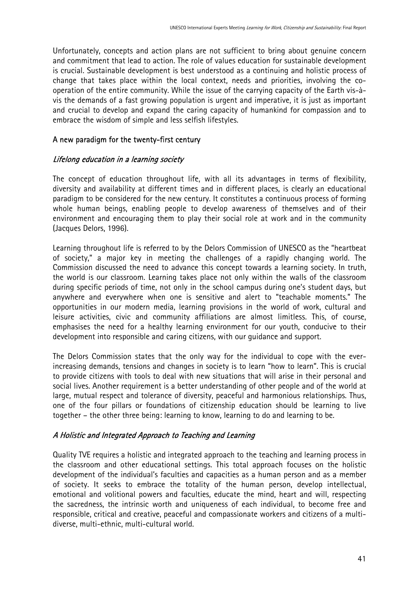Unfortunately, concepts and action plans are not sufficient to bring about genuine concern and commitment that lead to action. The role of values education for sustainable development is crucial. Sustainable development is best understood as a continuing and holistic process of change that takes place within the local context, needs and priorities, involving the cooperation of the entire community. While the issue of the carrying capacity of the Earth vis-àvis the demands of a fast growing population is urgent and imperative, it is just as important and crucial to develop and expand the caring capacity of humankind for compassion and to embrace the wisdom of simple and less selfish lifestyles.

### A new paradigm for the twenty-first century

### Lifelong education in a learning society

The concept of education throughout life, with all its advantages in terms of flexibility, diversity and availability at different times and in different places, is clearly an educational paradigm to be considered for the new century. It constitutes a continuous process of forming whole human beings, enabling people to develop awareness of themselves and of their environment and encouraging them to play their social role at work and in the community (Jacques Delors, 1996).

Learning throughout life is referred to by the Delors Commission of UNESCO as the "heartbeat of society," a major key in meeting the challenges of a rapidly changing world. The Commission discussed the need to advance this concept towards a learning society. In truth, the world is our classroom. Learning takes place not only within the walls of the classroom during specific periods of time, not only in the school campus during one's student days, but anywhere and everywhere when one is sensitive and alert to "teachable moments." The opportunities in our modern media, learning provisions in the world of work, cultural and leisure activities, civic and community affiliations are almost limitless. This, of course, emphasises the need for a healthy learning environment for our youth, conducive to their development into responsible and caring citizens, with our guidance and support.

The Delors Commission states that the only way for the individual to cope with the everincreasing demands, tensions and changes in society is to learn "how to learn". This is crucial to provide citizens with tools to deal with new situations that will arise in their personal and social lives. Another requirement is a better understanding of other people and of the world at large, mutual respect and tolerance of diversity, peaceful and harmonious relationships. Thus, one of the four pillars or foundations of citizenship education should be learning to live together – the other three being: learning to know, learning to do and learning to be.

### A Holistic and Integrated Approach to Teaching and Learning

Quality TVE requires a holistic and integrated approach to the teaching and learning process in the classroom and other educational settings. This total approach focuses on the holistic development of the individual's faculties and capacities as a human person and as a member of society. It seeks to embrace the totality of the human person, develop intellectual, emotional and volitional powers and faculties, educate the mind, heart and will, respecting the sacredness, the intrinsic worth and uniqueness of each individual, to become free and responsible, critical and creative, peaceful and compassionate workers and citizens of a multidiverse, multi-ethnic, multi-cultural world.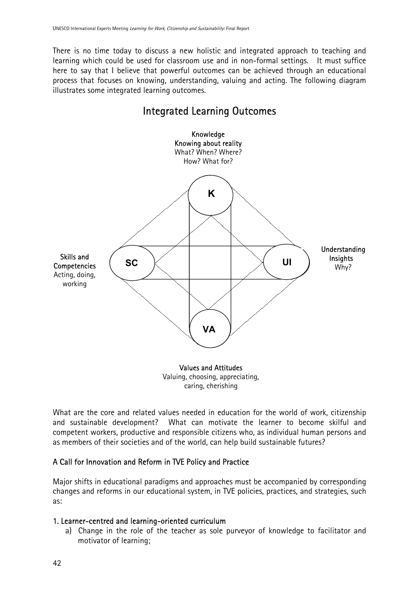There is no time today to discuss a new holistic and integrated approach to teaching and learning which could be used for classroom use and in non-formal settings. It must suffice here to say that I believe that powerful outcomes can be achieved through an educational process that focuses on knowing, understanding, valuing and acting. The following diagram illustrates some integrated learning outcomes.

# Integrated Learning Outcomes



caring, cherishing

What are the core and related values needed in education for the world of work, citizenship and sustainable development? What can motivate the learner to become skilful and competent workers, productive and responsible citizens who, as individual human persons and as members of their societies and of the world, can help build sustainable futures?

### A Call for Innovation and Reform in TVE Policy and Practice

Major shifts in educational paradigms and approaches must be accompanied by corresponding changes and reforms in our educational system, in TVE policies, practices, and strategies, such as:

### 1. Learner-centred and learning-oriented curriculum

a) Change in the role of the teacher as sole purveyor of knowledge to facilitator and motivator of learning;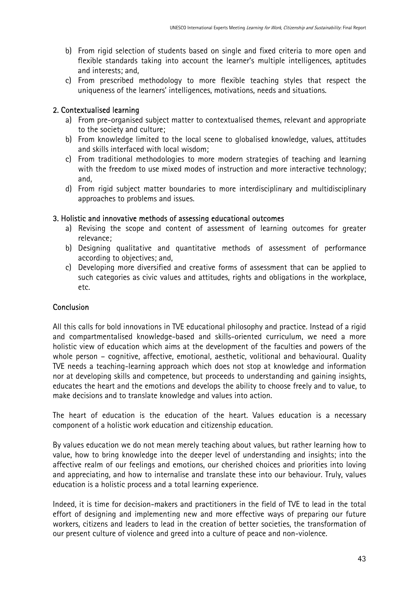- b) From rigid selection of students based on single and fixed criteria to more open and flexible standards taking into account the learner's multiple intelligences, aptitudes and interests; and,
- c) From prescribed methodology to more flexible teaching styles that respect the uniqueness of the learners' intelligences, motivations, needs and situations.

### 2. Contextualised learning

- a) From pre-organised subject matter to contextualised themes, relevant and appropriate to the society and culture;
- b) From knowledge limited to the local scene to globalised knowledge, values, attitudes and skills interfaced with local wisdom;
- c) From traditional methodologies to more modern strategies of teaching and learning with the freedom to use mixed modes of instruction and more interactive technology; and,
- d) From rigid subject matter boundaries to more interdisciplinary and multidisciplinary approaches to problems and issues.

### 3. Holistic and innovative methods of assessing educational outcomes

- a) Revising the scope and content of assessment of learning outcomes for greater relevance;
- b) Designing qualitative and quantitative methods of assessment of performance according to objectives; and,
- c) Developing more diversified and creative forms of assessment that can be applied to such categories as civic values and attitudes, rights and obligations in the workplace, etc.

### **Conclusion**

All this calls for bold innovations in TVE educational philosophy and practice. Instead of a rigid and compartmentalised knowledge-based and skills-oriented curriculum, we need a more holistic view of education which aims at the development of the faculties and powers of the whole person – cognitive, affective, emotional, aesthetic, volitional and behavioural. Quality TVE needs a teaching-learning approach which does not stop at knowledge and information nor at developing skills and competence, but proceeds to understanding and gaining insights, educates the heart and the emotions and develops the ability to choose freely and to value, to make decisions and to translate knowledge and values into action.

The heart of education is the education of the heart. Values education is a necessary component of a holistic work education and citizenship education.

By values education we do not mean merely teaching about values, but rather learning how to value, how to bring knowledge into the deeper level of understanding and insights; into the affective realm of our feelings and emotions, our cherished choices and priorities into loving and appreciating, and how to internalise and translate these into our behaviour. Truly, values education is a holistic process and a total learning experience.

Indeed, it is time for decision-makers and practitioners in the field of TVE to lead in the total effort of designing and implementing new and more effective ways of preparing our future workers, citizens and leaders to lead in the creation of better societies, the transformation of our present culture of violence and greed into a culture of peace and non-violence.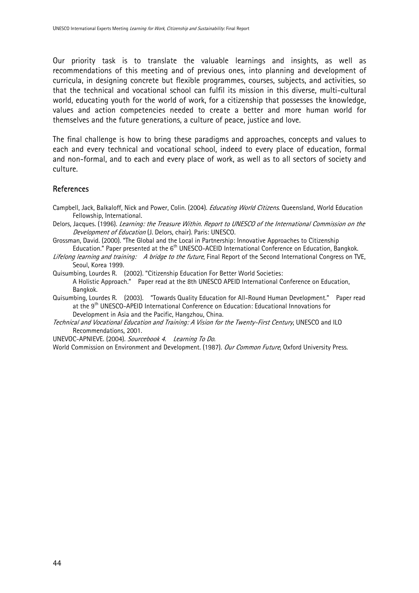Our priority task is to translate the valuable learnings and insights, as well as recommendations of this meeting and of previous ones, into planning and development of curricula, in designing concrete but flexible programmes, courses, subjects, and activities, so that the technical and vocational school can fulfil its mission in this diverse, multi-cultural world, educating youth for the world of work, for a citizenship that possesses the knowledge, values and action competencies needed to create a better and more human world for themselves and the future generations, a culture of peace, justice and love.

The final challenge is how to bring these paradigms and approaches, concepts and values to each and every technical and vocational school, indeed to every place of education, formal and non-formal, and to each and every place of work, as well as to all sectors of society and culture.

#### **References**

- Campbell, Jack, Balkaloff, Nick and Power, Colin. (2004). *Educating World Citizens*. Queensland, World Education Fellowship, International.
- Delors, Jacques. (1996). Learning: the Treasure Within. Report to UNESCO of the International Commission on the Development of Education (J. Delors, chair). Paris: UNESCO.
- Grossman, David. (2000). "The Global and the Local in Partnership: Innovative Approaches to Citizenship Education." Paper presented at the 6<sup>th</sup> UNESCO-ACEID International Conference on Education, Bangkok.
- Lifelong learning and training: A bridge to the future, Final Report of the Second International Congress on TVE, Seoul, Korea 1999.
- Quisumbing, Lourdes R. (2002). "Citizenship Education For Better World Societies: A Holistic Approach." Paper read at the 8th UNESCO APEID International Conference on Education, Bangkok.
- Quisumbing, Lourdes R. (2003). "Towards Quality Education for All-Round Human Development." Paper read at the 9th UNESCO-APEID International Conference on Education: Educational Innovations for Development in Asia and the Pacific, Hangzhou, China.
- Technical and Vocational Education and Training: A Vision for the Twenty-First Century, UNESCO and ILO Recommendations, 2001.

UNEVOC-APNIEVE. (2004). Sourcebook 4. Learning To Do.

World Commission on Environment and Development. (1987). Our Common Future, Oxford University Press.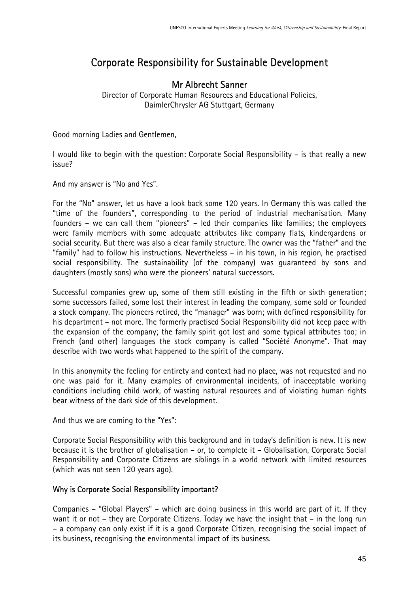# Corporate Responsibility for Sustainable Development

# Mr Albrecht Sanner

Director of Corporate Human Resources and Educational Policies, DaimlerChrysler AG Stuttgart, Germany

Good morning Ladies and Gentlemen,

I would like to begin with the question: Corporate Social Responsibility – is that really a new issue?

And my answer is "No and Yes".

For the "No" answer, let us have a look back some 120 years. In Germany this was called the "time of the founders", corresponding to the period of industrial mechanisation. Many founders – we can call them "pioneers" – led their companies like families; the employees were family members with some adequate attributes like company flats, kindergardens or social security. But there was also a clear family structure. The owner was the "father" and the "family" had to follow his instructions. Nevertheless – in his town, in his region, he practised social responsibility. The sustainability (of the company) was guaranteed by sons and daughters (mostly sons) who were the pioneers' natural successors.

Successful companies grew up, some of them still existing in the fifth or sixth generation; some successors failed, some lost their interest in leading the company, some sold or founded a stock company. The pioneers retired, the "manager" was born; with defined responsibility for his department – not more. The formerly practised Social Responsibility did not keep pace with the expansion of the company; the family spirit got lost and some typical attributes too; in French (and other) languages the stock company is called "Société Anonyme". That may describe with two words what happened to the spirit of the company.

In this anonymity the feeling for entirety and context had no place, was not requested and no one was paid for it. Many examples of environmental incidents, of inacceptable working conditions including child work, of wasting natural resources and of violating human rights bear witness of the dark side of this development.

And thus we are coming to the "Yes":

Corporate Social Responsibility with this background and in today's definition is new. It is new because it is the brother of globalisation – or, to complete it – Globalisation, Corporate Social Responsibility and Corporate Citizens are siblings in a world network with limited resources (which was not seen 120 years ago).

### Why is Corporate Social Responsibility important?

Companies – "Global Players" – which are doing business in this world are part of it. If they want it or not – they are Corporate Citizens. Today we have the insight that – in the long run – a company can only exist if it is a good Corporate Citizen, recognising the social impact of its business, recognising the environmental impact of its business.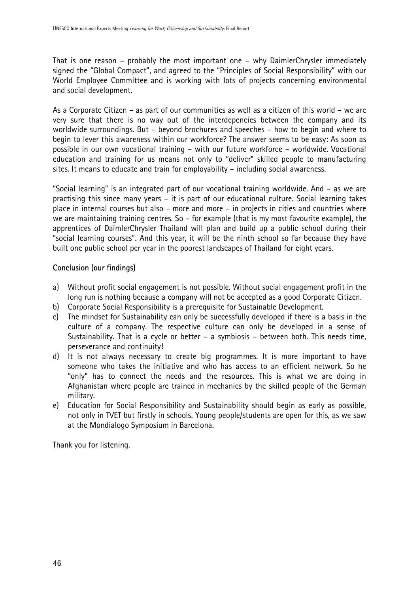That is one reason – probably the most important one – why DaimlerChrysler immediately signed the "Global Compact", and agreed to the "Principles of Social Responsibility" with our World Employee Committee and is working with lots of projects concerning environmental and social development.

As a Corporate Citizen – as part of our communities as well as a citizen of this world – we are very sure that there is no way out of the interdepencies between the company and its worldwide surroundings. But – beyond brochures and speeches – how to begin and where to begin to lever this awareness within our workforce? The answer seems to be easy: As soon as possible in our own vocational training – with our future workforce – worldwide. Vocational education and training for us means not only to "deliver" skilled people to manufacturing sites. It means to educate and train for employability – including social awareness.

"Social learning" is an integrated part of our vocational training worldwide. And – as we are practising this since many years – it is part of our educational culture. Social learning takes place in internal courses but also – more and more – in projects in cities and countries where we are maintaining training centres. So – for example (that is my most favourite example), the apprentices of DaimlerChrysler Thailand will plan and build up a public school during their "social learning courses". And this year, it will be the ninth school so far because they have built one public school per year in the poorest landscapes of Thailand for eight years.

### Conclusion (our findings)

- a) Without profit social engagement is not possible. Without social engagement profit in the long run is nothing because a company will not be accepted as a good Corporate Citizen.
- b) Corporate Social Responsibility is a prerequisite for Sustainable Development.
- c) The mindset for Sustainability can only be successfully developed if there is a basis in the culture of a company. The respective culture can only be developed in a sense of Sustainability. That is a cycle or better – a symbiosis – between both. This needs time, perseverance and continuity!
- d) It is not always necessary to create big programmes. It is more important to have someone who takes the initiative and who has access to an efficient network. So he "only" has to connect the needs and the resources. This is what we are doing in Afghanistan where people are trained in mechanics by the skilled people of the German military.
- e) Education for Social Responsibility and Sustainability should begin as early as possible, not only in TVET but firstly in schools. Young people/students are open for this, as we saw at the Mondialogo Symposium in Barcelona.

Thank you for listening.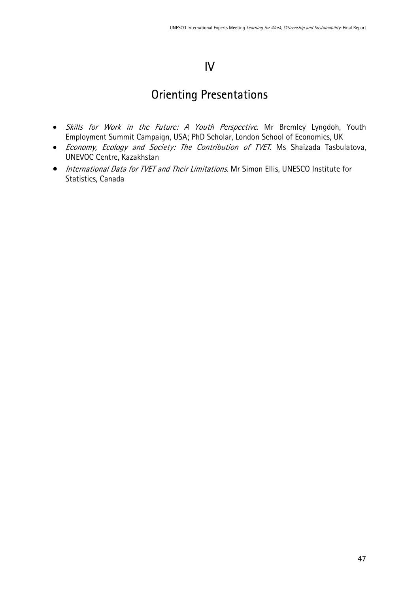# IV

# Orienting Presentations

- Skills for Work in the Future: A Youth Perspective. Mr Bremley Lyngdoh, Youth Employment Summit Campaign, USA; PhD Scholar, London School of Economics, UK
- Economy, Ecology and Society: The Contribution of TVET. Ms Shaizada Tasbulatova, UNEVOC Centre, Kazakhstan
- International Data for TVET and Their Limitations. Mr Simon Ellis, UNESCO Institute for Statistics, Canada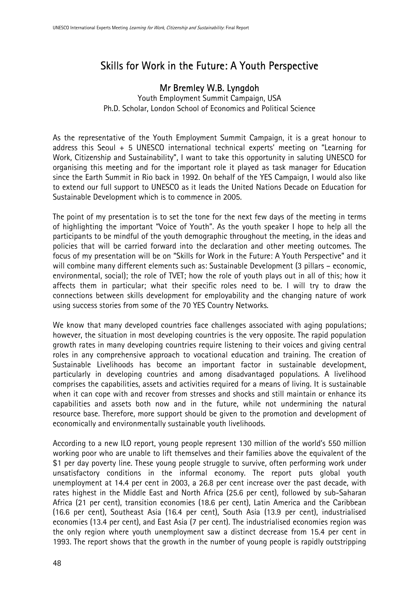# Skills for Work in the Future: A Youth Perspective

# Mr Bremley W.B. Lyngdoh

Youth Employment Summit Campaign, USA Ph.D. Scholar, London School of Economics and Political Science

As the representative of the Youth Employment Summit Campaign, it is a great honour to address this Seoul  $+ 5$  UNESCO international technical experts' meeting on "Learning for Work, Citizenship and Sustainability", I want to take this opportunity in saluting UNESCO for organising this meeting and for the important role it played as task manager for Education since the Earth Summit in Rio back in 1992. On behalf of the YES Campaign, I would also like to extend our full support to UNESCO as it leads the United Nations Decade on Education for Sustainable Development which is to commence in 2005.

The point of my presentation is to set the tone for the next few days of the meeting in terms of highlighting the important "Voice of Youth". As the youth speaker I hope to help all the participants to be mindful of the youth demographic throughout the meeting, in the ideas and policies that will be carried forward into the declaration and other meeting outcomes. The focus of my presentation will be on "Skills for Work in the Future: A Youth Perspective" and it will combine many different elements such as: Sustainable Development (3 pillars – economic, environmental, social); the role of TVET; how the role of youth plays out in all of this; how it affects them in particular; what their specific roles need to be. I will try to draw the connections between skills development for employability and the changing nature of work using success stories from some of the 70 YES Country Networks.

We know that many developed countries face challenges associated with aging populations; however, the situation in most developing countries is the very opposite. The rapid population growth rates in many developing countries require listening to their voices and giving central roles in any comprehensive approach to vocational education and training. The creation of Sustainable Livelihoods has become an important factor in sustainable development, particularly in developing countries and among disadvantaged populations. A livelihood comprises the capabilities, assets and activities required for a means of living. It is sustainable when it can cope with and recover from stresses and shocks and still maintain or enhance its capabilities and assets both now and in the future, while not undermining the natural resource base. Therefore, more support should be given to the promotion and development of economically and environmentally sustainable youth livelihoods.

According to a new ILO report, young people represent 130 million of the world's 550 million working poor who are unable to lift themselves and their families above the equivalent of the \$1 per day poverty line. These young people struggle to survive, often performing work under unsatisfactory conditions in the informal economy. The report puts global youth unemployment at 14.4 per cent in 2003, a 26.8 per cent increase over the past decade, with rates highest in the Middle East and North Africa (25.6 per cent), followed by sub-Saharan Africa (21 per cent), transition economies (18.6 per cent), Latin America and the Caribbean (16.6 per cent), Southeast Asia (16.4 per cent), South Asia (13.9 per cent), industrialised economies (13.4 per cent), and East Asia (7 per cent). The industrialised economies region was the only region where youth unemployment saw a distinct decrease from 15.4 per cent in 1993. The report shows that the growth in the number of young people is rapidly outstripping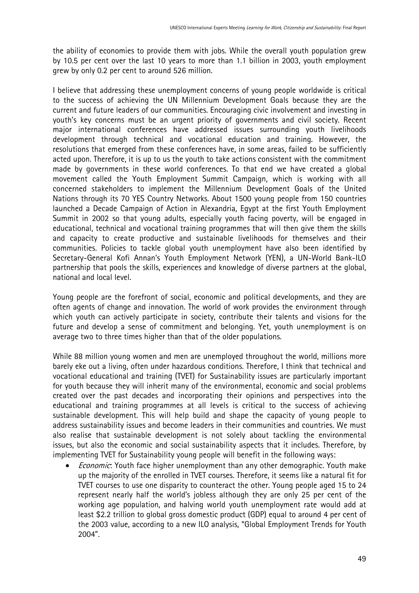the ability of economies to provide them with jobs. While the overall youth population grew by 10.5 per cent over the last 10 years to more than 1.1 billion in 2003, youth employment grew by only 0.2 per cent to around 526 million.

I believe that addressing these unemployment concerns of young people worldwide is critical to the success of achieving the UN Millennium Development Goals because they are the current and future leaders of our communities. Encouraging civic involvement and investing in youth's key concerns must be an urgent priority of governments and civil society. Recent major international conferences have addressed issues surrounding youth livelihoods development through technical and vocational education and training. However, the resolutions that emerged from these conferences have, in some areas, failed to be sufficiently acted upon. Therefore, it is up to us the youth to take actions consistent with the commitment made by governments in these world conferences. To that end we have created a global movement called the Youth Employment Summit Campaign, which is working with all concerned stakeholders to implement the Millennium Development Goals of the United Nations through its 70 YES Country Networks. About 1500 young people from 150 countries launched a Decade Campaign of Action in Alexandria, Egypt at the first Youth Employment Summit in 2002 so that young adults, especially youth facing poverty, will be engaged in educational, technical and vocational training programmes that will then give them the skills and capacity to create productive and sustainable livelihoods for themselves and their communities. Policies to tackle global youth unemployment have also been identified by Secretary-General Kofi Annan's Youth Employment Network (YEN), a UN-World Bank-ILO partnership that pools the skills, experiences and knowledge of diverse partners at the global, national and local level.

Young people are the forefront of social, economic and political developments, and they are often agents of change and innovation. The world of work provides the environment through which youth can actively participate in society, contribute their talents and visions for the future and develop a sense of commitment and belonging. Yet, youth unemployment is on average two to three times higher than that of the older populations.

While 88 million young women and men are unemployed throughout the world, millions more barely eke out a living, often under hazardous conditions. Therefore, I think that technical and vocational educational and training (TVET) for Sustainability issues are particularly important for youth because they will inherit many of the environmental, economic and social problems created over the past decades and incorporating their opinions and perspectives into the educational and training programmes at all levels is critical to the success of achieving sustainable development. This will help build and shape the capacity of young people to address sustainability issues and become leaders in their communities and countries. We must also realise that sustainable development is not solely about tackling the environmental issues, but also the economic and social sustainability aspects that it includes. Therefore, by implementing TVET for Sustainability young people will benefit in the following ways:

*Economic*: Youth face higher unemployment than any other demographic. Youth make up the majority of the enrolled in TVET courses. Therefore, it seems like a natural fit for TVET courses to use one disparity to counteract the other. Young people aged 15 to 24 represent nearly half the world's jobless although they are only 25 per cent of the working age population, and halving world youth unemployment rate would add at least \$2.2 trillion to global gross domestic product (GDP) equal to around 4 per cent of the 2003 value, according to a new ILO analysis, "Global Employment Trends for Youth 2004".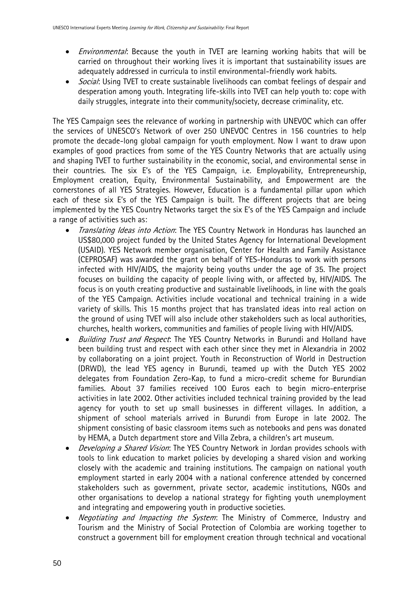- *Environmental*: Because the youth in TVET are learning working habits that will be carried on throughout their working lives it is important that sustainability issues are adequately addressed in curricula to instil environmental-friendly work habits.
- *Social*: Using TVET to create sustainable livelihoods can combat feelings of despair and desperation among youth. Integrating life-skills into TVET can help youth to: cope with daily struggles, integrate into their community/society, decrease criminality, etc.

The YES Campaign sees the relevance of working in partnership with UNEVOC which can offer the services of UNESCO's Network of over 250 UNEVOC Centres in 156 countries to help promote the decade-long global campaign for youth employment. Now I want to draw upon examples of good practices from some of the YES Country Networks that are actually using and shaping TVET to further sustainability in the economic, social, and environmental sense in their countries. The six E's of the YES Campaign, i.e. Employability, Entrepreneurship, Employment creation, Equity, Environmental Sustainability, and Empowerment are the cornerstones of all YES Strategies. However, Education is a fundamental pillar upon which each of these six E's of the YES Campaign is built. The different projects that are being implemented by the YES Country Networks target the six E's of the YES Campaign and include a range of activities such as:

- Translating Ideas into Action: The YES Country Network in Honduras has launched an US\$80,000 project funded by the United States Agency for International Development (USAID). YES Network member organisation, Center for Health and Family Assistance (CEPROSAF) was awarded the grant on behalf of YES-Honduras to work with persons infected with HIV/AIDS, the majority being youths under the age of 35. The project focuses on building the capacity of people living with, or affected by, HIV/AIDS. The focus is on youth creating productive and sustainable livelihoods, in line with the goals of the YES Campaign. Activities include vocational and technical training in a wide variety of skills. This 15 months project that has translated ideas into real action on the ground of using TVET will also include other stakeholders such as local authorities, churches, health workers, communities and families of people living with HIV/AIDS.
- Building Trust and Respect. The YES Country Networks in Burundi and Holland have been building trust and respect with each other since they met in Alexandria in 2002 by collaborating on a joint project. Youth in Reconstruction of World in Destruction (DRWD), the lead YES agency in Burundi, teamed up with the Dutch YES 2002 delegates from Foundation Zero-Kap, to fund a micro-credit scheme for Burundian families. About 37 families received 100 Euros each to begin micro-enterprise activities in late 2002. Other activities included technical training provided by the lead agency for youth to set up small businesses in different villages. In addition, a shipment of school materials arrived in Burundi from Europe in late 2002. The shipment consisting of basic classroom items such as notebooks and pens was donated by HEMA, a Dutch department store and Villa Zebra, a children's art museum.
- Developing a Shared Vision: The YES Country Network in Jordan provides schools with tools to link education to market policies by developing a shared vision and working closely with the academic and training institutions. The campaign on national youth employment started in early 2004 with a national conference attended by concerned stakeholders such as government, private sector, academic institutions, NGOs and other organisations to develop a national strategy for fighting youth unemployment and integrating and empowering youth in productive societies.
- *Negotiating and Impacting the System*: The Ministry of Commerce, Industry and Tourism and the Ministry of Social Protection of Colombia are working together to construct a government bill for employment creation through technical and vocational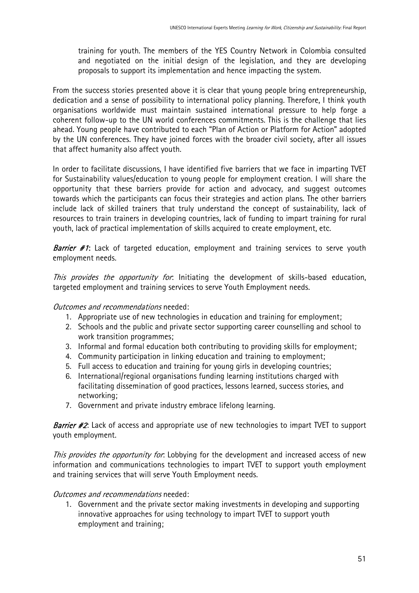training for youth. The members of the YES Country Network in Colombia consulted and negotiated on the initial design of the legislation, and they are developing proposals to support its implementation and hence impacting the system.

From the success stories presented above it is clear that young people bring entrepreneurship, dedication and a sense of possibility to international policy planning. Therefore, I think youth organisations worldwide must maintain sustained international pressure to help forge a coherent follow-up to the UN world conferences commitments. This is the challenge that lies ahead. Young people have contributed to each "Plan of Action or Platform for Action" adopted by the UN conferences. They have joined forces with the broader civil society, after all issues that affect humanity also affect youth.

In order to facilitate discussions, I have identified five barriers that we face in imparting TVET for Sustainability values/education to young people for employment creation. I will share the opportunity that these barriers provide for action and advocacy, and suggest outcomes towards which the participants can focus their strategies and action plans. The other barriers include lack of skilled trainers that truly understand the concept of sustainability, lack of resources to train trainers in developing countries, lack of funding to impart training for rural youth, lack of practical implementation of skills acquired to create employment, etc.

**Barrier #1:** Lack of targeted education, employment and training services to serve youth employment needs.

This provides the opportunity for. Initiating the development of skills-based education, targeted employment and training services to serve Youth Employment needs.

Outcomes and recommendations needed:

- 1. Appropriate use of new technologies in education and training for employment;
- 2. Schools and the public and private sector supporting career counselling and school to work transition programmes;
- 3. Informal and formal education both contributing to providing skills for employment;
- 4. Community participation in linking education and training to employment;
- 5. Full access to education and training for young girls in developing countries;
- 6. International/regional organisations funding learning institutions charged with facilitating dissemination of good practices, lessons learned, success stories, and networking;
- 7. Government and private industry embrace lifelong learning.

**Barrier #2:** Lack of access and appropriate use of new technologies to impart TVET to support youth employment.

This provides the opportunity for. Lobbying for the development and increased access of new information and communications technologies to impart TVET to support youth employment and training services that will serve Youth Employment needs.

#### Outcomes and recommendations needed:

1. Government and the private sector making investments in developing and supporting innovative approaches for using technology to impart TVET to support youth employment and training;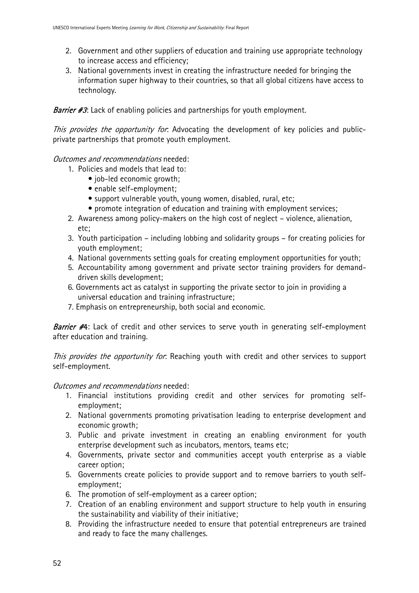- 2. Government and other suppliers of education and training use appropriate technology to increase access and efficiency;
- 3. National governments invest in creating the infrastructure needed for bringing the information super highway to their countries, so that all global citizens have access to technology.

Barrier #3: Lack of enabling policies and partnerships for youth employment.

This provides the opportunity for. Advocating the development of key policies and publicprivate partnerships that promote youth employment.

### Outcomes and recommendations needed:

- 1. Policies and models that lead to:
	- job-led economic growth;
	- enable self-employment;
	- support vulnerable youth, young women, disabled, rural, etc;
	- promote integration of education and training with employment services;
- 2. Awareness among policy-makers on the high cost of neglect violence, alienation, etc;
- 3. Youth participation including lobbing and solidarity groups for creating policies for youth employment;
- 4. National governments setting goals for creating employment opportunities for youth;
- 5. Accountability among government and private sector training providers for demanddriven skills development;
- 6. Governments act as catalyst in supporting the private sector to join in providing a universal education and training infrastructure;
- 7. Emphasis on entrepreneurship, both social and economic.

**Barrier #4**: Lack of credit and other services to serve youth in generating self-employment after education and training.

This provides the opportunity for. Reaching youth with credit and other services to support self-employment.

### Outcomes and recommendations needed:

- 1. Financial institutions providing credit and other services for promoting selfemployment;
- 2. National governments promoting privatisation leading to enterprise development and economic growth;
- 3. Public and private investment in creating an enabling environment for youth enterprise development such as incubators, mentors, teams etc;
- 4. Governments, private sector and communities accept youth enterprise as a viable career option;
- 5. Governments create policies to provide support and to remove barriers to youth selfemployment;
- 6. The promotion of self-employment as a career option;
- 7. Creation of an enabling environment and support structure to help youth in ensuring the sustainability and viability of their initiative;
- 8. Providing the infrastructure needed to ensure that potential entrepreneurs are trained and ready to face the many challenges.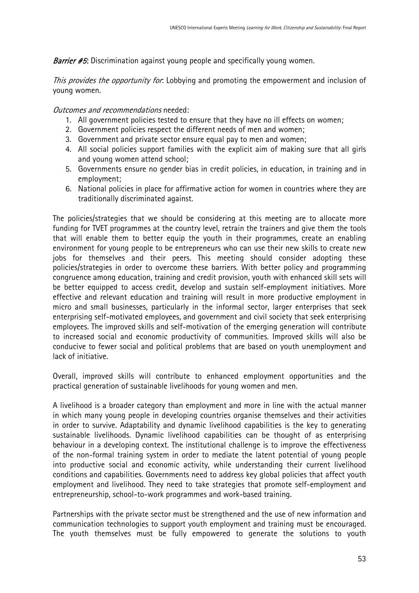**Barrier #5:** Discrimination against young people and specifically young women.

This provides the opportunity for. Lobbying and promoting the empowerment and inclusion of young women.

Outcomes and recommendations needed:

- 1. All government policies tested to ensure that they have no ill effects on women;
- 2. Government policies respect the different needs of men and women;
- 3. Government and private sector ensure equal pay to men and women;
- 4. All social policies support families with the explicit aim of making sure that all girls and young women attend school;
- 5. Governments ensure no gender bias in credit policies, in education, in training and in employment;
- 6. National policies in place for affirmative action for women in countries where they are traditionally discriminated against.

The policies/strategies that we should be considering at this meeting are to allocate more funding for TVET programmes at the country level, retrain the trainers and give them the tools that will enable them to better equip the youth in their programmes, create an enabling environment for young people to be entrepreneurs who can use their new skills to create new jobs for themselves and their peers. This meeting should consider adopting these policies/strategies in order to overcome these barriers. With better policy and programming congruence among education, training and credit provision, youth with enhanced skill sets will be better equipped to access credit, develop and sustain self-employment initiatives. More effective and relevant education and training will result in more productive employment in micro and small businesses, particularly in the informal sector, larger enterprises that seek enterprising self-motivated employees, and government and civil society that seek enterprising employees. The improved skills and self-motivation of the emerging generation will contribute to increased social and economic productivity of communities. Improved skills will also be conducive to fewer social and political problems that are based on youth unemployment and lack of initiative.

Overall, improved skills will contribute to enhanced employment opportunities and the practical generation of sustainable livelihoods for young women and men.

A livelihood is a broader category than employment and more in line with the actual manner in which many young people in developing countries organise themselves and their activities in order to survive. Adaptability and dynamic livelihood capabilities is the key to generating sustainable livelihoods. Dynamic livelihood capabilities can be thought of as enterprising behaviour in a developing context. The institutional challenge is to improve the effectiveness of the non-formal training system in order to mediate the latent potential of young people into productive social and economic activity, while understanding their current livelihood conditions and capabilities. Governments need to address key global policies that affect youth employment and livelihood. They need to take strategies that promote self-employment and entrepreneurship, school-to-work programmes and work-based training.

Partnerships with the private sector must be strengthened and the use of new information and communication technologies to support youth employment and training must be encouraged. The youth themselves must be fully empowered to generate the solutions to youth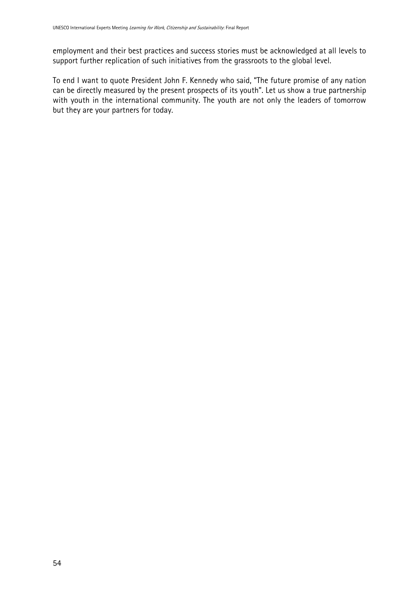employment and their best practices and success stories must be acknowledged at all levels to support further replication of such initiatives from the grassroots to the global level.

To end I want to quote President John F. Kennedy who said, "The future promise of any nation can be directly measured by the present prospects of its youth". Let us show a true partnership with youth in the international community. The youth are not only the leaders of tomorrow but they are your partners for today.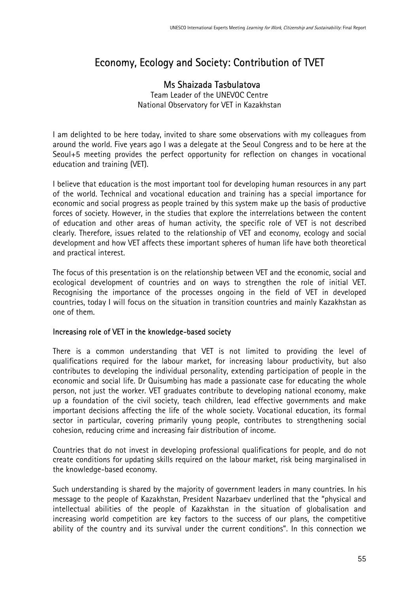# Economy, Ecology and Society: Contribution of TVET

# Ms Shaizada Tasbulatova

Team Leader of the UNEVOC Centre National Observatory for VET in Kazakhstan

I am delighted to be here today, invited to share some observations with my colleagues from around the world. Five years ago I was a delegate at the Seoul Congress and to be here at the Seoul+5 meeting provides the perfect opportunity for reflection on changes in vocational education and training (VET).

I believe that education is the most important tool for developing human resources in any part of the world. Technical and vocational education and training has a special importance for economic and social progress as people trained by this system make up the basis of productive forces of society. However, in the studies that explore the interrelations between the content of education and other areas of human activity, the specific role of VET is not described clearly. Therefore, issues related to the relationship of VET and economy, ecology and social development and how VET affects these important spheres of human life have both theoretical and practical interest.

The focus of this presentation is on the relationship between VET and the economic, social and ecological development of countries and on ways to strengthen the role of initial VET. Recognising the importance of the processes ongoing in the field of VET in developed countries, today I will focus on the situation in transition countries and mainly Kazakhstan as one of them.

### Increasing role of VET in the knowledge-based society

There is a common understanding that VET is not limited to providing the level of qualifications required for the labour market, for increasing labour productivity, but also contributes to developing the individual personality, extending participation of people in the economic and social life. Dr Quisumbing has made a passionate case for educating the whole person, not just the worker. VET graduates contribute to developing national economy, make up a foundation of the civil society, teach children, lead effective governments and make important decisions affecting the life of the whole society. Vocational education, its formal sector in particular, covering primarily young people, contributes to strengthening social cohesion, reducing crime and increasing fair distribution of income.

Countries that do not invest in developing professional qualifications for people, and do not create conditions for updating skills required on the labour market, risk being marginalised in the knowledge-based economy.

Such understanding is shared by the majority of government leaders in many countries. In his message to the people of Kazakhstan, President Nazarbaev underlined that the "physical and intellectual abilities of the people of Kazakhstan in the situation of globalisation and increasing world competition are key factors to the success of our plans, the competitive ability of the country and its survival under the current conditions". In this connection we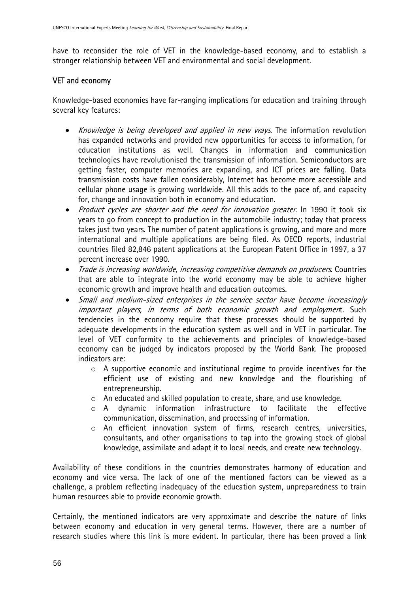have to reconsider the role of VET in the knowledge-based economy, and to establish a stronger relationship between VET and environmental and social development.

### VET and economy

Knowledge-based economies have far-ranging implications for education and training through several key features:

- *Knowledge is being developed and applied in new ways*. The information revolution has expanded networks and provided new opportunities for access to information, for education institutions as well. Changes in information and communication technologies have revolutionised the transmission of information. Semiconductors are getting faster, computer memories are expanding, and ICT prices are falling. Data transmission costs have fallen considerably, Internet has become more accessible and cellular phone usage is growing worldwide. All this adds to the pace of, and capacity for, change and innovation both in economy and education.
- Product cycles are shorter and the need for innovation greater. In 1990 it took six years to go from concept to production in the automobile industry; today that process takes just two years. The number of patent applications is growing, and more and more international and multiple applications are being filed. As OECD reports, industrial countries filed 82,846 patent applications at the European Patent Office in 1997, a 37 percent increase over 1990.
- Trade is increasing worldwide, increasing competitive demands on producers. Countries that are able to integrate into the world economy may be able to achieve higher economic growth and improve health and education outcomes.
- Small and medium-sized enterprises in the service sector have become increasingly important players, in terms of both economic growth and employment. Such tendencies in the economy require that these processes should be supported by adequate developments in the education system as well and in VET in particular. The level of VET conformity to the achievements and principles of knowledge-based economy can be judged by indicators proposed by the World Bank. The proposed indicators are:
	- o A supportive economic and institutional regime to provide incentives for the efficient use of existing and new knowledge and the flourishing of entrepreneurship.
	- o An educated and skilled population to create, share, and use knowledge.
	- $\circ$  A dynamic information infrastructure to facilitate the effective communication, dissemination, and processing of information.
	- o An efficient innovation system of firms, research centres, universities, consultants, and other organisations to tap into the growing stock of global knowledge, assimilate and adapt it to local needs, and create new technology.

Availability of these conditions in the countries demonstrates harmony of education and economy and vice versa. The lack of one of the mentioned factors can be viewed as a challenge, a problem reflecting inadequacy of the education system, unpreparedness to train human resources able to provide economic growth.

Certainly, the mentioned indicators are very approximate and describe the nature of links between economy and education in very general terms. However, there are a number of research studies where this link is more evident. In particular, there has been proved a link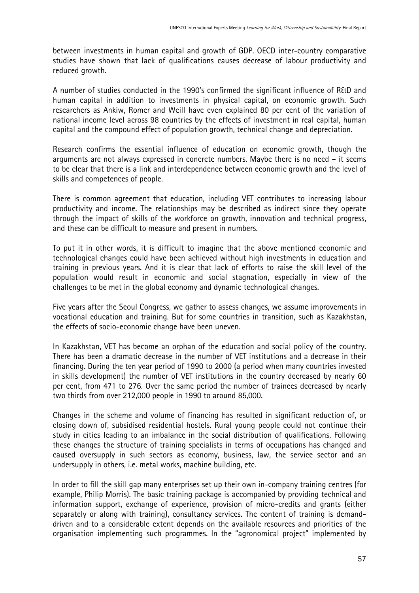between investments in human capital and growth of GDP. OECD inter-country comparative studies have shown that lack of qualifications causes decrease of labour productivity and reduced growth.

A number of studies conducted in the 1990's confirmed the significant influence of R&D and human capital in addition to investments in physical capital, on economic growth. Such researchers as Ankiw, Romer and Weill have even explained 80 per cent of the variation of national income level across 98 countries by the effects of investment in real capital, human capital and the compound effect of population growth, technical change and depreciation.

Research confirms the essential influence of education on economic growth, though the arguments are not always expressed in concrete numbers. Maybe there is no need – it seems to be clear that there is a link and interdependence between economic growth and the level of skills and competences of people.

There is common agreement that education, including VET contributes to increasing labour productivity and income. The relationships may be described as indirect since they operate through the impact of skills of the workforce on growth, innovation and technical progress, and these can be difficult to measure and present in numbers.

To put it in other words, it is difficult to imagine that the above mentioned economic and technological changes could have been achieved without high investments in education and training in previous years. And it is clear that lack of efforts to raise the skill level of the population would result in economic and social stagnation, especially in view of the challenges to be met in the global economy and dynamic technological changes.

Five years after the Seoul Congress, we gather to assess changes, we assume improvements in vocational education and training. But for some countries in transition, such as Kazakhstan, the effects of socio-economic change have been uneven.

In Kazakhstan, VET has become an orphan of the education and social policy of the country. There has been a dramatic decrease in the number of VET institutions and a decrease in their financing. During the ten year period of 1990 to 2000 (a period when many countries invested in skills development) the number of VET institutions in the country decreased by nearly 60 per cent, from 471 to 276. Over the same period the number of trainees decreased by nearly two thirds from over 212,000 people in 1990 to around 85,000.

Changes in the scheme and volume of financing has resulted in significant reduction of, or closing down of, subsidised residential hostels. Rural young people could not continue their study in cities leading to an imbalance in the social distribution of qualifications. Following these changes the structure of training specialists in terms of occupations has changed and caused oversupply in such sectors as economy, business, law, the service sector and an undersupply in others, i.e. metal works, machine building, etc.

In order to fill the skill gap many enterprises set up their own in-company training centres (for example, Philip Morris). The basic training package is accompanied by providing technical and information support, exchange of experience, provision of micro-credits and grants (either separately or along with training), consultancy services. The content of training is demanddriven and to a considerable extent depends on the available resources and priorities of the organisation implementing such programmes. In the "agronomical project" implemented by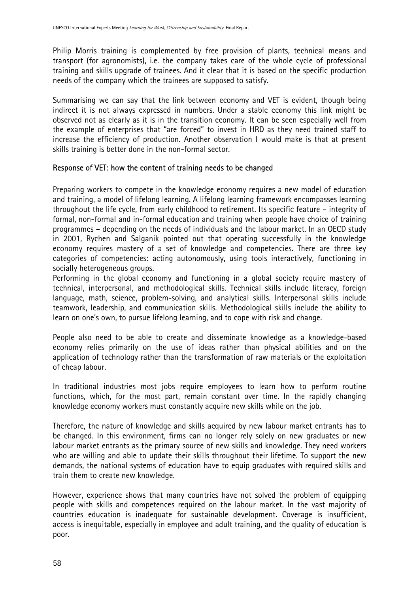Philip Morris training is complemented by free provision of plants, technical means and transport (for agronomists), i.e. the company takes care of the whole cycle of professional training and skills upgrade of trainees. And it clear that it is based on the specific production needs of the company which the trainees are supposed to satisfy.

Summarising we can say that the link between economy and VET is evident, though being indirect it is not always expressed in numbers. Under a stable economy this link might be observed not as clearly as it is in the transition economy. It can be seen especially well from the example of enterprises that "are forced" to invest in HRD as they need trained staff to increase the efficiency of production. Another observation I would make is that at present skills training is better done in the non-formal sector.

#### Response of VET: how the content of training needs to be changed

Preparing workers to compete in the knowledge economy requires a new model of education and training, a model of lifelong learning. A lifelong learning framework encompasses learning throughout the life cycle, from early childhood to retirement. Its specific feature – integrity of formal, non-formal and in-formal education and training when people have choice of training programmes – depending on the needs of individuals and the labour market. In an OECD study in 2001, Rychen and Salganik pointed out that operating successfully in the knowledge economy requires mastery of a set of knowledge and competencies. There are three key categories of competencies: acting autonomously, using tools interactively, functioning in socially heterogeneous groups.

Performing in the global economy and functioning in a global society require mastery of technical, interpersonal, and methodological skills. Technical skills include literacy, foreign language, math, science, problem-solving, and analytical skills. Interpersonal skills include teamwork, leadership, and communication skills. Methodological skills include the ability to learn on one's own, to pursue lifelong learning, and to cope with risk and change.

People also need to be able to create and disseminate knowledge as a knowledge-based economy relies primarily on the use of ideas rather than physical abilities and on the application of technology rather than the transformation of raw materials or the exploitation of cheap labour.

In traditional industries most jobs require employees to learn how to perform routine functions, which, for the most part, remain constant over time. In the rapidly changing knowledge economy workers must constantly acquire new skills while on the job.

Therefore, the nature of knowledge and skills acquired by new labour market entrants has to be changed. In this environment, firms can no longer rely solely on new graduates or new labour market entrants as the primary source of new skills and knowledge. They need workers who are willing and able to update their skills throughout their lifetime. To support the new demands, the national systems of education have to equip graduates with required skills and train them to create new knowledge.

However, experience shows that many countries have not solved the problem of equipping people with skills and competences required on the labour market. In the vast majority of countries education is inadequate for sustainable development. Coverage is insufficient, access is inequitable, especially in employee and adult training, and the quality of education is poor.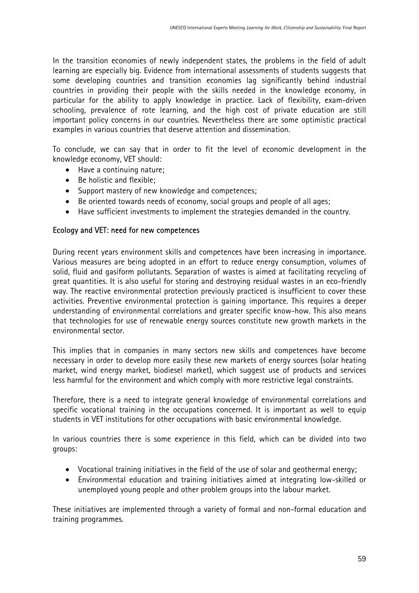In the transition economies of newly independent states, the problems in the field of adult learning are especially big. Evidence from international assessments of students suggests that some developing countries and transition economies lag significantly behind industrial countries in providing their people with the skills needed in the knowledge economy, in particular for the ability to apply knowledge in practice. Lack of flexibility, exam-driven schooling, prevalence of rote learning, and the high cost of private education are still important policy concerns in our countries. Nevertheless there are some optimistic practical examples in various countries that deserve attention and dissemination.

To conclude, we can say that in order to fit the level of economic development in the knowledge economy, VET should:

- Have a continuing nature;
- Be holistic and flexible;
- Support mastery of new knowledge and competences;
- Be oriented towards needs of economy, social groups and people of all ages;
- Have sufficient investments to implement the strategies demanded in the country.

#### Ecology and VET: need for new competences

During recent years environment skills and competences have been increasing in importance. Various measures are being adopted in an effort to reduce energy consumption, volumes of solid, fluid and gasiform pollutants. Separation of wastes is aimed at facilitating recycling of great quantities. It is also useful for storing and destroying residual wastes in an eco-friendly way. The reactive environmental protection previously practiced is insufficient to cover these activities. Preventive environmental protection is gaining importance. This requires a deeper understanding of environmental correlations and greater specific know-how. This also means that technologies for use of renewable energy sources constitute new growth markets in the environmental sector.

This implies that in companies in many sectors new skills and competences have become necessary in order to develop more easily these new markets of energy sources (solar heating market, wind energy market, biodiesel market), which suggest use of products and services less harmful for the environment and which comply with more restrictive legal constraints.

Therefore, there is a need to integrate general knowledge of environmental correlations and specific vocational training in the occupations concerned. It is important as well to equip students in VET institutions for other occupations with basic environmental knowledge.

In various countries there is some experience in this field, which can be divided into two groups:

- Vocational training initiatives in the field of the use of solar and geothermal energy;
- Environmental education and training initiatives aimed at integrating low-skilled or unemployed young people and other problem groups into the labour market.

These initiatives are implemented through a variety of formal and non-formal education and training programmes.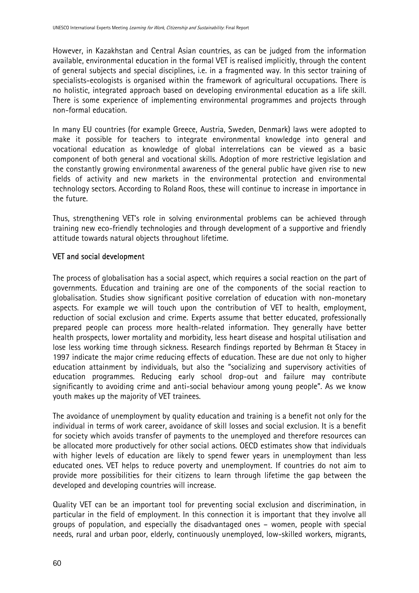However, in Kazakhstan and Central Asian countries, as can be judged from the information available, environmental education in the formal VET is realised implicitly, through the content of general subjects and special disciplines, i.e. in a fragmented way. In this sector training of specialists-ecologists is organised within the framework of agricultural occupations. There is no holistic, integrated approach based on developing environmental education as a life skill. There is some experience of implementing environmental programmes and projects through non-formal education.

In many EU countries (for example Greece, Austria, Sweden, Denmark) laws were adopted to make it possible for teachers to integrate environmental knowledge into general and vocational education as knowledge of global interrelations can be viewed as a basic component of both general and vocational skills. Adoption of more restrictive legislation and the constantly growing environmental awareness of the general public have given rise to new fields of activity and new markets in the environmental protection and environmental technology sectors. According to Roland Roos, these will continue to increase in importance in the future.

Thus, strengthening VET's role in solving environmental problems can be achieved through training new eco-friendly technologies and through development of a supportive and friendly attitude towards natural objects throughout lifetime.

### VET and social development

The process of globalisation has a social aspect, which requires a social reaction on the part of governments. Education and training are one of the components of the social reaction to globalisation. Studies show significant positive correlation of education with non-monetary aspects. For example we will touch upon the contribution of VET to health, employment, reduction of social exclusion and crime. Experts assume that better educated, professionally prepared people can process more health-related information. They generally have better health prospects, lower mortality and morbidity, less heart disease and hospital utilisation and lose less working time through sickness. Research findings reported by Behrman & Stacey in 1997 indicate the major crime reducing effects of education. These are due not only to higher education attainment by individuals, but also the "socializing and supervisory activities of education programmes. Reducing early school drop-out and failure may contribute significantly to avoiding crime and anti-social behaviour among young people". As we know youth makes up the majority of VET trainees.

The avoidance of unemployment by quality education and training is a benefit not only for the individual in terms of work career, avoidance of skill losses and social exclusion. It is a benefit for society which avoids transfer of payments to the unemployed and therefore resources can be allocated more productively for other social actions. OECD estimates show that individuals with higher levels of education are likely to spend fewer years in unemployment than less educated ones. VET helps to reduce poverty and unemployment. If countries do not aim to provide more possibilities for their citizens to learn through lifetime the gap between the developed and developing countries will increase.

Quality VET can be an important tool for preventing social exclusion and discrimination, in particular in the field of employment. In this connection it is important that they involve all groups of population, and especially the disadvantaged ones – women, people with special needs, rural and urban poor, elderly, continuously unemployed, low-skilled workers, migrants,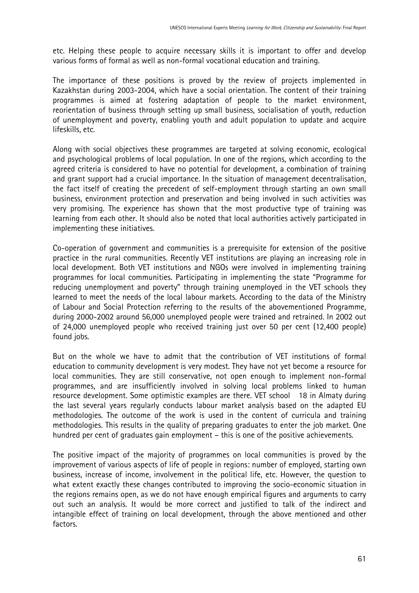etc. Helping these people to acquire necessary skills it is important to offer and develop various forms of formal as well as non-formal vocational education and training.

The importance of these positions is proved by the review of projects implemented in Kazakhstan during 2003-2004, which have a social orientation. The content of their training programmes is aimed at fostering adaptation of people to the market environment, reorientation of business through setting up small business, socialisation of youth, reduction of unemployment and poverty, enabling youth and adult population to update and acquire lifeskills, etc.

Along with social objectives these programmes are targeted at solving economic, ecological and psychological problems of local population. In one of the regions, which according to the agreed criteria is considered to have no potential for development, a combination of training and grant support had a crucial importance. In the situation of management decentralisation, the fact itself of creating the precedent of self-employment through starting an own small business, environment protection and preservation and being involved in such activities was very promising. The experience has shown that the most productive type of training was learning from each other. It should also be noted that local authorities actively participated in implementing these initiatives.

Co-operation of government and communities is a prerequisite for extension of the positive practice in the rural communities. Recently VET institutions are playing an increasing role in local development. Both VET institutions and NGOs were involved in implementing training programmes for local communities. Participating in implementing the state "Programme for reducing unemployment and poverty" through training unemployed in the VET schools they learned to meet the needs of the local labour markets. According to the data of the Ministry of Labour and Social Protection referring to the results of the abovementioned Programme, during 2000-2002 around 56,000 unemployed people were trained and retrained. In 2002 out of 24,000 unemployed people who received training just over 50 per cent (12,400 people) found jobs.

But on the whole we have to admit that the contribution of VET institutions of formal education to community development is very modest. They have not yet become a resource for local communities. They are still conservative, not open enough to implement non-formal programmes, and are insufficiently involved in solving local problems linked to human resource development. Some optimistic examples are there. VET school 18 in Almaty during the last several years regularly conducts labour market analysis based on the adapted EU methodologies. The outcome of the work is used in the content of curricula and training methodologies. This results in the quality of preparing graduates to enter the job market. One hundred per cent of graduates gain employment – this is one of the positive achievements.

The positive impact of the majority of programmes on local communities is proved by the improvement of various aspects of life of people in regions: number of employed, starting own business, increase of income, involvement in the political life, etc. However, the question to what extent exactly these changes contributed to improving the socio-economic situation in the regions remains open, as we do not have enough empirical figures and arguments to carry out such an analysis. It would be more correct and justified to talk of the indirect and intangible effect of training on local development, through the above mentioned and other factors.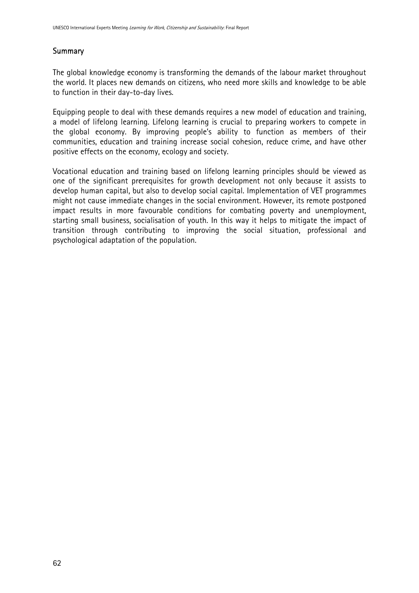# **Summary**

The global knowledge economy is transforming the demands of the labour market throughout the world. It places new demands on citizens, who need more skills and knowledge to be able to function in their day-to-day lives.

Equipping people to deal with these demands requires a new model of education and training, a model of lifelong learning. Lifelong learning is crucial to preparing workers to compete in the global economy. By improving people's ability to function as members of their communities, education and training increase social cohesion, reduce crime, and have other positive effects on the economy, ecology and society.

Vocational education and training based on lifelong learning principles should be viewed as one of the significant prerequisites for growth development not only because it assists to develop human capital, but also to develop social capital. Implementation of VET programmes might not cause immediate changes in the social environment. However, its remote postponed impact results in more favourable conditions for combating poverty and unemployment, starting small business, socialisation of youth. In this way it helps to mitigate the impact of transition through contributing to improving the social situation, professional and psychological adaptation of the population.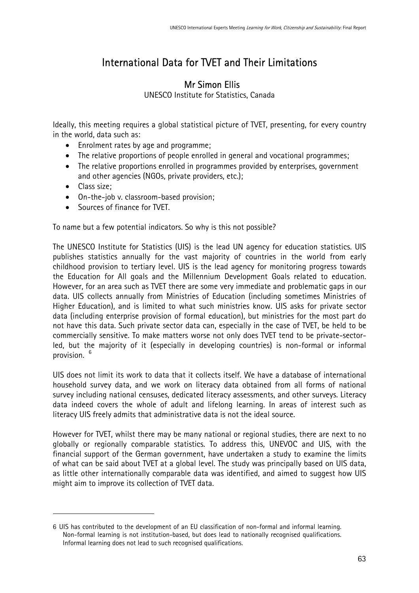# International Data for TVET and Their Limitations

# Mr Simon Ellis

UNESCO Institute for Statistics, Canada

Ideally, this meeting requires a global statistical picture of TVET, presenting, for every country in the world, data such as:

- Enrolment rates by age and programme;
- The relative proportions of people enrolled in general and vocational programmes;
- The relative proportions enrolled in programmes provided by enterprises, government and other agencies (NGOs, private providers, etc.);
- Class size;

 $\overline{a}$ 

- On-the-job v. classroom-based provision;
- Sources of finance for TVET.

To name but a few potential indicators. So why is this not possible?

The UNESCO Institute for Statistics (UIS) is the lead UN agency for education statistics. UIS publishes statistics annually for the vast majority of countries in the world from early childhood provision to tertiary level. UIS is the lead agency for monitoring progress towards the Education for All goals and the Millennium Development Goals related to education. However, for an area such as TVET there are some very immediate and problematic gaps in our data. UIS collects annually from Ministries of Education (including sometimes Ministries of Higher Education), and is limited to what such ministries know. UIS asks for private sector data (including enterprise provision of formal education), but ministries for the most part do not have this data. Such private sector data can, especially in the case of TVET, be held to be commercially sensitive. To make matters worse not only does TVET tend to be private-sectorled, but the majority of it (especially in developing countries) is non-formal or informal provision. [6](#page-62-0)

UIS does not limit its work to data that it collects itself. We have a database of international household survey data, and we work on literacy data obtained from all forms of national survey including national censuses, dedicated literacy assessments, and other surveys. Literacy data indeed covers the whole of adult and lifelong learning. In areas of interest such as literacy UIS freely admits that administrative data is not the ideal source.

However for TVET, whilst there may be many national or regional studies, there are next to no globally or regionally comparable statistics. To address this, UNEVOC and UIS, with the financial support of the German government, have undertaken a study to examine the limits of what can be said about TVET at a global level. The study was principally based on UIS data, as little other internationally comparable data was identified, and aimed to suggest how UIS might aim to improve its collection of TVET data.

<span id="page-62-0"></span><sup>6</sup> UIS has contributed to the development of an EU classification of non-formal and informal learning. Non-formal learning is not institution-based, but does lead to nationally recognised qualifications. Informal learning does not lead to such recognised qualifications.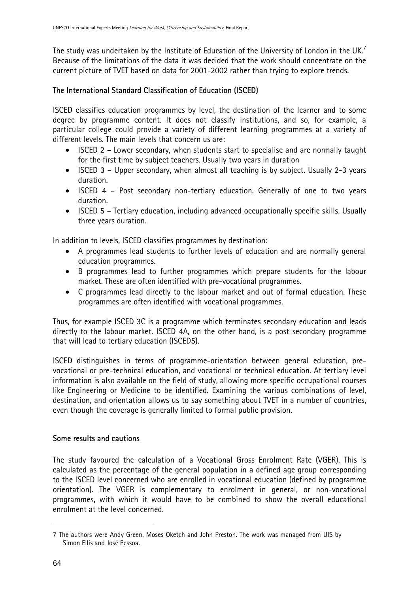The study was undertaken by the Institute of Education of the University of London in the UK.<sup>7</sup> Because of the limitations of the data it was decided that the work should concentrate on the current picture of TVET based on data for 2001-2002 rather than trying to explore trends.

### The International Standard Classification of Education (ISCED)

ISCED classifies education programmes by level, the destination of the learner and to some degree by programme content. It does not classify institutions, and so, for example, a particular college could provide a variety of different learning programmes at a variety of different levels. The main levels that concern us are:

- ISCED 2 Lower secondary, when students start to specialise and are normally taught for the first time by subject teachers. Usually two years in duration
- ISCED 3 Upper secondary, when almost all teaching is by subject. Usually 2-3 years duration.
- ISCED 4 Post secondary non-tertiary education. Generally of one to two years duration.
- ISCED 5 Tertiary education, including advanced occupationally specific skills. Usually three years duration.

In addition to levels, ISCED classifies programmes by destination:

- A programmes lead students to further levels of education and are normally general education programmes.
- B programmes lead to further programmes which prepare students for the labour market. These are often identified with pre-vocational programmes.
- C programmes lead directly to the labour market and out of formal education. These programmes are often identified with vocational programmes.

Thus, for example ISCED 3C is a programme which terminates secondary education and leads directly to the labour market. ISCED 4A, on the other hand, is a post secondary programme that will lead to tertiary education (ISCED5).

ISCED distinguishes in terms of programme-orientation between general education, prevocational or pre-technical education, and vocational or technical education. At tertiary level information is also available on the field of study, allowing more specific occupational courses like Engineering or Medicine to be identified. Examining the various combinations of level, destination, and orientation allows us to say something about TVET in a number of countries, even though the coverage is generally limited to formal public provision.

### Some results and cautions

The study favoured the calculation of a Vocational Gross Enrolment Rate (VGER). This is calculated as the percentage of the general population in a defined age group corresponding to the ISCED level concerned who are enrolled in vocational education (defined by programme orientation). The VGER is complementary to enrolment in general, or non-vocational programmes, with which it would have to be combined to show the overall educational enrolment at the level concerned.

 $\overline{a}$ 

<span id="page-63-0"></span><sup>7</sup> The authors were Andy Green, Moses Oketch and John Preston. The work was managed from UIS by Simon Ellis and José Pessoa.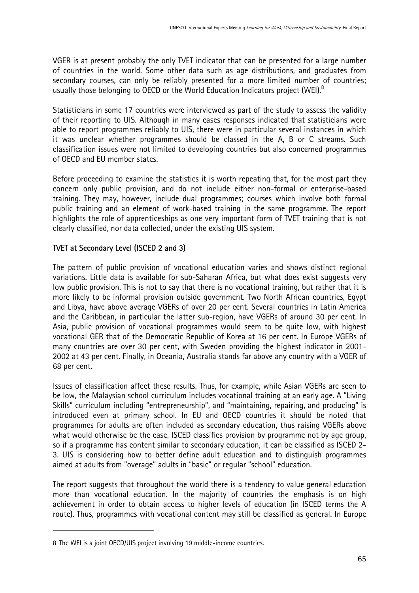VGER is at present probably the only TVET indicator that can be presented for a large number of countries in the world. Some other data such as age distributions, and graduates from secondary courses, can only be reliably presented for a more limited number of countries; usually those belonging to OECD or the World Education Indicators project (WEI). $8$ 

Statisticians in some 17 countries were interviewed as part of the study to assess the validity of their reporting to UIS. Although in many cases responses indicated that statisticians were able to report programmes reliably to UIS, there were in particular several instances in which it was unclear whether programmes should be classed in the A, B or C streams. Such classification issues were not limited to developing countries but also concerned programmes of OECD and EU member states.

Before proceeding to examine the statistics it is worth repeating that, for the most part they concern only public provision, and do not include either non-formal or enterprise-based training. They may, however, include dual programmes; courses which involve both formal public training and an element of work-based training in the same programme. The report highlights the role of apprenticeships as one very important form of TVET training that is not clearly classified, nor data collected, under the existing UIS system.

### TVET at Secondary Level (ISCED 2 and 3)

The pattern of public provision of vocational education varies and shows distinct regional variations. Little data is available for sub-Saharan Africa, but what does exist suggests very low public provision. This is not to say that there is no vocational training, but rather that it is more likely to be informal provision outside government. Two North African countries, Egypt and Libya, have above average VGERs of over 20 per cent. Several countries in Latin America and the Caribbean, in particular the latter sub-region, have VGERs of around 30 per cent. In Asia, public provision of vocational programmes would seem to be quite low, with highest vocational GER that of the Democratic Republic of Korea at 16 per cent. In Europe VGERs of many countries are over 30 per cent, with Sweden providing the highest indicator in 2001- 2002 at 43 per cent. Finally, in Oceania, Australia stands far above any country with a VGER of 68 per cent.

Issues of classification affect these results. Thus, for example, while Asian VGERs are seen to be low, the Malaysian school curriculum includes vocational training at an early age. A "Living Skills" curriculum including "entrepreneurship", and "maintaining, repairing, and producing" is introduced even at primary school. In EU and OECD countries it should be noted that programmes for adults are often included as secondary education, thus raising VGERs above what would otherwise be the case. ISCED classifies provision by programme not by age group, so if a programme has content similar to secondary education, it can be classified as ISCED 2- 3. UIS is considering how to better define adult education and to distinguish programmes aimed at adults from "overage" adults in "basic" or regular "school" education.

The report suggests that throughout the world there is a tendency to value general education more than vocational education. In the majority of countries the emphasis is on high achievement in order to obtain access to higher levels of education (in ISCED terms the A route). Thus, programmes with vocational content may still be classified as general. In Europe

 $\overline{a}$ 

<span id="page-64-0"></span><sup>8</sup> The WEI is a joint OECD/UIS project involving 19 middle-income countries.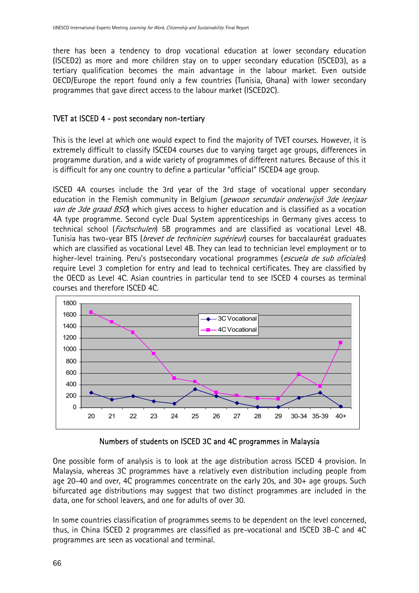there has been a tendency to drop vocational education at lower secondary education (ISCED2) as more and more children stay on to upper secondary education (ISCED3), as a tertiary qualification becomes the main advantage in the labour market. Even outside OECD/Europe the report found only a few countries (Tunisia, Ghana) with lower secondary programmes that gave direct access to the labour market (ISCED2C).

#### TVET at ISCED 4 - post secondary non-tertiary

This is the level at which one would expect to find the majority of TVET courses. However, it is extremely difficult to classify ISCED4 courses due to varying target age groups, differences in programme duration, and a wide variety of programmes of different natures. Because of this it is difficult for any one country to define a particular "official" ISCED4 age group.

ISCED 4A courses include the 3rd year of the 3rd stage of vocational upper secondary education in the Flemish community in Belgium (*gewoon secundair onderwijsñ 3de leerjaar* van de 3de graad BSO) which gives access to higher education and is classified as a vocation 4A type programme. Second cycle Dual System apprenticeships in Germany gives access to technical school (Fachschulen) 5B programmes and are classified as vocational Level 4B. Tunisia has two-year BTS (*brevet de technicien supérieur*) courses for baccalauréat graduates which are classified as vocational Level 4B. They can lead to technician level employment or to higher-level training. Peru's postsecondary vocational programmes (escuela de sub oficiales) require Level 3 completion for entry and lead to technical certificates. They are classified by the OECD as Level 4C. Asian countries in particular tend to see ISCED 4 courses as terminal courses and therefore ISCED 4C.



Numbers of students on ISCED 3C and 4C programmes in Malaysia

One possible form of analysis is to look at the age distribution across ISCED 4 provision. In Malaysia, whereas 3C programmes have a relatively even distribution including people from age 20-40 and over, 4C programmes concentrate on the early 20s, and 30+ age groups. Such bifurcated age distributions may suggest that two distinct programmes are included in the data, one for school leavers, and one for adults of over 30.

In some countries classification of programmes seems to be dependent on the level concerned, thus, in China ISCED 2 programmes are classified as pre-vocational and ISCED 3B-C and 4C programmes are seen as vocational and terminal.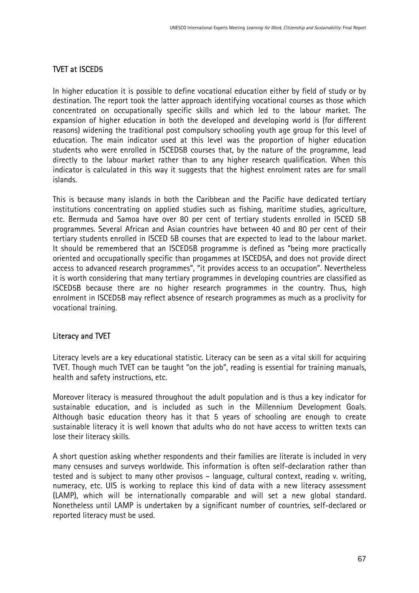### TVET at ISCED5

In higher education it is possible to define vocational education either by field of study or by destination. The report took the latter approach identifying vocational courses as those which concentrated on occupationally specific skills and which led to the labour market. The expansion of higher education in both the developed and developing world is (for different reasons) widening the traditional post compulsory schooling youth age group for this level of education. The main indicator used at this level was the proportion of higher education students who were enrolled in ISCED5B courses that, by the nature of the programme, lead directly to the labour market rather than to any higher research qualification. When this indicator is calculated in this way it suggests that the highest enrolment rates are for small islands.

This is because many islands in both the Caribbean and the Pacific have dedicated tertiary institutions concentrating on applied studies such as fishing, maritime studies, agriculture, etc. Bermuda and Samoa have over 80 per cent of tertiary students enrolled in ISCED 5B programmes. Several African and Asian countries have between 40 and 80 per cent of their tertiary students enrolled in ISCED 5B courses that are expected to lead to the labour market. It should be remembered that an ISCED5B programme is defined as "being more practically oriented and occupationally specific than progammes at ISCED5A, and does not provide direct access to advanced research programmes", "it provides access to an occupation". Nevertheless it is worth considering that many tertiary programmes in developing countries are classified as ISCED5B because there are no higher research programmes in the country. Thus, high enrolment in ISCED5B may reflect absence of research programmes as much as a proclivity for vocational training.

#### Literacy and TVET

Literacy levels are a key educational statistic. Literacy can be seen as a vital skill for acquiring TVET. Though much TVET can be taught "on the job", reading is essential for training manuals, health and safety instructions, etc.

Moreover literacy is measured throughout the adult population and is thus a key indicator for sustainable education, and is included as such in the Millennium Development Goals. Although basic education theory has it that 5 years of schooling are enough to create sustainable literacy it is well known that adults who do not have access to written texts can lose their literacy skills.

A short question asking whether respondents and their families are literate is included in very many censuses and surveys worldwide. This information is often self-declaration rather than tested and is subject to many other provisos – language, cultural context, reading v. writing, numeracy, etc. UIS is working to replace this kind of data with a new literacy assessment (LAMP), which will be internationally comparable and will set a new global standard. Nonetheless until LAMP is undertaken by a significant number of countries, self-declared or reported literacy must be used.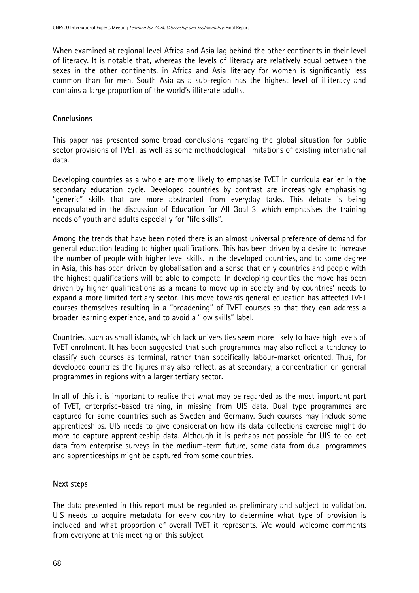When examined at regional level Africa and Asia lag behind the other continents in their level of literacy. It is notable that, whereas the levels of literacy are relatively equal between the sexes in the other continents, in Africa and Asia literacy for women is significantly less common than for men. South Asia as a sub-region has the highest level of illiteracy and contains a large proportion of the world's illiterate adults.

### **Conclusions**

This paper has presented some broad conclusions regarding the global situation for public sector provisions of TVET, as well as some methodological limitations of existing international data.

Developing countries as a whole are more likely to emphasise TVET in curricula earlier in the secondary education cycle. Developed countries by contrast are increasingly emphasising "generic" skills that are more abstracted from everyday tasks. This debate is being encapsulated in the discussion of Education for All Goal 3, which emphasises the training needs of youth and adults especially for "life skills".

Among the trends that have been noted there is an almost universal preference of demand for general education leading to higher qualifications. This has been driven by a desire to increase the number of people with higher level skills. In the developed countries, and to some degree in Asia, this has been driven by globalisation and a sense that only countries and people with the highest qualifications will be able to compete. In developing counties the move has been driven by higher qualifications as a means to move up in society and by countries' needs to expand a more limited tertiary sector. This move towards general education has affected TVET courses themselves resulting in a "broadening" of TVET courses so that they can address a broader learning experience, and to avoid a "low skills" label.

Countries, such as small islands, which lack universities seem more likely to have high levels of TVET enrolment. It has been suggested that such programmes may also reflect a tendency to classify such courses as terminal, rather than specifically labour-market oriented. Thus, for developed countries the figures may also reflect, as at secondary, a concentration on general programmes in regions with a larger tertiary sector.

In all of this it is important to realise that what may be regarded as the most important part of TVET, enterprise-based training, in missing from UIS data. Dual type programmes are captured for some countries such as Sweden and Germany. Such courses may include some apprenticeships. UIS needs to give consideration how its data collections exercise might do more to capture apprenticeship data. Although it is perhaps not possible for UIS to collect data from enterprise surveys in the medium-term future, some data from dual programmes and apprenticeships might be captured from some countries.

### Next steps

The data presented in this report must be regarded as preliminary and subject to validation. UIS needs to acquire metadata for every country to determine what type of provision is included and what proportion of overall TVET it represents. We would welcome comments from everyone at this meeting on this subject.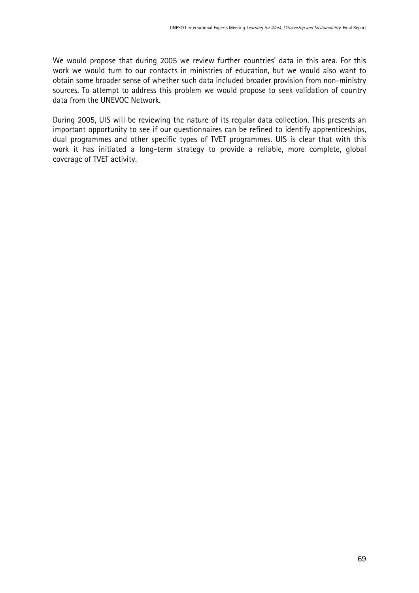We would propose that during 2005 we review further countries' data in this area. For this work we would turn to our contacts in ministries of education, but we would also want to obtain some broader sense of whether such data included broader provision from non-ministry sources. To attempt to address this problem we would propose to seek validation of country data from the UNEVOC Network.

During 2005, UIS will be reviewing the nature of its regular data collection. This presents an important opportunity to see if our questionnaires can be refined to identify apprenticeships, dual programmes and other specific types of TVET programmes. UIS is clear that with this work it has initiated a long-term strategy to provide a reliable, more complete, global coverage of TVET activity.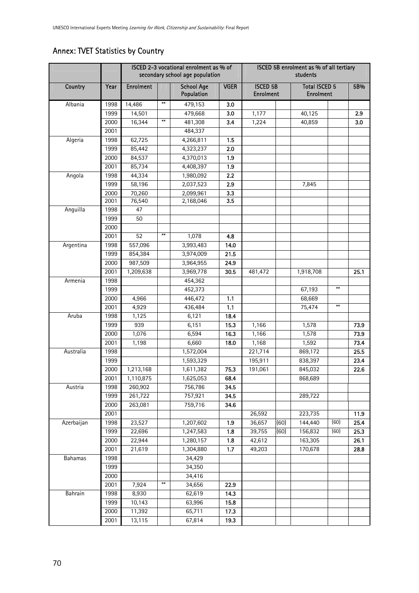|                |              | ISCED 2-3 vocational enrolment as % of<br>secondary school age population |                        |                                 |             | ISCED 5B enrolment as % of all tertiary<br>students |      |                                          |                        |              |
|----------------|--------------|---------------------------------------------------------------------------|------------------------|---------------------------------|-------------|-----------------------------------------------------|------|------------------------------------------|------------------------|--------------|
| Country        | Year         | <b>Enrolment</b>                                                          |                        | <b>School Age</b><br>Population | <b>VGER</b> | <b>ISCED 5B</b><br><b>Enrolment</b>                 |      | <b>Total ISCED 5</b><br><b>Enrolment</b> |                        | 5B%          |
| Albania        | 1998         | 14,486                                                                    | $**$                   | 479,153                         | 3.0         |                                                     |      |                                          |                        |              |
|                | 1999         | 14,501                                                                    |                        | 479,668                         | 3.0         | 1,177                                               |      | 40,125                                   |                        | 2.9          |
|                | 2000         | 16,344                                                                    | $\pmb{\ast}\pmb{\ast}$ | 481,308                         | 3.4         | 1,224                                               |      | 40,859                                   |                        | 3.0          |
|                | 2001         |                                                                           |                        | 484,337                         |             |                                                     |      |                                          |                        |              |
| Algeria        | 1998         | 62,725                                                                    |                        | 4,266,811                       | 1.5         |                                                     |      |                                          |                        |              |
|                | 1999         | 85,442                                                                    |                        | 4,323,237                       | 2.0         |                                                     |      |                                          |                        |              |
|                | 2000         | 84,537                                                                    |                        | 4,370,013                       | 1.9         |                                                     |      |                                          |                        |              |
|                | 2001         | 85,734                                                                    |                        | 4,408,397                       | 1.9         |                                                     |      |                                          |                        |              |
| Angola         | 1998         | 44,334                                                                    |                        | 1,980,092                       | 2.2         |                                                     |      |                                          |                        |              |
|                | 1999         | 58,196                                                                    |                        | 2,037,523                       | 2.9         |                                                     |      | 7,845                                    |                        |              |
|                | 2000<br>2001 | 70,260<br>76,540                                                          |                        | 2,099,961<br>2,168,046          | 3.3<br>3.5  |                                                     |      |                                          |                        |              |
| Anguilla       | 1998         | 47                                                                        |                        |                                 |             |                                                     |      |                                          |                        |              |
|                | 1999         | 50                                                                        |                        |                                 |             |                                                     |      |                                          |                        |              |
|                | 2000         |                                                                           |                        |                                 |             |                                                     |      |                                          |                        |              |
|                | 2001         | 52                                                                        | $**$                   | 1,078                           | 4.8         |                                                     |      |                                          |                        |              |
| Argentina      | 1998         | 557,096                                                                   |                        | 3,993,483                       | 14.0        |                                                     |      |                                          |                        |              |
|                | 1999         | 854,384                                                                   |                        | 3,974,009                       | 21.5        |                                                     |      |                                          |                        |              |
|                | 2000         | 987,509                                                                   |                        | 3,964,955                       | 24.9        |                                                     |      |                                          |                        |              |
|                | 2001         | 1,209,638                                                                 |                        | 3,969,778                       | 30.5        | 481,472                                             |      | 1,918,708                                |                        | 25.1         |
| Armenia        | 1998         |                                                                           |                        | 454,362                         |             |                                                     |      |                                          |                        |              |
|                | 1999         |                                                                           |                        | 452,373                         |             |                                                     |      | 67,193                                   | $**$                   |              |
|                | 2000         | 4,966                                                                     |                        | 446,472                         | 1.1         |                                                     |      | 68,669                                   |                        |              |
|                | 2001         | 4,929                                                                     |                        | 436,484                         | 1.1         |                                                     |      | 75,474                                   | $\pmb{\ast}\pmb{\ast}$ |              |
| Aruba          | 1998         | 1,125                                                                     |                        | 6,121                           | 18.4        |                                                     |      |                                          |                        |              |
|                | 1999         | 939                                                                       |                        | 6,151                           | 15.3        | 1,166                                               |      | 1,578                                    |                        | 73.9         |
|                | 2000         | 1,076                                                                     |                        | 6,594                           | 16.3        | 1,166                                               |      | 1,578                                    |                        | 73.9         |
|                | 2001         | 1,198                                                                     |                        | 6,660                           | 18.0        | 1,168                                               |      | 1,592                                    |                        | 73.4         |
| Australia      | 1998         |                                                                           |                        | 1,572,004                       |             | 221,714                                             |      | 869,172                                  |                        | 25.5         |
|                | 1999         |                                                                           |                        | 1,593,329                       |             | 195,911                                             |      | 838,397                                  |                        | 23.4         |
|                | 2000         | 1,213,168                                                                 |                        | 1,611,382                       | 75.3        | 191,061                                             |      | 845,032                                  |                        | 22.6         |
|                | 2001         | 1,110,875                                                                 |                        | 1,625,053                       | 68.4        |                                                     |      | 868,689                                  |                        |              |
| Austria        | 1998         | 260,902                                                                   |                        | 756,786                         | 34.5        |                                                     |      |                                          |                        |              |
|                | 1999         | 261,722                                                                   |                        | 757,921                         | 34.5        |                                                     |      | 289,722                                  |                        |              |
|                | 2000         | 263,081                                                                   |                        | 759,716                         | 34.6        |                                                     |      |                                          |                        |              |
|                | 2001         |                                                                           |                        |                                 |             | 26,592                                              |      | 223,735                                  |                        | 11.9         |
| Azerbaijan     | 1998         | 23,527                                                                    |                        | 1,207,602                       | 1.9         | 36,657                                              | (60) | 144,440                                  | (60)                   | 25.4         |
|                | 1999         | 22,696                                                                    |                        | 1,247,583                       | 1.8         | 39,755                                              | (60) | 156,832                                  | (60)                   | 25.3         |
|                | 2000<br>2001 | 22,944<br>21,619                                                          |                        | 1,280,157<br>1,304,880          | 1.8<br>1.7  | 42,612<br>49,203                                    |      | 163,305<br>170,678                       |                        | 26.1<br>28.8 |
| <b>Bahamas</b> | 1998         |                                                                           |                        | 34,429                          |             |                                                     |      |                                          |                        |              |
|                | 1999         |                                                                           |                        | 34,350                          |             |                                                     |      |                                          |                        |              |
|                | 2000         |                                                                           |                        | 34,416                          |             |                                                     |      |                                          |                        |              |
|                | 2001         | 7,924                                                                     | $\pmb{\ast}\pmb{\ast}$ | 34,656                          | 22.9        |                                                     |      |                                          |                        |              |
| Bahrain        | 1998         | 8,930                                                                     |                        | 62,619                          | 14.3        |                                                     |      |                                          |                        |              |
|                | 1999         | 10,143                                                                    |                        | 63,996                          | 15.8        |                                                     |      |                                          |                        |              |
|                | 2000         | 11,392                                                                    |                        | 65,711                          | 17.3        |                                                     |      |                                          |                        |              |
|                | 2001         | 13,115                                                                    |                        | 67,814                          | 19.3        |                                                     |      |                                          |                        |              |

# Annex: TVET Statistics by Country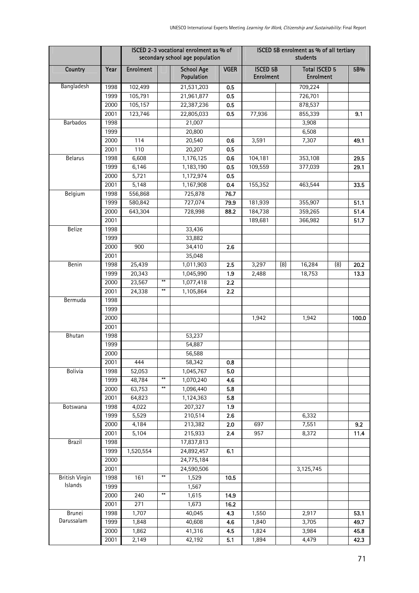|                       |              |                  | ISCED 2-3 vocational enrolment as % of<br>secondary school age population | ISCED 5B enrolment as % of all tertiary<br>students |             |                                     |     |                                          |     |              |
|-----------------------|--------------|------------------|---------------------------------------------------------------------------|-----------------------------------------------------|-------------|-------------------------------------|-----|------------------------------------------|-----|--------------|
| Country               | Year         | <b>Enrolment</b> |                                                                           | <b>School Age</b><br>Population                     | <b>VGER</b> | <b>ISCED 5B</b><br><b>Enrolment</b> |     | <b>Total ISCED 5</b><br><b>Enrolment</b> |     | 5B%          |
| Bangladesh            | 1998         | 102,499          |                                                                           | 21,531,203                                          | 0.5         |                                     |     | 709,224                                  |     |              |
|                       | 1999         | 105,791          |                                                                           | 21,961,877                                          | 0.5         |                                     |     | 726,701                                  |     |              |
|                       | 2000         | 105,157          |                                                                           | 22,387,236                                          | 0.5         |                                     |     | 878,537                                  |     |              |
|                       | 2001         | 123,746          |                                                                           | 22,805,033                                          | 0.5         | 77,936                              |     | 855,339                                  |     | 9.1          |
| <b>Barbados</b>       | 1998         |                  |                                                                           | 21,007                                              |             |                                     |     | 3,908                                    |     |              |
|                       | 1999         |                  |                                                                           | 20,800                                              |             |                                     |     | 6,508                                    |     |              |
|                       | 2000         | 114              |                                                                           | 20,540                                              | 0.6         | 3,591                               |     | 7,307                                    |     | 49.1         |
|                       | 2001         | 110              |                                                                           | 20,207                                              | 0.5         |                                     |     |                                          |     |              |
| <b>Belarus</b>        | 1998         | 6,608            |                                                                           | 1,176,125                                           | 0.6         | 104,181                             |     | 353,108                                  |     | 29.5         |
|                       | 1999         | 6,146            |                                                                           | 1,183,190                                           | 0.5         | 109,559                             |     | 377,039                                  |     | 29.1         |
|                       | 2000         | 5,721            |                                                                           | 1,172,974                                           | 0.5         |                                     |     |                                          |     |              |
|                       | 2001         | 5,148            |                                                                           | 1,167,908                                           | 0.4         | 155,352                             |     | 463,544                                  |     | 33.5         |
| Belgium               | 1998         | 556,868          |                                                                           | 725,878                                             | 76.7        |                                     |     |                                          |     |              |
|                       | 1999         | 580,842          |                                                                           | 727,074                                             | 79.9        | 181,939                             |     | 355,907                                  |     | 51.1         |
|                       | 2000         | 643,304          |                                                                           | 728,998                                             | 88.2        | 184,738                             |     | 359,265                                  |     | 51.4         |
|                       | 2001         |                  |                                                                           |                                                     |             | 189,681                             |     | 366,982                                  |     | 51.7         |
| <b>Belize</b>         | 1998         |                  |                                                                           | 33,436                                              |             |                                     |     |                                          |     |              |
|                       | 1999         |                  |                                                                           | 33,882                                              |             |                                     |     |                                          |     |              |
|                       | 2000         | 900              |                                                                           | 34,410                                              | 2.6         |                                     |     |                                          |     |              |
|                       | 2001         |                  |                                                                           | 35,048                                              |             |                                     |     |                                          |     |              |
| Benin                 | 1998<br>1999 | 25,439<br>20,343 |                                                                           | 1,011,903<br>1,045,990                              | 2.5         | 3,297                               | (8) | 16,284<br>18,753                         | (8) | 20.2<br>13.3 |
|                       | 2000         | 23,567           | $***$                                                                     | 1,077,418                                           | 1.9<br>2.2  | 2,488                               |     |                                          |     |              |
|                       | 2001         | 24,338           | **                                                                        | 1,105,864                                           | 2.2         |                                     |     |                                          |     |              |
| Bermuda               | 1998         |                  |                                                                           |                                                     |             |                                     |     |                                          |     |              |
|                       | 1999         |                  |                                                                           |                                                     |             |                                     |     |                                          |     |              |
|                       | 2000         |                  |                                                                           |                                                     |             | 1,942                               |     | 1,942                                    |     | 100.0        |
|                       | 2001         |                  |                                                                           |                                                     |             |                                     |     |                                          |     |              |
| Bhutan                | 1998         |                  |                                                                           | 53,237                                              |             |                                     |     |                                          |     |              |
|                       | 1999         |                  |                                                                           | 54,887                                              |             |                                     |     |                                          |     |              |
|                       | 2000         |                  |                                                                           | 56,588                                              |             |                                     |     |                                          |     |              |
|                       | 2001         | 444              |                                                                           | 58,342                                              | 0.8         |                                     |     |                                          |     |              |
| Bolivia               | 1998         | 52,053           |                                                                           | 1,045,767                                           | 5.0         |                                     |     |                                          |     |              |
|                       | 1999         | 48,784           | $**$                                                                      | 1,070,240                                           | 4.6         |                                     |     |                                          |     |              |
|                       | 2000         | 63,753           | $\pmb{\ast}\pmb{\ast}$                                                    | 1,096,440                                           | 5.8         |                                     |     |                                          |     |              |
|                       | 2001         | 64,823           |                                                                           | 1,124,363                                           | 5.8         |                                     |     |                                          |     |              |
| Botswana              | 1998         | 4,022            |                                                                           | 207,327                                             | 1.9         |                                     |     |                                          |     |              |
|                       | 1999         | 5,529            |                                                                           | 210,514                                             | 2.6         |                                     |     | 6,332                                    |     |              |
|                       | 2000         | 4,184            |                                                                           | 213,382                                             | 2.0         | 697                                 |     | 7,551                                    |     | 9.2          |
|                       | 2001         | 5,104            |                                                                           | 215,933                                             | 2.4         | 957                                 |     | 8,372                                    |     | 11.4         |
| Brazil                | 1998         |                  |                                                                           | 17,837,813                                          |             |                                     |     |                                          |     |              |
|                       | 1999         | 1,520,554        |                                                                           | 24,892,457                                          | 6.1         |                                     |     |                                          |     |              |
|                       | 2000         |                  |                                                                           | 24,775,184                                          |             |                                     |     |                                          |     |              |
|                       | 2001         |                  |                                                                           | 24,590,506                                          |             |                                     |     | 3,125,745                                |     |              |
| <b>British Virgin</b> | 1998         | 161              | $**$                                                                      | 1,529                                               | 10.5        |                                     |     |                                          |     |              |
| Islands               | 1999         |                  |                                                                           | 1,567                                               |             |                                     |     |                                          |     |              |
|                       | 2000         | 240              | $\pmb{\ast}\pmb{\ast}$                                                    | 1,615                                               | 14.9        |                                     |     |                                          |     |              |
|                       | 2001         | 271              |                                                                           | 1,673                                               | 16.2        |                                     |     |                                          |     |              |
| Brunei<br>Darussalam  | 1998         | 1,707            |                                                                           | 40,045                                              | 4.3         | 1,550                               |     | 2,917                                    |     | 53.1         |
|                       | 1999         | 1,848            |                                                                           | 40,608                                              | 4.6         | 1,840                               |     | 3,705                                    |     | 49.7         |
|                       | 2000         | 1,862            |                                                                           | 41,316                                              | 4.5         | 1,824                               |     | 3,984                                    |     | 45.8         |
|                       | 2001         | 2,149            |                                                                           | 42,192                                              | 5.1         | 1,894                               |     | 4,479                                    |     | 42.3         |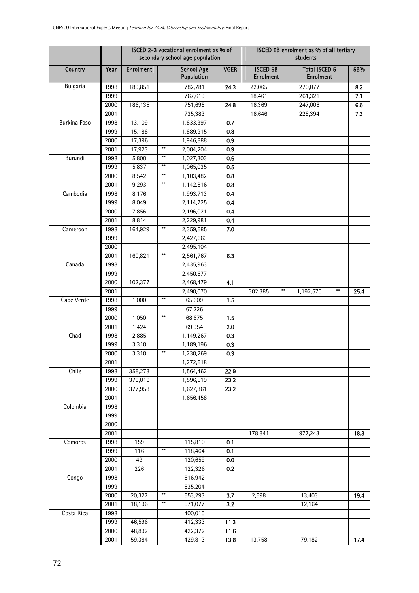|                 |              |                  | ISCED 2-3 vocational enrolment as % of<br>secondary school age population |                                 |             |                                     | ISCED 5B enrolment as % of all tertiary<br>students |                                          |      |  |  |
|-----------------|--------------|------------------|---------------------------------------------------------------------------|---------------------------------|-------------|-------------------------------------|-----------------------------------------------------|------------------------------------------|------|--|--|
| Country         | Year         | <b>Enrolment</b> |                                                                           | <b>School Age</b><br>Population | <b>VGER</b> | <b>ISCED 5B</b><br><b>Enrolment</b> |                                                     | <b>Total ISCED 5</b><br><b>Enrolment</b> |      |  |  |
| <b>Bulgaria</b> | 1998         | 189,851          |                                                                           | 782,781                         | 24.3        | 22,065                              | 270,077                                             |                                          | 8.2  |  |  |
|                 | 1999         |                  |                                                                           | 767,619                         |             | 18,461                              | 261,321                                             |                                          | 7.1  |  |  |
|                 | 2000         | 186,135          |                                                                           | 751,695                         | 24.8        | 16,369                              | 247,006                                             |                                          | 6.6  |  |  |
|                 | 2001         |                  |                                                                           | 735,383                         |             | 16,646                              | 228,394                                             |                                          | 7.3  |  |  |
| Burkina Faso    | 1998         | 13,109           |                                                                           | 1,833,397                       | 0.7         |                                     |                                                     |                                          |      |  |  |
|                 | 1999         | 15,188           |                                                                           | 1,889,915                       | 0.8         |                                     |                                                     |                                          |      |  |  |
|                 | 2000         | 17,396           |                                                                           | 1,946,888                       | 0.9         |                                     |                                                     |                                          |      |  |  |
|                 | 2001         | 17,923           | $**$                                                                      | 2,004,204                       | 0.9         |                                     |                                                     |                                          |      |  |  |
| Burundi         | 1998         | 5,800            | $**$                                                                      | 1,027,303                       | 0.6         |                                     |                                                     |                                          |      |  |  |
|                 | 1999         | 5,837            | $**$                                                                      | 1,065,035                       | 0.5         |                                     |                                                     |                                          |      |  |  |
|                 | 2000         | 8,542            | $\ddot{*}$                                                                | 1,103,482                       | 0.8         |                                     |                                                     |                                          |      |  |  |
|                 | 2001         | 9,293            | $**$                                                                      | 1,142,816                       | 0.8         |                                     |                                                     |                                          |      |  |  |
| Cambodia        | 1998         | 8,176            |                                                                           | 1,993,713                       | 0.4         |                                     |                                                     |                                          |      |  |  |
|                 | 1999         | 8,049            |                                                                           | 2,114,725                       | 0.4         |                                     |                                                     |                                          |      |  |  |
|                 | 2000         | 7,856            |                                                                           | 2,196,021                       | 0.4         |                                     |                                                     |                                          |      |  |  |
|                 | 2001         | 8,814            |                                                                           | 2,229,981                       | 0.4         |                                     |                                                     |                                          |      |  |  |
| Cameroon        | 1998         | 164,929          | $**$                                                                      | 2,359,585                       | 7.0         |                                     |                                                     |                                          |      |  |  |
|                 | 1999         |                  |                                                                           | 2,427,663                       |             |                                     |                                                     |                                          |      |  |  |
|                 | 2000         |                  | $***$                                                                     | 2,495,104                       |             |                                     |                                                     |                                          |      |  |  |
|                 | 2001         | 160,821          |                                                                           | 2,561,767                       | 6.3         |                                     |                                                     |                                          |      |  |  |
| Canada          | 1998         |                  |                                                                           | 2,435,963                       |             |                                     |                                                     |                                          |      |  |  |
|                 | 1999         |                  |                                                                           | 2,450,677                       |             |                                     |                                                     |                                          |      |  |  |
|                 | 2000<br>2001 | 102,377          |                                                                           | 2,468,479                       | 4.1         | 302,385                             | $***$<br>1,192,570                                  | **                                       |      |  |  |
|                 | 1998         |                  | $***$                                                                     | 2,490,070<br>65,609             | 1.5         |                                     |                                                     |                                          | 25.4 |  |  |
| Cape Verde      | 1999         | 1,000            |                                                                           |                                 |             |                                     |                                                     |                                          |      |  |  |
|                 | 2000         | 1,050            | $***$                                                                     | 67,226<br>68,675                | 1.5         |                                     |                                                     |                                          |      |  |  |
|                 | 2001         | 1,424            |                                                                           | 69,954                          | 2.0         |                                     |                                                     |                                          |      |  |  |
| Chad            | 1998         | 2,885            |                                                                           | 1,149,267                       | 0.3         |                                     |                                                     |                                          |      |  |  |
|                 | 1999         | 3,310            |                                                                           | 1,189,196                       | 0.3         |                                     |                                                     |                                          |      |  |  |
|                 | 2000         | 3,310            | $\ast\ast$                                                                | 1,230,269                       | 0.3         |                                     |                                                     |                                          |      |  |  |
|                 | 2001         |                  |                                                                           | 1,272,518                       |             |                                     |                                                     |                                          |      |  |  |
| Chile           | 1998         | 358,278          |                                                                           | 1,564,462                       | 22.9        |                                     |                                                     |                                          |      |  |  |
|                 | 1999         | 370,016          |                                                                           | 1,596,519                       | 23.2        |                                     |                                                     |                                          |      |  |  |
|                 | 2000         | 377,958          |                                                                           | 1,627,361                       | 23.2        |                                     |                                                     |                                          |      |  |  |
|                 | 2001         |                  |                                                                           | 1,656,458                       |             |                                     |                                                     |                                          |      |  |  |
| Colombia        | 1998         |                  |                                                                           |                                 |             |                                     |                                                     |                                          |      |  |  |
|                 | 1999         |                  |                                                                           |                                 |             |                                     |                                                     |                                          |      |  |  |
|                 | 2000         |                  |                                                                           |                                 |             |                                     |                                                     |                                          |      |  |  |
|                 | 2001         |                  |                                                                           |                                 |             | 178,841                             | 977,243                                             |                                          | 18.3 |  |  |
| Comoros         | 1998         | 159              |                                                                           | 115,810                         | 0.1         |                                     |                                                     |                                          |      |  |  |
|                 | 1999         | 116              | $**$                                                                      | 118,464                         | 0.1         |                                     |                                                     |                                          |      |  |  |
|                 | 2000         | 49               |                                                                           | 120,659                         | 0.0         |                                     |                                                     |                                          |      |  |  |
|                 | 2001         | 226              |                                                                           | 122,326                         | 0.2         |                                     |                                                     |                                          |      |  |  |
| Congo           | 1998         |                  |                                                                           | 516,942                         |             |                                     |                                                     |                                          |      |  |  |
|                 | 1999         |                  |                                                                           | 535,204                         |             |                                     |                                                     |                                          |      |  |  |
|                 | 2000         | 20,327           | $***$                                                                     | 553,293                         | 3.7         | 2,598                               | 13,403                                              |                                          | 19.4 |  |  |
|                 | 2001         | 18,196           | $**$                                                                      | 571,077                         | 3.2         |                                     | 12,164                                              |                                          |      |  |  |
| Costa Rica      | 1998         |                  |                                                                           | 400,010                         |             |                                     |                                                     |                                          |      |  |  |
|                 | 1999         | 46,596           |                                                                           | 412,333                         | 11.3        |                                     |                                                     |                                          |      |  |  |
|                 | 2000         | 48,892           |                                                                           | 422,372                         | 11.6        |                                     |                                                     |                                          |      |  |  |
|                 | 2001         | 59,384           |                                                                           | 429,813                         | 13.8        | 13,758                              | 79,182                                              |                                          | 17.4 |  |  |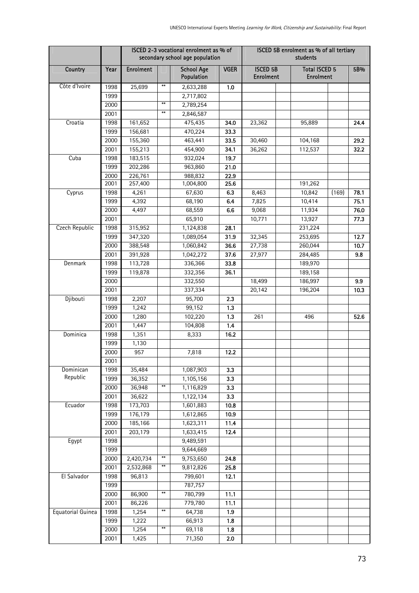|                   |      |                  |                        | ISCED 2-3 vocational enrolment as % of<br>secondary school age population |             | ISCED 5B enrolment as % of all tertiary<br>students |                                          |       |      |  |  |
|-------------------|------|------------------|------------------------|---------------------------------------------------------------------------|-------------|-----------------------------------------------------|------------------------------------------|-------|------|--|--|
| Country           | Year | <b>Enrolment</b> |                        | <b>School Age</b><br>Population                                           | <b>VGER</b> | <b>ISCED 5B</b><br><b>Enrolment</b>                 | <b>Total ISCED 5</b><br><b>Enrolment</b> |       | 5B%  |  |  |
| Côte d'Ivoire     | 1998 | 25,699           | $***$                  | 2,633,288                                                                 | 1.0         |                                                     |                                          |       |      |  |  |
|                   | 1999 |                  |                        | 2,717,802                                                                 |             |                                                     |                                          |       |      |  |  |
|                   | 2000 |                  | $**$                   | 2,789,254                                                                 |             |                                                     |                                          |       |      |  |  |
|                   | 2001 |                  | $**$                   | 2,846,587                                                                 |             |                                                     |                                          |       |      |  |  |
| Croatia           | 1998 | 161,652          |                        | 475,435                                                                   | 34.0        | 23,362                                              | 95,889                                   |       | 24.4 |  |  |
|                   | 1999 | 156,681          |                        | 470,224                                                                   | 33.3        |                                                     |                                          |       |      |  |  |
|                   | 2000 | 155,360          |                        | 463,441                                                                   | 33.5        | 30,460                                              | 104,168                                  |       | 29.2 |  |  |
|                   | 2001 | 155,213          |                        | 454,900                                                                   | 34.1        | 36,262                                              | 112,537                                  |       | 32.2 |  |  |
| Cuba              | 1998 | 183,515          |                        | 932,024                                                                   | 19.7        |                                                     |                                          |       |      |  |  |
|                   | 1999 | 202,286          |                        | 963,860                                                                   | 21.0        |                                                     |                                          |       |      |  |  |
|                   | 2000 | 226,761          |                        | 988,832                                                                   | 22.9        |                                                     |                                          |       |      |  |  |
|                   | 2001 | 257,400          |                        | 1,004,800                                                                 | 25.6        |                                                     | 191,262                                  |       |      |  |  |
| Cyprus            | 1998 | 4,261            |                        | 67,630                                                                    | 6.3         | 8,463                                               | 10,842                                   | (169) | 78.1 |  |  |
|                   | 1999 | 4,392            |                        | 68,190                                                                    | 6.4         | 7,825                                               | 10,414                                   |       | 75.1 |  |  |
|                   | 2000 | 4,497            |                        | 68,559                                                                    | 6.6         | 9,068                                               | 11,934                                   |       | 76.0 |  |  |
|                   | 2001 |                  |                        | 65,910                                                                    |             | 10,771                                              | 13,927                                   |       | 77.3 |  |  |
| Czech Republic    | 1998 | 315,952          |                        | 1,124,838                                                                 | 28.1        |                                                     | 231,224                                  |       |      |  |  |
|                   | 1999 | 347,320          |                        | 1,089,054                                                                 | 31.9        | 32,345                                              | 253,695                                  |       | 12.7 |  |  |
|                   | 2000 | 388,548          |                        | 1,060,842                                                                 | 36.6        | 27,738                                              | 260,044                                  |       | 10.7 |  |  |
|                   | 2001 | 391,928          |                        | 1,042,272                                                                 | 37.6        | 27,977                                              | 284,485                                  |       | 9.8  |  |  |
| Denmark           | 1998 | 113,728          |                        | 336,366                                                                   | 33.8        |                                                     | 189,970                                  |       |      |  |  |
|                   | 1999 | 119,878          |                        | 332,356                                                                   | 36.1        |                                                     | 189,158                                  |       |      |  |  |
|                   | 2000 |                  |                        | 332,550                                                                   |             | 18,499                                              | 186,997                                  |       | 9.9  |  |  |
|                   | 2001 |                  |                        | 337,334                                                                   |             | 20,142                                              | 196,204                                  |       | 10.3 |  |  |
| Djibouti          | 1998 | 2,207            |                        | 95,700                                                                    | 2.3         |                                                     |                                          |       |      |  |  |
|                   | 1999 | 1,242            |                        | 99,152                                                                    | 1.3         |                                                     |                                          |       |      |  |  |
|                   | 2000 | 1,280            |                        | 102,220                                                                   | 1.3         | 261                                                 | 496                                      |       | 52.6 |  |  |
|                   | 2001 | 1,447            |                        | 104,808                                                                   | 1.4         |                                                     |                                          |       |      |  |  |
| Dominica          | 1998 | 1,351            |                        | 8,333                                                                     | 16.2        |                                                     |                                          |       |      |  |  |
|                   | 1999 | 1,130            |                        |                                                                           |             |                                                     |                                          |       |      |  |  |
|                   | 2000 | 957              |                        | 7,818                                                                     | 12.2        |                                                     |                                          |       |      |  |  |
|                   | 2001 |                  |                        |                                                                           |             |                                                     |                                          |       |      |  |  |
| Dominican         | 1998 | 35,484           |                        | 1,087,903                                                                 | 3.3         |                                                     |                                          |       |      |  |  |
| Republic          | 1999 | 36,352           |                        | 1,105,156                                                                 | 3.3         |                                                     |                                          |       |      |  |  |
|                   | 2000 | 36,948           | $***$                  | 1,116,829                                                                 | 3.3         |                                                     |                                          |       |      |  |  |
|                   | 2001 | 36,622           |                        | 1,122,134                                                                 | 3.3         |                                                     |                                          |       |      |  |  |
| Ecuador           | 1998 | 173,703          |                        | 1,601,883                                                                 | 10.8        |                                                     |                                          |       |      |  |  |
|                   | 1999 | 176,179          |                        | 1,612,865                                                                 | 10.9        |                                                     |                                          |       |      |  |  |
|                   | 2000 | 185,166          |                        | 1,623,311                                                                 | 11.4        |                                                     |                                          |       |      |  |  |
|                   | 2001 | 203,179          |                        | 1,633,415                                                                 | 12.4        |                                                     |                                          |       |      |  |  |
| Egypt             | 1998 |                  |                        | 9,489,591                                                                 |             |                                                     |                                          |       |      |  |  |
|                   | 1999 |                  |                        | 9,644,669                                                                 |             |                                                     |                                          |       |      |  |  |
|                   | 2000 | 2,420,734        | $***$                  | 9,753,650                                                                 | 24.8        |                                                     |                                          |       |      |  |  |
|                   | 2001 | 2,532,868        | $***$                  | 9,812,826                                                                 | 25.8        |                                                     |                                          |       |      |  |  |
| El Salvador       | 1998 | 96,813           |                        | 799,601                                                                   | 12.1        |                                                     |                                          |       |      |  |  |
|                   | 1999 |                  | $**$                   | 787,757                                                                   |             |                                                     |                                          |       |      |  |  |
|                   | 2000 | 86,900           |                        | 780,799                                                                   | 11.1        |                                                     |                                          |       |      |  |  |
|                   | 2001 | 86,226           | $\pmb{\ast}\pmb{\ast}$ | 779,780                                                                   | 11.1        |                                                     |                                          |       |      |  |  |
| Equatorial Guinea | 1998 | 1,254            |                        | 64,738                                                                    | 1.9         |                                                     |                                          |       |      |  |  |
|                   | 1999 | 1,222            | $\pmb{\ast}\pmb{\ast}$ | 66,913                                                                    | 1.8         |                                                     |                                          |       |      |  |  |
|                   | 2000 | 1,254            |                        | 69,118                                                                    | 1.8         |                                                     |                                          |       |      |  |  |
|                   | 2001 | 1,425            |                        | 71,350                                                                    | 2.0         |                                                     |                                          |       |      |  |  |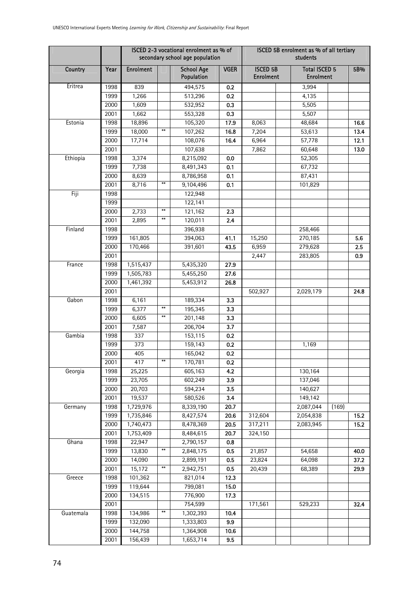|           |      |                  |       | ISCED 2-3 vocational enrolment as % of<br>secondary school age population |             | ISCED 5B enrolment as % of all tertiary<br>students |                                          |       |      |  |  |
|-----------|------|------------------|-------|---------------------------------------------------------------------------|-------------|-----------------------------------------------------|------------------------------------------|-------|------|--|--|
| Country   | Year | <b>Enrolment</b> |       | <b>School Age</b><br>Population                                           | <b>VGER</b> | <b>ISCED 5B</b><br><b>Enrolment</b>                 | <b>Total ISCED 5</b><br><b>Enrolment</b> |       | 5B%  |  |  |
| Eritrea   | 1998 | 839              |       | 494,575                                                                   | 0.2         |                                                     | 3,994                                    |       |      |  |  |
|           | 1999 | 1,266            |       | 513,296                                                                   | 0.2         |                                                     | 4,135                                    |       |      |  |  |
|           | 2000 | 1,609            |       | 532,952                                                                   | 0.3         |                                                     | 5,505                                    |       |      |  |  |
|           | 2001 | 1,662            |       | 553,328                                                                   | 0.3         |                                                     | 5,507                                    |       |      |  |  |
| Estonia   | 1998 | 18,896           |       | 105,320                                                                   | 17.9        | 8,063                                               | 48,684                                   |       | 16.6 |  |  |
|           | 1999 | 18,000           | $***$ | 107,262                                                                   | 16.8        | 7,204                                               | 53,613                                   |       | 13.4 |  |  |
|           | 2000 | 17,714           |       | 108,076                                                                   | 16.4        | 6,964                                               | 57,778                                   |       | 12.1 |  |  |
|           | 2001 |                  |       | 107,638                                                                   |             | 7,862                                               | 60,648                                   |       | 13.0 |  |  |
| Ethiopia  | 1998 | 3,374            |       | 8,215,092                                                                 | 0.0         |                                                     | 52,305                                   |       |      |  |  |
|           | 1999 | 7,738            |       | 8,491,343                                                                 | 0.1         |                                                     | 67,732                                   |       |      |  |  |
|           | 2000 | 8,639            |       | 8,786,958                                                                 | 0.1         |                                                     | 87,431                                   |       |      |  |  |
|           | 2001 | 8,716            | $**$  | 9,104,496                                                                 | 0.1         |                                                     | 101,829                                  |       |      |  |  |
| Fiji      | 1998 |                  |       | 122,948                                                                   |             |                                                     |                                          |       |      |  |  |
|           | 1999 |                  |       | 122,141                                                                   |             |                                                     |                                          |       |      |  |  |
|           | 2000 | 2,733            | $***$ | 121,162                                                                   | 2.3         |                                                     |                                          |       |      |  |  |
|           | 2001 | 2,895            | $***$ | 120,011                                                                   | 2.4         |                                                     |                                          |       |      |  |  |
| Finland   | 1998 |                  |       | 396,938                                                                   |             |                                                     | 258,466                                  |       |      |  |  |
|           | 1999 | 161,805          |       | 394,063                                                                   | 41.1        | 15,250                                              | 270,185                                  |       | 5.6  |  |  |
|           | 2000 | 170,466          |       | 391,601                                                                   | 43.5        | 6,959                                               | 279,628                                  |       | 2.5  |  |  |
|           | 2001 |                  |       |                                                                           |             | 2,447                                               | 283,805                                  |       | 0.9  |  |  |
| France    | 1998 | 1,515,437        |       | 5,435,320                                                                 | 27.9        |                                                     |                                          |       |      |  |  |
|           | 1999 | 1,505,783        |       | 5,455,250                                                                 | 27.6        |                                                     |                                          |       |      |  |  |
|           | 2000 | 1,461,392        |       | 5,453,912                                                                 | 26.8        |                                                     |                                          |       |      |  |  |
|           | 2001 |                  |       |                                                                           |             | 502,927                                             | 2,029,179                                |       | 24.8 |  |  |
| Gabon     | 1998 | 6,161            |       | 189,334                                                                   | 3.3         |                                                     |                                          |       |      |  |  |
|           | 1999 | 6,377            | $**$  | 195,345                                                                   | 3.3         |                                                     |                                          |       |      |  |  |
|           | 2000 | 6,605            | $***$ | 201,148                                                                   | 3.3         |                                                     |                                          |       |      |  |  |
|           | 2001 | 7,587            |       | 206,704                                                                   | 3.7         |                                                     |                                          |       |      |  |  |
| Gambia    | 1998 | 337              |       | 153,115                                                                   | 0.2         |                                                     |                                          |       |      |  |  |
|           | 1999 | 373              |       | 159,143                                                                   | 0.2         |                                                     | 1,169                                    |       |      |  |  |
|           | 2000 | 405              |       | 165,042                                                                   | 0.2         |                                                     |                                          |       |      |  |  |
|           | 2001 | 417              |       | 170,781                                                                   | 0.2         |                                                     |                                          |       |      |  |  |
| Georgia   | 1998 | 25,225           |       | 605,163                                                                   | 4.2         |                                                     | 130,164                                  |       |      |  |  |
|           | 1999 | 23,705           |       | 602,249                                                                   | 3.9         |                                                     | 137,046                                  |       |      |  |  |
|           | 2000 | 20,703           |       | 594,234                                                                   | 3.5         |                                                     | 140,627                                  |       |      |  |  |
|           | 2001 | 19,537           |       | 580,526                                                                   | 3.4         |                                                     | 149,142                                  |       |      |  |  |
| Germany   | 1998 | 1,729,976        |       | 8,339,190                                                                 | 20.7        |                                                     | 2,087,044                                | (169) |      |  |  |
|           | 1999 | 1,735,846        |       | 8,427,574                                                                 | 20.6        | 312,604                                             | 2,054,838                                |       | 15.2 |  |  |
|           | 2000 | 1,740,473        |       | 8,478,369                                                                 | 20.5        | 317,211                                             | 2,083,945                                |       | 15.2 |  |  |
|           | 2001 | 1,753,409        |       | 8,484,615                                                                 | 20.7        | 324,150                                             |                                          |       |      |  |  |
| Ghana     | 1998 | 22,947           |       | 2,790,157                                                                 | 0.8         |                                                     |                                          |       |      |  |  |
|           | 1999 | 13,830           | $***$ | 2,848,175                                                                 | 0.5         | 21,857                                              | 54,658                                   |       | 40.0 |  |  |
|           | 2000 | 14,090           |       | 2,899,191                                                                 | 0.5         | 23,824                                              | 64,098                                   |       | 37.2 |  |  |
|           | 2001 | 15,172           | $**$  | 2,942,751                                                                 | 0.5         | 20,439                                              | 68,389                                   |       | 29.9 |  |  |
| Greece    | 1998 | 101,362          |       | 821,014                                                                   | 12.3        |                                                     |                                          |       |      |  |  |
|           | 1999 | 119,644          |       | 799,081                                                                   | 15.0        |                                                     |                                          |       |      |  |  |
|           | 2000 | 134,515          |       | 776,900                                                                   | 17.3        |                                                     |                                          |       |      |  |  |
|           | 2001 |                  |       | 754,599                                                                   |             | 171,561                                             | 529,233                                  |       | 32.4 |  |  |
| Guatemala | 1998 | 134,986          | $**$  | 1,302,393                                                                 | 10.4        |                                                     |                                          |       |      |  |  |
|           | 1999 | 132,090          |       | 1,333,803                                                                 | 9.9         |                                                     |                                          |       |      |  |  |
|           | 2000 | 144,758          |       | 1,364,908                                                                 | 10.6        |                                                     |                                          |       |      |  |  |
|           | 2001 | 156,439          |       | 1,653,714                                                                 | 9.5         |                                                     |                                          |       |      |  |  |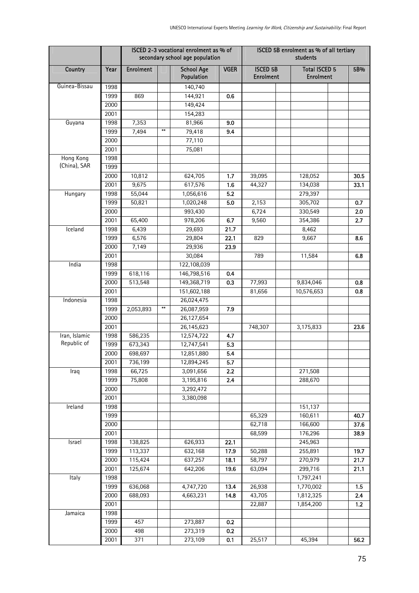|               |      |                  |                        | ISCED 2-3 vocational enrolment as % of<br>secondary school age population |             | ISCED 5B enrolment as % of all tertiary<br>students |                                          |       |  |  |
|---------------|------|------------------|------------------------|---------------------------------------------------------------------------|-------------|-----------------------------------------------------|------------------------------------------|-------|--|--|
| Country       | Year | <b>Enrolment</b> |                        | <b>School Age</b><br>Population                                           | <b>VGER</b> | <b>ISCED 5B</b><br><b>Enrolment</b>                 | <b>Total ISCED 5</b><br><b>Enrolment</b> | 5B%   |  |  |
| Guinea-Bissau | 1998 |                  |                        | 140,740                                                                   |             |                                                     |                                          |       |  |  |
|               | 1999 | 869              |                        | 144,921                                                                   | 0.6         |                                                     |                                          |       |  |  |
|               | 2000 |                  |                        | 149,424                                                                   |             |                                                     |                                          |       |  |  |
|               | 2001 |                  |                        | 154,283                                                                   |             |                                                     |                                          |       |  |  |
| Guyana        | 1998 | 7,353            |                        | 81,966                                                                    | 9.0         |                                                     |                                          |       |  |  |
|               | 1999 | 7,494            | $***$                  | 79,418                                                                    | 9.4         |                                                     |                                          |       |  |  |
|               | 2000 |                  |                        | 77,110                                                                    |             |                                                     |                                          |       |  |  |
|               | 2001 |                  |                        | 75,081                                                                    |             |                                                     |                                          |       |  |  |
| Hong Kong     | 1998 |                  |                        |                                                                           |             |                                                     |                                          |       |  |  |
| (China), SAR  | 1999 |                  |                        |                                                                           |             |                                                     |                                          |       |  |  |
|               | 2000 | 10,812           |                        | 624,705                                                                   | 1.7         | 39,095                                              | 128,052                                  | 30.5  |  |  |
|               | 2001 | 9,675            |                        | 617,576                                                                   | 1.6         | 44,327                                              | 134,038                                  | 33.1  |  |  |
| Hungary       | 1998 | 55,044           |                        | 1,056,616                                                                 | 5.2         |                                                     | 279,397                                  |       |  |  |
|               | 1999 | 50,821           |                        | 1,020,248                                                                 | 5.0         | 2,153                                               | 305,702                                  | 0.7   |  |  |
|               | 2000 |                  |                        | 993,430                                                                   |             | 6,724                                               | 330,549                                  | 2.0   |  |  |
|               | 2001 | 65,400           |                        | 978,206                                                                   | 6.7         | 9,560                                               | 354,386                                  | 2.7   |  |  |
| Iceland       | 1998 | 6,439            |                        | 29,693                                                                    | 21.7        |                                                     | 8,462                                    |       |  |  |
|               | 1999 | 6,576            |                        | 29,804                                                                    | 22.1        | 829                                                 | 9,667                                    | 8.6   |  |  |
|               | 2000 | 7,149            |                        | 29,936                                                                    | 23.9        |                                                     |                                          |       |  |  |
|               | 2001 |                  |                        | 30,084                                                                    |             | 789                                                 | 11,584                                   | 6.8   |  |  |
| India         | 1998 |                  |                        | 122,108,039                                                               |             |                                                     |                                          |       |  |  |
|               | 1999 | 618,116          |                        | 146,798,516                                                               | 0.4         |                                                     |                                          |       |  |  |
|               | 2000 | 513,548          |                        | 149,368,719                                                               | 0.3         | 77,993                                              | 9,834,046                                | 0.8   |  |  |
|               | 2001 |                  |                        | 151,602,188                                                               |             | 81,656                                              | 10,576,653                               | 0.8   |  |  |
| Indonesia     | 1998 |                  |                        | 26,024,475                                                                |             |                                                     |                                          |       |  |  |
|               | 1999 | 2,053,893        | $\pmb{\ast}\pmb{\ast}$ | 26,087,959                                                                | 7.9         |                                                     |                                          |       |  |  |
|               | 2000 |                  |                        | 26,127,654                                                                |             |                                                     |                                          |       |  |  |
|               | 2001 |                  |                        | 26,145,623                                                                |             | 748,307                                             | 3,175,833                                | 23.6  |  |  |
| Iran, Islamic | 1998 | 586,235          |                        | 12,574,722                                                                | 4.7         |                                                     |                                          |       |  |  |
| Republic of   | 1999 | 673,343          |                        | 12,747,541                                                                | 5.3         |                                                     |                                          |       |  |  |
|               | 2000 | 698,697          |                        | 12,851,880                                                                | 5.4         |                                                     |                                          |       |  |  |
|               | 2001 | 736,199          |                        | 12,894,245                                                                | 5.7         |                                                     |                                          |       |  |  |
| Iraq          | 1998 | 66,725           |                        | 3,091,656                                                                 | 2.2         |                                                     | 271,508                                  |       |  |  |
|               | 1999 | 75,808           |                        | 3,195,816                                                                 | 2.4         |                                                     | 288,670                                  |       |  |  |
|               | 2000 |                  |                        | 3,292,472                                                                 |             |                                                     |                                          |       |  |  |
|               | 2001 |                  |                        | 3,380,098                                                                 |             |                                                     |                                          |       |  |  |
| Ireland       | 1998 |                  |                        |                                                                           |             |                                                     | 151,137                                  |       |  |  |
|               | 1999 |                  |                        |                                                                           |             | 65,329                                              | 160,611                                  | 40.7  |  |  |
|               | 2000 |                  |                        |                                                                           |             | 62,718                                              | 166,600                                  | 37.6  |  |  |
|               | 2001 |                  |                        |                                                                           |             | 68,599                                              | 176,296                                  | 38.9  |  |  |
| Israel        | 1998 | 138,825          |                        | 626,933                                                                   | 22.1        |                                                     | 245,963                                  |       |  |  |
|               | 1999 | 113,337          |                        | 632,168                                                                   | 17.9        | 50,288                                              | 255,891                                  | 19.7  |  |  |
|               | 2000 | 115,424          |                        | 637,257                                                                   | 18.1        | 58,797                                              | 270,979                                  | 21.7  |  |  |
|               | 2001 | 125,674          |                        | 642,206                                                                   | 19.6        | 63,094                                              | 299,716                                  | 21.1  |  |  |
| Italy         | 1998 |                  |                        |                                                                           |             |                                                     | 1,797,241                                |       |  |  |
|               | 1999 | 636,068          |                        | 4,747,720                                                                 | 13.4        | 26,938                                              | 1,770,002                                | 1.5   |  |  |
|               | 2000 | 688,093          |                        | 4,663,231                                                                 | 14.8        | 43,705                                              | 1,812,325                                | 2.4   |  |  |
|               | 2001 |                  |                        |                                                                           |             | 22,887                                              | 1,854,200                                | $1.2$ |  |  |
| Jamaica       | 1998 |                  |                        |                                                                           |             |                                                     |                                          |       |  |  |
|               | 1999 | 457              |                        | 273,887                                                                   | 0.2         |                                                     |                                          |       |  |  |
|               | 2000 | 498              |                        | 273,319                                                                   | 0.2         |                                                     |                                          |       |  |  |
|               | 2001 | 371              |                        | 273,109                                                                   | 0.1         | 25,517                                              | 45,394                                   | 56.2  |  |  |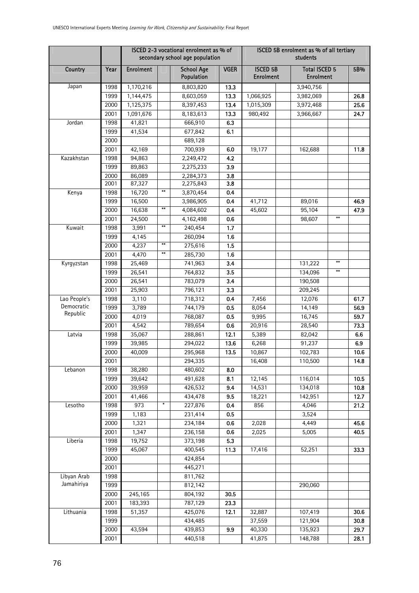|                            |              |                  |                        | ISCED 2-3 vocational enrolment as % of<br>secondary school age population |             | ISCED 5B enrolment as % of all tertiary<br>students |                                          |             |  |  |
|----------------------------|--------------|------------------|------------------------|---------------------------------------------------------------------------|-------------|-----------------------------------------------------|------------------------------------------|-------------|--|--|
| Country                    | Year         | <b>Enrolment</b> |                        | <b>School Age</b><br>Population                                           | <b>VGER</b> | <b>ISCED 5B</b><br><b>Enrolment</b>                 | <b>Total ISCED 5</b><br><b>Enrolment</b> | 5B%         |  |  |
| Japan                      | 1998         | 1,170,216        |                        | 8,803,820                                                                 | 13.3        |                                                     | 3,940,756                                |             |  |  |
|                            | 1999         | 1,144,475        |                        | 8,603,059                                                                 | 13.3        | 1,066,925                                           | 3,982,069                                | 26.8        |  |  |
|                            | 2000         | 1,125,375        |                        | 8,397,453                                                                 | 13.4        | 1,015,309                                           | 3,972,468                                | 25.6        |  |  |
|                            | 2001         | 1,091,676        |                        | 8,183,613                                                                 | 13.3        | 980,492                                             | 3,966,667                                | 24.7        |  |  |
| Jordan                     | 1998         | 41,821           |                        | 666,910                                                                   | 6.3         |                                                     |                                          |             |  |  |
|                            | 1999         | 41,534           |                        | 677,842                                                                   | 6.1         |                                                     |                                          |             |  |  |
|                            | 2000         |                  |                        | 689,128                                                                   |             |                                                     |                                          |             |  |  |
|                            | 2001         | 42,169           |                        | 700,939                                                                   | 6.0         | 19,177                                              | 162,688                                  | 11.8        |  |  |
| Kazakhstan                 | 1998         | 94,863           |                        | 2,249,472                                                                 | 4.2         |                                                     |                                          |             |  |  |
|                            | 1999         | 89,863           |                        | 2,275,233                                                                 | 3.9         |                                                     |                                          |             |  |  |
|                            | 2000         | 86,089           |                        | 2,284,373                                                                 | 3.8         |                                                     |                                          |             |  |  |
|                            | 2001         | 87,327           |                        | 2,275,843                                                                 | 3.8         |                                                     |                                          |             |  |  |
| Kenya                      | 1998         | 16,720           | $\pmb{\ast}\pmb{\ast}$ | 3,870,454                                                                 | 0.4         |                                                     |                                          |             |  |  |
|                            | 1999         | 16,500           | $***$                  | 3,986,905                                                                 | 0.4         | 41,712                                              | 89,016                                   | 46.9        |  |  |
|                            | 2000         | 16,638           |                        | 4,084,602                                                                 | 0.4         | 45,602                                              | 95,104<br>$**$                           | 47.9        |  |  |
|                            | 2001         | 24,500           | $***$                  | 4,162,498                                                                 | 0.6         |                                                     | 98,607                                   |             |  |  |
| Kuwait                     | 1998         | 3,991            |                        | 240,454                                                                   | 1.7         |                                                     |                                          |             |  |  |
|                            | 1999         | 4,145            | $\pmb{\ast}\pmb{\ast}$ | 260,094                                                                   | 1.6         |                                                     |                                          |             |  |  |
|                            | 2000         | 4,237            | $***$                  | 275,616                                                                   | 1.5         |                                                     |                                          |             |  |  |
|                            | 2001         | 4,470            |                        | 285,730                                                                   | 1.6         |                                                     | $**$                                     |             |  |  |
| Kyrgyzstan                 | 1998         | 25,469           |                        | 741,963                                                                   | 3.4         |                                                     | 131,222<br>$***$                         |             |  |  |
|                            | 1999         | 26,541           |                        | 764,832                                                                   | 3.5         |                                                     | 134,096                                  |             |  |  |
|                            | 2000         | 26,541           |                        | 783,079                                                                   | 3.4         |                                                     | 190,508                                  |             |  |  |
|                            | 2001         | 25,903           |                        | 796,121                                                                   | 3.3         |                                                     | 209,245                                  |             |  |  |
| Lao People's<br>Democratic | 1998         | 3,110            |                        | 718,312                                                                   | 0.4         | 7,456                                               | 12,076                                   | 61.7        |  |  |
| Republic                   | 1999         | 3,789            |                        | 744,179                                                                   | 0.5         | 8,054                                               | 14,149                                   | 56.9        |  |  |
|                            | 2000         | 4,019<br>4,542   |                        | 768,087                                                                   | 0.5         | 9,995                                               | 16,745                                   | 59.7        |  |  |
| Latvia                     | 2001<br>1998 | 35,067           |                        | 789,654<br>288,861                                                        | 0.6<br>12.1 | 20,916<br>5,389                                     | 28,540<br>82,042                         | 73.3<br>6.6 |  |  |
|                            | 1999         | 39,985           |                        | 294,022                                                                   | 13.6        | 6,268                                               | 91,237                                   | 6.9         |  |  |
|                            | 2000         | 40,009           |                        | 295,968                                                                   | 13.5        | 10,867                                              | 102,783                                  | 10.6        |  |  |
|                            | 2001         |                  |                        | 294,335                                                                   |             | 16,408                                              | 110,500                                  | 14.8        |  |  |
| Lebanon                    | 1998         | 38,280           |                        | 480,602                                                                   | 8.0         |                                                     |                                          |             |  |  |
|                            | 1999         | 39,642           |                        | 491,628                                                                   | 8.1         | 12,145                                              | 116,014                                  | 10.5        |  |  |
|                            | 2000         | 39,959           |                        | 426,532                                                                   | 9.4         | 14,531                                              | 134,018                                  | 10.8        |  |  |
|                            | 2001         | 41,466           |                        | 434,478                                                                   | 9.5         | 18,221                                              | 142,951                                  | 12.7        |  |  |
| Lesotho                    | 1998         | 973              | $\ast$                 | 227,876                                                                   | 0.4         | 856                                                 | 4,046                                    | 21.2        |  |  |
|                            | 1999         | 1,183            |                        | 231,414                                                                   | 0.5         |                                                     | 3,524                                    |             |  |  |
|                            | 2000         | 1,321            |                        | 234,184                                                                   | 0.6         | 2,028                                               | 4,449                                    | 45.6        |  |  |
|                            | 2001         | 1,347            |                        | 236,158                                                                   | 0.6         | 2,025                                               | 5,005                                    | 40.5        |  |  |
| Liberia                    | 1998         | 19,752           |                        | 373,198                                                                   | 5.3         |                                                     |                                          |             |  |  |
|                            | 1999         | 45,067           |                        | 400,545                                                                   | 11.3        | 17,416                                              | 52,251                                   | 33.3        |  |  |
|                            | 2000         |                  |                        | 424,854                                                                   |             |                                                     |                                          |             |  |  |
|                            | 2001         |                  |                        | 445,271                                                                   |             |                                                     |                                          |             |  |  |
| Libyan Arab                | 1998         |                  |                        | 811,762                                                                   |             |                                                     |                                          |             |  |  |
| Jamahiriya                 | 1999         |                  |                        | 812,142                                                                   |             |                                                     | 290,060                                  |             |  |  |
|                            | 2000         | 245,165          |                        | 804,192                                                                   | 30.5        |                                                     |                                          |             |  |  |
|                            | 2001         | 183,393          |                        | 787,129                                                                   | 23.3        |                                                     |                                          |             |  |  |
| Lithuania                  | 1998         | 51,357           |                        | 425,076                                                                   | 12.1        | 32,887                                              | 107,419                                  | 30.6        |  |  |
|                            | 1999         |                  |                        | 434,485                                                                   |             | 37,559                                              | 121,904                                  | 30.8        |  |  |
|                            | 2000         | 43,594           |                        | 439,853                                                                   | 9.9         | 40,330                                              | 135,923                                  | 29.7        |  |  |
|                            | 2001         |                  |                        | 440,518                                                                   |             | 41,875                                              | 148,788                                  | 28.1        |  |  |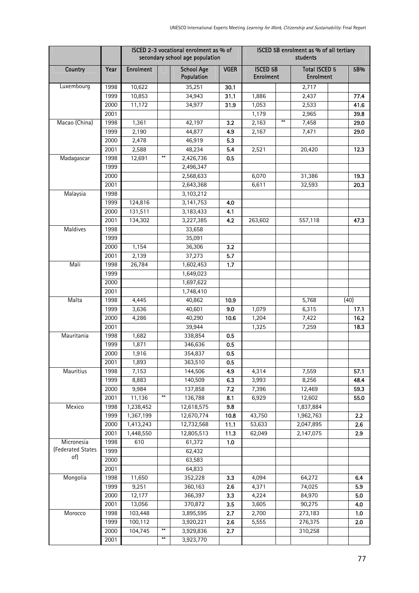|                   |      |                  |                        | ISCED 2-3 vocational enrolment as % of<br>secondary school age population |             | ISCED 5B enrolment as % of all tertiary<br>students |                                          |      |  |  |
|-------------------|------|------------------|------------------------|---------------------------------------------------------------------------|-------------|-----------------------------------------------------|------------------------------------------|------|--|--|
| Country           | Year | <b>Enrolment</b> |                        | <b>School Age</b><br>Population                                           | <b>VGER</b> | <b>ISCED 5B</b><br><b>Enrolment</b>                 | <b>Total ISCED 5</b><br><b>Enrolment</b> | 5B%  |  |  |
| Luxembourg        | 1998 | 10,622           |                        | 35,251                                                                    | 30.1        |                                                     | 2,717                                    |      |  |  |
|                   | 1999 | 10,853           |                        | 34,943                                                                    | 31.1        | 1,886                                               | 2,437                                    | 77.4 |  |  |
|                   | 2000 | 11,172           |                        | 34,977                                                                    | 31.9        | 1,053                                               | 2,533                                    | 41.6 |  |  |
|                   | 2001 |                  |                        |                                                                           |             | 1,179                                               | 2,965                                    | 39.8 |  |  |
| Macao (China)     | 1998 | 1,361            |                        | 42,197                                                                    | 3.2         | $***$<br>2,163                                      | 7,458                                    | 29.0 |  |  |
|                   | 1999 | 2,190            |                        | 44,877                                                                    | 4.9         | 2,167                                               | 7,471                                    | 29.0 |  |  |
|                   | 2000 | 2,478            |                        | 46,919                                                                    | 5.3         |                                                     |                                          |      |  |  |
|                   | 2001 | 2,588            |                        | 48,234                                                                    | 5.4         | 2,521                                               | 20,420                                   | 12.3 |  |  |
| Madagascar        | 1998 | 12,691           | $\pmb{\ast}\pmb{\ast}$ | 2,426,736                                                                 | 0.5         |                                                     |                                          |      |  |  |
|                   | 1999 |                  |                        | 2,496,347                                                                 |             |                                                     |                                          |      |  |  |
|                   | 2000 |                  |                        | 2,568,633                                                                 |             | 6,070                                               | 31,386                                   | 19.3 |  |  |
|                   | 2001 |                  |                        | 2,643,368                                                                 |             | 6,611                                               | 32,593                                   | 20.3 |  |  |
| Malaysia          | 1998 |                  |                        | 3,103,212                                                                 |             |                                                     |                                          |      |  |  |
|                   | 1999 | 124,816          |                        | 3,141,753                                                                 | 4.0         |                                                     |                                          |      |  |  |
|                   | 2000 | 131,511          |                        | 3,183,433                                                                 | 4.1         |                                                     |                                          |      |  |  |
|                   | 2001 | 134,302          |                        | 3,227,385                                                                 | 4.2         | 263,602                                             | 557,118                                  | 47.3 |  |  |
| Maldives          | 1998 |                  |                        | 33,658                                                                    |             |                                                     |                                          |      |  |  |
|                   | 1999 |                  |                        | 35,091                                                                    |             |                                                     |                                          |      |  |  |
|                   | 2000 | 1,154            |                        | 36,306                                                                    | 3.2         |                                                     |                                          |      |  |  |
|                   | 2001 | 2,139            |                        | 37,273                                                                    | 5.7         |                                                     |                                          |      |  |  |
| Mali              | 1998 | 26,784           |                        | 1,602,453                                                                 | 1.7         |                                                     |                                          |      |  |  |
|                   | 1999 |                  |                        | 1,649,023                                                                 |             |                                                     |                                          |      |  |  |
|                   | 2000 |                  |                        | 1,697,622                                                                 |             |                                                     |                                          |      |  |  |
|                   | 2001 |                  |                        | 1,748,410                                                                 |             |                                                     |                                          |      |  |  |
| Malta             | 1998 | 4,445            |                        | 40,862                                                                    | 10.9        |                                                     | 5,768                                    | (40) |  |  |
|                   | 1999 | 3,636            |                        | 40,601                                                                    | 9.0         | 1,079                                               | 6,315                                    | 17.1 |  |  |
|                   | 2000 | 4,286            |                        | 40,290                                                                    | 10.6        | 1,204                                               | 7,422                                    | 16.2 |  |  |
|                   | 2001 |                  |                        | 39,944                                                                    |             | 1,325                                               | 7,259                                    | 18.3 |  |  |
| Mauritania        | 1998 | 1,682            |                        | 338,854                                                                   | 0.5         |                                                     |                                          |      |  |  |
|                   | 1999 | 1,871            |                        | 346,636                                                                   | 0.5         |                                                     |                                          |      |  |  |
|                   | 2000 | 1,916            |                        | 354,837                                                                   | 0.5         |                                                     |                                          |      |  |  |
|                   | 2001 | 1,893            |                        | 363,510                                                                   | 0.5         |                                                     |                                          |      |  |  |
| Mauritius         | 1998 | 7,153            |                        | 144,506                                                                   | 4.9         | 4,314                                               | 7,559                                    | 57.1 |  |  |
|                   | 1999 | 8,883            |                        | 140,509                                                                   | 6.3         | 3,993                                               | 8,256                                    | 48.4 |  |  |
|                   | 2000 | 9,984            |                        | 137,858                                                                   | 7.2         | 7,396                                               | 12,469                                   | 59.3 |  |  |
|                   | 2001 | 11,136           | $\pmb{\ast}\pmb{\ast}$ | 136,788                                                                   | 8.1         | 6,929                                               | 12,602                                   | 55.0 |  |  |
| Mexico            | 1998 | 1,238,452        |                        | 12,618,575                                                                | 9.8         |                                                     | 1,837,884                                |      |  |  |
|                   | 1999 | 1,367,199        |                        | 12,670,774                                                                | 10.8        | 43,750                                              | 1,962,763                                | 2.2  |  |  |
|                   | 2000 | 1,413,243        |                        | 12,732,568                                                                | 11.1        | 53,633                                              | 2,047,895                                | 2.6  |  |  |
|                   | 2001 | 1,448,550        |                        | 12,805,513                                                                | 11.3        | 62,049                                              | 2,147,075                                | 2.9  |  |  |
| Micronesia        | 1998 | 610              |                        | 61,372                                                                    | $1.0\,$     |                                                     |                                          |      |  |  |
| (Federated States | 1999 |                  |                        | 62,432                                                                    |             |                                                     |                                          |      |  |  |
| of)               | 2000 |                  |                        | 63,583                                                                    |             |                                                     |                                          |      |  |  |
|                   | 2001 |                  |                        | 64,833                                                                    |             |                                                     |                                          |      |  |  |
| Mongolia          | 1998 | 11,650           |                        | 352,228                                                                   | 3.3         | 4,094                                               | 64,272                                   | 6.4  |  |  |
|                   | 1999 | 9,251            |                        | 360,163                                                                   | 2.6         | 4,371                                               | 74,025                                   | 5.9  |  |  |
|                   | 2000 | 12,177           |                        | 366,397                                                                   | 3.3         | 4,224                                               | 84,970                                   | 5.0  |  |  |
|                   | 2001 | 13,056           |                        | 370,872                                                                   | 3.5         | 3,605                                               | 90,275                                   | 4.0  |  |  |
| Morocco           | 1998 | 103,448          |                        | 3,895,595                                                                 | 2.7         | 2,700                                               | 273,183                                  | 1.0  |  |  |
|                   | 1999 | 100,112          |                        | 3,920,221                                                                 | 2.6         | 5,555                                               | 276,375                                  | 2.0  |  |  |
|                   | 2000 | 104,745          | $**$                   | 3,929,836                                                                 | 2.7         |                                                     | 310,258                                  |      |  |  |
|                   | 2001 |                  | $\pmb{\ast}\pmb{\ast}$ | 3,923,770                                                                 |             |                                                     |                                          |      |  |  |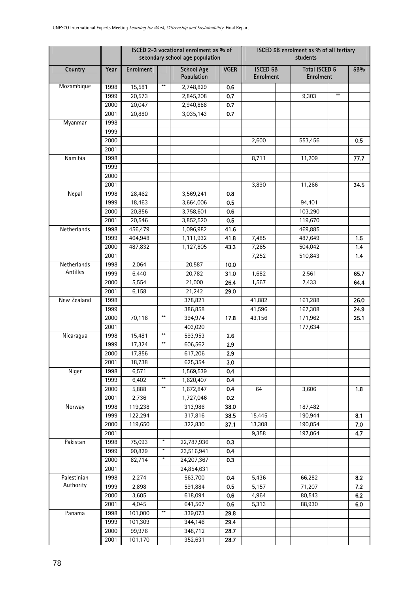|                          |              |                  |                        | ISCED 2-3 vocational enrolment as % of<br>secondary school age population |             | ISCED 5B enrolment as % of all tertiary<br>students |                                          |            |  |  |
|--------------------------|--------------|------------------|------------------------|---------------------------------------------------------------------------|-------------|-----------------------------------------------------|------------------------------------------|------------|--|--|
| Country                  | Year         | <b>Enrolment</b> |                        | <b>School Age</b><br>Population                                           | <b>VGER</b> | <b>ISCED 5B</b><br><b>Enrolment</b>                 | <b>Total ISCED 5</b><br><b>Enrolment</b> | 5B%        |  |  |
| Mozambique               | 1998         | 15,581           | $**$                   | 2,748,829                                                                 | 0.6         |                                                     |                                          |            |  |  |
|                          | 1999         | 20,573           |                        | 2,845,208                                                                 | 0.7         |                                                     | $**$<br>9,303                            |            |  |  |
|                          | 2000         | 20,047           |                        | 2,940,888                                                                 | 0.7         |                                                     |                                          |            |  |  |
|                          | 2001         | 20,880           |                        | 3,035,143                                                                 | 0.7         |                                                     |                                          |            |  |  |
| Myanmar                  | 1998         |                  |                        |                                                                           |             |                                                     |                                          |            |  |  |
|                          | 1999         |                  |                        |                                                                           |             |                                                     |                                          |            |  |  |
|                          | 2000         |                  |                        |                                                                           |             | 2,600                                               | 553,456                                  | 0.5        |  |  |
|                          | 2001         |                  |                        |                                                                           |             |                                                     |                                          |            |  |  |
| Namibia                  | 1998         |                  |                        |                                                                           |             | 8,711                                               | 11,209                                   | 77.7       |  |  |
|                          | 1999         |                  |                        |                                                                           |             |                                                     |                                          |            |  |  |
|                          | 2000         |                  |                        |                                                                           |             |                                                     |                                          |            |  |  |
|                          | 2001         |                  |                        |                                                                           |             | 3,890                                               | 11,266                                   | 34.5       |  |  |
| Nepal                    | 1998         | 28,462           |                        | 3,569,241                                                                 | 0.8         |                                                     |                                          |            |  |  |
|                          | 1999         | 18,463           |                        | 3,664,006                                                                 | 0.5         |                                                     | 94,401                                   |            |  |  |
|                          | 2000         | 20,856           |                        | 3,758,601                                                                 | 0.6         |                                                     | 103,290                                  |            |  |  |
|                          | 2001         | 20,546           |                        | 3,852,520                                                                 | 0.5         |                                                     | 119,670                                  |            |  |  |
| Netherlands              | 1998         | 456,479          |                        | 1,096,982                                                                 | 41.6        |                                                     | 469,885                                  |            |  |  |
|                          | 1999         | 464,948          |                        | 1,111,932                                                                 | 41.8        | 7,485                                               | 487,649                                  | 1.5        |  |  |
|                          | 2000<br>2001 | 487,832          |                        | 1,127,805                                                                 | 43.3        | 7,265                                               | 504,042<br>510,843                       | 1.4<br>1.4 |  |  |
| Netherlands              | 1998         | 2,064            |                        | 20,587                                                                    | 10.0        | 7,252                                               |                                          |            |  |  |
| Antilles                 | 1999         | 6,440            |                        | 20,782                                                                    | 31.0        | 1,682                                               | 2,561                                    | 65.7       |  |  |
|                          | 2000         | 5,554            |                        | 21,000                                                                    | 26.4        | 1,567                                               | 2,433                                    | 64.4       |  |  |
|                          | 2001         | 6,158            |                        | 21,242                                                                    | 29.0        |                                                     |                                          |            |  |  |
| New Zealand              | 1998         |                  |                        | 378,821                                                                   |             | 41,882                                              | 161,288                                  | 26.0       |  |  |
|                          | 1999         |                  |                        | 386,858                                                                   |             | 41,596                                              | 167,308                                  | 24.9       |  |  |
|                          | 2000         | 70,116           | $***$                  | 394,974                                                                   | 17.8        | 43,156                                              | 171,962                                  | 25.1       |  |  |
|                          | 2001         |                  |                        | 403,020                                                                   |             |                                                     | 177,634                                  |            |  |  |
| Nicaragua                | 1998         | 15,481           | $\ddot{*}$             | 593,953                                                                   | 2.6         |                                                     |                                          |            |  |  |
|                          | 1999         | 17,324           | $**$                   | 606,562                                                                   | 2.9         |                                                     |                                          |            |  |  |
|                          | 2000         | 17,856           |                        | 617,206                                                                   | 2.9         |                                                     |                                          |            |  |  |
|                          | 2001         | 18,738           |                        | 625,354                                                                   | 3.0         |                                                     |                                          |            |  |  |
| Niger                    | 1998         | 6,571            |                        | 1,569,539                                                                 | 0.4         |                                                     |                                          |            |  |  |
|                          | 1999         | 6,402            | $**$                   | 1,620,407                                                                 | 0.4         |                                                     |                                          |            |  |  |
|                          | 2000         | 5,888            | $\pmb{\ast}\pmb{\ast}$ | 1,672,847                                                                 | 0.4         | 64                                                  | 3,606                                    | 1.8        |  |  |
|                          | 2001         | 2,736            |                        | 1,727,046                                                                 | 0.2         |                                                     |                                          |            |  |  |
| Norway                   | 1998         | 119,238          |                        | 313,986                                                                   | 38.0        |                                                     | 187,482                                  |            |  |  |
|                          | 1999         | 122,294          |                        | 317,816                                                                   | 38.5        | 15,445                                              | 190,944                                  | 8.1        |  |  |
|                          | 2000         | 119,650          |                        | 322,830                                                                   | 37.1        | 13,308                                              | 190,054                                  | 7.0        |  |  |
|                          | 2001         |                  |                        |                                                                           |             | 9,358                                               | 197,064                                  | 4.7        |  |  |
| Pakistan                 | 1998         | 75,093           | $\boldsymbol{\ast}$    | 22,787,936                                                                | 0.3         |                                                     |                                          |            |  |  |
|                          | 1999         | 90,829           | $\ast$                 | 23,516,941                                                                | 0.4         |                                                     |                                          |            |  |  |
|                          | 2000         | 82,714           | $\ast$                 | 24,207,367                                                                | 0.3         |                                                     |                                          |            |  |  |
|                          | 2001         |                  |                        | 24,854,631                                                                |             |                                                     |                                          |            |  |  |
| Palestinian<br>Authority | 1998         | 2,274            |                        | 563,700                                                                   | 0.4         | 5,436                                               | 66,282                                   | 8.2        |  |  |
|                          | 1999         | 2,898            |                        | 591,884                                                                   | 0.5         | 5,157                                               | 71,207                                   | 7.2        |  |  |
|                          | 2000         | 3,605<br>4,045   |                        | 618,094                                                                   | 0.6         | 4,964                                               | 80,543                                   | 6.2        |  |  |
| Panama                   | 2001<br>1998 | 101,000          | $**$                   | 641,567<br>339,073                                                        | 0.6<br>29.8 | 5,313                                               | 88,930                                   | 6.0        |  |  |
|                          | 1999         | 101,309          |                        | 344,146                                                                   | 29.4        |                                                     |                                          |            |  |  |
|                          | 2000         | 99,976           |                        | 348,712                                                                   | 28.7        |                                                     |                                          |            |  |  |
|                          | 2001         | 101,170          |                        | 352,631                                                                   | 28.7        |                                                     |                                          |            |  |  |
|                          |              |                  |                        |                                                                           |             |                                                     |                                          |            |  |  |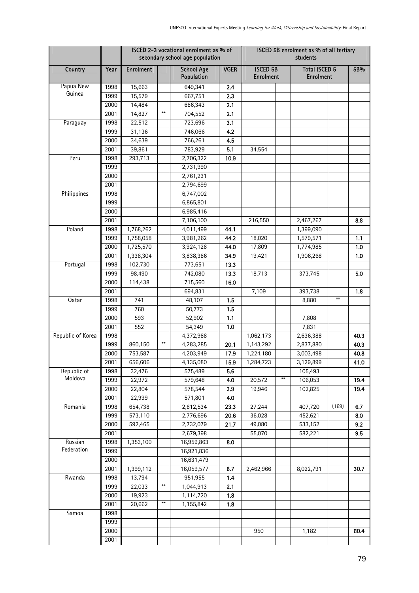|                   |              |                   |                        | ISCED 2-3 vocational enrolment as % of<br>secondary school age population |              | ISCED 5B enrolment as % of all tertiary<br>students |      |                                          |       |      |  |
|-------------------|--------------|-------------------|------------------------|---------------------------------------------------------------------------|--------------|-----------------------------------------------------|------|------------------------------------------|-------|------|--|
| Country           | Year         | <b>Enrolment</b>  |                        | <b>School Age</b><br>Population                                           | <b>VGER</b>  | <b>ISCED 5B</b><br><b>Enrolment</b>                 |      | <b>Total ISCED 5</b><br><b>Enrolment</b> |       | 5B%  |  |
| Papua New         | 1998         | 15,663            |                        | 649,341                                                                   | 2.4          |                                                     |      |                                          |       |      |  |
| Guinea            | 1999         | 15,579            |                        | 667,751                                                                   | 2.3          |                                                     |      |                                          |       |      |  |
|                   | 2000         | 14,484            |                        | 686,343                                                                   | 2.1          |                                                     |      |                                          |       |      |  |
|                   | 2001         | 14,827            | $\pmb{\ast}\pmb{\ast}$ | 704,552                                                                   | 2.1          |                                                     |      |                                          |       |      |  |
| Paraguay          | 1998         | 22,512            |                        | 723,696                                                                   | 3.1          |                                                     |      |                                          |       |      |  |
|                   | 1999         | 31,136            |                        | 746,066                                                                   | 4.2          |                                                     |      |                                          |       |      |  |
|                   | 2000         | 34,639            |                        | 766,261                                                                   | 4.5          |                                                     |      |                                          |       |      |  |
|                   | 2001         | 39,861            |                        | 783,929                                                                   | 5.1          | 34,554                                              |      |                                          |       |      |  |
| Peru              | 1998         | 293,713           |                        | 2,706,322                                                                 | 10.9         |                                                     |      |                                          |       |      |  |
|                   | 1999         |                   |                        | 2,731,990                                                                 |              |                                                     |      |                                          |       |      |  |
|                   | 2000         |                   |                        | 2,761,231                                                                 |              |                                                     |      |                                          |       |      |  |
|                   | 2001         |                   |                        | 2,794,699                                                                 |              |                                                     |      |                                          |       |      |  |
| Philippines       | 1998         |                   |                        | 6,747,002                                                                 |              |                                                     |      |                                          |       |      |  |
|                   | 1999         |                   |                        | 6,865,801                                                                 |              |                                                     |      |                                          |       |      |  |
|                   | 2000         |                   |                        | 6,985,416                                                                 |              |                                                     |      |                                          |       |      |  |
|                   | 2001         |                   |                        | 7,106,100                                                                 |              | 216,550                                             |      | 2,467,267                                |       | 8.8  |  |
| Poland            | 1998         | 1,768,262         |                        | 4,011,499                                                                 | 44.1         |                                                     |      | 1,399,090                                |       |      |  |
|                   | 1999         | 1,758,058         |                        | 3,981,262                                                                 | 44.2         | 18,020                                              |      | 1,579,571                                |       | 1.1  |  |
|                   | 2000         | 1,725,570         |                        | 3,924,128                                                                 | 44.0         | 17,809                                              |      | 1,774,985                                |       | 1.0  |  |
|                   | 2001         | 1,338,304         |                        | 3,838,386                                                                 | 34.9         | 19,421                                              |      | 1,906,268                                |       | 1.0  |  |
| Portugal          | 1998         | 102,730           |                        | 773,651                                                                   | 13.3         |                                                     |      |                                          |       |      |  |
|                   | 1999         | 98,490<br>114,438 |                        | 742,080<br>715,560                                                        | 13.3<br>16.0 | 18,713                                              |      | 373,745                                  |       | 5.0  |  |
|                   | 2000<br>2001 |                   |                        | 694,831                                                                   |              | 7,109                                               |      | 393,738                                  |       | 1.8  |  |
| Qatar             | 1998         | 741               |                        | 48,107                                                                    | 1.5          |                                                     |      | 8,880                                    | **    |      |  |
|                   | 1999         | 760               |                        | 50,773                                                                    | 1.5          |                                                     |      |                                          |       |      |  |
|                   | 2000         | 593               |                        | 52,902                                                                    | 1.1          |                                                     |      | 7,808                                    |       |      |  |
|                   | 2001         | 552               |                        | 54,349                                                                    | 1.0          |                                                     |      | 7,831                                    |       |      |  |
| Republic of Korea | 1998         |                   |                        | 4,372,988                                                                 |              | 1,062,173                                           |      | 2,636,388                                |       | 40.3 |  |
|                   | 1999         | 860,150           | $***$                  | 4,283,285                                                                 | 20.1         | 1,143,292                                           |      | 2,837,880                                |       | 40.3 |  |
|                   | 2000         | 753,587           |                        | 4,203,949                                                                 | 17.9         | 1,224,180                                           |      | 3,003,498                                |       | 40.8 |  |
|                   | 2001         | 656,606           |                        | 4,135,080                                                                 | 15.9         | 1,284,723                                           |      | 3,129,899                                |       | 41.0 |  |
| Republic of       | 1998         | 32,476            |                        | 575,489                                                                   | 5.6          |                                                     |      | 105,493                                  |       |      |  |
| Moldova           | 1999         | 22,972            |                        | 579,648                                                                   | 4.0          | 20,572                                              | $**$ | 106,053                                  |       | 19.4 |  |
|                   | 2000         | 22,804            |                        | 578,544                                                                   | 3.9          | 19,946                                              |      | 102,825                                  |       | 19.4 |  |
|                   | 2001         | 22,999            |                        | 571,801                                                                   | 4.0          |                                                     |      |                                          |       |      |  |
| Romania           | 1998         | 654,738           |                        | 2,812,534                                                                 | 23.3         | 27,244                                              |      | 407,720                                  | (169) | 6.7  |  |
|                   | 1999         | 573,110           |                        | 2,776,696                                                                 | 20.6         | 36,028                                              |      | 452,621                                  |       | 8.0  |  |
|                   | 2000         | 592,465           |                        | 2,732,079                                                                 | 21.7         | 49,080                                              |      | 533,152                                  |       | 9.2  |  |
|                   | 2001         |                   |                        | 2,679,398                                                                 |              | 55,070                                              |      | 582,221                                  |       | 9.5  |  |
| Russian           | 1998         | 1,353,100         |                        | 16,959,863                                                                | 8.0          |                                                     |      |                                          |       |      |  |
| Federation        | 1999         |                   |                        | 16,921,836                                                                |              |                                                     |      |                                          |       |      |  |
|                   | 2000         |                   |                        | 16,631,479                                                                |              |                                                     |      |                                          |       |      |  |
|                   | 2001         | 1,399,112         |                        | 16,059,577                                                                | 8.7          | 2,462,966                                           |      | 8,022,791                                |       | 30.7 |  |
| Rwanda            | 1998         | 13,794            |                        | 951,955                                                                   | 1.4          |                                                     |      |                                          |       |      |  |
|                   | 1999         | 22,033            | $\ast\ast$             | 1,044,913                                                                 | 2.1          |                                                     |      |                                          |       |      |  |
|                   | 2000         | 19,923            | $\pmb{\ast}\pmb{\ast}$ | 1,114,720                                                                 | 1.8          |                                                     |      |                                          |       |      |  |
|                   | 2001         | 20,662            |                        | 1,155,842                                                                 | 1.8          |                                                     |      |                                          |       |      |  |
| Samoa             | 1998         |                   |                        |                                                                           |              |                                                     |      |                                          |       |      |  |
|                   | 1999         |                   |                        |                                                                           |              |                                                     |      |                                          |       |      |  |
|                   | 2000<br>2001 |                   |                        |                                                                           |              | 950                                                 |      | 1,182                                    |       | 80.4 |  |
|                   |              |                   |                        |                                                                           |              |                                                     |      |                                          |       |      |  |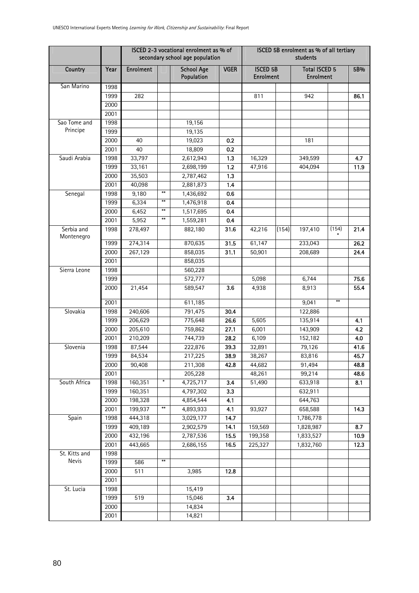|                          |              |                  |                        | ISCED 2-3 vocational enrolment as % of<br>secondary school age population |             | ISCED 5B enrolment as % of all tertiary<br>students |       |                                          |       |      |  |  |
|--------------------------|--------------|------------------|------------------------|---------------------------------------------------------------------------|-------------|-----------------------------------------------------|-------|------------------------------------------|-------|------|--|--|
| Country                  | Year         | <b>Enrolment</b> |                        | <b>School Age</b><br>Population                                           | <b>VGER</b> | <b>ISCED 5B</b><br><b>Enrolment</b>                 |       | <b>Total ISCED 5</b><br><b>Enrolment</b> |       | 5B%  |  |  |
| San Marino               | 1998         |                  |                        |                                                                           |             |                                                     |       |                                          |       |      |  |  |
|                          | 1999         | 282              |                        |                                                                           |             | 811                                                 |       | 942                                      |       | 86.1 |  |  |
|                          | 2000         |                  |                        |                                                                           |             |                                                     |       |                                          |       |      |  |  |
|                          | 2001         |                  |                        |                                                                           |             |                                                     |       |                                          |       |      |  |  |
| Sao Tome and             | 1998         |                  |                        | 19,156                                                                    |             |                                                     |       |                                          |       |      |  |  |
| Principe                 | 1999         |                  |                        | 19,135                                                                    |             |                                                     |       |                                          |       |      |  |  |
|                          | 2000         | 40               |                        | 19,023                                                                    | 0.2         |                                                     |       | 181                                      |       |      |  |  |
|                          | 2001         | 40               |                        | 18,809                                                                    | 0.2         |                                                     |       |                                          |       |      |  |  |
| Saudi Arabia             | 1998         | 33,797           |                        | 2,612,943                                                                 | 1.3         | 16,329                                              |       | 349,599                                  |       | 4.7  |  |  |
|                          | 1999         | 33,161           |                        | 2,698,199                                                                 | 1.2         | 47,916                                              |       | 404,094                                  |       | 11.9 |  |  |
|                          | 2000         | 35,503           |                        | 2,787,462                                                                 | 1.3         |                                                     |       |                                          |       |      |  |  |
|                          | 2001         | 40,098           |                        | 2,881,873                                                                 | 1.4         |                                                     |       |                                          |       |      |  |  |
| Senegal                  | 1998         | 9,180            | $\pmb{\ast}\pmb{\ast}$ | 1,436,692                                                                 | 0.6         |                                                     |       |                                          |       |      |  |  |
|                          | 1999         | 6,334            | $**$<br>$***$          | 1,476,918                                                                 | 0.4         |                                                     |       |                                          |       |      |  |  |
|                          | 2000         | 6,452            | $**$                   | 1,517,695                                                                 | 0.4         |                                                     |       |                                          |       |      |  |  |
|                          | 2001         | 5,952            |                        | 1,559,281                                                                 | 0.4         |                                                     |       |                                          |       |      |  |  |
| Serbia and<br>Montenegro | 1998         | 278,497          |                        | 882,180                                                                   | 31.6        | 42,216                                              | (154) | 197,410                                  | (154) | 21.4 |  |  |
|                          | 1999         | 274,314          |                        | 870,635                                                                   | 31.5        | 61,147                                              |       | 233,043                                  |       | 26.2 |  |  |
|                          | 2000         | 267,129          |                        | 858,035                                                                   | 31.1        | 50,901                                              |       | 208,689                                  |       | 24.4 |  |  |
|                          | 2001         |                  |                        | 858,035                                                                   |             |                                                     |       |                                          |       |      |  |  |
| Sierra Leone             | 1998         |                  |                        | 560,228                                                                   |             |                                                     |       |                                          |       |      |  |  |
|                          | 1999         |                  |                        | 572,777                                                                   |             | 5,098                                               |       | 6,744                                    |       | 75.6 |  |  |
|                          | 2000         | 21,454           |                        | 589,547                                                                   | 3.6         | 4,938                                               |       | 8,913                                    |       | 55.4 |  |  |
|                          | 2001         |                  |                        | 611,185                                                                   |             |                                                     |       | 9,041                                    | $**$  |      |  |  |
| Slovakia                 | 1998         | 240,606          |                        | 791,475                                                                   | 30.4        |                                                     |       | 122,886                                  |       |      |  |  |
|                          | 1999         | 206,629          |                        | 775,648                                                                   | 26.6        | 5,605                                               |       | 135,914                                  |       | 4.1  |  |  |
|                          | 2000         | 205,610          |                        | 759,862                                                                   | 27.1        | 6,001                                               |       | 143,909                                  |       | 4.2  |  |  |
|                          | 2001         | 210,209          |                        | 744,739                                                                   | 28.2        | 6,109                                               |       | 152,182                                  |       | 4.0  |  |  |
| Slovenia                 | 1998         | 87,544           |                        | 222,876                                                                   | 39.3        | 32,891                                              |       | 79,126                                   |       | 41.6 |  |  |
|                          | 1999         | 84,534           |                        | 217,225                                                                   | 38.9        | 38,267                                              |       | 83,816                                   |       | 45.7 |  |  |
|                          | 2000         | 90,408           |                        | 211,308                                                                   | 42.8        | 44,682                                              |       | 91,494                                   |       | 48.8 |  |  |
|                          | 2001         |                  |                        | 205,228                                                                   |             | 48,261                                              |       | 99,214                                   |       | 48.6 |  |  |
| South Africa             | 1998         | 160,351          | $\boldsymbol{\ast}$    | 4,725,717                                                                 | 3.4         | 51,490                                              |       | 633,918                                  |       | 8.1  |  |  |
|                          | 1999         | 160,351          |                        | 4,797,302                                                                 | 3.3         |                                                     |       | 632,911                                  |       |      |  |  |
|                          | 2000         | 198,328          |                        | 4,854,544                                                                 | 4.1         |                                                     |       | 644,763                                  |       |      |  |  |
|                          | 2001         | 199,937          | $***$                  | 4,893,933                                                                 | 4.1         | 93,927                                              |       | 658,588                                  |       | 14.3 |  |  |
| Spain                    | 1998         | 444,318          |                        | 3,029,177                                                                 | 14.7        |                                                     |       | 1,786,778                                |       |      |  |  |
|                          | 1999         | 409,189          |                        | 2,902,579                                                                 | 14.1        | 159,569                                             |       | 1,828,987                                |       | 8.7  |  |  |
|                          | 2000         | 432,196          |                        | 2,787,536                                                                 | 15.5        | 199,358                                             |       | 1,833,527                                |       | 10.9 |  |  |
|                          | 2001         | 443,665          |                        | 2,686,155                                                                 | 16.5        | 225,327                                             |       | 1,832,760                                |       | 12.3 |  |  |
| St. Kitts and<br>Nevis   | 1998         |                  | **                     |                                                                           |             |                                                     |       |                                          |       |      |  |  |
|                          | 1999         | 586              |                        |                                                                           |             |                                                     |       |                                          |       |      |  |  |
|                          | 2000<br>2001 | 511              |                        | 3,985                                                                     | 12.8        |                                                     |       |                                          |       |      |  |  |
| St. Lucia                | 1998         |                  |                        | 15,419                                                                    |             |                                                     |       |                                          |       |      |  |  |
|                          | 1999         | 519              |                        | 15,046                                                                    | 3.4         |                                                     |       |                                          |       |      |  |  |
|                          | 2000         |                  |                        | 14,834                                                                    |             |                                                     |       |                                          |       |      |  |  |
|                          | 2001         |                  |                        | 14,821                                                                    |             |                                                     |       |                                          |       |      |  |  |
|                          |              |                  |                        |                                                                           |             |                                                     |       |                                          |       |      |  |  |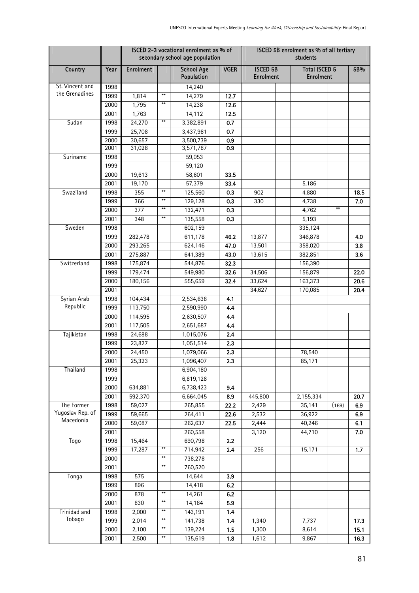|                               |              |                  |                        | ISCED 2-3 vocational enrolment as % of<br>secondary school age population |             | ISCED 5B enrolment as % of all tertiary<br>students |                                          |       |       |  |  |
|-------------------------------|--------------|------------------|------------------------|---------------------------------------------------------------------------|-------------|-----------------------------------------------------|------------------------------------------|-------|-------|--|--|
| Country                       | Year         | <b>Enrolment</b> |                        | <b>School Age</b><br>Population                                           | <b>VGER</b> | <b>ISCED 5B</b><br><b>Enrolment</b>                 | <b>Total ISCED 5</b><br><b>Enrolment</b> |       | 5B%   |  |  |
| St. Vincent and               | 1998         |                  |                        | 14,240                                                                    |             |                                                     |                                          |       |       |  |  |
| the Grenadines                | 1999         | 1,814            | $**$                   | 14,279                                                                    | 12.7        |                                                     |                                          |       |       |  |  |
|                               | 2000         | 1,795            | $***$                  | 14,238                                                                    | 12.6        |                                                     |                                          |       |       |  |  |
|                               | 2001         | 1,763            |                        | 14,112                                                                    | 12.5        |                                                     |                                          |       |       |  |  |
| Sudan                         | 1998         | 24,270           | $***$                  | 3,382,891                                                                 | 0.7         |                                                     |                                          |       |       |  |  |
|                               | 1999         | 25,708           |                        | 3,437,981                                                                 | 0.7         |                                                     |                                          |       |       |  |  |
|                               | 2000<br>2001 | 30,657<br>31,028 |                        | 3,500,739<br>3,571,787                                                    | 0.9<br>0.9  |                                                     |                                          |       |       |  |  |
| Suriname                      | 1998         |                  |                        | 59,053                                                                    |             |                                                     |                                          |       |       |  |  |
|                               | 1999         |                  |                        | 59,120                                                                    |             |                                                     |                                          |       |       |  |  |
|                               | 2000         | 19,613           |                        | 58,601                                                                    | 33.5        |                                                     |                                          |       |       |  |  |
|                               | 2001         | 19,170           |                        | 57,379                                                                    | 33.4        |                                                     | 5,186                                    |       |       |  |  |
| Swaziland                     | 1998         | 355              | $***$                  | 125,560                                                                   | 0.3         | 902                                                 | 4,880                                    |       | 18.5  |  |  |
|                               | 1999         | 366              | $***$                  | 129,128                                                                   | 0.3         | 330                                                 | 4,738                                    |       | 7.0   |  |  |
|                               | 2000         | 377              | $***$                  | 132,471                                                                   | 0.3         |                                                     | 4,762                                    | $**$  |       |  |  |
|                               | 2001         | 348              | $***$                  | 135,558                                                                   | 0.3         |                                                     | 5,193                                    |       |       |  |  |
| Sweden                        | 1998         |                  |                        | 602,159                                                                   |             |                                                     | 335,124                                  |       |       |  |  |
|                               | 1999         | 282,478          |                        | 611,178                                                                   | 46.2        | 13,877                                              | 346,878                                  |       | 4.0   |  |  |
|                               | 2000         | 293,265          |                        | 624,146                                                                   | 47.0        | 13,501                                              | 358,020                                  |       | 3.8   |  |  |
|                               | 2001         | 275,887          |                        | 641,389                                                                   | 43.0        | 13,615                                              | 382,851                                  |       | 3.6   |  |  |
| Switzerland                   | 1998         | 175,874          |                        | 544,876                                                                   | 32.3        |                                                     | 156,390                                  |       |       |  |  |
|                               | 1999         | 179,474          |                        | 549,980                                                                   | 32.6        | 34,506                                              | 156,879                                  |       | 22.0  |  |  |
|                               | 2000         | 180,156          |                        | 555,659                                                                   | 32.4        | 33,624                                              | 163,373                                  |       | 20.6  |  |  |
|                               | 2001         |                  |                        |                                                                           |             | 34,627                                              | 170,085                                  |       | 20.4  |  |  |
| Syrian Arab                   | 1998         | 104,434          |                        | 2,534,638                                                                 | 4.1         |                                                     |                                          |       |       |  |  |
| Republic                      | 1999         | 113,750          |                        | 2,590,990                                                                 | 4.4         |                                                     |                                          |       |       |  |  |
|                               | 2000         | 114,595          |                        | 2,630,507                                                                 | 4.4         |                                                     |                                          |       |       |  |  |
|                               | 2001         | 117,505          |                        | 2,651,687                                                                 | 4.4         |                                                     |                                          |       |       |  |  |
| Tajikistan                    | 1998         | 24,688           |                        | 1,015,076                                                                 | 2.4         |                                                     |                                          |       |       |  |  |
|                               | 1999         | 23,827           |                        | 1,051,514                                                                 | 2.3         |                                                     |                                          |       |       |  |  |
|                               | 2000         | 24,450           |                        | 1,079,066                                                                 | 2.3         |                                                     | 78,540                                   |       |       |  |  |
|                               | 2001         | 25,323           |                        | 1,096,407                                                                 | 2.3         |                                                     | 85,171                                   |       |       |  |  |
| Thailand                      | 1998         |                  |                        | 6,904,180                                                                 |             |                                                     |                                          |       |       |  |  |
|                               | 1999         |                  |                        | 6,819,128                                                                 |             |                                                     |                                          |       |       |  |  |
|                               | 2000         | 634,881          |                        | 6,738,423                                                                 | 9.4         |                                                     |                                          |       |       |  |  |
|                               | 2001         | 592,370          |                        | 6,664,045                                                                 | 8.9         | 445,800                                             | 2,155,334                                |       | 20.7  |  |  |
| The Former                    | 1998         | 59,027           |                        | 265,855                                                                   | 22.2        | 2,429                                               | 35,141                                   | (169) | 6.9   |  |  |
| Yugoslav Rep. of<br>Macedonia | 1999         | 59,665           |                        | 264,411                                                                   | 22.6        | 2,532                                               | 36,922                                   |       | 6.9   |  |  |
|                               | 2000         | 59,087           |                        | 262,637                                                                   | 22.5        | 2,444                                               | 40,246                                   |       | 6.1   |  |  |
|                               | 2001         |                  |                        | 260,558                                                                   |             | 3,120                                               | 44,710                                   |       | 7.0   |  |  |
| Togo                          | 1998         | 15,464           |                        | 690,798                                                                   | 2.2         |                                                     |                                          |       |       |  |  |
|                               | 1999         | 17,287           | $\pmb{\ast}\pmb{\ast}$ | 714,942                                                                   | 2.4         | 256                                                 | 15,171                                   |       | $1.7$ |  |  |
|                               | 2000         |                  | $***$                  | 738,278                                                                   |             |                                                     |                                          |       |       |  |  |
|                               | 2001         |                  | $***$                  | 760,520                                                                   |             |                                                     |                                          |       |       |  |  |
| Tonga                         | 1998         | 575              |                        | 14,644                                                                    | 3.9         |                                                     |                                          |       |       |  |  |
|                               | 1999         | 896              |                        | 14,418                                                                    | 6.2         |                                                     |                                          |       |       |  |  |
|                               | 2000         | 878              | $**$                   | 14,261                                                                    | 6.2         |                                                     |                                          |       |       |  |  |
|                               | 2001         | 830              | $***$                  | 14,184                                                                    | 5.9         |                                                     |                                          |       |       |  |  |
| Trinidad and                  | 1998         | 2,000            | $\ast\ast$             | 143,191                                                                   | 1.4         |                                                     |                                          |       |       |  |  |
| Tobago                        | 1999         | 2,014            | $***$                  | 141,738                                                                   | 1.4         | 1,340                                               | 7,737                                    |       | 17.3  |  |  |
|                               | 2000         | 2,100            | $**$                   | 139,224                                                                   | 1.5         | 1,300                                               | 8,614                                    |       | 15.1  |  |  |
|                               | 2001         | 2,500            | $\ddot{*}$             | 135,619                                                                   | 1.8         | 1,612                                               | 9,867                                    |       | 16.3  |  |  |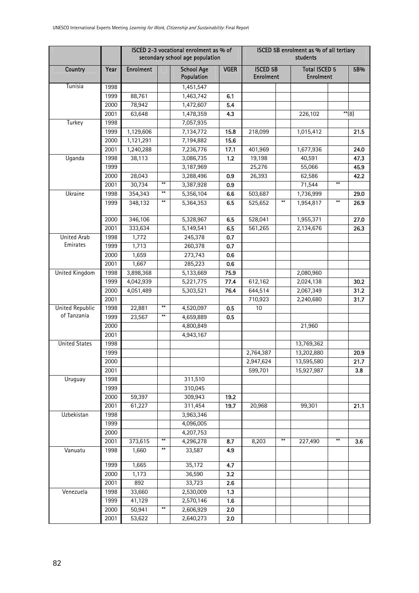|                        |      |                  |       | ISCED 2-3 vocational enrolment as % of<br>secondary school age population |             | ISCED 5B enrolment as % of all tertiary<br>students |      |                                          |            |                     |
|------------------------|------|------------------|-------|---------------------------------------------------------------------------|-------------|-----------------------------------------------------|------|------------------------------------------|------------|---------------------|
| Country                | Year | <b>Enrolment</b> |       | <b>School Age</b><br>Population                                           | <b>VGER</b> | <b>ISCED 5B</b><br><b>Enrolment</b>                 |      | <b>Total ISCED 5</b><br><b>Enrolment</b> |            | 5B%                 |
| Tunisia                | 1998 |                  |       | 1,451,547                                                                 |             |                                                     |      |                                          |            |                     |
|                        | 1999 | 88,761           |       | 1,463,742                                                                 | 6.1         |                                                     |      |                                          |            |                     |
|                        | 2000 | 78,942           |       | 1,472,607                                                                 | 5.4         |                                                     |      |                                          |            |                     |
|                        | 2001 | 63,648           |       | 1,478,359                                                                 | 4.3         |                                                     |      | 226,102                                  |            | $\overline{**}$ (8) |
| Turkey                 | 1998 |                  |       | 7,057,935                                                                 |             |                                                     |      |                                          |            |                     |
|                        | 1999 | 1,129,606        |       | 7,134,772                                                                 | 15.8        | 218,099                                             |      | 1,015,412                                |            | 21.5                |
|                        | 2000 | 1,121,291        |       | 7,194,882                                                                 | 15.6        |                                                     |      |                                          |            |                     |
|                        | 2001 | 1,240,288        |       | 7,236,776                                                                 | 17.1        | 401,969                                             |      | 1,677,936                                |            | 24.0                |
| Uganda                 | 1998 | 38,113           |       | 3,086,735                                                                 | $1.2$       | 19,198                                              |      | 40,591                                   |            | 47.3                |
|                        | 1999 |                  |       | 3,187,969                                                                 |             | 25,276                                              |      | 55,066                                   |            | 45.9                |
|                        | 2000 | 28,043           |       | 3,288,496                                                                 | 0.9         | 26,393                                              |      | 62,586                                   |            | 42.2                |
|                        | 2001 | 30,734           | $***$ | 3,387,928                                                                 | 0.9         |                                                     |      | 71,544                                   | $**$       |                     |
| Ukraine                | 1998 | 354,343          | $***$ | 5,356,104                                                                 | 6.6         | 503,687                                             |      | 1,736,999                                |            | 29.0                |
|                        | 1999 | 348,132          | $***$ | 5,364,353                                                                 | 6.5         | 525,652                                             | $**$ | 1,954,817                                | $\ddot{x}$ | 26.9                |
|                        | 2000 | 346,106          |       | 5,328,967                                                                 | 6.5         | 528,041                                             |      | 1,955,371                                |            | 27.0                |
|                        | 2001 | 333,634          |       | 5,149,541                                                                 | 6.5         | 561,265                                             |      | 2,134,676                                |            | 26.3                |
| <b>United Arab</b>     | 1998 | 1,772            |       | 245,378                                                                   | 0.7         |                                                     |      |                                          |            |                     |
| Emirates               | 1999 | 1,713            |       | 260,378                                                                   | 0.7         |                                                     |      |                                          |            |                     |
|                        | 2000 | 1,659            |       | 273,743                                                                   | 0.6         |                                                     |      |                                          |            |                     |
|                        | 2001 | 1,667            |       | 285,223                                                                   | 0.6         |                                                     |      |                                          |            |                     |
| United Kingdom         | 1998 | 3,898,368        |       | 5,133,669                                                                 | 75.9        |                                                     |      | 2,080,960                                |            |                     |
|                        | 1999 | 4,042,939        |       | 5,221,775                                                                 | 77.4        | 612,162                                             |      | 2,024,138                                |            | 30.2                |
|                        | 2000 | 4,051,489        |       | 5,303,521                                                                 | 76.4        | 644,514                                             |      | 2,067,349                                |            | 31.2                |
|                        | 2001 |                  |       |                                                                           |             | 710,923                                             |      | 2,240,680                                |            | 31.7                |
| <b>United Republic</b> | 1998 | 22,881           | $***$ | 4,520,097                                                                 | 0.5         | 10                                                  |      |                                          |            |                     |
| of Tanzania            | 1999 | 23,567           | $**$  | 4,659,889                                                                 | 0.5         |                                                     |      |                                          |            |                     |
|                        | 2000 |                  |       | 4,800,849                                                                 |             |                                                     |      | 21,960                                   |            |                     |
|                        | 2001 |                  |       | 4,943,167                                                                 |             |                                                     |      |                                          |            |                     |
| <b>United States</b>   | 1998 |                  |       |                                                                           |             |                                                     |      | 13,769,362                               |            |                     |
|                        | 1999 |                  |       |                                                                           |             | 2,764,387                                           |      | 13,202,880                               |            | 20.9                |
|                        | 2000 |                  |       |                                                                           |             | 2,947,624                                           |      | 13,595,580                               |            | $21.\overline{7}$   |
|                        | 2001 |                  |       |                                                                           |             | 599,701                                             |      | 15,927,987                               |            | 3.8                 |
| Uruguay                | 1998 |                  |       | 311,510                                                                   |             |                                                     |      |                                          |            |                     |
|                        | 1999 |                  |       | 310,045                                                                   |             |                                                     |      |                                          |            |                     |
|                        | 2000 | 59,397           |       | 309,943                                                                   | 19.2        |                                                     |      |                                          |            |                     |
|                        | 2001 | 61,227           |       | 311,454                                                                   | 19.7        | 20,968                                              |      | 99,301                                   |            | 21.1                |
| Uzbekistan             | 1998 |                  |       | 3,963,346                                                                 |             |                                                     |      |                                          |            |                     |
|                        | 1999 |                  |       | 4,096,005                                                                 |             |                                                     |      |                                          |            |                     |
|                        | 2000 |                  |       | 4,207,753                                                                 |             |                                                     |      |                                          |            |                     |
|                        | 2001 | 373,615          | $***$ | 4,296,278                                                                 | 8.7         | 8,203                                               | $**$ | 227,490                                  | $***$      | 3.6                 |
| Vanuatu                | 1998 | 1,660            | $**$  | 33,587                                                                    | 4.9         |                                                     |      |                                          |            |                     |
|                        | 1999 | 1,665            |       | 35,172                                                                    | 4.7         |                                                     |      |                                          |            |                     |
|                        | 2000 | 1,173            |       | 36,590                                                                    | 3.2         |                                                     |      |                                          |            |                     |
|                        | 2001 | 892              |       | 33,723                                                                    | 2.6         |                                                     |      |                                          |            |                     |
| Venezuela              | 1998 | 33,660           |       | 2,530,009                                                                 | 1.3         |                                                     |      |                                          |            |                     |
|                        | 1999 | 41,129           |       | 2,570,146                                                                 | 1.6         |                                                     |      |                                          |            |                     |
|                        | 2000 | 50,941           | $***$ | 2,606,929                                                                 | 2.0         |                                                     |      |                                          |            |                     |
|                        | 2001 | 53,622           |       | 2,640,273                                                                 | 2.0         |                                                     |      |                                          |            |                     |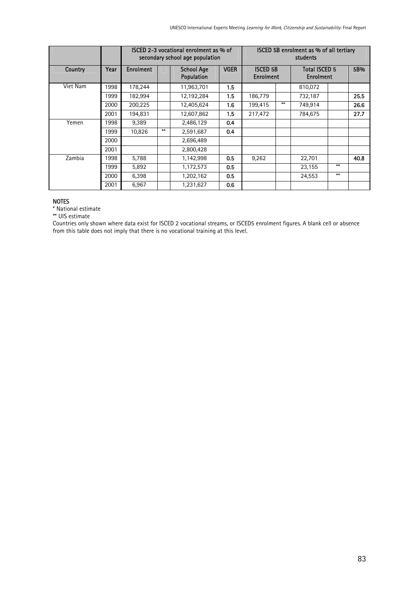|          |      |           |                                                                                       | ISCED 2-3 vocational enrolment as % of<br>secondary school age population |                                          | ISCED 5B enrolment as % of all tertiary<br>students |      |         |      |      |  |
|----------|------|-----------|---------------------------------------------------------------------------------------|---------------------------------------------------------------------------|------------------------------------------|-----------------------------------------------------|------|---------|------|------|--|
| Country  | Year | Enrolment | <b>ISCED 5B</b><br><b>VGER</b><br><b>School Age</b><br>Population<br><b>Enrolment</b> |                                                                           | <b>Total ISCED 5</b><br><b>Enrolment</b> |                                                     | 5B%  |         |      |      |  |
| Viet Nam | 1998 | 178,244   |                                                                                       | 11,963,701                                                                | 1.5                                      |                                                     |      | 810,072 |      |      |  |
|          | 1999 | 182,994   |                                                                                       | 12,192,284                                                                | 1.5                                      | 186,779                                             |      | 732,187 |      | 25.5 |  |
|          | 2000 | 200,225   |                                                                                       | 12,405,624                                                                | 1.6                                      | 199,415                                             | $**$ | 749.914 |      | 26.6 |  |
|          | 2001 | 194.831   |                                                                                       | 12,607,862                                                                | 1.5                                      | 217.472                                             |      | 784.675 |      | 27.7 |  |
| Yemen    | 1998 | 9,389     |                                                                                       | 2,486,129                                                                 | 0.4                                      |                                                     |      |         |      |      |  |
|          | 1999 | 10.826    | $**$                                                                                  | 2,591,687                                                                 | 0.4                                      |                                                     |      |         |      |      |  |
|          | 2000 |           |                                                                                       | 2,696,489                                                                 |                                          |                                                     |      |         |      |      |  |
|          | 2001 |           |                                                                                       | 2,800,428                                                                 |                                          |                                                     |      |         |      |      |  |
| Zambia   | 1998 | 5,788     |                                                                                       | 1,142,998                                                                 | 0.5                                      | 9,262                                               |      | 22,701  |      | 40.8 |  |
|          | 1999 | 5,892     |                                                                                       | 1,172,573                                                                 | 0.5                                      |                                                     |      | 23,155  | $**$ |      |  |
|          | 2000 | 6,398     |                                                                                       | 1,202,162                                                                 | 0.5                                      |                                                     |      | 24,553  | $**$ |      |  |
|          | 2001 | 6,967     |                                                                                       | 1,231,627                                                                 | 0.6                                      |                                                     |      |         |      |      |  |

#### NOTES

\* National estimate

\*\* UIS estimate

Countries only shown where data exist for ISCED 2 vocational streams, or ISCED5 enrolment figures. A blank cell or absence from this table does not imply that there is no vocational training at this level.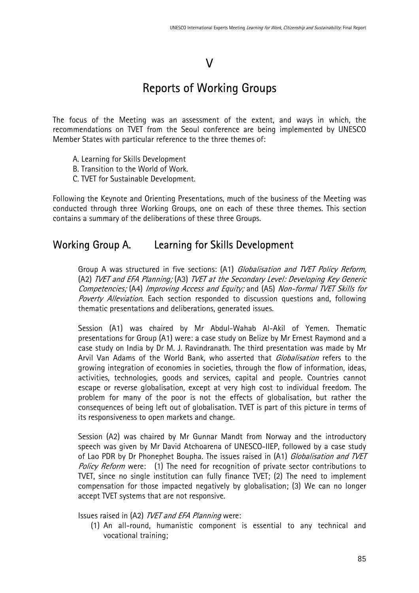### V

# Reports of Working Groups

The focus of the Meeting was an assessment of the extent, and ways in which, the recommendations on TVET from the Seoul conference are being implemented by UNESCO Member States with particular reference to the three themes of:

- A. Learning for Skills Development
- B. Transition to the World of Work.
- C. TVET for Sustainable Development.

Following the Keynote and Orienting Presentations, much of the business of the Meeting was conducted through three Working Groups, one on each of these three themes. This section contains a summary of the deliberations of these three Groups.

### Working Group A. Learning for Skills Development

Group A was structured in five sections: (A1) Globalisation and TVET Policy Reform, (A2) TVET and EFA Planning; (A3) TVET at the Secondary Level: Developing Key Generic Competencies; (A4) Improving Access and Equity; and (A5) Non-formal TVET Skills for Poverty Alleviation. Each section responded to discussion questions and, following thematic presentations and deliberations, generated issues.

Session (A1) was chaired by Mr Abdul-Wahab Al-Akil of Yemen. Thematic presentations for Group (A1) were: a case study on Belize by Mr Ernest Raymond and a case study on India by Dr M. J. Ravindranath. The third presentation was made by Mr Arvil Van Adams of the World Bank, who asserted that *Globalisation* refers to the growing integration of economies in societies, through the flow of information, ideas, activities, technologies, goods and services, capital and people. Countries cannot escape or reverse globalisation, except at very high cost to individual freedom. The problem for many of the poor is not the effects of globalisation, but rather the consequences of being left out of globalisation. TVET is part of this picture in terms of its responsiveness to open markets and change.

Session (A2) was chaired by Mr Gunnar Mandt from Norway and the introductory speech was given by Mr David Atchoarena of UNESCO-IIEP, followed by a case study of Lao PDR by Dr Phonephet Boupha. The issues raised in (A1) Globalisation and TVET Policy Reform were: (1) The need for recognition of private sector contributions to TVET, since no single institution can fully finance TVET; (2) The need to implement compensation for those impacted negatively by globalisation; (3) We can no longer accept TVET systems that are not responsive.

Issues raised in (A2) TVET and EFA Planning were:

(1) An all-round, humanistic component is essential to any technical and vocational training;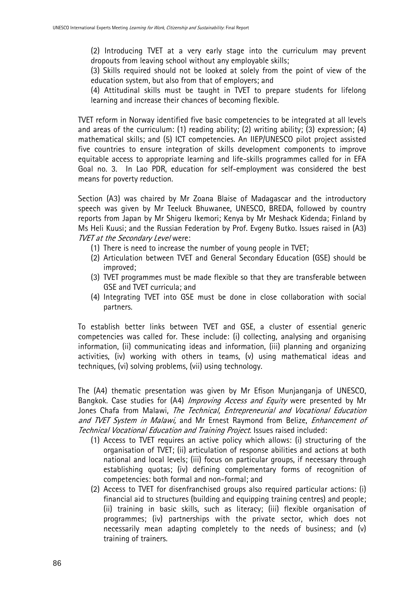(2) Introducing TVET at a very early stage into the curriculum may prevent dropouts from leaving school without any employable skills;

(3) Skills required should not be looked at solely from the point of view of the education system, but also from that of employers; and

(4) Attitudinal skills must be taught in TVET to prepare students for lifelong learning and increase their chances of becoming flexible.

TVET reform in Norway identified five basic competencies to be integrated at all levels and areas of the curriculum: (1) reading ability; (2) writing ability; (3) expression; (4) mathematical skills; and (5) ICT competencies. An IIEP/UNESCO pilot project assisted five countries to ensure integration of skills development components to improve equitable access to appropriate learning and life-skills programmes called for in EFA Goal no. 3. In Lao PDR, education for self-employment was considered the best means for poverty reduction.

Section (A3) was chaired by Mr Zoana Blaise of Madagascar and the introductory speech was given by Mr Teeluck Bhuwanee, UNESCO, BREDA, followed by country reports from Japan by Mr Shigeru Ikemori; Kenya by Mr Meshack Kidenda; Finland by Ms Heli Kuusi; and the Russian Federation by Prof. Evgeny Butko. Issues raised in (A3) **TVET at the Secondary Level were:** 

- (1) There is need to increase the number of young people in TVET;
- (2) Articulation between TVET and General Secondary Education (GSE) should be improved;
- (3) TVET programmes must be made flexible so that they are transferable between GSE and TVET curricula; and
- (4) Integrating TVET into GSE must be done in close collaboration with social partners.

To establish better links between TVET and GSE, a cluster of essential generic competencies was called for. These include: (i) collecting, analysing and organising information, (ii) communicating ideas and information, (iii) planning and organizing activities, (iv) working with others in teams, (v) using mathematical ideas and techniques, (vi) solving problems, (vii) using technology.

The (A4) thematic presentation was given by Mr Efison Munjanganja of UNESCO, Bangkok. Case studies for (A4) Improving Access and Equity were presented by Mr Jones Chafa from Malawi, The Technical, Entrepreneurial and Vocational Education and TVET System in Malawi, and Mr Ernest Raymond from Belize, Enhancement of Technical Vocational Education and Training Project. Issues raised included:

- (1) Access to TVET requires an active policy which allows: (i) structuring of the organisation of TVET; (ii) articulation of response abilities and actions at both national and local levels; (iii) focus on particular groups, if necessary through establishing quotas; (iv) defining complementary forms of recognition of competencies: both formal and non-formal; and
- (2) Access to TVET for disenfranchised groups also required particular actions: (i) financial aid to structures (building and equipping training centres) and people; (ii) training in basic skills, such as literacy; (iii) flexible organisation of programmes; (iv) partnerships with the private sector, which does not necessarily mean adapting completely to the needs of business; and (v) training of trainers.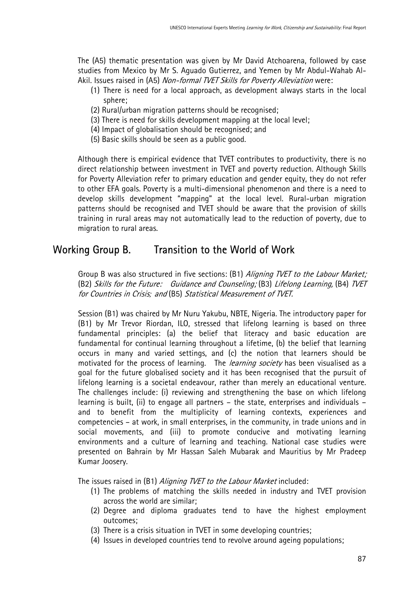The (A5) thematic presentation was given by Mr David Atchoarena, followed by case studies from Mexico by Mr S. Aguado Gutierrez, and Yemen by Mr Abdul-Wahab Al-Akil. Issues raised in (A5) Non-formal TVET Skills for Poverty Alleviation were:

- (1) There is need for a local approach, as development always starts in the local sphere;
- (2) Rural/urban migration patterns should be recognised;
- (3) There is need for skills development mapping at the local level;
- (4) Impact of globalisation should be recognised; and
- (5) Basic skills should be seen as a public good.

Although there is empirical evidence that TVET contributes to productivity, there is no direct relationship between investment in TVET and poverty reduction. Although Skills for Poverty Alleviation refer to primary education and gender equity, they do not refer to other EFA goals. Poverty is a multi-dimensional phenomenon and there is a need to develop skills development "mapping" at the local level. Rural-urban migration patterns should be recognised and TVET should be aware that the provision of skills training in rural areas may not automatically lead to the reduction of poverty, due to migration to rural areas.

### Working Group B. Transition to the World of Work

Group B was also structured in five sections: (B1) *Alianing TVET to the Labour Market:* (B2) Skills for the Future: Guidance and Counseling; (B3) Lifelong Learning, (B4) TVET for Countries in Crisis*;* and (B5) Statistical Measurement of TVET.

Session (B1) was chaired by Mr Nuru Yakubu, NBTE, Nigeria. The introductory paper for (B1) by Mr Trevor Riordan, ILO, stressed that lifelong learning is based on three fundamental principles: (a) the belief that literacy and basic education are fundamental for continual learning throughout a lifetime, (b) the belief that learning occurs in many and varied settings, and (c) the notion that learners should be motivated for the process of learning. The learning society has been visualised as a goal for the future globalised society and it has been recognised that the pursuit of lifelong learning is a societal endeavour, rather than merely an educational venture. The challenges include: (i) reviewing and strengthening the base on which lifelong learning is built, (ii) to engage all partners – the state, enterprises and individuals – and to benefit from the multiplicity of learning contexts, experiences and competencies – at work, in small enterprises, in the community, in trade unions and in social movements, and (iii) to promote conducive and motivating learning environments and a culture of learning and teaching. National case studies were presented on Bahrain by Mr Hassan Saleh Mubarak and Mauritius by Mr Pradeep Kumar Joosery.

The issues raised in (B1) Aligning TVET to the Labour Market included:

- (1) The problems of matching the skills needed in industry and TVET provision across the world are similar;
- (2) Degree and diploma graduates tend to have the highest employment outcomes;
- (3) There is a crisis situation in TVET in some developing countries;
- (4) Issues in developed countries tend to revolve around ageing populations;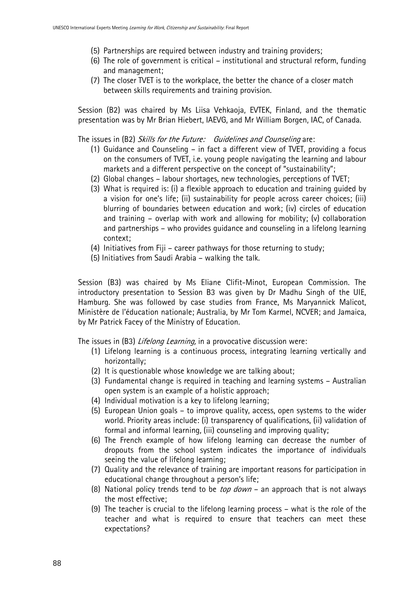- (5) Partnerships are required between industry and training providers;
- (6) The role of government is critical institutional and structural reform, funding and management;
- (7) The closer TVET is to the workplace, the better the chance of a closer match between skills requirements and training provision.

Session (B2) was chaired by Ms Liisa Vehkaoja, EVTEK, Finland, and the thematic presentation was by Mr Brian Hiebert, IAEVG, and Mr William Borgen, IAC, of Canada.

The issues in (B2) Skills for the Future: Guidelines and Counseling are:

- (1) Guidance and Counseling in fact a different view of TVET, providing a focus on the consumers of TVET, i.e. young people navigating the learning and labour markets and a different perspective on the concept of "sustainability";
- (2) Global changes labour shortages, new technologies, perceptions of TVET;
- (3) What is required is: (i) a flexible approach to education and training guided by a vision for one's life; (ii) sustainability for people across career choices; (iii) blurring of boundaries between education and work; (iv) circles of education and training – overlap with work and allowing for mobility; (v) collaboration and partnerships – who provides guidance and counseling in a lifelong learning context;
- (4) Initiatives from Fiji career pathways for those returning to study;
- (5) Initiatives from Saudi Arabia walking the talk.

Session (B3) was chaired by Ms Eliane Clifit-Minot, European Commission. The introductory presentation to Session B3 was given by Dr Madhu Singh of the UIE, Hamburg. She was followed by case studies from France, Ms Maryannick Malicot, Ministère de l'éducation nationale; Australia, by Mr Tom Karmel, NCVER; and Jamaica, by Mr Patrick Facey of the Ministry of Education.

The issues in (B3) *Lifelong Learning*, in a provocative discussion were:

- (1) Lifelong learning is a continuous process, integrating learning vertically and horizontally;
- (2) It is questionable whose knowledge we are talking about;
- (3) Fundamental change is required in teaching and learning systems Australian open system is an example of a holistic approach;
- (4) Individual motivation is a key to lifelong learning;
- (5) European Union goals to improve quality, access, open systems to the wider world. Priority areas include: (i) transparency of qualifications, (ii) validation of formal and informal learning, (iii) counseling and improving quality;
- (6) The French example of how lifelong learning can decrease the number of dropouts from the school system indicates the importance of individuals seeing the value of lifelong learning;
- (7) Quality and the relevance of training are important reasons for participation in educational change throughout a person's life;
- (8) National policy trends tend to be *top down* an approach that is not always the most effective;
- (9) The teacher is crucial to the lifelong learning process what is the role of the teacher and what is required to ensure that teachers can meet these expectations?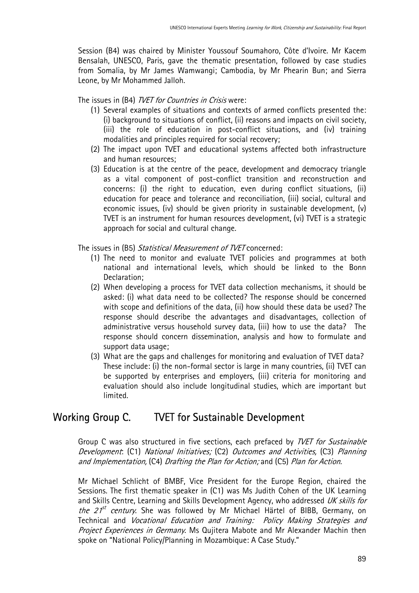Session (B4) was chaired by Minister Youssouf Soumahoro, Côte d'Ivoire. Mr Kacem Bensalah, UNESCO, Paris, gave the thematic presentation, followed by case studies from Somalia, by Mr James Wamwangi; Cambodia, by Mr Phearin Bun; and Sierra Leone, by Mr Mohammed Jalloh.

The issues in (B4) *TVET for Countries in Crisis* were:

- (1) Several examples of situations and contexts of armed conflicts presented the: (i) background to situations of conflict, (ii) reasons and impacts on civil society, (iii) the role of education in post-conflict situations, and (iv) training modalities and principles required for social recovery;
- (2) The impact upon TVET and educational systems affected both infrastructure and human resources;
- (3) Education is at the centre of the peace, development and democracy triangle as a vital component of post-conflict transition and reconstruction and concerns: (i) the right to education, even during conflict situations, (ii) education for peace and tolerance and reconciliation, (iii) social, cultural and economic issues, (iv) should be given priority in sustainable development, (v) TVET is an instrument for human resources development, (vi) TVET is a strategic approach for social and cultural change.

The issues in (B5) Statistical Measurement of TVET concerned:

- (1) The need to monitor and evaluate TVET policies and programmes at both national and international levels, which should be linked to the Bonn Declaration;
- (2) When developing a process for TVET data collection mechanisms, it should be asked: (i) what data need to be collected? The response should be concerned with scope and definitions of the data, (ii) how should these data be used? The response should describe the advantages and disadvantages, collection of administrative versus household survey data, (iii) how to use the data? The response should concern dissemination, analysis and how to formulate and support data usage;
- (3) What are the gaps and challenges for monitoring and evaluation of TVET data? These include: (i) the non-formal sector is large in many countries, (ii) TVET can be supported by enterprises and employers, (iii) criteria for monitoring and evaluation should also include longitudinal studies, which are important but limited.

## Working Group C. TVET for Sustainable Development

Group C was also structured in five sections, each prefaced by *TVET for Sustainable* Development: (C1) National Initiatives; (C2) Outcomes and Activities, (C3) Planning and Implementation, (C4) Drafting the Plan for Action; and (C5) Plan for Action.

Mr Michael Schlicht of BMBF, Vice President for the Europe Region, chaired the Sessions. The first thematic speaker in (C1) was Ms Judith Cohen of the UK Learning and Skills Centre, Learning and Skills Development Agency, who addressed UK skills for *the 21<sup>st</sup> century*. She was followed by Mr Michael Härtel of BIBB, Germany, on Technical and Vocational Education and Training: Policy Making Strategies and Project Experiences in Germany. Ms Qujitera Mabote and Mr Alexander Machin then spoke on "National Policy/Planning in Mozambique: A Case Study."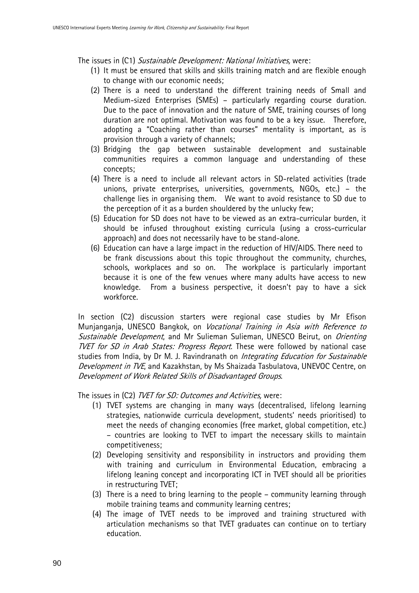The issues in (C1) Sustainable Development: National Initiatives, were:

- (1) It must be ensured that skills and skills training match and are flexible enough to change with our economic needs;
- (2) There is a need to understand the different training needs of Small and Medium-sized Enterprises (SMEs) – particularly regarding course duration. Due to the pace of innovation and the nature of SME, training courses of long duration are not optimal. Motivation was found to be a key issue. Therefore, adopting a "Coaching rather than courses" mentality is important, as is provision through a variety of channels;
- (3) Bridging the gap between sustainable development and sustainable communities requires a common language and understanding of these concepts;
- (4) There is a need to include all relevant actors in SD-related activities (trade unions, private enterprises, universities, governments, NGOs, etc.) – the challenge lies in organising them. We want to avoid resistance to SD due to the perception of it as a burden shouldered by the unlucky few;
- (5) Education for SD does not have to be viewed as an extra-curricular burden, it should be infused throughout existing curricula (using a cross-curricular approach) and does not necessarily have to be stand-alone.
- (6) Education can have a large impact in the reduction of HIV/AIDS. There need to be frank discussions about this topic throughout the community, churches, schools, workplaces and so on. The workplace is particularly important because it is one of the few venues where many adults have access to new knowledge. From a business perspective, it doesn't pay to have a sick workforce.

In section (C2) discussion starters were regional case studies by Mr Efison Munjanganja, UNESCO Bangkok, on Vocational Training in Asia with Reference to Sustainable Development, and Mr Sulieman Sulieman, UNESCO Beirut, on Orienting TVET for SD in Arab States: Progress Report. These were followed by national case studies from India, by Dr M. J. Ravindranath on Integrating Education for Sustainable Development in TVE, and Kazakhstan, by Ms Shaizada Tasbulatova, UNEVOC Centre, on Development of Work Related Skills of Disadvantaged Groups.

The issues in (C2) *TVET for SD: Outcomes and Activities*, were:

- (1) TVET systems are changing in many ways (decentralised, lifelong learning strategies, nationwide curricula development, students' needs prioritised) to meet the needs of changing economies (free market, global competition, etc.) – countries are looking to TVET to impart the necessary skills to maintain competitiveness;
- (2) Developing sensitivity and responsibility in instructors and providing them with training and curriculum in Environmental Education, embracing a lifelong leaning concept and incorporating ICT in TVET should all be priorities in restructuring TVET;
- (3) There is a need to bring learning to the people community learning through mobile training teams and community learning centres;
- (4) The image of TVET needs to be improved and training structured with articulation mechanisms so that TVET graduates can continue on to tertiary education.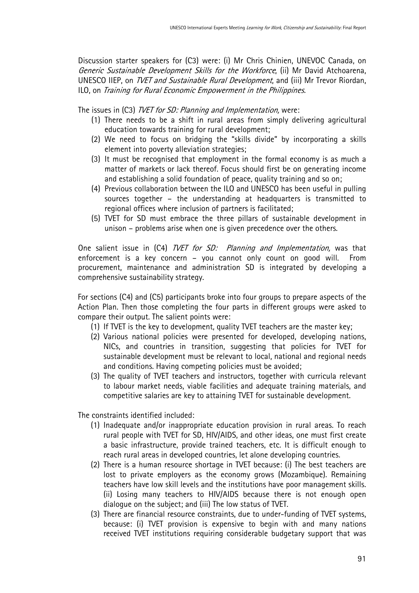Discussion starter speakers for (C3) were: (i) Mr Chris Chinien, UNEVOC Canada, on Generic Sustainable Development Skills for the Workforce, (ii) Mr David Atchoarena, UNESCO IIEP, on TVET and Sustainable Rural Development, and (iii) Mr Trevor Riordan, ILO, on Training for Rural Economic Empowerment in the Philippines.

The issues in (C3) *TVET for SD: Planning and Implementation*, were:

- (1) There needs to be a shift in rural areas from simply delivering agricultural education towards training for rural development;
- (2) We need to focus on bridging the "skills divide" by incorporating a skills element into poverty alleviation strategies;
- (3) It must be recognised that employment in the formal economy is as much a matter of markets or lack thereof. Focus should first be on generating income and establishing a solid foundation of peace, quality training and so on;
- (4) Previous collaboration between the ILO and UNESCO has been useful in pulling sources together – the understanding at headquarters is transmitted to regional offices where inclusion of partners is facilitated;
- (5) TVET for SD must embrace the three pillars of sustainable development in unison – problems arise when one is given precedence over the others.

One salient issue in (C4) *TVET for SD: Planning and Implementation*, was that enforcement is a key concern – you cannot only count on good will. From procurement, maintenance and administration SD is integrated by developing a comprehensive sustainability strategy.

For sections (C4) and (C5) participants broke into four groups to prepare aspects of the Action Plan. Then those completing the four parts in different groups were asked to compare their output. The salient points were:

- (1) If TVET is the key to development, quality TVET teachers are the master key;
- (2) Various national policies were presented for developed, developing nations, NICs, and countries in transition, suggesting that policies for TVET for sustainable development must be relevant to local, national and regional needs and conditions. Having competing policies must be avoided;
- (3) The quality of TVET teachers and instructors, together with curricula relevant to labour market needs, viable facilities and adequate training materials, and competitive salaries are key to attaining TVET for sustainable development.

The constraints identified included:

- (1) Inadequate and/or inappropriate education provision in rural areas. To reach rural people with TVET for SD, HIV/AIDS, and other ideas, one must first create a basic infrastructure, provide trained teachers, etc. It is difficult enough to reach rural areas in developed countries, let alone developing countries.
- (2) There is a human resource shortage in TVET because: (i) The best teachers are lost to private employers as the economy grows (Mozambique). Remaining teachers have low skill levels and the institutions have poor management skills. (ii) Losing many teachers to HIV/AIDS because there is not enough open dialogue on the subject; and (iii) The low status of TVET.
- (3) There are financial resource constraints, due to under-funding of TVET systems, because: (i) TVET provision is expensive to begin with and many nations received TVET institutions requiring considerable budgetary support that was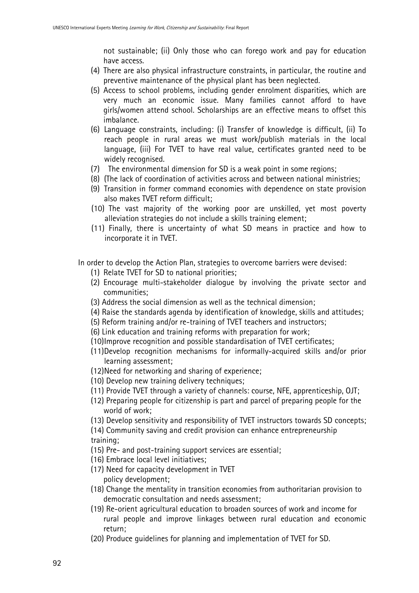not sustainable; (ii) Only those who can forego work and pay for education have access.

- (4) There are also physical infrastructure constraints, in particular, the routine and preventive maintenance of the physical plant has been neglected.
- (5) Access to school problems, including gender enrolment disparities, which are very much an economic issue. Many families cannot afford to have girls/women attend school. Scholarships are an effective means to offset this imbalance.
- (6) Language constraints, including: (i) Transfer of knowledge is difficult, (ii) To reach people in rural areas we must work/publish materials in the local language, (iii) For TVET to have real value, certificates granted need to be widely recognised.
- (7) The environmental dimension for SD is a weak point in some regions;
- (8) (The lack of coordination of activities across and between national ministries;
- (9) Transition in former command economies with dependence on state provision also makes TVET reform difficult;
- (10)The vast majority of the working poor are unskilled, yet most poverty alleviation strategies do not include a skills training element;
- (11)Finally, there is uncertainty of what SD means in practice and how to incorporate it in TVET.

In order to develop the Action Plan, strategies to overcome barriers were devised:

- (1) Relate TVET for SD to national priorities;
- (2) Encourage multi-stakeholder dialogue by involving the private sector and communities;
- (3) Address the social dimension as well as the technical dimension;
- (4) Raise the standards agenda by identification of knowledge, skills and attitudes;
- (5) Reform training and/or re-training of TVET teachers and instructors;
- (6) Link education and training reforms with preparation for work;
- (10) Improve recognition and possible standardisation of TVET certificates;
- (11) Develop recognition mechanisms for informally-acquired skills and/or prior learning assessment;
- (12) Need for networking and sharing of experience;
- (10) Develop new training delivery techniques;
- (11) Provide TVET through a variety of channels: course, NFE, apprenticeship, OJT;
- (12) Preparing people for citizenship is part and parcel of preparing people for the world of work;
- (13) Develop sensitivity and responsibility of TVET instructors towards SD concepts;
- (14) Community saving and credit provision can enhance entrepreneurship training;
- (15) Pre- and post-training support services are essential;
- (16) Embrace local level initiatives;
- (17) Need for capacity development in TVET policy development;
- (18) Change the mentality in transition economies from authoritarian provision to democratic consultation and needs assessment;
- (19) Re-orient agricultural education to broaden sources of work and income for rural people and improve linkages between rural education and economic return;
- (20) Produce guidelines for planning and implementation of TVET for SD.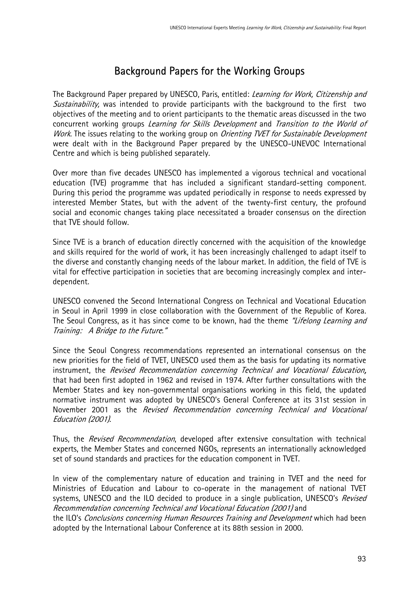## Background Papers for the Working Groups

The Background Paper prepared by UNESCO, Paris, entitled: *Learning for Work, Citizenship and* Sustainability, was intended to provide participants with the background to the first two objectives of the meeting and to orient participants to the thematic areas discussed in the two concurrent working groups Learning for Skills Development and Transition to the World of Work. The issues relating to the working group on Orienting TVET for Sustainable Development were dealt with in the Background Paper prepared by the UNESCO-UNEVOC International Centre and which is being published separately.

Over more than five decades UNESCO has implemented a vigorous technical and vocational education (TVE) programme that has included a significant standard-setting component. During this period the programme was updated periodically in response to needs expressed by interested Member States, but with the advent of the twenty-first century, the profound social and economic changes taking place necessitated a broader consensus on the direction that TVE should follow.

Since TVE is a branch of education directly concerned with the acquisition of the knowledge and skills required for the world of work, it has been increasingly challenged to adapt itself to the diverse and constantly changing needs of the labour market. In addition, the field of TVE is vital for effective participation in societies that are becoming increasingly complex and interdependent.

UNESCO convened the Second International Congress on Technical and Vocational Education in Seoul in April 1999 in close collaboration with the Government of the Republic of Korea. The Seoul Congress, as it has since come to be known, had the theme "Lifelong Learning and Training: A Bridge to the Future."

Since the Seoul Congress recommendations represented an international consensus on the new priorities for the field of TVET, UNESCO used them as the basis for updating its normative instrument, the Revised Recommendation concerning Technical and Vocational Education, that had been first adopted in 1962 and revised in 1974. After further consultations with the Member States and key non-governmental organisations working in this field, the updated normative instrument was adopted by UNESCO's General Conference at its 31st session in November 2001 as the Revised Recommendation concerning Technical and Vocational Education (2001).

Thus, the Revised Recommendation, developed after extensive consultation with technical experts, the Member States and concerned NGOs, represents an internationally acknowledged set of sound standards and practices for the education component in TVET.

In view of the complementary nature of education and training in TVET and the need for Ministries of Education and Labour to co-operate in the management of national TVET systems, UNESCO and the ILO decided to produce in a single publication, UNESCO's Revised Recommendation concerning Technical and Vocational Education (2001) and

the ILO's Conclusions concerning Human Resources Training and Development which had been adopted by the International Labour Conference at its 88th session in 2000.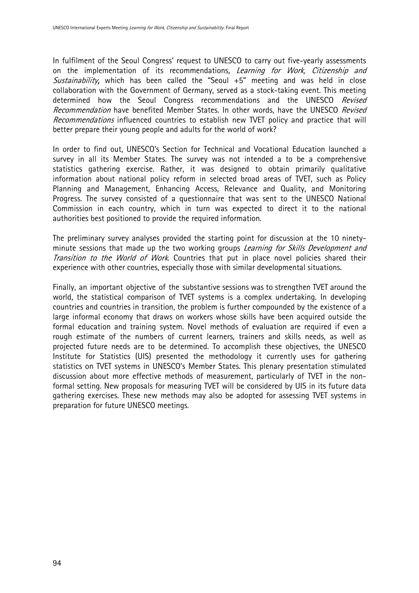In fulfilment of the Seoul Congress' request to UNESCO to carry out five-yearly assessments on the implementation of its recommendations, Learning for Work, Citizenship and Sustainability, which has been called the "Seoul  $+5$ " meeting and was held in close collaboration with the Government of Germany, served as a stock-taking event. This meeting determined how the Seoul Congress recommendations and the UNESCO Revised Recommendation have benefited Member States. In other words, have the UNESCO Revised Recommendations influenced countries to establish new TVET policy and practice that will better prepare their young people and adults for the world of work?

In order to find out, UNESCO's Section for Technical and Vocational Education launched a survey in all its Member States. The survey was not intended a to be a comprehensive statistics gathering exercise. Rather, it was designed to obtain primarily qualitative information about national policy reform in selected broad areas of TVET, such as Policy Planning and Management, Enhancing Access, Relevance and Quality, and Monitoring Progress. The survey consisted of a questionnaire that was sent to the UNESCO National Commission in each country, which in turn was expected to direct it to the national authorities best positioned to provide the required information.

The preliminary survey analyses provided the starting point for discussion at the 10 ninetyminute sessions that made up the two working groups Learning for Skills Development and Transition to the World of Work. Countries that put in place novel policies shared their experience with other countries, especially those with similar developmental situations.

Finally, an important objective of the substantive sessions was to strengthen TVET around the world, the statistical comparison of TVET systems is a complex undertaking. In developing countries and countries in transition, the problem is further compounded by the existence of a large informal economy that draws on workers whose skills have been acquired outside the formal education and training system. Novel methods of evaluation are required if even a rough estimate of the numbers of current learners, trainers and skills needs, as well as projected future needs are to be determined. To accomplish these objectives, the UNESCO Institute for Statistics (UIS) presented the methodology it currently uses for gathering statistics on TVET systems in UNESCO's Member States. This plenary presentation stimulated discussion about more effective methods of measurement, particularly of TVET in the nonformal setting. New proposals for measuring TVET will be considered by UIS in its future data gathering exercises. These new methods may also be adopted for assessing TVET systems in preparation for future UNESCO meetings.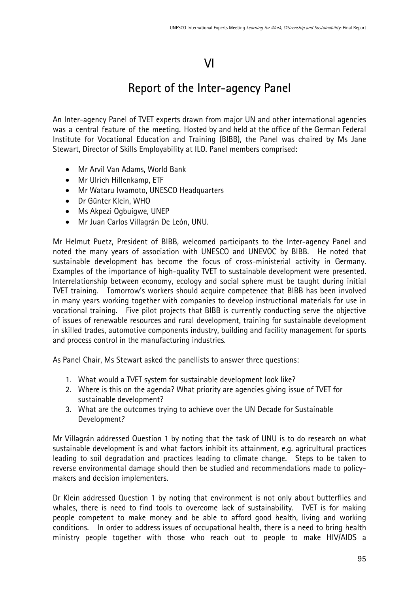# VI

# Report of the Inter-agency Panel

An Inter-agency Panel of TVET experts drawn from major UN and other international agencies was a central feature of the meeting. Hosted by and held at the office of the German Federal Institute for Vocational Education and Training (BIBB), the Panel was chaired by Ms Jane Stewart, Director of Skills Employability at ILO. Panel members comprised:

- Mr Arvil Van Adams, World Bank
- Mr Ulrich Hillenkamp, ETF
- Mr Wataru Iwamoto, UNESCO Headquarters
- Dr Günter Klein, WHO
- Ms Akpezi Ogbuigwe, UNEP
- Mr Juan Carlos Villagrán De León, UNU.

Mr Helmut Puetz, President of BIBB, welcomed participants to the Inter-agency Panel and noted the many years of association with UNESCO and UNEVOC by BIBB. He noted that sustainable development has become the focus of cross-ministerial activity in Germany. Examples of the importance of high-quality TVET to sustainable development were presented. Interrelationship between economy, ecology and social sphere must be taught during initial TVET training. Tomorrow's workers should acquire competence that BIBB has been involved in many years working together with companies to develop instructional materials for use in vocational training. Five pilot projects that BIBB is currently conducting serve the objective of issues of renewable resources and rural development, training for sustainable development in skilled trades, automotive components industry, building and facility management for sports and process control in the manufacturing industries.

As Panel Chair, Ms Stewart asked the panellists to answer three questions:

- 1. What would a TVET system for sustainable development look like?
- 2. Where is this on the agenda? What priority are agencies giving issue of TVET for sustainable development?
- 3. What are the outcomes trying to achieve over the UN Decade for Sustainable Development?

Mr Villagrán addressed Question 1 by noting that the task of UNU is to do research on what sustainable development is and what factors inhibit its attainment, e.g. agricultural practices leading to soil degradation and practices leading to climate change. Steps to be taken to reverse environmental damage should then be studied and recommendations made to policymakers and decision implementers.

Dr Klein addressed Question 1 by noting that environment is not only about butterflies and whales, there is need to find tools to overcome lack of sustainability. TVET is for making people competent to make money and be able to afford good health, living and working conditions. In order to address issues of occupational health, there is a need to bring health ministry people together with those who reach out to people to make HIV/AIDS a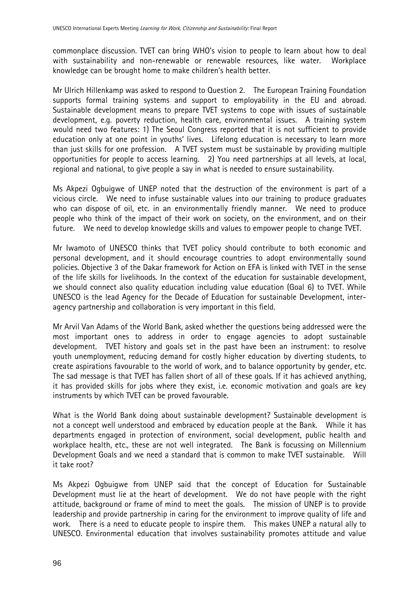commonplace discussion. TVET can bring WHO's vision to people to learn about how to deal with sustainability and non-renewable or renewable resources, like water. Workplace knowledge can be brought home to make children's health better.

Mr Ulrich Hillenkamp was asked to respond to Question 2. The European Training Foundation supports formal training systems and support to employability in the EU and abroad. Sustainable development means to prepare TVET systems to cope with issues of sustainable development, e.g. poverty reduction, health care, environmental issues. A training system would need two features: 1) The Seoul Congress reported that it is not sufficient to provide education only at one point in youths' lives. Lifelong education is necessary to learn more than just skills for one profession. A TVET system must be sustainable by providing multiple opportunities for people to access learning. 2) You need partnerships at all levels, at local, regional and national, to give people a say in what is needed to ensure sustainability.

Ms Akpezi Ogbuigwe of UNEP noted that the destruction of the environment is part of a vicious circle. We need to infuse sustainable values into our training to produce graduates who can dispose of oil, etc. in an environmentally friendly manner. We need to produce people who think of the impact of their work on society, on the environment, and on their future. We need to develop knowledge skills and values to empower people to change TVET.

Mr Iwamoto of UNESCO thinks that TVET policy should contribute to both economic and personal development, and it should encourage countries to adopt environmentally sound policies. Objective 3 of the Dakar framework for Action on EFA is linked with TVET in the sense of the life skills for livelihoods. In the context of the education for sustainable development, we should connect also quality education including value education (Goal 6) to TVET. While UNESCO is the lead Agency for the Decade of Education for sustainable Development, interagency partnership and collaboration is very important in this field.

Mr Arvil Van Adams of the World Bank, asked whether the questions being addressed were the most important ones to address in order to engage agencies to adopt sustainable development. TVET history and goals set in the past have been an instrument: to resolve youth unemployment, reducing demand for costly higher education by diverting students, to create aspirations favourable to the world of work, and to balance opportunity by gender, etc. The sad message is that TVET has fallen short of all of these goals. If it has achieved anything, it has provided skills for jobs where they exist, i.e. economic motivation and goals are key instruments by which TVET can be proved favourable.

What is the World Bank doing about sustainable development? Sustainable development is not a concept well understood and embraced by education people at the Bank. While it has departments engaged in protection of environment, social development, public health and workplace health, etc., these are not well integrated. The Bank is focussing on Millennium Development Goals and we need a standard that is common to make TVET sustainable. Will it take root?

Ms Akpezi Ogbuigwe from UNEP said that the concept of Education for Sustainable Development must lie at the heart of development. We do not have people with the right attitude, background or frame of mind to meet the goals. The mission of UNEP is to provide leadership and provide partnership in caring for the environment to improve quality of life and work. There is a need to educate people to inspire them. This makes UNEP a natural ally to UNESCO. Environmental education that involves sustainability promotes attitude and value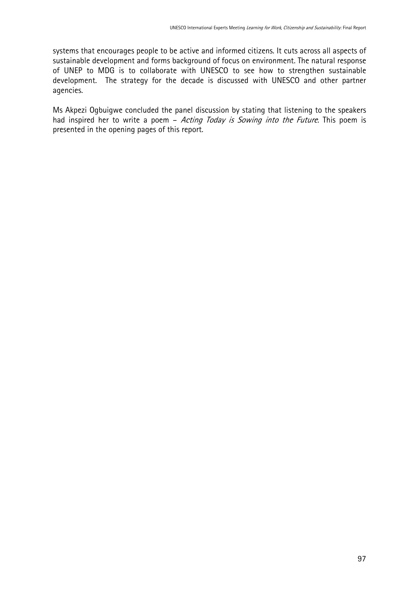systems that encourages people to be active and informed citizens. It cuts across all aspects of sustainable development and forms background of focus on environment. The natural response of UNEP to MDG is to collaborate with UNESCO to see how to strengthen sustainable development. The strategy for the decade is discussed with UNESCO and other partner agencies.

Ms Akpezi Ogbuigwe concluded the panel discussion by stating that listening to the speakers had inspired her to write a poem - Acting Today is Sowing into the Future. This poem is presented in the opening pages of this report.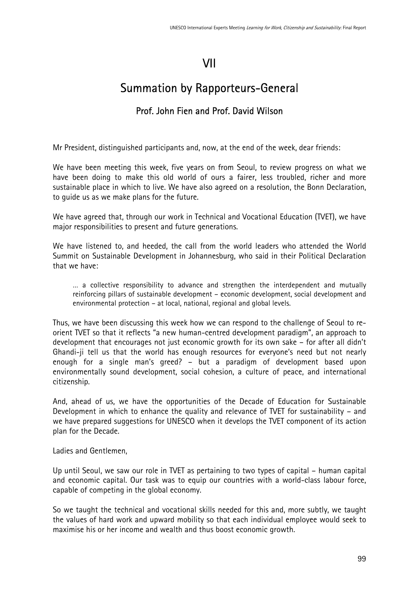# VII

# Summation by Rapporteurs-General

### Prof. John Fien and Prof. David Wilson

Mr President, distinguished participants and, now, at the end of the week, dear friends:

We have been meeting this week, five years on from Seoul, to review progress on what we have been doing to make this old world of ours a fairer, less troubled, richer and more sustainable place in which to live. We have also agreed on a resolution, the Bonn Declaration, to guide us as we make plans for the future.

We have agreed that, through our work in Technical and Vocational Education (TVET), we have major responsibilities to present and future generations.

We have listened to, and heeded, the call from the world leaders who attended the World Summit on Sustainable Development in Johannesburg, who said in their Political Declaration that we have:

… a collective responsibility to advance and strengthen the interdependent and mutually reinforcing pillars of sustainable development – economic development, social development and environmental protection – at local, national, regional and global levels.

Thus, we have been discussing this week how we can respond to the challenge of Seoul to reorient TVET so that it reflects "a new human-centred development paradigm", an approach to development that encourages not just economic growth for its own sake – for after all didn't Ghandi-ji tell us that the world has enough resources for everyone's need but not nearly enough for a single man's greed? – but a paradigm of development based upon environmentally sound development, social cohesion, a culture of peace, and international citizenship.

And, ahead of us, we have the opportunities of the Decade of Education for Sustainable Development in which to enhance the quality and relevance of TVET for sustainability – and we have prepared suggestions for UNESCO when it develops the TVET component of its action plan for the Decade.

Ladies and Gentlemen,

Up until Seoul, we saw our role in TVET as pertaining to two types of capital – human capital and economic capital. Our task was to equip our countries with a world-class labour force, capable of competing in the global economy.

So we taught the technical and vocational skills needed for this and, more subtly, we taught the values of hard work and upward mobility so that each individual employee would seek to maximise his or her income and wealth and thus boost economic growth.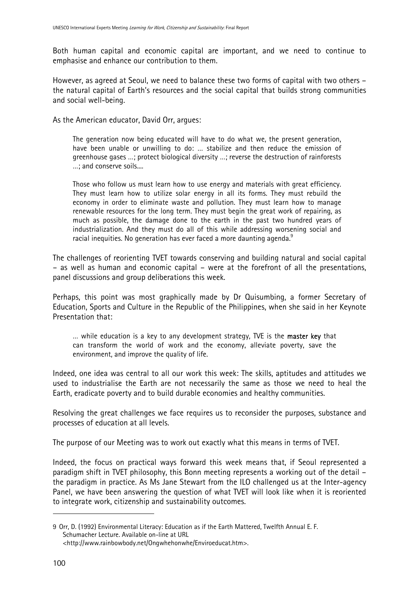Both human capital and economic capital are important, and we need to continue to emphasise and enhance our contribution to them.

However, as agreed at Seoul, we need to balance these two forms of capital with two others – the natural capital of Earth's resources and the social capital that builds strong communities and social well-being.

As the American educator, David Orr, argues:

The generation now being educated will have to do what we, the present generation, have been unable or unwilling to do: … stabilize and then reduce the emission of greenhouse gases …; protect biological diversity …; reverse the destruction of rainforests …; and conserve soils....

Those who follow us must learn how to use energy and materials with great efficiency. They must learn how to utilize solar energy in all its forms. They must rebuild the economy in order to eliminate waste and pollution. They must learn how to manage renewable resources for the long term. They must begin the great work of repairing, as much as possible, the damage done to the earth in the past two hundred years of industrialization. And they must do all of this while addressing worsening social and racial inequities. No generation has ever faced a more daunting agenda. $^9$  $^9$ 

The challenges of reorienting TVET towards conserving and building natural and social capital – as well as human and economic capital – were at the forefront of all the presentations, panel discussions and group deliberations this week.

Perhaps, this point was most graphically made by Dr Quisumbing, a former Secretary of Education, Sports and Culture in the Republic of the Philippines, when she said in her Keynote Presentation that:

... while education is a key to any development strategy. TVE is the **master key** that can transform the world of work and the economy, alleviate poverty, save the environment, and improve the quality of life.

Indeed, one idea was central to all our work this week: The skills, aptitudes and attitudes we used to industrialise the Earth are not necessarily the same as those we need to heal the Earth, eradicate poverty and to build durable economies and healthy communities.

Resolving the great challenges we face requires us to reconsider the purposes, substance and processes of education at all levels.

The purpose of our Meeting was to work out exactly what this means in terms of TVET.

Indeed, the focus on practical ways forward this week means that, if Seoul represented a paradigm shift in TVET philosophy, this Bonn meeting represents a working out of the detail – the paradigm in practice. As Ms Jane Stewart from the ILO challenged us at the Inter-agency Panel, we have been answering the question of what TVET will look like when it is reoriented to integrate work, citizenship and sustainability outcomes.

 $\overline{a}$ 

<span id="page-99-0"></span><sup>9</sup> Orr, D. (1992) Environmental Literacy: Education as if the Earth Mattered, Twelfth Annual E. F. Schumacher Lecture. Available on-line at URL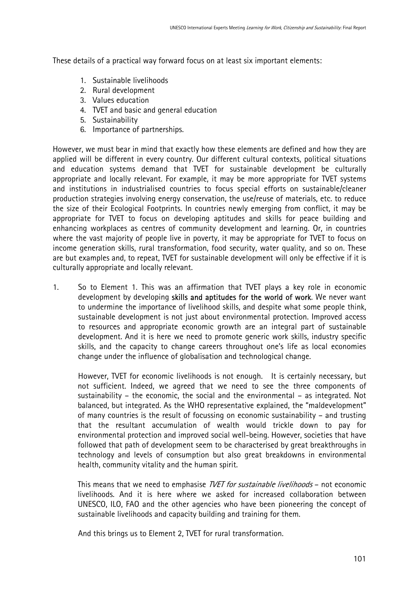These details of a practical way forward focus on at least six important elements:

- 1. Sustainable livelihoods
- 2. Rural development
- 3. Values education
- 4. TVET and basic and general education
- 5. Sustainability
- 6. Importance of partnerships.

However, we must bear in mind that exactly how these elements are defined and how they are applied will be different in every country. Our different cultural contexts, political situations and education systems demand that TVET for sustainable development be culturally appropriate and locally relevant. For example, it may be more appropriate for TVET systems and institutions in industrialised countries to focus special efforts on sustainable/cleaner production strategies involving energy conservation, the use/reuse of materials, etc. to reduce the size of their Ecological Footprints. In countries newly emerging from conflict, it may be appropriate for TVET to focus on developing aptitudes and skills for peace building and enhancing workplaces as centres of community development and learning. Or, in countries where the vast majority of people live in poverty, it may be appropriate for TVET to focus on income generation skills, rural transformation, food security, water quality, and so on. These are but examples and, to repeat, TVET for sustainable development will only be effective if it is culturally appropriate and locally relevant.

1. So to Element 1. This was an affirmation that TVET plays a key role in economic development by developing skills and aptitudes for the world of work. We never want to undermine the importance of livelihood skills, and despite what some people think, sustainable development is not just about environmental protection. Improved access to resources and appropriate economic growth are an integral part of sustainable development. And it is here we need to promote generic work skills, industry specific skills, and the capacity to change careers throughout one's life as local economies change under the influence of globalisation and technological change.

However, TVET for economic livelihoods is not enough. It is certainly necessary, but not sufficient. Indeed, we agreed that we need to see the three components of sustainability – the economic, the social and the environmental – as integrated. Not balanced, but integrated. As the WHO representative explained, the "maldevelopment" of many countries is the result of focussing on economic sustainability – and trusting that the resultant accumulation of wealth would trickle down to pay for environmental protection and improved social well-being. However, societies that have followed that path of development seem to be characterised by great breakthroughs in technology and levels of consumption but also great breakdowns in environmental health, community vitality and the human spirit.

This means that we need to emphasise *TVET for sustainable livelihoods* – not economic livelihoods. And it is here where we asked for increased collaboration between UNESCO, ILO, FAO and the other agencies who have been pioneering the concept of sustainable livelihoods and capacity building and training for them.

And this brings us to Element 2, TVET for rural transformation.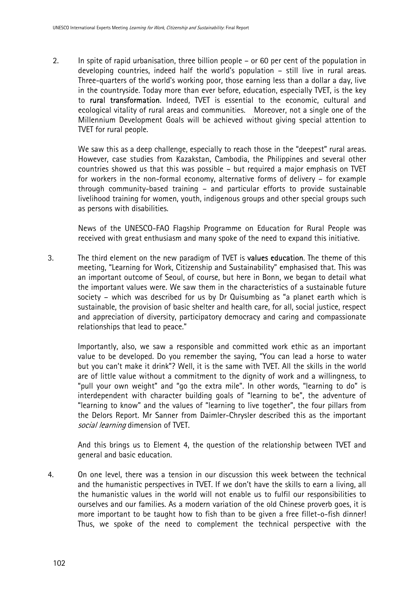2. In spite of rapid urbanisation, three billion people – or 60 per cent of the population in developing countries, indeed half the world's population – still live in rural areas. Three-quarters of the world's working poor, those earning less than a dollar a day, live in the countryside. Today more than ever before, education, especially TVET, is the key to rural transformation. Indeed, TVET is essential to the economic, cultural and ecological vitality of rural areas and communities. Moreover, not a single one of the Millennium Development Goals will be achieved without giving special attention to TVET for rural people.

We saw this as a deep challenge, especially to reach those in the "deepest" rural areas. However, case studies from Kazakstan, Cambodia, the Philippines and several other countries showed us that this was possible – but required a major emphasis on TVET for workers in the non-formal economy, alternative forms of delivery – for example through community-based training – and particular efforts to provide sustainable livelihood training for women, youth, indigenous groups and other special groups such as persons with disabilities.

News of the UNESCO-FAO Flagship Programme on Education for Rural People was received with great enthusiasm and many spoke of the need to expand this initiative.

3. The third element on the new paradigm of TVET is values education. The theme of this meeting, "Learning for Work, Citizenship and Sustainability" emphasised that. This was an important outcome of Seoul, of course, but here in Bonn, we began to detail what the important values were. We saw them in the characteristics of a sustainable future society – which was described for us by Dr Quisumbing as "a planet earth which is sustainable, the provision of basic shelter and health care, for all, social justice, respect and appreciation of diversity, participatory democracy and caring and compassionate relationships that lead to peace."

Importantly, also, we saw a responsible and committed work ethic as an important value to be developed. Do you remember the saying, "You can lead a horse to water but you can't make it drink"? Well, it is the same with TVET. All the skills in the world are of little value without a commitment to the dignity of work and a willingness, to "pull your own weight" and "go the extra mile". In other words, "learning to do" is interdependent with character building goals of "learning to be", the adventure of "learning to know" and the values of "learning to live together", the four pillars from the Delors Report. Mr Sanner from Daimler-Chrysler described this as the important social learning dimension of TVET.

And this brings us to Element 4, the question of the relationship between TVET and general and basic education.

4. On one level, there was a tension in our discussion this week between the technical and the humanistic perspectives in TVET. If we don't have the skills to earn a living, all the humanistic values in the world will not enable us to fulfil our responsibilities to ourselves and our families. As a modern variation of the old Chinese proverb goes, it is more important to be taught how to fish than to be given a free fillet-o-fish dinner! Thus, we spoke of the need to complement the technical perspective with the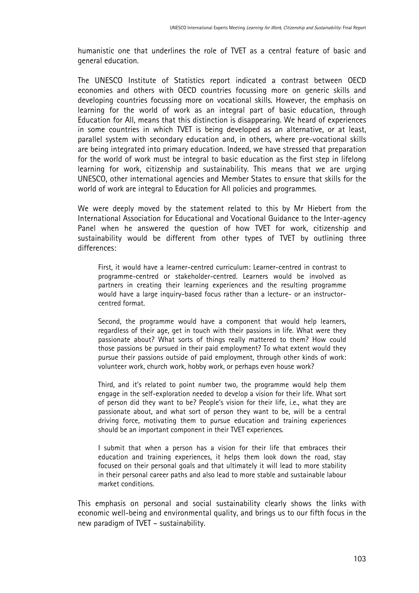humanistic one that underlines the role of TVET as a central feature of basic and general education.

The UNESCO Institute of Statistics report indicated a contrast between OECD economies and others with OECD countries focussing more on generic skills and developing countries focussing more on vocational skills. However, the emphasis on learning for the world of work as an integral part of basic education, through Education for All, means that this distinction is disappearing. We heard of experiences in some countries in which TVET is being developed as an alternative, or at least, parallel system with secondary education and, in others, where pre-vocational skills are being integrated into primary education. Indeed, we have stressed that preparation for the world of work must be integral to basic education as the first step in lifelong learning for work, citizenship and sustainability. This means that we are urging UNESCO, other international agencies and Member States to ensure that skills for the world of work are integral to Education for All policies and programmes.

We were deeply moved by the statement related to this by Mr Hiebert from the International Association for Educational and Vocational Guidance to the Inter-agency Panel when he answered the question of how TVET for work, citizenship and sustainability would be different from other types of TVET by outlining three differences:

First, it would have a learner-centred curriculum: Learner-centred in contrast to programme-centred or stakeholder-centred. Learners would be involved as partners in creating their learning experiences and the resulting programme would have a large inquiry-based focus rather than a lecture- or an instructorcentred format.

Second, the programme would have a component that would help learners, regardless of their age, get in touch with their passions in life. What were they passionate about? What sorts of things really mattered to them? How could those passions be pursued in their paid employment? To what extent would they pursue their passions outside of paid employment, through other kinds of work: volunteer work, church work, hobby work, or perhaps even house work?

Third, and it's related to point number two, the programme would help them engage in the self-exploration needed to develop a vision for their life. What sort of person did they want to be? People's vision for their life, i.e., what they are passionate about, and what sort of person they want to be, will be a central driving force, motivating them to pursue education and training experiences should be an important component in their TVET experiences.

I submit that when a person has a vision for their life that embraces their education and training experiences, it helps them look down the road, stay focused on their personal goals and that ultimately it will lead to more stability in their personal career paths and also lead to more stable and sustainable labour market conditions.

This emphasis on personal and social sustainability clearly shows the links with economic well-being and environmental quality, and brings us to our fifth focus in the new paradigm of TVET – sustainability.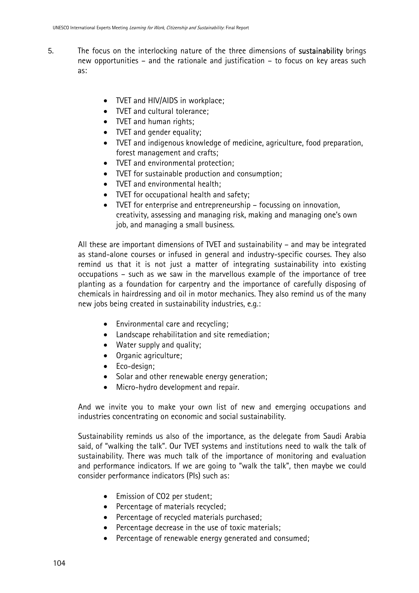- 5. The focus on the interlocking nature of the three dimensions of sustainability brings new opportunities – and the rationale and justification – to focus on key areas such as:
	- TVET and HIV/AIDS in workplace;
	- TVET and cultural tolerance:
	- TVET and human rights;
	- TVET and gender equality;
	- TVET and indigenous knowledge of medicine, agriculture, food preparation, forest management and crafts;
	- TVET and environmental protection;
	- TVET for sustainable production and consumption;
	- TVET and environmental health;
	- TVET for occupational health and safety;
	- TVET for enterprise and entrepreneurship focussing on innovation, creativity, assessing and managing risk, making and managing one's own job, and managing a small business.

All these are important dimensions of TVET and sustainability – and may be integrated as stand-alone courses or infused in general and industry-specific courses. They also remind us that it is not just a matter of integrating sustainability into existing occupations – such as we saw in the marvellous example of the importance of tree planting as a foundation for carpentry and the importance of carefully disposing of chemicals in hairdressing and oil in motor mechanics. They also remind us of the many new jobs being created in sustainability industries, e.g.:

- Environmental care and recycling;
- Landscape rehabilitation and site remediation;
- Water supply and quality;
- Organic agriculture;
- Eco-design;
- Solar and other renewable energy generation:
- Micro-hydro development and repair.

And we invite you to make your own list of new and emerging occupations and industries concentrating on economic and social sustainability.

Sustainability reminds us also of the importance, as the delegate from Saudi Arabia said, of "walking the talk". Our TVET systems and institutions need to walk the talk of sustainability. There was much talk of the importance of monitoring and evaluation and performance indicators. If we are going to "walk the talk", then maybe we could consider performance indicators (PIs) such as:

- Emission of CO2 per student;
- Percentage of materials recycled;
- Percentage of recycled materials purchased;
- Percentage decrease in the use of toxic materials;
- Percentage of renewable energy generated and consumed;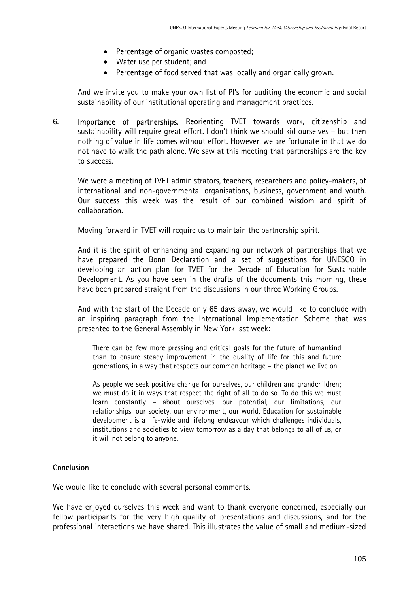- Percentage of organic wastes composted;
- Water use per student; and
- Percentage of food served that was locally and organically grown.

And we invite you to make your own list of PI's for auditing the economic and social sustainability of our institutional operating and management practices.

6. Importance of partnerships. Reorienting TVET towards work, citizenship and sustainability will require great effort. I don't think we should kid ourselves – but then nothing of value in life comes without effort. However, we are fortunate in that we do not have to walk the path alone. We saw at this meeting that partnerships are the key to success.

We were a meeting of TVET administrators, teachers, researchers and policy-makers, of international and non-governmental organisations, business, government and youth. Our success this week was the result of our combined wisdom and spirit of collaboration.

Moving forward in TVET will require us to maintain the partnership spirit.

And it is the spirit of enhancing and expanding our network of partnerships that we have prepared the Bonn Declaration and a set of suggestions for UNESCO in developing an action plan for TVET for the Decade of Education for Sustainable Development. As you have seen in the drafts of the documents this morning, these have been prepared straight from the discussions in our three Working Groups.

And with the start of the Decade only 65 days away, we would like to conclude with an inspiring paragraph from the International Implementation Scheme that was presented to the General Assembly in New York last week:

There can be few more pressing and critical goals for the future of humankind than to ensure steady improvement in the quality of life for this and future generations, in a way that respects our common heritage – the planet we live on.

As people we seek positive change for ourselves, our children and grandchildren; we must do it in ways that respect the right of all to do so. To do this we must learn constantly – about ourselves, our potential, our limitations, our relationships, our society, our environment, our world. Education for sustainable development is a life-wide and lifelong endeavour which challenges individuals, institutions and societies to view tomorrow as a day that belongs to all of us, or it will not belong to anyone.

#### **Conclusion**

We would like to conclude with several personal comments.

We have enjoyed ourselves this week and want to thank everyone concerned, especially our fellow participants for the very high quality of presentations and discussions, and for the professional interactions we have shared. This illustrates the value of small and medium-sized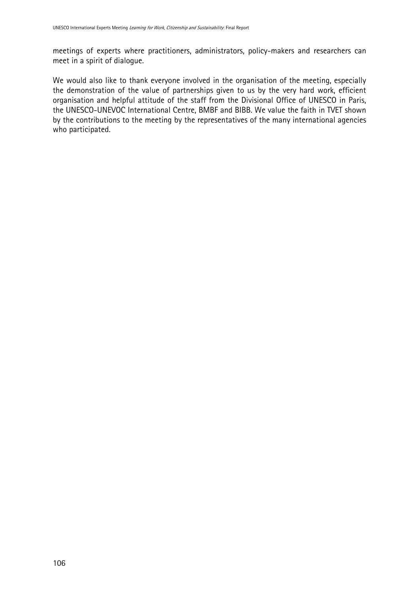meetings of experts where practitioners, administrators, policy-makers and researchers can meet in a spirit of dialogue.

We would also like to thank everyone involved in the organisation of the meeting, especially the demonstration of the value of partnerships given to us by the very hard work, efficient organisation and helpful attitude of the staff from the Divisional Office of UNESCO in Paris, the UNESCO-UNEVOC International Centre, BMBF and BIBB. We value the faith in TVET shown by the contributions to the meeting by the representatives of the many international agencies who participated.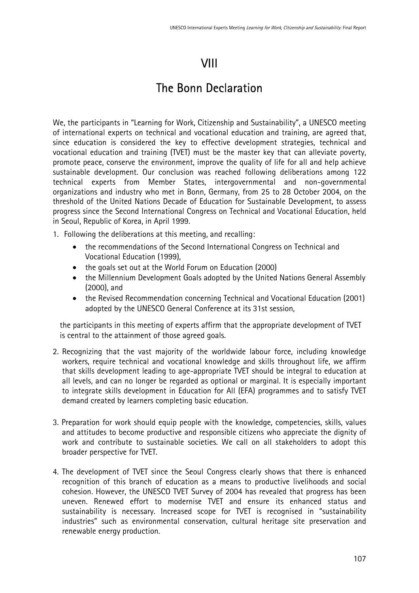# VIII

# The Bonn Declaration

We, the participants in "Learning for Work, Citizenship and Sustainability", a UNESCO meeting of international experts on technical and vocational education and training, are agreed that, since education is considered the key to effective development strategies, technical and vocational education and training (TVET) must be the master key that can alleviate poverty, promote peace, conserve the environment, improve the quality of life for all and help achieve sustainable development. Our conclusion was reached following deliberations among 122 technical experts from Member States, intergovernmental and non-governmental organizations and industry who met in Bonn, Germany, from 25 to 28 October 2004, on the threshold of the United Nations Decade of Education for Sustainable Development, to assess progress since the Second International Congress on Technical and Vocational Education, held in Seoul, Republic of Korea, in April 1999.

- 1. Following the deliberations at this meeting, and recalling:
	- the recommendations of the Second International Congress on Technical and Vocational Education (1999),
	- the goals set out at the World Forum on Education (2000)
	- the Millennium Development Goals adopted by the United Nations General Assembly (2000), and
	- the Revised Recommendation concerning Technical and Vocational Education (2001) adopted by the UNESCO General Conference at its 31st session,

the participants in this meeting of experts affirm that the appropriate development of TVET is central to the attainment of those agreed goals.

- 2. Recognizing that the vast majority of the worldwide labour force, including knowledge workers, require technical and vocational knowledge and skills throughout life, we affirm that skills development leading to age-appropriate TVET should be integral to education at all levels, and can no longer be regarded as optional or marginal. It is especially important to integrate skills development in Education for All (EFA) programmes and to satisfy TVET demand created by learners completing basic education.
- 3. Preparation for work should equip people with the knowledge, competencies, skills, values and attitudes to become productive and responsible citizens who appreciate the dignity of work and contribute to sustainable societies. We call on all stakeholders to adopt this broader perspective for TVET.
- 4. The development of TVET since the Seoul Congress clearly shows that there is enhanced recognition of this branch of education as a means to productive livelihoods and social cohesion. However, the UNESCO TVET Survey of 2004 has revealed that progress has been uneven. Renewed effort to modernise TVET and ensure its enhanced status and sustainability is necessary. Increased scope for TVET is recognised in "sustainability industries" such as environmental conservation, cultural heritage site preservation and renewable energy production.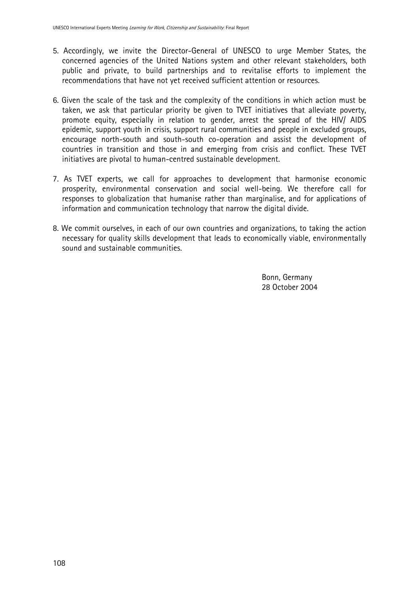- 5. Accordingly, we invite the Director-General of UNESCO to urge Member States, the concerned agencies of the United Nations system and other relevant stakeholders, both public and private, to build partnerships and to revitalise efforts to implement the recommendations that have not yet received sufficient attention or resources.
- 6. Given the scale of the task and the complexity of the conditions in which action must be taken, we ask that particular priority be given to TVET initiatives that alleviate poverty, promote equity, especially in relation to gender, arrest the spread of the HIV/ AIDS epidemic, support youth in crisis, support rural communities and people in excluded groups, encourage north-south and south-south co-operation and assist the development of countries in transition and those in and emerging from crisis and conflict. These TVET initiatives are pivotal to human-centred sustainable development.
- 7. As TVET experts, we call for approaches to development that harmonise economic prosperity, environmental conservation and social well-being. We therefore call for responses to globalization that humanise rather than marginalise, and for applications of information and communication technology that narrow the digital divide.
- 8. We commit ourselves, in each of our own countries and organizations, to taking the action necessary for quality skills development that leads to economically viable, environmentally sound and sustainable communities.

Bonn, Germany 28 October 2004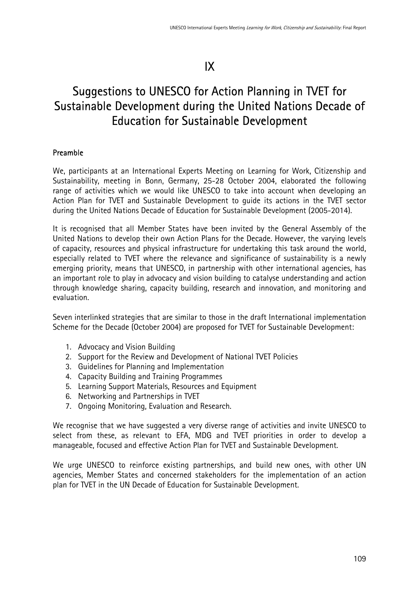# IX

# Suggestions to UNESCO for Action Planning in TVET for Sustainable Development during the United Nations Decade of Education for Sustainable Development

# Preamble

We, participants at an International Experts Meeting on Learning for Work, Citizenship and Sustainability, meeting in Bonn, Germany, 25-28 October 2004, elaborated the following range of activities which we would like UNESCO to take into account when developing an Action Plan for TVET and Sustainable Development to guide its actions in the TVET sector during the United Nations Decade of Education for Sustainable Development (2005-2014).

It is recognised that all Member States have been invited by the General Assembly of the United Nations to develop their own Action Plans for the Decade. However, the varying levels of capacity, resources and physical infrastructure for undertaking this task around the world, especially related to TVET where the relevance and significance of sustainability is a newly emerging priority, means that UNESCO, in partnership with other international agencies, has an important role to play in advocacy and vision building to catalyse understanding and action through knowledge sharing, capacity building, research and innovation, and monitoring and evaluation.

Seven interlinked strategies that are similar to those in the draft International implementation Scheme for the Decade (October 2004) are proposed for TVET for Sustainable Development:

- 1. Advocacy and Vision Building
- 2. Support for the Review and Development of National TVET Policies
- 3. Guidelines for Planning and Implementation
- 4. Capacity Building and Training Programmes
- 5. Learning Support Materials, Resources and Equipment
- 6. Networking and Partnerships in TVET
- 7. Ongoing Monitoring, Evaluation and Research.

We recognise that we have suggested a very diverse range of activities and invite UNESCO to select from these, as relevant to EFA, MDG and TVET priorities in order to develop a manageable, focused and effective Action Plan for TVET and Sustainable Development.

We urge UNESCO to reinforce existing partnerships, and build new ones, with other UN agencies, Member States and concerned stakeholders for the implementation of an action plan for TVET in the UN Decade of Education for Sustainable Development.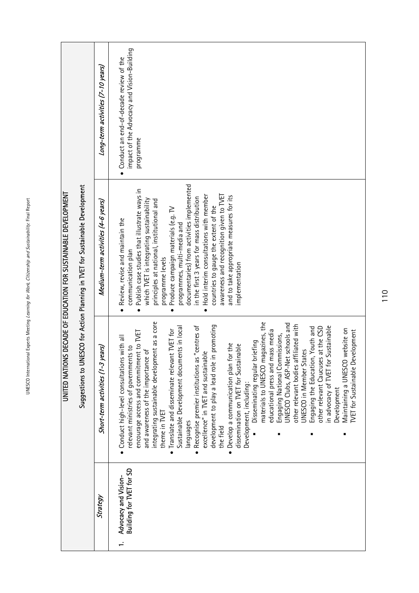|                                                                                           | Long-term activities (7-10 years)    | impact of the Advocacy and Vision-Building<br>Conduct an end-of-decade review of the<br>programme                                                                                                                                                                                                                                                                                                                                                                                                                                                                                                                                                                                                                                                                                                                                                                                                                                                                                                                                                                                               |
|-------------------------------------------------------------------------------------------|--------------------------------------|-------------------------------------------------------------------------------------------------------------------------------------------------------------------------------------------------------------------------------------------------------------------------------------------------------------------------------------------------------------------------------------------------------------------------------------------------------------------------------------------------------------------------------------------------------------------------------------------------------------------------------------------------------------------------------------------------------------------------------------------------------------------------------------------------------------------------------------------------------------------------------------------------------------------------------------------------------------------------------------------------------------------------------------------------------------------------------------------------|
| <b>IESCO for Action Planning in TVET for Sustainable Development</b><br>Suggestions to UN | Medium-term activities (4-6 years)   | documentaries) from activities implemented<br>Publish case studies that illustrate ways in<br>awareness and recognition given to TVET<br>and to take appropriate measures for its<br>Hold interim consultations with member<br>in the first 3 years for mass distribution<br>which TVET is integrating sustainability<br>principles at national, institutional and<br>countries to gauge the extent of the<br>Produce campaign materials (e.g. TV<br>Review, revise and maintain the<br>programmes, multi-media and<br>communication plan<br>programme levels<br>implementation                                                                                                                                                                                                                                                                                                                                                                                                                                                                                                                 |
|                                                                                           | years)<br>Short-term activities (1-3 | integrating sustainable development as a core<br>materials to UNESCO magazines, the<br>UNESCO Clubs, ASP-Net schools and<br>other relevant bodies affiliated with<br>in promoting<br>Recognise premier institutions as "centres of<br>Sustainable<br>other relevant Caucuses at the CSD<br>ents in local<br>Engaging the Education, Youth and<br>Maintaining a UNESCO website on<br>Translate and disseminate relevant TVET for<br><b>TVET</b> for Sustainable Development<br>educational press and mass media<br>encourage access and commitment to TVET<br>Engaging National Commissions,<br>Conduct high-level consultations with all<br>Disseminating regular briefing<br>Develop a communication plan for the<br>dissemination on TVET for Sustainable<br>relevant ministries of governments to<br>and awareness of the importance of<br>UNESCO in Member States<br>excellence" in TVET and sustainable<br>Sustainable Development docum<br>n advocacy of TVET for<br>development to play a lead role<br>Development, including:<br>Development<br>theme in TVET<br>languages<br>the field |
|                                                                                           | Strategy                             | Building for TVET for SD<br>Advocacy and Vision-                                                                                                                                                                                                                                                                                                                                                                                                                                                                                                                                                                                                                                                                                                                                                                                                                                                                                                                                                                                                                                                |

UNITED NATIONS DECADE OF EDUCATION FOR SUSTAINABLE DEVELOPMENT

UNITED NATIONS DECADE OF EDUCATION FOR SUSTAINABLE DEVELOPMENT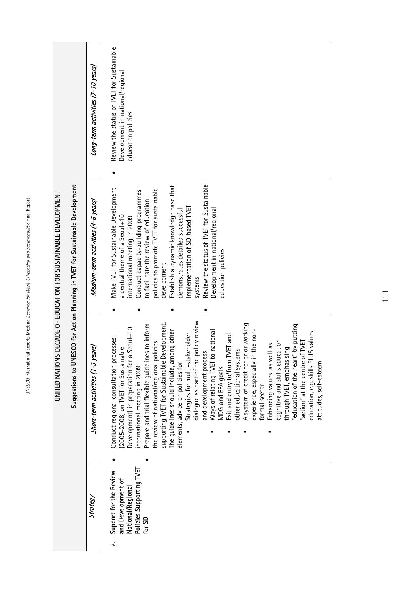|                                                                |                                                                               | Long-term activities (7-10 years)  | Review the status of TVET for Sustainable<br>Development in national/regional<br>education policies                                                                                                                                                                                                                                                                                                                                                                                                                                                                                                                                                                                                                                                                                                                                                                                                                                                                                               |
|----------------------------------------------------------------|-------------------------------------------------------------------------------|------------------------------------|---------------------------------------------------------------------------------------------------------------------------------------------------------------------------------------------------------------------------------------------------------------------------------------------------------------------------------------------------------------------------------------------------------------------------------------------------------------------------------------------------------------------------------------------------------------------------------------------------------------------------------------------------------------------------------------------------------------------------------------------------------------------------------------------------------------------------------------------------------------------------------------------------------------------------------------------------------------------------------------------------|
| UNILED NYLIONS DECADE OF EDUCATION FOR SUSTAINABIE DEVELOPMENI | Suggestions to UNESCO for Action Planning in TVET for Sustainable Development | Medium-term activities (4-6 years) | Review the status of TVET for Sustainable<br>Establish a dynamic knowledge base that<br>Make TVET for Sustainable Development<br>policies to promote TVET for sustainable<br>Conduct capacity-building programmes<br>to facilitate the review of education<br>implementation of SD-based TVET<br>demonstrates detailed successful<br>Development in national/regional<br>a central theme of a Seoul+10<br>international meeting in 2009<br>education policies<br>development<br>systems                                                                                                                                                                                                                                                                                                                                                                                                                                                                                                           |
|                                                                |                                                                               | Short-term activities (1-3 years)  | dialogue as part of the policy review<br>supporting TVET for Sustainable Development.<br>prior working<br>Prepare and trial flexible guidelines to inform<br>'education of the heart" by putting<br>a Seoul+10<br>to national<br>n the non-<br>education, e.g. skills PLUS values,<br>nong other<br>Strategies for multi-stakeholder<br><b>TVET</b> and<br>Conduct regional consultation processes<br>cognitive and skills education<br>action" at the centre of TVET<br>the review of national/regional policies<br>Enhancing values, as well as<br>(2005-2008) on TVET for Sustainable<br>through TVET, emphasising<br>other educational systems<br>and development process<br>elements, advice on policies for:<br>Development) in preparation for<br>Exit and entry to/from<br>The guidelines should include, ar<br>experience, especially<br>attitudes, self-esteem<br>Ways of relating TVET<br>A system of credit for<br>MDG and EFA goals<br>nternational meeting in 2009<br>formal sector |
|                                                                |                                                                               | Strategy                           | Policies Supporting TVET<br>Support for the Review<br>and Development of<br>National/Regional                                                                                                                                                                                                                                                                                                                                                                                                                                                                                                                                                                                                                                                                                                                                                                                                                                                                                                     |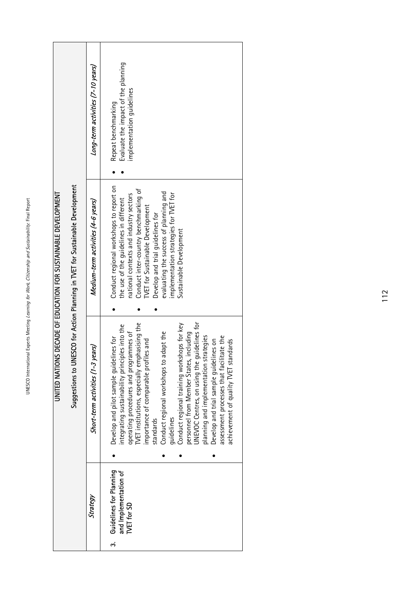| Evaluate the impact of the planning<br>Long-term activities (7-10 years)<br>implementation guidelines<br>Repeat benchmarking<br>Suggestions to UNESCO for Action Planning in TVET for Sustainable Development<br>Conduct regional workshops to report on<br>Conduct inter-country benchmarking of<br>evaluating the success of planning and<br>implementation strategies for TVET for<br>national contexts and industry sectors<br>the use of the guidelines in different<br>Medium-term activities (4-6 years)<br><b>TVET for Sustainable Development</b><br>Develop and trial quidelines for<br>Sustainable Development<br>quidelines for<br>TVET institutions, especially emphasising the<br>Conduct regional training workshops for key<br>integrating sustainability principles into the<br>personnel from Member States, including<br>Conduct regional workshops to adapt the<br>operating procedures and programmes of<br>planning and implementation strategies<br>assessment processes that facilitate the<br>Develop and pilot sample guidelines for<br>achievement of quality TVET standards<br>les and<br>Develop and trial sample guidelines on<br>Short-term activities (1-3 years)<br>importance of comparable profil<br>UNEVOC Centres, on using the g<br>quidelines<br>standards<br>Guidelines for Planning<br>and Implementation of<br>Strategy<br><b>TVET for SD</b><br>က် |  | UNITED NATIONS DECADE OF EDUCATION FOR SUSTAINABLE DEVELOPMENT |  |
|-----------------------------------------------------------------------------------------------------------------------------------------------------------------------------------------------------------------------------------------------------------------------------------------------------------------------------------------------------------------------------------------------------------------------------------------------------------------------------------------------------------------------------------------------------------------------------------------------------------------------------------------------------------------------------------------------------------------------------------------------------------------------------------------------------------------------------------------------------------------------------------------------------------------------------------------------------------------------------------------------------------------------------------------------------------------------------------------------------------------------------------------------------------------------------------------------------------------------------------------------------------------------------------------------------------------------------------------------------------------------------------------------|--|----------------------------------------------------------------|--|
|                                                                                                                                                                                                                                                                                                                                                                                                                                                                                                                                                                                                                                                                                                                                                                                                                                                                                                                                                                                                                                                                                                                                                                                                                                                                                                                                                                                               |  |                                                                |  |
|                                                                                                                                                                                                                                                                                                                                                                                                                                                                                                                                                                                                                                                                                                                                                                                                                                                                                                                                                                                                                                                                                                                                                                                                                                                                                                                                                                                               |  |                                                                |  |
|                                                                                                                                                                                                                                                                                                                                                                                                                                                                                                                                                                                                                                                                                                                                                                                                                                                                                                                                                                                                                                                                                                                                                                                                                                                                                                                                                                                               |  |                                                                |  |

UNESCO International Experts Meeting Learning for Work, Citizenship and Sustainability: Final Report UNESCO International Experts Meeting Learning for Work, Citizenship and Sustainability: Final Report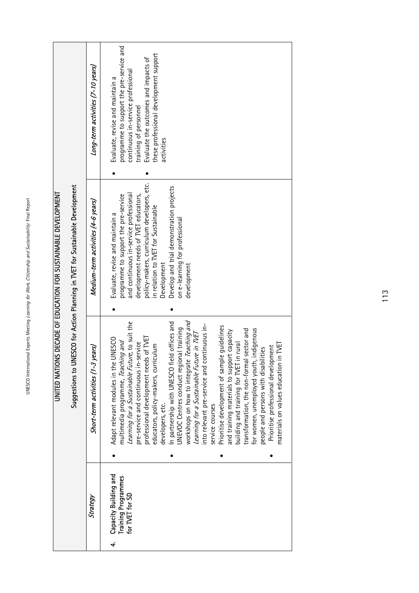UNESCO International Experts Meeting Learning for Work, Citizenship and Sustainability: Final Report UNESCO International Experts Meeting Learning for Work, Citizenship and Sustainability: Final Report

|                                                                                                 | Long-term activities (7-10 years)<br>Medium-term activities (4-6 years) | programme to support the pre-service and<br>these professional development support<br>Evaluate the outcomes and impacts of<br>continuous in-service professional<br>Evaluate, revise and maintain a<br>training of personnel<br>activities<br>policy-makers, curriculum developers, etc.<br>Develop and trial demonstration projects<br>and continuous in-service professional<br>programme to support the pre-service<br>development needs of TVET educators,                                                                                                                                                                                                                                                                                                                                                                                                                                             |
|-------------------------------------------------------------------------------------------------|-------------------------------------------------------------------------|------------------------------------------------------------------------------------------------------------------------------------------------------------------------------------------------------------------------------------------------------------------------------------------------------------------------------------------------------------------------------------------------------------------------------------------------------------------------------------------------------------------------------------------------------------------------------------------------------------------------------------------------------------------------------------------------------------------------------------------------------------------------------------------------------------------------------------------------------------------------------------------------------------|
| DECADE OF EDUCATION FOR SUSTAINABLE DEVELOPMENT                                                 | Short-term activities (1-3 years)                                       | in relation to TVET for Sustainable<br>Evaluate, revise and maintain a<br>on e-learning for professional<br>Development<br>development                                                                                                                                                                                                                                                                                                                                                                                                                                                                                                                                                                                                                                                                                                                                                                     |
| Suggestions to UNESCO for Action Planning in TVET for Sustainable Development<br>UNITED NATIONS |                                                                         | workshops on how to integrate Teaching and<br>Learning for a Sustainable Future, to suit the<br>In partnership with UNESCO field offices and<br>into relevant pre-service and continuous in-<br>Prioritise development of sample guidelines<br><b>UNEVOC Centres conduct regional training</b><br>transformation, the non-formal sector and<br>for women, unemployed youth, indigenous<br>and training materials to support capacity<br>Learning for a Sustainable Future in TVET<br>of TVET<br>Adapt relevant modules in the UNESCO<br>multimedia programme, Teaching and<br>pre-service and continuous in-service<br>building and training for TVET in rural<br>TVET<br>educators, policy-makers, curriculum<br>Prioritise professional development<br>people and persons with disabilities<br>professional development needs<br>materials on values education in<br>developers, etc.<br>service courses |
|                                                                                                 | Strategy                                                                | Capacity Building and<br>Training Programmes<br>for TVET for SD<br>4                                                                                                                                                                                                                                                                                                                                                                                                                                                                                                                                                                                                                                                                                                                                                                                                                                       |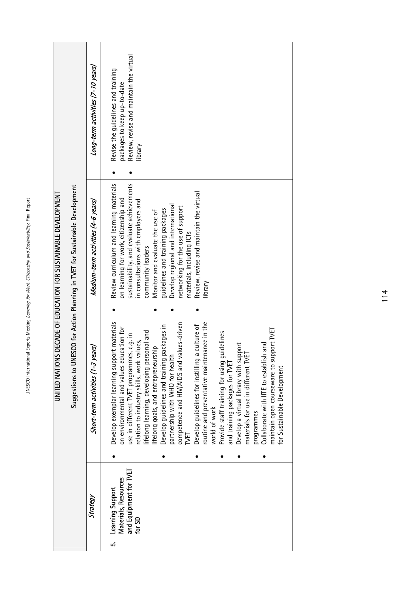|                                                                               | Long-term activities (7-10 years)  | Review, revise and maintain the virtual<br>Revise the guidelines and training<br>packages to keep up-to-date<br>library                                                                                                                                                                                                                                                                                                                                                                                                                                                                                                                                                                                                                                                                                                                     |
|-------------------------------------------------------------------------------|------------------------------------|---------------------------------------------------------------------------------------------------------------------------------------------------------------------------------------------------------------------------------------------------------------------------------------------------------------------------------------------------------------------------------------------------------------------------------------------------------------------------------------------------------------------------------------------------------------------------------------------------------------------------------------------------------------------------------------------------------------------------------------------------------------------------------------------------------------------------------------------|
| Suggestions to UNESCO for Action Planning in TVET for Sustainable Development | Medium-term activities (4-6 years) | sustainability, and evaluate achievements<br>Review curriculum and learning materials<br>Review, revise and maintain the virtual<br>on learning for work, citizenship and<br>in consultations with employers and<br>Develop regional and international<br>networking for the use of support<br>guidelines and training packages<br>Monitor and evaluate the use of<br>materials, including ICTs<br>community leaders<br>library                                                                                                                                                                                                                                                                                                                                                                                                             |
|                                                                               | Short-term activities (1-3 years)  | Develop exemplar learning support materials<br>routine and preventative maintenance in the<br>competence and HIV/AIDS and values-driven<br>a culture of<br>Develop guidelines and training packages in<br>on environmental and values education for<br>maintain open courseware to support TVET<br>lifelong learning, developing personal and<br>quidelines<br>use in different TVET programmes, e.g. in<br>relation to industry skills, work values,<br>Develop a virtual library with support<br>materials for use in different TVET<br>Collaborate with IITE to establish and<br>lifelong goals, and entrepreneurship<br>partnership with WHO for health<br>Develop guidelines for instilling<br>Provide staff training for using<br>and training packages for TVET<br>for Sustainable Development<br>world of work<br>programmes<br>NET |
|                                                                               | Strategy                           | and Equipment for TVET<br>Materials, Resources<br><b>Learning Support</b><br>for SD<br>r.                                                                                                                                                                                                                                                                                                                                                                                                                                                                                                                                                                                                                                                                                                                                                   |

UNITED NATIONS DECADE OF EDUCATION FOR SUSTAINABLE DEVELOPMENT

UNITED NATIONS DECADE OF EDUCATION FOR SUSTAINABLE DEVELOPMENT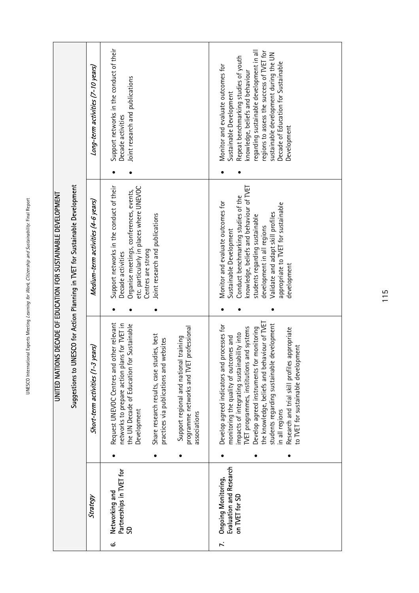|                                                                                          |                                                                                                                                                                                         | UNITED NATIONS DECADE OF EDUCATION FOR SUSTAINABLE DEVELOPMENT                                                                                       |                                                                                                                                                                    |
|------------------------------------------------------------------------------------------|-----------------------------------------------------------------------------------------------------------------------------------------------------------------------------------------|------------------------------------------------------------------------------------------------------------------------------------------------------|--------------------------------------------------------------------------------------------------------------------------------------------------------------------|
|                                                                                          | Suggestions to UN                                                                                                                                                                       | ESCO for Action Planning in TVET for Sustainable Development                                                                                         |                                                                                                                                                                    |
| Strategy                                                                                 | Short-term activities (1-3 years)                                                                                                                                                       | Medium-term activities (4-6 years)                                                                                                                   | Long-term activities (7-10 years)                                                                                                                                  |
| Partnerships in TVET for<br>Networking and<br>S<br>$\dot{\sigma}$                        | Request UNEVOC Centres and other relevant<br>networks to prepare action plans for TVET in<br>- Sustainable<br>the UN Decade of Education for<br>Development                             | Support networks in the conduct of their<br>etc. particularly in places where UNEVOC<br>Organise meetings, conferences, events,<br>Decade activities | Support networks in the conduct of their<br>Joint research and publications<br>Decade activities                                                                   |
|                                                                                          | Share research results, case studies, best<br>practices via publications and websites                                                                                                   | Joint research and publications<br>Centres are strong                                                                                                |                                                                                                                                                                    |
|                                                                                          | professional<br>training<br>Support regional and national<br>programme networks and TVET<br>associations                                                                                |                                                                                                                                                      |                                                                                                                                                                    |
| Evaluation and Research<br>Ongoing Monitoring,<br>on TVET for SD<br>$\ddot{\phantom{1}}$ | Develop agreed indicators and processes for<br>impacts of integrating sustainability into<br>monitoring the quality of outcomes and                                                     | Conduct benchmarking studies of the<br>Monitor and evaluate outcomes for<br>Sustainable Development                                                  | Repeat benchmarking studies of youth<br>Monitor and evaluate outcomes for<br>Sustainable Development                                                               |
|                                                                                          | the knowledge, beliefs and behaviour of TVET<br>development<br>TVET programmes, institutions and systems<br>Develop agreed instruments for monitoring<br>students regarding sustainable | knowledge, beliefs and behaviour of TVET<br>Validate and adapt skill profiles<br>students regarding sustainable<br>development in all regions        | regions to assess the success of TVET for<br>regarding sustainable development in all<br>sustainable development during the UN<br>knowledge, beliefs and behaviour |
|                                                                                          | appropriate<br>to TVET for sustainable development<br>Research and trial skill profiles<br>in all regions                                                                               | appropriate to TVET for sustainable<br>development                                                                                                   | Decade of Education for Sustainable<br>Development                                                                                                                 |
|                                                                                          |                                                                                                                                                                                         |                                                                                                                                                      |                                                                                                                                                                    |

115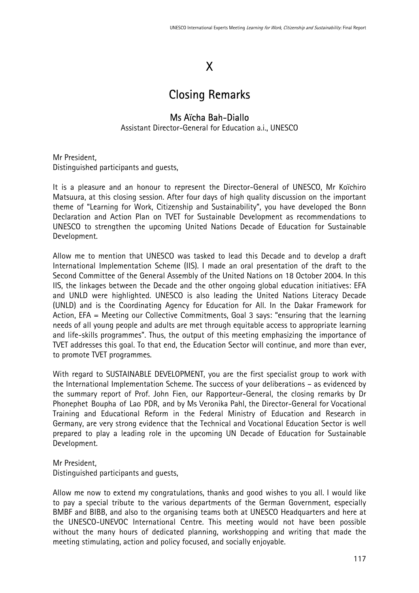# X

# Closing Remarks

# Ms Aïcha Bah-Diallo

Assistant Director-General for Education a.i., UNESCO

Mr President, Distinguished participants and guests,

It is a pleasure and an honour to represent the Director-General of UNESCO, Mr Koïchiro Matsuura, at this closing session. After four days of high quality discussion on the important theme of "Learning for Work, Citizenship and Sustainability", you have developed the Bonn Declaration and Action Plan on TVET for Sustainable Development as recommendations to UNESCO to strengthen the upcoming United Nations Decade of Education for Sustainable Development.

Allow me to mention that UNESCO was tasked to lead this Decade and to develop a draft International Implementation Scheme (IIS). I made an oral presentation of the draft to the Second Committee of the General Assembly of the United Nations on 18 October 2004. In this IIS, the linkages between the Decade and the other ongoing global education initiatives: EFA and UNLD were highlighted. UNESCO is also leading the United Nations Literacy Decade (UNLD) and is the Coordinating Agency for Education for All. In the Dakar Framework for Action, EFA = Meeting our Collective Commitments, Goal 3 says: "ensuring that the learning needs of all young people and adults are met through equitable access to appropriate learning and life-skills programmes". Thus, the output of this meeting emphasizing the importance of TVET addresses this goal. To that end, the Education Sector will continue, and more than ever, to promote TVET programmes.

With regard to SUSTAINABLE DEVELOPMENT, you are the first specialist group to work with the International Implementation Scheme. The success of your deliberations – as evidenced by the summary report of Prof. John Fien, our Rapporteur-General, the closing remarks by Dr Phonephet Boupha of Lao PDR, and by Ms Veronika Pahl, the Director-General for Vocational Training and Educational Reform in the Federal Ministry of Education and Research in Germany, are very strong evidence that the Technical and Vocational Education Sector is well prepared to play a leading role in the upcoming UN Decade of Education for Sustainable Development.

Mr President, Distinguished participants and guests,

Allow me now to extend my congratulations, thanks and good wishes to you all. I would like to pay a special tribute to the various departments of the German Government, especially BMBF and BIBB, and also to the organising teams both at UNESCO Headquarters and here at the UNESCO-UNEVOC International Centre. This meeting would not have been possible without the many hours of dedicated planning, workshopping and writing that made the meeting stimulating, action and policy focused, and socially enjoyable.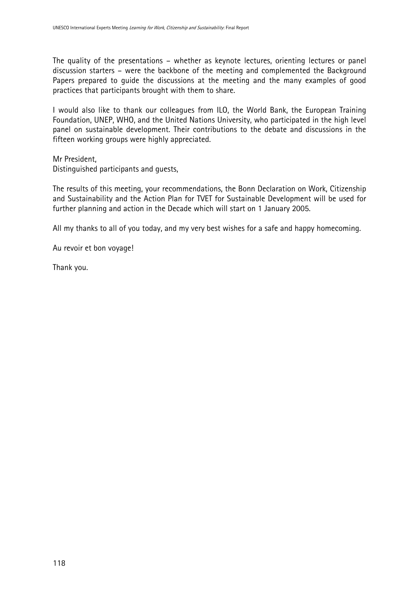The quality of the presentations – whether as keynote lectures, orienting lectures or panel discussion starters – were the backbone of the meeting and complemented the Background Papers prepared to guide the discussions at the meeting and the many examples of good practices that participants brought with them to share.

I would also like to thank our colleagues from ILO, the World Bank, the European Training Foundation, UNEP, WHO, and the United Nations University, who participated in the high level panel on sustainable development. Their contributions to the debate and discussions in the fifteen working groups were highly appreciated.

Mr President,

Distinguished participants and guests,

The results of this meeting, your recommendations, the Bonn Declaration on Work, Citizenship and Sustainability and the Action Plan for TVET for Sustainable Development will be used for further planning and action in the Decade which will start on 1 January 2005.

All my thanks to all of you today, and my very best wishes for a safe and happy homecoming.

Au revoir et bon voyage!

Thank you.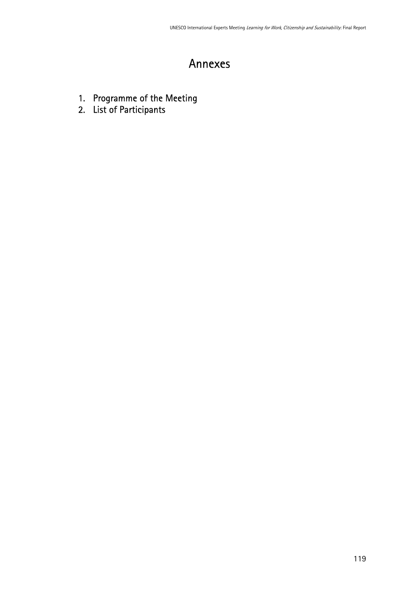# Annexes

- 1. Programme of the Meeting
- 2. List of Participants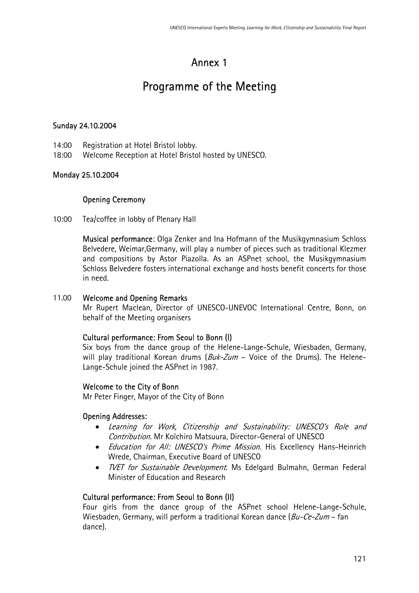# Annex 1

# Programme of the Meeting

# Sunday 24.10.2004

- 14:00 Registration at Hotel Bristol lobby.
- 18:00 Welcome Reception at Hotel Bristol hosted by UNESCO.

# Monday 25.10.2004

# Opening Ceremony

10:00 Tea/coffee in lobby of Plenary Hall

Musical performance: Olga Zenker and Ina Hofmann of the Musikgymnasium Schloss Belvedere, Weimar,Germany, will play a number of pieces such as traditional Klezmer and compositions by Astor Piazolla. As an ASPnet school, the Musikgymnasium Schloss Belvedere fosters international exchange and hosts benefit concerts for those in need.

#### 11.00 Welcome and Opening Remarks

Mr Rupert Maclean, Director of UNESCO-UNEVOC International Centre, Bonn, on behalf of the Meeting organisers

### Cultural performance: From Seoul to Bonn (I)

Six boys from the dance group of the Helene-Lange-Schule, Wiesbaden, Germany, will play traditional Korean drums  $(Buk-Zum -$  Voice of the Drums). The Helene-Lange-Schule joined the ASPnet in 1987.

### Welcome to the City of Bonn

Mr Peter Finger, Mayor of the City of Bonn

### Opening Addresses:

- Learning for Work, Citizenship and Sustainability: UNESCO's Role and Contribution. Mr Koïchiro Matsuura, Director-General of UNESCO
- *Education for All: UNESCO's Prime Mission*. His Excellency Hans-Heinrich Wrede, Chairman, Executive Board of UNESCO
- *TVET for Sustainable Development*. Ms Edelgard Bulmahn, German Federal Minister of Education and Research

### Cultural performance: From Seoul to Bonn (II)

Four girls from the dance group of the ASPnet school Helene-Lange-Schule, Wiesbaden, Germany, will perform a traditional Korean dance (Bu-Ce-Zum – fan dance).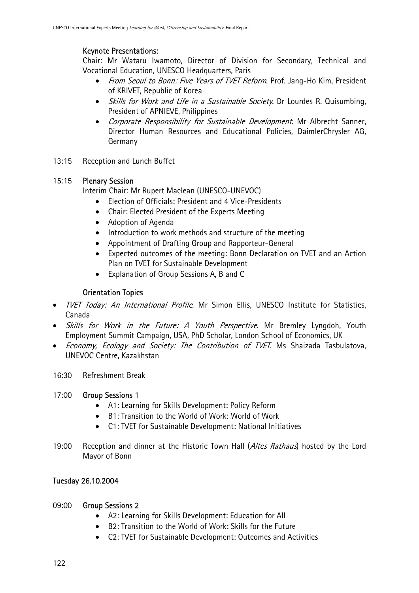# Keynote Presentations:

Chair: Mr Wataru Iwamoto, Director of Division for Secondary, Technical and Vocational Education, UNESCO Headquarters, Paris

- From Seoul to Bonn: Five Years of TVET Reform. Prof. Jang-Ho Kim, President of KRIVET, Republic of Korea
- Skills for Work and Life in a Sustainable Society. Dr Lourdes R. Quisumbing, President of APNIEVE, Philippines
- Corporate Responsibility for Sustainable Development. Mr Albrecht Sanner, Director Human Resources and Educational Policies, DaimlerChrysler AG, Germany
- 13:15 Reception and Lunch Buffet

# 15:15 Plenary Session

Interim Chair: Mr Rupert Maclean (UNESCO-UNEVOC)

- Election of Officials: President and 4 Vice-Presidents
- Chair: Elected President of the Experts Meeting
- Adoption of Agenda
- Introduction to work methods and structure of the meeting
- Appointment of Drafting Group and Rapporteur-General
- Expected outcomes of the meeting: Bonn Declaration on TVET and an Action Plan on TVET for Sustainable Development
- Explanation of Group Sessions A, B and C

# Orientation Topics

- *TVET Today: An International Profile*. Mr Simon Ellis, UNESCO Institute for Statistics, Canada
- Skills for Work in the Future: A Youth Perspective. Mr Bremley Lyngdoh, Youth Employment Summit Campaign, USA, PhD Scholar, London School of Economics, UK
- *Economy, Ecology and Society: The Contribution of TVET*. Ms Shaizada Tasbulatova, UNEVOC Centre, Kazakhstan
- 16:30 Refreshment Break

# 17:00 Group Sessions 1

- A1: Learning for Skills Development: Policy Reform
- B1: Transition to the World of Work: World of Work
- C1: TVET for Sustainable Development: National Initiatives
- 19:00 Reception and dinner at the Historic Town Hall (Altes Rathaus) hosted by the Lord Mayor of Bonn

# Tuesday 26.10.2004

# 09:00 Group Sessions 2

- A2: Learning for Skills Development: Education for All
- B2: Transition to the World of Work: Skills for the Future
- C2: TVET for Sustainable Development: Outcomes and Activities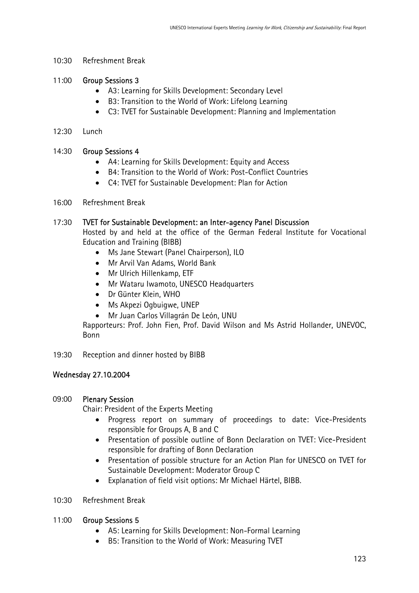10:30 Refreshment Break

#### 11:00 Group Sessions 3

- A3: Learning for Skills Development: Secondary Level
- B3: Transition to the World of Work: Lifelong Learning
- C3: TVET for Sustainable Development: Planning and Implementation
- 12:30 Lunch

#### 14:30 Group Sessions 4

- A4: Learning for Skills Development: Equity and Access
- B4: Transition to the World of Work: Post-Conflict Countries
- C4: TVET for Sustainable Development: Plan for Action
- 16:00 Refreshment Break

#### 17:30 TVET for Sustainable Development: an Inter-agency Panel Discussion

Hosted by and held at the office of the German Federal Institute for Vocational Education and Training (BIBB)

- Ms Jane Stewart (Panel Chairperson), ILO
- Mr Arvil Van Adams, World Bank
- Mr Ulrich Hillenkamp, ETF
- Mr Wataru Iwamoto, UNESCO Headquarters
- Dr Günter Klein, WHO
- Ms Akpezi Ogbuigwe, UNEP
- Mr Juan Carlos Villagrán De León, UNU

Rapporteurs: Prof. John Fien, Prof. David Wilson and Ms Astrid Hollander, UNEVOC, Bonn

19:30 Reception and dinner hosted by BIBB

### Wednesday 27.10.2004

#### 09:00 Plenary Session

Chair: President of the Experts Meeting

- Progress report on summary of proceedings to date: Vice-Presidents responsible for Groups A, B and C
- Presentation of possible outline of Bonn Declaration on TVET: Vice-President responsible for drafting of Bonn Declaration
- Presentation of possible structure for an Action Plan for UNESCO on TVET for Sustainable Development: Moderator Group C
- Explanation of field visit options: Mr Michael Härtel, BIBB.

#### 10:30 Refreshment Break

#### 11:00 Group Sessions 5

- A5: Learning for Skills Development: Non-Formal Learning
- B5: Transition to the World of Work: Measuring TVET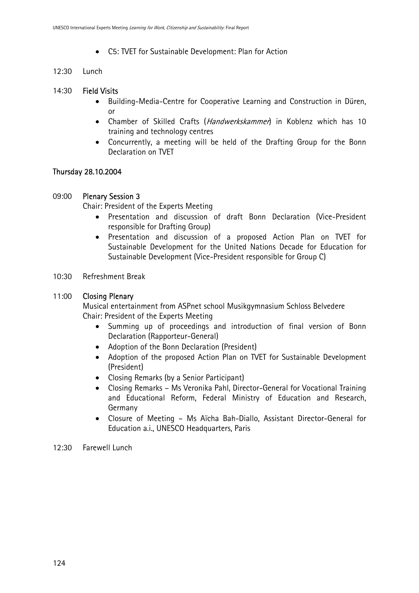- C5: TVET for Sustainable Development: Plan for Action
- 12:30 Lunch

### 14:30 Field Visits

- Building-Media-Centre for Cooperative Learning and Construction in Düren, or
- Chamber of Skilled Crafts (Handwerkskammer) in Koblenz which has 10 training and technology centres
- Concurrently, a meeting will be held of the Drafting Group for the Bonn Declaration on TVET

# Thursday 28.10.2004

### 09:00 Plenary Session 3

Chair: President of the Experts Meeting

- Presentation and discussion of draft Bonn Declaration (Vice-President responsible for Drafting Group)
- Presentation and discussion of a proposed Action Plan on TVET for Sustainable Development for the United Nations Decade for Education for Sustainable Development (Vice-President responsible for Group C)
- 10:30 Refreshment Break

#### 11:00 Closing Plenary

Musical entertainment from ASPnet school Musikgymnasium Schloss Belvedere Chair: President of the Experts Meeting

- Summing up of proceedings and introduction of final version of Bonn Declaration (Rapporteur-General)
- Adoption of the Bonn Declaration (President)
- Adoption of the proposed Action Plan on TVET for Sustainable Development (President)
- Closing Remarks (by a Senior Participant)
- Closing Remarks Ms Veronika Pahl, Director-General for Vocational Training and Educational Reform, Federal Ministry of Education and Research, Germany
- Closure of Meeting Ms Aïcha Bah-Diallo, Assistant Director-General for Education a.i., UNESCO Headquarters, Paris
- 12:30 Farewell Lunch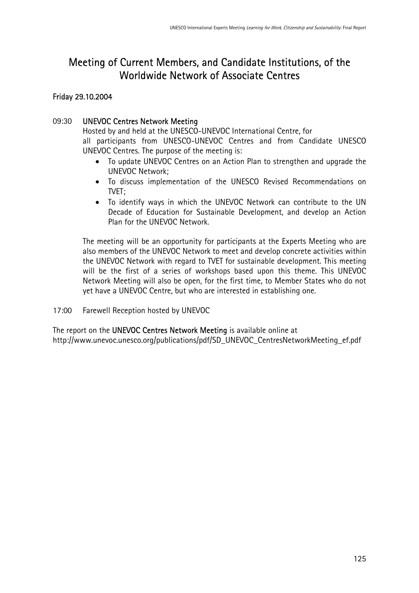# Meeting of Current Members, and Candidate Institutions, of the Worldwide Network of Associate Centres

### Friday 29.10.2004

### 09:30 UNEVOC Centres Network Meeting

Hosted by and held at the UNESCO-UNEVOC International Centre, for all participants from UNESCO-UNEVOC Centres and from Candidate UNESCO UNEVOC Centres. The purpose of the meeting is:

- To update UNEVOC Centres on an Action Plan to strengthen and upgrade the UNEVOC Network;
- To discuss implementation of the UNESCO Revised Recommendations on TVFT:
- To identify ways in which the UNEVOC Network can contribute to the UN Decade of Education for Sustainable Development, and develop an Action Plan for the UNEVOC Network.

The meeting will be an opportunity for participants at the Experts Meeting who are also members of the UNEVOC Network to meet and develop concrete activities within the UNEVOC Network with regard to TVET for sustainable development. This meeting will be the first of a series of workshops based upon this theme. This UNEVOC Network Meeting will also be open, for the first time, to Member States who do not yet have a UNEVOC Centre, but who are interested in establishing one.

17:00 Farewell Reception hosted by UNEVOC

The report on the UNEVOC Centres Network Meeting is available online at http://www.unevoc.unesco.org/publications/pdf/SD\_UNEVOC\_CentresNetworkMeeting\_ef.pdf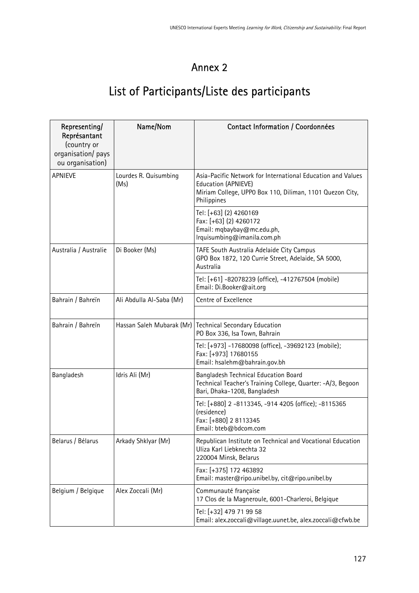# Annex 2

# List of Participants/Liste des participants

| Representing/<br>Représantant<br>(country or<br>organisation/ pays<br>ou organisation) | Name/Nom                      | Contact Information / Coordonnées                                                                                                                             |
|----------------------------------------------------------------------------------------|-------------------------------|---------------------------------------------------------------------------------------------------------------------------------------------------------------|
| <b>APNIEVE</b>                                                                         | Lourdes R. Quisumbing<br>(Ms) | Asia-Pacific Network for International Education and Values<br>Education (APNIEVE)<br>Miriam College, UPPO Box 110, Diliman, 1101 Quezon City,<br>Philippines |
|                                                                                        |                               | Tel: [+63] (2) 4260169<br>Fax: [+63] (2) 4260172<br>Email: mqbaybay@mc.edu.ph,<br>Irquisumbing@imanila.com.ph                                                 |
| Australia / Australie                                                                  | Di Booker (Ms)                | TAFE South Australia Adelaide City Campus<br>GPO Box 1872, 120 Currie Street, Adelaide, SA 5000,<br>Australia                                                 |
|                                                                                        |                               | Tel: [+61] -82078239 (office), -412767504 (mobile)<br>Email: Di.Booker@ait.org                                                                                |
| Bahrain / Bahreïn                                                                      | Ali Abdulla Al-Saba (Mr)      | Centre of Excellence                                                                                                                                          |
|                                                                                        |                               |                                                                                                                                                               |
| Bahrain / Bahreïn                                                                      | Hassan Saleh Mubarak (Mr)     | <b>Technical Secondary Education</b><br>PO Box 336, Isa Town, Bahrain                                                                                         |
|                                                                                        |                               | Tel: [+973] -17680098 (office), -39692123 (mobile);<br>Fax: [+973] 17680155<br>Email: hsalehm@bahrain.gov.bh                                                  |
| Bangladesh                                                                             | Idris Ali (Mr)                | Bangladesh Technical Education Board<br>Technical Teacher's Training College, Quarter: -A/3, Begoon<br>Bari, Dhaka-1208, Bangladesh                           |
|                                                                                        |                               | Tel: [+880] 2 -8113345, -914 4205 (office); -8115365<br>(residence)<br>Fax: [+880] 2 8113345<br>Email: bteb@bdcom.com                                         |
| Belarus / Bélarus                                                                      | Arkady Shklyar (Mr)           | Republican Institute on Technical and Vocational Education<br>Uliza Karl Liebknechta 32<br>220004 Minsk, Belarus                                              |
|                                                                                        |                               | Fax: [+375] 172 463892<br>Email: master@ripo.unibel.by, cit@ripo.unibel.by                                                                                    |
| Belgium / Belgique                                                                     | Alex Zoccali (Mr)             | Communauté française<br>17 Clos de la Magneroule, 6001-Charleroi, Belgique                                                                                    |
|                                                                                        |                               | Tel: [+32] 479 71 99 58<br>Email: alex.zoccali@village.uunet.be, alex.zoccali@cfwb.be                                                                         |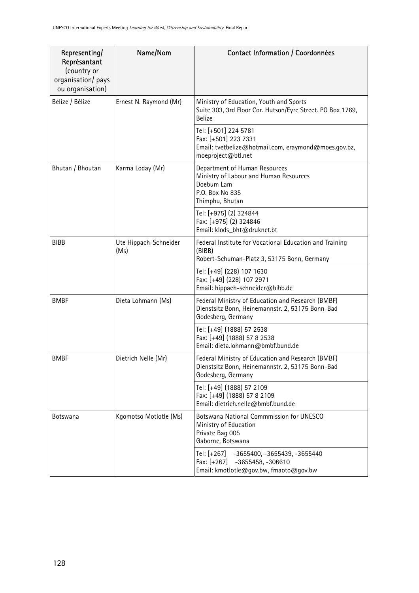| Representing/<br>Représantant<br>(country or<br>organisation/ pays<br>ou organisation) | Name/Nom                      | Contact Information / Coordonnées                                                                                           |
|----------------------------------------------------------------------------------------|-------------------------------|-----------------------------------------------------------------------------------------------------------------------------|
| Belize / Bélize                                                                        | Ernest N. Raymond (Mr)        | Ministry of Education, Youth and Sports<br>Suite 303, 3rd Floor Cor. Hutson/Eyre Street. PO Box 1769,<br><b>Belize</b>      |
|                                                                                        |                               | Tel: [+501] 224 5781<br>Fax: [+501] 223 7331<br>Email: tvetbelize@hotmail.com, eraymond@moes.gov.bz,<br>moeproject@btl.net  |
| Bhutan / Bhoutan                                                                       | Karma Loday (Mr)              | Department of Human Resources<br>Ministry of Labour and Human Resources<br>Doebum Lam<br>P.O. Box No 835<br>Thimphu, Bhutan |
|                                                                                        |                               | Tel: [+975] (2) 324844<br>Fax: [+975] (2) 324846<br>Email: klods_bht@druknet.bt                                             |
| <b>BIBB</b>                                                                            | Ute Hippach-Schneider<br>(Ms) | Federal Institute for Vocational Education and Training<br>(BIBB)<br>Robert-Schuman-Platz 3, 53175 Bonn, Germany            |
|                                                                                        |                               | Tel: [+49] (228) 107 1630<br>Fax: [+49] (228) 107 2971<br>Email: hippach-schneider@bibb.de                                  |
| <b>BMBF</b>                                                                            | Dieta Lohmann (Ms)            | Federal Ministry of Education and Research (BMBF)<br>Dienstsitz Bonn, Heinemannstr. 2, 53175 Bonn-Bad<br>Godesberg, Germany |
|                                                                                        |                               | Tel: [+49] (1888) 57 2538<br>Fax: [+49] (1888) 57 8 2538<br>Email: dieta.lohmann@bmbf.bund.de                               |
| <b>BMBF</b>                                                                            | Dietrich Nelle (Mr)           | Federal Ministry of Education and Research (BMBF)<br>Dienstsitz Bonn, Heinemannstr. 2, 53175 Bonn-Bad<br>Godesberg, Germany |
|                                                                                        |                               | Tel: [+49] (1888) 57 2109<br>Fax: [+49] (1888) 57 8 2109<br>Email: dietrich.nelle@bmbf.bund.de                              |
| <b>Botswana</b>                                                                        | Kgomotso Motlotle (Ms)        | Botswana National Commmission for UNESCO<br>Ministry of Education<br>Private Bag 005<br>Gaborne, Botswana                   |
|                                                                                        |                               | Tel: [+267]<br>-3655400, -3655439, -3655440<br>Fax: [+267] -3655458, -306610<br>Email: kmotlotle@gov.bw, fmaoto@gov.bw      |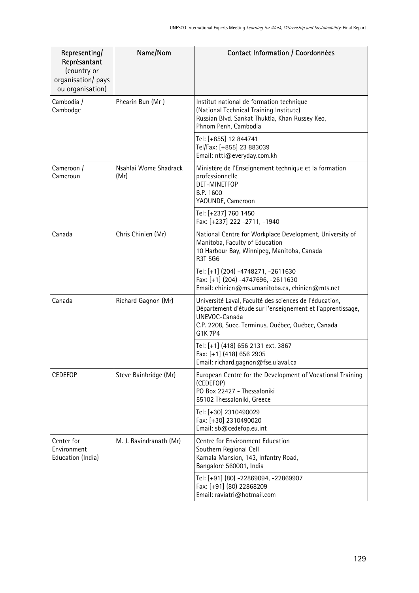| Representing/<br>Représantant<br>(country or<br>organisation/ pays<br>ou organisation) | Name/Nom                      | Contact Information / Coordonnées                                                                                                                                                                     |
|----------------------------------------------------------------------------------------|-------------------------------|-------------------------------------------------------------------------------------------------------------------------------------------------------------------------------------------------------|
| Cambodia /<br>Cambodge                                                                 | Phearin Bun (Mr)              | Institut national de formation technique<br>(National Technical Training Institute)<br>Russian Blvd. Sankat Thuktla, Khan Russey Keo,<br>Phnom Penh, Cambodia                                         |
|                                                                                        |                               | Tel: [+855] 12 844741<br>Tel/Fax: [+855] 23 883039<br>Email: ntti@everyday.com.kh                                                                                                                     |
| Cameroon /<br>Cameroun                                                                 | Nsahlai Wome Shadrack<br>(Mr) | Ministère de l'Enseignement technique et la formation<br>professionnelle<br>DET-MINETFOP<br>B.P. 1600<br>YAOUNDE, Cameroon                                                                            |
|                                                                                        |                               | Tel: [+237] 760 1450<br>Fax: [+237] 222 -2711, -1940                                                                                                                                                  |
| Canada                                                                                 | Chris Chinien (Mr)            | National Centre for Workplace Development, University of<br>Manitoba, Faculty of Education<br>10 Harbour Bay, Winnipeg, Manitoba, Canada<br>R3T 5G6                                                   |
|                                                                                        |                               | Tel: [+1] (204) -4748271, -2611630<br>Fax: [+1] (204) -4747696, -2611630<br>Email: chinien@ms.umanitoba.ca, chinien@mts.net                                                                           |
| Canada                                                                                 | Richard Gagnon (Mr)           | Université Laval, Faculté des sciences de l'éducation,<br>Département d'étude sur l'enseignement et l'apprentissage,<br>UNEVOC-Canada<br>C.P. 2208, Succ. Terminus, Québec, Québec, Canada<br>G1K 7P4 |
|                                                                                        |                               | Tel: [+1] (418) 656 2131 ext. 3867<br>Fax: [+1] (418) 656 2905<br>Email: richard.gagnon@fse.ulaval.ca                                                                                                 |
| <b>CEDEFOP</b>                                                                         | Steve Bainbridge (Mr)         | European Centre for the Development of Vocational Training<br>(CEDEFOP)<br>PO Box 22427 - Thessaloniki<br>55102 Thessaloniki, Greece                                                                  |
|                                                                                        |                               | Tel: [+30] 2310490029<br>Fax: [+30] 2310490020<br>Email: sb@cedefop.eu.int                                                                                                                            |
| Center for<br>Environment<br>Education (India)                                         | M. J. Ravindranath (Mr)       | Centre for Environment Education<br>Southern Regional Cell<br>Kamala Mansion, 143, Infantry Road,<br>Bangalore 560001, India                                                                          |
|                                                                                        |                               | Tel: [+91] (80) -22869094, -22869907<br>Fax: [+91] (80) 22868209<br>Email: raviatri@hotmail.com                                                                                                       |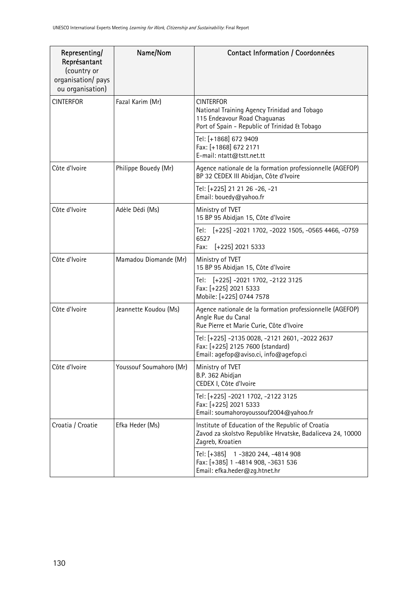| Representing/<br>Représantant<br>(country or<br>organisation/ pays<br>ou organisation) | Name/Nom                | Contact Information / Coordonnées                                                                                                                 |
|----------------------------------------------------------------------------------------|-------------------------|---------------------------------------------------------------------------------------------------------------------------------------------------|
| <b>CINTERFOR</b>                                                                       | Fazal Karim (Mr)        | <b>CINTERFOR</b><br>National Training Agency Trinidad and Tobago<br>115 Endeavour Road Chaguanas<br>Port of Spain - Republic of Trinidad & Tobago |
|                                                                                        |                         | Tel: [+1868] 672 9409<br>Fax: [+1868] 672 2171<br>E-mail: ntatt@tstt.net.tt                                                                       |
| Côte d'Ivoire                                                                          | Philippe Bouedy (Mr)    | Agence nationale de la formation professionnelle (AGEFOP)<br>BP 32 CEDEX III Abidjan, Côte d'Ivoire                                               |
|                                                                                        |                         | Tel: [+225] 21 21 26 -26, -21<br>Email: bouedy@yahoo.fr                                                                                           |
| Côte d'Ivoire                                                                          | Adèle Dédi (Ms)         | Ministry of TVET<br>15 BP 95 Abidjan 15, Côte d'Ivoire                                                                                            |
|                                                                                        |                         | [+225] -2021 1702, -2022 1505, -0565 4466, -0759<br>Tel:<br>6527<br>Fax:<br>$[-225]$ 2021 5333                                                    |
| Côte d'Ivoire                                                                          | Mamadou Diomande (Mr)   | Ministry of TVET<br>15 BP 95 Abidjan 15, Côte d'Ivoire                                                                                            |
|                                                                                        |                         | Tel: [+225] -2021 1702, -2122 3125<br>Fax: [+225] 2021 5333<br>Mobile: [+225] 0744 7578                                                           |
| Côte d'Ivoire                                                                          | Jeannette Koudou (Ms)   | Agence nationale de la formation professionnelle (AGEFOP)<br>Angle Rue du Canal<br>Rue Pierre et Marie Curie, Côte d'Ivoire                       |
|                                                                                        |                         | Tel: [+225] -2135 0028, -2121 2601, -2022 2637<br>Fax: [+225] 2125 7600 (standard)<br>Email: agefop@aviso.ci, info@agefop.ci                      |
| Côte d'Ivoire                                                                          | Youssouf Soumahoro (Mr) | Ministry of TVET<br>B.P. 362 Abidjan<br>CEDEX I, Côte d'Ivoire                                                                                    |
|                                                                                        |                         | Tel: [+225] -2021 1702, -2122 3125<br>Fax: [+225] 2021 5333<br>Email: soumahoroyoussouf2004@yahoo.fr                                              |
| Croatia / Croatie                                                                      | Efka Heder (Ms)         | Institute of Education of the Republic of Croatia<br>Zavod za skolstvo Republike Hrvatske, Badaliceva 24, 10000<br>Zagreb, Kroatien               |
|                                                                                        |                         | Tel: [+385]<br>1-3820 244, -4814 908<br>Fax: [+385] 1 -4814 908, -3631 536<br>Email: efka.heder@zg.htnet.hr                                       |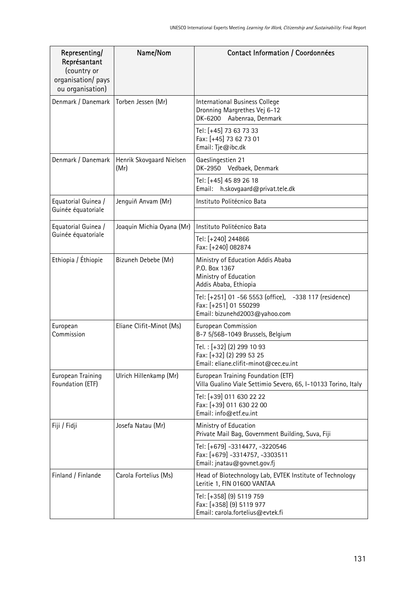| Representing/<br>Représantant<br>(country or<br>organisation/ pays<br>ou organisation) | Name/Nom                         | Contact Information / Coordonnées                                                                                |
|----------------------------------------------------------------------------------------|----------------------------------|------------------------------------------------------------------------------------------------------------------|
| Denmark / Danemark                                                                     | Torben Jessen (Mr)               | International Business College<br>Dronning Margrethes Vej 6-12<br>DK-6200 Aabenraa, Denmark                      |
|                                                                                        |                                  | Tel: [+45] 73 63 73 33<br>Fax: [+45] 73 62 73 01<br>Email: Tje@ibc.dk                                            |
| Denmark / Danemark                                                                     | Henrik Skovgaard Nielsen<br>(Mr) | Gaeslingestien 21<br>DK-2950 Vedbaek, Denmark                                                                    |
|                                                                                        |                                  | Tel: [+45] 45 89 26 18<br>Email: h.skovgaard@privat.tele.dk                                                      |
| Equatorial Guinea /<br>Guinée équatoriale                                              | Jenguiñ Anvam (Mr)               | Instituto Politécnico Bata                                                                                       |
| Equatorial Guinea /                                                                    | Joaquin Michia Oyana (Mr)        | Instituto Politécnico Bata                                                                                       |
| Guinée équatoriale                                                                     |                                  | Tel: [+240] 244866<br>Fax: [+240] 082874                                                                         |
| Ethiopia / Éthiopie                                                                    | Bizuneh Debebe (Mr)              | Ministry of Education Addis Ababa<br>P.O. Box 1367<br>Ministry of Education<br>Addis Ababa, Ethiopia             |
|                                                                                        |                                  | Tel: [+251] 01 -56 5553 (office), -338 117 (residence)<br>Fax: [+251] 01 550299<br>Email: bizunehd2003@yahoo.com |
| European<br>Commission                                                                 | Eliane Clifit-Minot (Ms)         | European Commission<br>B-7 5/56B-1049 Brussels, Belgium                                                          |
|                                                                                        |                                  | Tel.: [+32] (2) 299 10 93<br>Fax: [+32] (2) 299 53 25<br>Email: eliane.clifit-minot@cec.eu.int                   |
| European Training<br>Foundation (ETF)                                                  | Ulrich Hillenkamp (Mr)           | European Training Foundation (ETF)<br>Villa Gualino Viale Settimio Severo, 65, I-10133 Torino, Italy             |
|                                                                                        |                                  | Tel: [+39] 011 630 22 22<br>Fax: [+39] 011 630 22 00<br>Email: info@etf.eu.int                                   |
| Fiji / Fidji                                                                           | Josefa Natau (Mr)                | Ministry of Education<br>Private Mail Bag, Government Building, Suva, Fiji                                       |
|                                                                                        |                                  | Tel: [+679] -3314477, -3220546<br>Fax: [+679] -3314757, -3303511<br>Email: jnatau@govnet.gov.fj                  |
| Finland / Finlande                                                                     | Carola Fortelius (Ms)            | Head of Biotechnology Lab, EVTEK Institute of Technology<br>Leritie 1, FIN 01600 VANTAA                          |
|                                                                                        |                                  | Tel: [+358] (9) 5119 759<br>Fax: [+358] (9) 5119 977<br>Email: carola.fortelius@evtek.fi                         |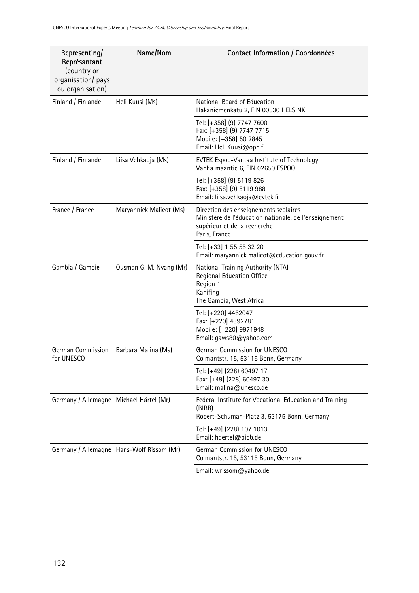| Representing/<br>Représantant<br>(country or<br>organisation/ pays<br>ou organisation) | Name/Nom                                    | Contact Information / Coordonnées                                                                                                               |
|----------------------------------------------------------------------------------------|---------------------------------------------|-------------------------------------------------------------------------------------------------------------------------------------------------|
| Finland / Finlande                                                                     | Heli Kuusi (Ms)                             | National Board of Education<br>Hakaniemenkatu 2, FIN 00530 HELSINKI                                                                             |
|                                                                                        |                                             | Tel: [+358] (9) 7747 7600<br>Fax: [+358] (9) 7747 7715<br>Mobile: [+358] 50 2845<br>Email: Heli.Kuusi@oph.fi                                    |
| Finland / Finlande                                                                     | Liisa Vehkaoja (Ms)                         | <b>EVTEK Espoo-Vantaa Institute of Technology</b><br>Vanha maantie 6, FIN 02650 ESPOO                                                           |
|                                                                                        |                                             | Tel: [+358] (9) 5119 826<br>Fax: [+358] (9) 5119 988<br>Email: liisa.vehkaoja@evtek.fi                                                          |
| France / France                                                                        | Maryannick Malicot (Ms)                     | Direction des enseignements scolaires<br>Ministère de l'éducation nationale, de l'enseignement<br>supérieur et de la recherche<br>Paris, France |
|                                                                                        |                                             | Tel: [+33] 1 55 55 32 20<br>Email: maryannick.malicot@education.gouv.fr                                                                         |
| Gambia / Gambie                                                                        | Ousman G. M. Nyang (Mr)                     | National Training Authority (NTA)<br>Regional Education Office<br>Region 1<br>Kanifing<br>The Gambia, West Africa                               |
|                                                                                        |                                             | Tel: [+220] 4462047<br>Fax: [+220] 4392781<br>Mobile: [+220] 9971948<br>Email: gaws80@yahoo.com                                                 |
| German Commission<br>for UNESCO                                                        | Barbara Malina (Ms)                         | German Commission for UNESCO<br>Colmantstr. 15, 53115 Bonn, Germany                                                                             |
|                                                                                        |                                             | Tel: [+49] (228) 60497 17<br>Fax: [+49] (228) 60497 30<br>Email: malina@unesco.de                                                               |
| Germany / Allemagne   Michael Härtel (Mr)                                              |                                             | Federal Institute for Vocational Education and Training<br>(BIBB)<br>Robert-Schuman-Platz 3, 53175 Bonn, Germany                                |
|                                                                                        |                                             | Tel: [+49] (228) 107 1013<br>Email: haertel@bibb.de                                                                                             |
|                                                                                        | Germany / Allemagne   Hans-Wolf Rissom (Mr) | German Commission for UNESCO<br>Colmantstr. 15, 53115 Bonn, Germany                                                                             |
|                                                                                        |                                             | Email: wrissom@yahoo.de                                                                                                                         |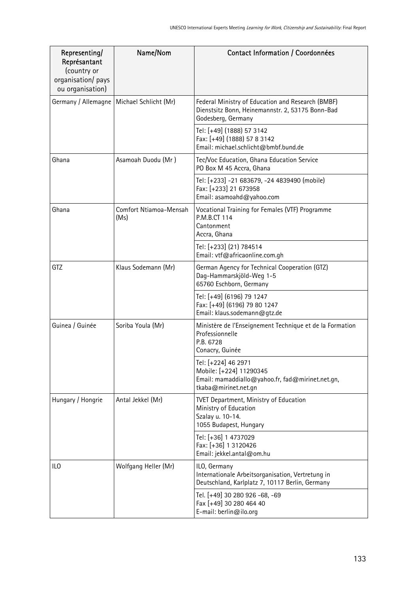| Representing/<br>Représantant<br>(country or<br>organisation/ pays<br>ou organisation) | Name/Nom                       | Contact Information / Coordonnées                                                                                           |
|----------------------------------------------------------------------------------------|--------------------------------|-----------------------------------------------------------------------------------------------------------------------------|
| Germany / Allemagne                                                                    | Michael Schlicht (Mr)          | Federal Ministry of Education and Research (BMBF)<br>Dienstsitz Bonn, Heinemannstr. 2, 53175 Bonn-Bad<br>Godesberg, Germany |
|                                                                                        |                                | Tel: [+49] (1888) 57 3142<br>Fax: [+49] (1888) 57 8 3142<br>Email: michael.schlicht@bmbf.bund.de                            |
| Ghana                                                                                  | Asamoah Duodu (Mr)             | Tec/Voc Education, Ghana Education Service<br>PO Box M 45 Accra, Ghana                                                      |
|                                                                                        |                                | Tel: [+233] -21 683679, -24 4839490 (mobile)<br>Fax: [+233] 21 673958<br>Email: asamoahd@yahoo.com                          |
| Ghana                                                                                  | Comfort Ntiamoa-Mensah<br>(Ms) | Vocational Training for Females (VTF) Programme<br>P.M.B.CT 114<br>Cantonment<br>Accra, Ghana                               |
|                                                                                        |                                | Tel: [+233] (21) 784514<br>Email: vtf@africaonline.com.gh                                                                   |
| GTZ                                                                                    | Klaus Sodemann (Mr)            | German Agency for Technical Cooperation (GTZ)<br>Dag-Hammarskjöld-Weg 1-5<br>65760 Eschborn, Germany                        |
|                                                                                        |                                | Tel: [+49] (6196) 79 1247<br>Fax: [+49] (6196) 79 80 1247<br>Email: klaus.sodemann@gtz.de                                   |
| Guinea / Guinée                                                                        | Soriba Youla (Mr)              | Ministère de l'Enseignement Technique et de la Formation<br>Professionnelle<br>P.B. 6728<br>Conacry, Guinée                 |
|                                                                                        |                                | Tel: [+224] 46 2971<br>Mobile: [+224] 11290345<br>Email: mamaddiallo@yahoo.fr, fad@mirinet.net.gn,<br>tkaba@mirinet.net.gn  |
| Hungary / Hongrie                                                                      | Antal Jekkel (Mr)              | <b>TVET Department, Ministry of Education</b><br>Ministry of Education<br>Szalay u. 10-14.<br>1055 Budapest, Hungary        |
|                                                                                        |                                | Tel: [+36] 1 4737029<br>Fax: [+36] 1 3120426<br>Email: jekkel.antal@om.hu                                                   |
| ILO                                                                                    | Wolfgang Heller (Mr)           | ILO, Germany<br>Internationale Arbeitsorganisation, Vertretung in<br>Deutschland, Karlplatz 7, 10117 Berlin, Germany        |
|                                                                                        |                                | Tel. [+49] 30 280 926 -68, -69<br>Fax [+49] 30 280 464 40<br>E-mail: berlin@ilo.org                                         |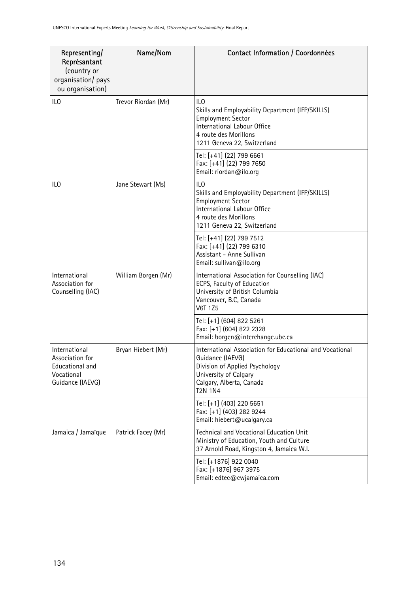| Representing/<br>Représantant<br>(country or<br>organisation/ pays<br>ou organisation) | Name/Nom            | Contact Information / Coordonnées                                                                                                                                                     |
|----------------------------------------------------------------------------------------|---------------------|---------------------------------------------------------------------------------------------------------------------------------------------------------------------------------------|
| ILO                                                                                    | Trevor Riordan (Mr) | ILO<br>Skills and Employability Department (IFP/SKILLS)<br><b>Employment Sector</b><br>International Labour Office<br>4 route des Morillons<br>1211 Geneva 22, Switzerland            |
|                                                                                        |                     | Tel: [+41] (22) 799 6661<br>Fax: [+41] (22) 799 7650<br>Email: riordan@ilo.org                                                                                                        |
| ILO                                                                                    | Jane Stewart (Ms)   | ILO<br>Skills and Employability Department (IFP/SKILLS)<br><b>Employment Sector</b><br>International Labour Office<br>4 route des Morillons<br>1211 Geneva 22, Switzerland            |
|                                                                                        |                     | Tel: [+41] (22) 799 7512<br>Fax: [+41] (22) 799 6310<br>Assistant - Anne Sullivan<br>Email: sullivan@ilo.org                                                                          |
| International<br>Association for<br>Counselling (IAC)                                  | William Borgen (Mr) | International Association for Counselling (IAC)<br>ECPS, Faculty of Education<br>University of British Columbia<br>Vancouver, B.C, Canada<br><b>V6T 1Z5</b>                           |
|                                                                                        |                     | Tel: [+1] (604) 822 5261<br>Fax: [+1] (604) 822 2328<br>Email: borgen@interchange.ubc.ca                                                                                              |
| International<br>Association for<br>Educational and<br>Vocational<br>Guidance (IAEVG)  | Bryan Hiebert (Mr)  | International Association for Educational and Vocational<br>Guidance (IAEVG)<br>Division of Applied Psychology<br>University of Calgary<br>Calgary, Alberta, Canada<br><b>T2N 1N4</b> |
|                                                                                        |                     | Tel: [+1] (403) 220 5651<br>Fax: [+1] (403) 282 9244<br>Email: hiebert@ucalgary.ca                                                                                                    |
| Jamaica / Jamaïque                                                                     | Patrick Facey (Mr)  | <b>Technical and Vocational Education Unit</b><br>Ministry of Education, Youth and Culture<br>37 Arnold Road, Kingston 4, Jamaica W.I.                                                |
|                                                                                        |                     | Tel: [+1876] 922 0040<br>Fax: [+1876] 967 3975<br>Email: edtec@cwjamaica.com                                                                                                          |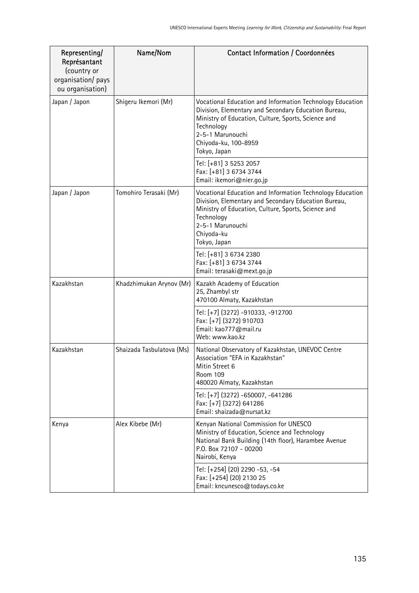| Representing/<br>Représantant<br>(country or<br>organisation/ pays<br>ou organisation) | Name/Nom                  | Contact Information / Coordonnées                                                                                                                                                                                                                  |
|----------------------------------------------------------------------------------------|---------------------------|----------------------------------------------------------------------------------------------------------------------------------------------------------------------------------------------------------------------------------------------------|
| Japan / Japon                                                                          | Shigeru Ikemori (Mr)      | Vocational Education and Information Technology Education<br>Division, Elementary and Secondary Education Bureau,<br>Ministry of Education, Culture, Sports, Science and<br>Technology<br>2-5-1 Marunouchi<br>Chiyoda-ku, 100-8959<br>Tokyo, Japan |
|                                                                                        |                           | Tel: [+81] 3 5253 2057<br>Fax: [+81] 3 6734 3744<br>Email: ikemori@nier.go.jp                                                                                                                                                                      |
| Japan / Japon                                                                          | Tomohiro Terasaki (Mr)    | Vocational Education and Information Technology Education<br>Division, Elementary and Secondary Education Bureau,<br>Ministry of Education, Culture, Sports, Science and<br>Technology<br>2-5-1 Marunouchi<br>Chiyoda-ku<br>Tokyo, Japan           |
|                                                                                        |                           | Tel: [+81] 3 6734 2380<br>Fax: [+81] 3 6734 3744<br>Email: terasaki@mext.go.jp                                                                                                                                                                     |
| Kazakhstan                                                                             | Khadzhimukan Arynov (Mr)  | Kazakh Academy of Education<br>25, Zhambyl str<br>470100 Almaty, Kazakhstan                                                                                                                                                                        |
|                                                                                        |                           | Tel: [+7] (3272) -910333, -912700<br>Fax: [+7] (3272) 910703<br>Email: kao777@mail.ru<br>Web: www.kao.kz                                                                                                                                           |
| Kazakhstan                                                                             | Shaizada Tasbulatova (Ms) | National Observatory of Kazakhstan, UNEVOC Centre<br>Association "EFA in Kazakhstan"<br>Mitin Street 6<br><b>Room 109</b><br>480020 Almaty, Kazakhstan                                                                                             |
|                                                                                        |                           | Tel: [+7] (3272) -650007, -641286<br>Fax: [+7] (3272) 641286<br>Email: shaizada@nursat.kz                                                                                                                                                          |
| Kenya                                                                                  | Alex Kibebe (Mr)          | Kenyan National Commission for UNESCO<br>Ministry of Education, Science and Technology<br>National Bank Building (14th floor), Harambee Avenue<br>P.O. Box 72107 - 00200<br>Nairobi, Kenya                                                         |
|                                                                                        |                           | Tel: [+254] (20) 2290 -53, -54<br>Fax: [+254] (20) 2130 25<br>Email: kncunesco@todays.co.ke                                                                                                                                                        |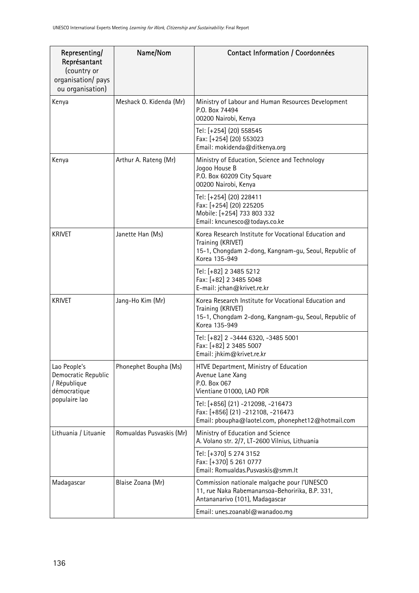| Representing/<br>Représantant<br>(country or<br>organisation/ pays<br>ou organisation) | Name/Nom                 | Contact Information / Coordonnées                                                                                                                    |
|----------------------------------------------------------------------------------------|--------------------------|------------------------------------------------------------------------------------------------------------------------------------------------------|
| Kenya                                                                                  | Meshack O. Kidenda (Mr)  | Ministry of Labour and Human Resources Development<br>P.O. Box 74494<br>00200 Nairobi, Kenya                                                         |
|                                                                                        |                          | Tel: [+254] (20) 558545<br>Fax: [+254] (20) 553023<br>Email: mokidenda@ditkenya.org                                                                  |
| Kenya                                                                                  | Arthur A. Rateng (Mr)    | Ministry of Education, Science and Technology<br>Jogoo House B<br>P.O. Box 60209 City Square<br>00200 Nairobi, Kenya                                 |
|                                                                                        |                          | Tel: [+254] (20) 228411<br>Fax: [+254] (20) 225205<br>Mobile: [+254] 733 803 332<br>Email: kncunesco@todays.co.ke                                    |
| <b>KRIVET</b>                                                                          | Janette Han (Ms)         | Korea Research Institute for Vocational Education and<br>Training (KRIVET)<br>15-1, Chongdam 2-dong, Kangnam-gu, Seoul, Republic of<br>Korea 135-949 |
|                                                                                        |                          | Tel: [+82] 2 3485 5212<br>Fax: [+82] 2 3485 5048<br>E-mail: jchan@krivet.re.kr                                                                       |
| <b>KRIVET</b>                                                                          | Jang-Ho Kim (Mr)         | Korea Research Institute for Vocational Education and<br>Training (KRIVET)<br>15-1, Chongdam 2-dong, Kangnam-gu, Seoul, Republic of<br>Korea 135-949 |
|                                                                                        |                          | Tel: [+82] 2 -3444 6320, -3485 5001<br>Fax: [+82] 2 3485 5007<br>Email: jhkim@krivet.re.kr                                                           |
| Lao People's<br>Democratic Republic<br>/ République<br>démocratique                    | Phonephet Boupha (Ms)    | HTVE Department, Ministry of Education<br>Avenue Lane Xang<br>P.O. Box 067<br>Vientiane 01000, LAO PDR                                               |
| populaire lao                                                                          |                          | Tel: [+856] (21) -212098, -216473<br>Fax: [+856] (21) -212108, -216473<br>Email: pboupha@laotel.com, phonephet12@hotmail.com                         |
| Lithuania / Lituanie                                                                   | Romualdas Pusvaskis (Mr) | Ministry of Education and Science<br>A. Volano str. 2/7, LT-2600 Vilnius, Lithuania                                                                  |
|                                                                                        |                          | Tel: [+370] 5 274 3152<br>Fax: [+370] 5 261 0777<br>Email: Romualdas.Pusvaskis@smm.lt                                                                |
| Madagascar                                                                             | Blaise Zoana (Mr)        | Commission nationale malgache pour l'UNESCO<br>11, rue Naka Rabemanansoa-Behoririka, B.P. 331,<br>Antananarivo (101), Madagascar                     |
|                                                                                        |                          | Email: unes.zoanabl@wanadoo.mg                                                                                                                       |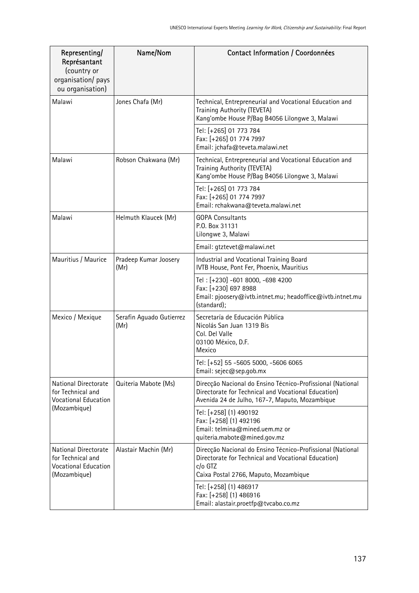| Representing/<br>Représantant<br>(country or<br>organisation/ pays<br>ou organisation)   | Name/Nom                         | Contact Information / Coordonnées                                                                                                                                     |
|------------------------------------------------------------------------------------------|----------------------------------|-----------------------------------------------------------------------------------------------------------------------------------------------------------------------|
| Malawi                                                                                   | Jones Chafa (Mr)                 | Technical, Entrepreneurial and Vocational Education and<br>Training Authority (TEVETA)<br>Kang'ombe House P/Bag B4056 Lilongwe 3, Malawi                              |
|                                                                                          |                                  | Tel: [+265] 01 773 784<br>Fax: [+265] 01 774 7997<br>Email: jchafa@teveta.malawi.net                                                                                  |
| Malawi                                                                                   | Robson Chakwana (Mr)             | Technical, Entrepreneurial and Vocational Education and<br>Training Authority (TEVETA)<br>Kang'ombe House P/Bag B4056 Lilongwe 3, Malawi                              |
|                                                                                          |                                  | Tel: [+265] 01 773 784<br>Fax: [+265] 01 774 7997<br>Email: rchakwana@teveta.malawi.net                                                                               |
| Malawi                                                                                   | Helmuth Klaucek (Mr)             | <b>GOPA Consultants</b><br>P.O. Box 31131<br>Lilongwe 3, Malawi                                                                                                       |
|                                                                                          |                                  | Email: gtztevet@malawi.net                                                                                                                                            |
| Mauritius / Maurice                                                                      | Pradeep Kumar Joosery<br>(Mr)    | Industrial and Vocational Training Board<br>IVTB House, Pont Fer, Phoenix, Mauritius                                                                                  |
|                                                                                          |                                  | Tel: [+230] -601 8000, -698 4200<br>Fax: [+230] 697 8988<br>Email: pjoosery@ivtb.intnet.mu; headoffice@ivtb.intnet.mu<br>(standard);                                  |
| Mexico / Mexique                                                                         | Serafin Aguado Gutierrez<br>(Mr) | Secretaría de Educación Pública<br>Nicolás San Juan 1319 Bis<br>Col. Del Valle<br>03100 México, D.F.<br>Mexico                                                        |
|                                                                                          |                                  | Tel: [+52] 55 -5605 5000, -5606 6065<br>Email: sejec@sep.gob.mx                                                                                                       |
| National Directorate<br>for Technical and<br><b>Vocational Education</b>                 | Quiteria Mabote (Ms)             | Direcção Nacional do Ensino Técnico-Profissional (National<br>Directorate for Technical and Vocational Education)<br>Avenida 24 de Julho, 167-7, Maputo, Mozambique   |
| (Mozambique)                                                                             |                                  | Tel: [+258] (1) 490192<br>Fax: [+258] (1) 492196<br>Email: telmina@mined.uem.mz or<br>quiteria.mabote@mined.gov.mz                                                    |
| National Directorate<br>for Technical and<br><b>Vocational Education</b><br>(Mozambique) | Alastair Machin (Mr)             | Direcção Nacional do Ensino Técnico-Profissional (National<br>Directorate for Technical and Vocational Education)<br>c/o GTZ<br>Caixa Postal 2766, Maputo, Mozambique |
|                                                                                          |                                  | Tel: [+258] (1) 486917<br>Fax: [+258] (1) 486916<br>Email: alastair.proetfp@tvcabo.co.mz                                                                              |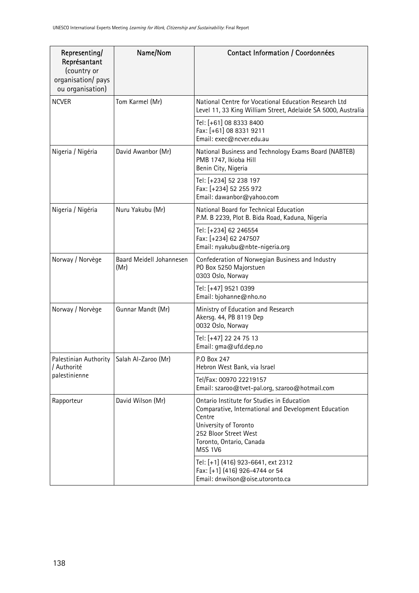| Representing/<br>Représantant<br>(country or<br>organisation/ pays<br>ou organisation) | Name/Nom                         | Contact Information / Coordonnées                                                                                                                                                                            |
|----------------------------------------------------------------------------------------|----------------------------------|--------------------------------------------------------------------------------------------------------------------------------------------------------------------------------------------------------------|
| <b>NCVER</b>                                                                           | Tom Karmel (Mr)                  | National Centre for Vocational Education Research Ltd<br>Level 11, 33 King William Street, Adelaide SA 5000, Australia                                                                                       |
|                                                                                        |                                  | Tel: [+61] 08 8333 8400<br>Fax: [+61] 08 8331 9211<br>Email: exec@ncver.edu.au                                                                                                                               |
| Nigeria / Nigéria                                                                      | David Awanbor (Mr)               | National Business and Technology Exams Board (NABTEB)<br>PMB 1747, Ikioba Hill<br>Benin City, Nigeria                                                                                                        |
|                                                                                        |                                  | Tel: [+234] 52 238 197<br>Fax: [+234] 52 255 972<br>Email: dawanbor@yahoo.com                                                                                                                                |
| Nigeria / Nigéria                                                                      | Nuru Yakubu (Mr)                 | National Board for Technical Education<br>P.M. B 2239, Plot B. Bida Road, Kaduna, Nigeria                                                                                                                    |
|                                                                                        |                                  | Tel: [+234] 62 246554<br>Fax: [+234] 62 247507<br>Email: nyakubu@nbte-nigeria.org                                                                                                                            |
| Norway / Norvège                                                                       | Baard Meidell Johannesen<br>(Mr) | Confederation of Norwegian Business and Industry<br>PO Box 5250 Majorstuen<br>0303 Oslo, Norway                                                                                                              |
|                                                                                        |                                  | Tel: [+47] 9521 0399<br>Email: bjohanne@nho.no                                                                                                                                                               |
| Norway / Norvège                                                                       | Gunnar Mandt (Mr)                | Ministry of Education and Research<br>Akersg. 44, PB 8119 Dep<br>0032 Oslo, Norway                                                                                                                           |
|                                                                                        |                                  | Tel: [+47] 22 24 75 13<br>Email: gma@ufd.dep.no                                                                                                                                                              |
| Palestinian Authority   Salah Al-Zaroo (Mr)<br>/ Authorité<br>palestinienne            |                                  | P.O Box 247<br>Hebron West Bank, via Israel                                                                                                                                                                  |
|                                                                                        |                                  | Tel/Fax: 00970 22219157<br>Email: szaroo@tvet-pal.org, szaroo@hotmail.com                                                                                                                                    |
| Rapporteur                                                                             | David Wilson (Mr)                | Ontario Institute for Studies in Education<br>Comparative, International and Development Education<br>Centre<br>University of Toronto<br>252 Bloor Street West<br>Toronto, Ontario, Canada<br><b>M5S 1V6</b> |
|                                                                                        |                                  | Tel: [+1] (416) 923-6641, ext 2312<br>Fax: [+1] (416) 926-4744 or 54<br>Email: dnwilson@oise.utoronto.ca                                                                                                     |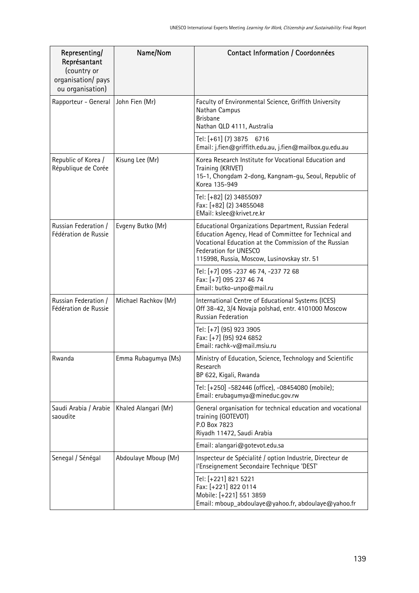| Representing/<br>Représantant<br>(country or<br>organisation/ pays<br>ou organisation) | Name/Nom             | Contact Information / Coordonnées                                                                                                                                                                                                               |
|----------------------------------------------------------------------------------------|----------------------|-------------------------------------------------------------------------------------------------------------------------------------------------------------------------------------------------------------------------------------------------|
| Rapporteur - General                                                                   | John Fien (Mr)       | Faculty of Environmental Science, Griffith University<br>Nathan Campus<br><b>Brisbane</b><br>Nathan QLD 4111, Australia                                                                                                                         |
|                                                                                        |                      | Tel: [+61] (7) 3875 6716<br>Email: j.fien@griffith.edu.au, j.fien@mailbox.gu.edu.au                                                                                                                                                             |
| Republic of Korea /<br>République de Corée                                             | Kisung Lee (Mr)      | Korea Research Institute for Vocational Education and<br>Training (KRIVET)<br>15-1, Chongdam 2-dong, Kangnam-gu, Seoul, Republic of<br>Korea 135-949                                                                                            |
|                                                                                        |                      | Tel: [+82] (2) 34855097<br>Fax: [+82] (2) 34855048<br>EMail: kslee@krivet.re.kr                                                                                                                                                                 |
| Russian Federation /<br>Fédération de Russie                                           | Evgeny Butko (Mr)    | Educational Organizations Department, Russian Federal<br>Education Agency, Head of Committee for Technical and<br>Vocational Education at the Commission of the Russian<br>Federation for UNESCO<br>115998, Russia, Moscow, Lusinovskay str. 51 |
|                                                                                        |                      | Tel: [+7] 095 -237 46 74, -237 72 68<br>Fax: [+7] 095 237 46 74<br>Email: butko-unpo@mail.ru                                                                                                                                                    |
| Russian Federation /<br>Fédération de Russie                                           | Michael Rachkov (Mr) | International Centre of Educational Systems (ICES)<br>Off 38-42, 3/4 Novaja polshad, entr. 4101000 Moscow<br>Russian Federation                                                                                                                 |
|                                                                                        |                      | Tel: [+7] (95) 923 3905<br>Fax: [+7] (95) 924 6852<br>Email: rachk-v@mail.msiu.ru                                                                                                                                                               |
| Rwanda                                                                                 | Emma Rubagumya (Ms)  | Ministry of Education, Science, Technology and Scientific<br>Research<br>BP 622, Kigali, Rwanda                                                                                                                                                 |
|                                                                                        |                      | Tel: [+250] -582446 (office), -08454080 (mobile);<br>Email: erubagumya@mineduc.gov.rw                                                                                                                                                           |
| Saudi Arabia / Arabie<br>saoudite                                                      | Khaled Alangari (Mr) | General organisation for technical education and vocational<br>training (GOTEVOT)<br>P.O Box 7823<br>Riyadh 11472, Saudi Arabia                                                                                                                 |
|                                                                                        |                      | Email: alangari@gotevot.edu.sa                                                                                                                                                                                                                  |
| Senegal / Sénégal                                                                      | Abdoulaye Mboup (Mr) | Inspecteur de Spécialité / option Industrie, Directeur de<br>l'Enseignement Secondaire Technique 'DEST'                                                                                                                                         |
|                                                                                        |                      | Tel: [+221] 821 5221<br>Fax: [+221] 822 0114<br>Mobile: [+221] 551 3859<br>Email: mboup_abdoulaye@yahoo.fr, abdoulaye@yahoo.fr                                                                                                                  |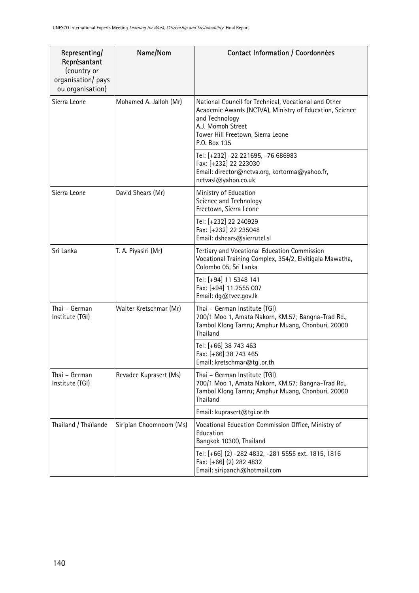| Representing/<br>Représantant<br>(country or<br>organisation/ pays<br>ou organisation) | Name/Nom                | Contact Information / Coordonnées                                                                                                                                                                           |
|----------------------------------------------------------------------------------------|-------------------------|-------------------------------------------------------------------------------------------------------------------------------------------------------------------------------------------------------------|
| Sierra Leone                                                                           | Mohamed A. Jalloh (Mr)  | National Council for Technical, Vocational and Other<br>Academic Awards (NCTVA), Ministry of Education, Science<br>and Technology<br>A.J. Momoh Street<br>Tower Hill Freetown, Sierra Leone<br>P.O. Box 135 |
|                                                                                        |                         | Tel: [+232] -22 221695, -76 686983<br>Fax: [+232] 22 223030<br>Email: director@nctva.org, kortorma@yahoo.fr,<br>nctvasl@yahoo.co.uk                                                                         |
| Sierra Leone                                                                           | David Shears (Mr)       | Ministry of Education<br>Science and Technology<br>Freetown, Sierra Leone                                                                                                                                   |
|                                                                                        |                         | Tel: [+232] 22 240929<br>Fax: [+232] 22 235048<br>Email: dshears@sierrutel.sl                                                                                                                               |
| Sri Lanka                                                                              | T. A. Piyasiri (Mr)     | Tertiary and Vocational Education Commission<br>Vocational Training Complex, 354/2, Elvitigala Mawatha,<br>Colombo 05, Sri Lanka                                                                            |
|                                                                                        |                         | Tel: [+94] 11 5348 141<br>Fax: [+94] 11 2555 007<br>Email: dg@tvec.gov.lk                                                                                                                                   |
| Thai - German<br>Institute (TGI)                                                       | Walter Kretschmar (Mr)  | Thai - German Institute (TGI)<br>700/1 Moo 1, Amata Nakorn, KM.57; Bangna-Trad Rd.,<br>Tambol Klong Tamru; Amphur Muang, Chonburi, 20000<br>Thailand                                                        |
|                                                                                        |                         | Tel: [+66] 38 743 463<br>Fax: [+66] 38 743 465<br>Email: kretschmar@tgi.or.th                                                                                                                               |
| Thai - German<br>Institute (TGI)                                                       | Revadee Kuprasert (Ms)  | Thai – German Institute (TGI)<br>700/1 Moo 1, Amata Nakorn, KM.57; Bangna-Trad Rd.,<br>Tambol Klong Tamru; Amphur Muang, Chonburi, 20000<br>Thailand                                                        |
|                                                                                        |                         | Email: kuprasert@tgi.or.th                                                                                                                                                                                  |
| Thailand / Thaïlande                                                                   | Siripian Choomnoom (Ms) | Vocational Education Commission Office, Ministry of<br>Education<br>Bangkok 10300, Thailand                                                                                                                 |
|                                                                                        |                         | Tel: [+66] (2) -282 4832, -281 5555 ext. 1815, 1816<br>Fax: [+66] (2) 282 4832<br>Email: siripanch@hotmail.com                                                                                              |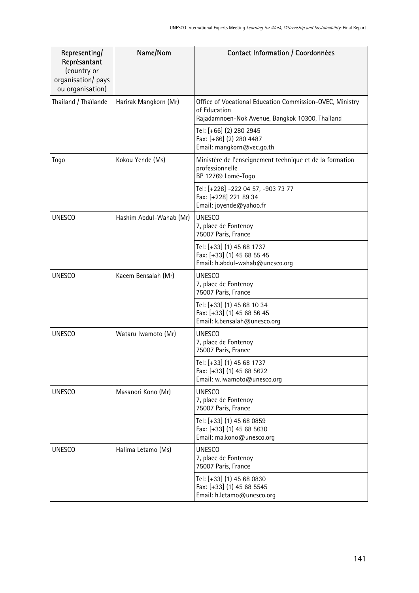| Representing/<br>Représantant<br>(country or<br>organisation/ pays<br>ou organisation) | Name/Nom                | Contact Information / Coordonnées                                                                                           |
|----------------------------------------------------------------------------------------|-------------------------|-----------------------------------------------------------------------------------------------------------------------------|
| Thailand / Thaïlande                                                                   | Harirak Mangkorn (Mr)   | Office of Vocational Education Commission-OVEC, Ministry<br>of Education<br>Rajadamnoen-Nok Avenue, Bangkok 10300, Thailand |
|                                                                                        |                         | Tel: [+66] (2) 280 2945<br>Fax: [+66] (2) 280 4487<br>Email: mangkorn@vec.go.th                                             |
| Togo                                                                                   | Kokou Yende (Ms)        | Ministère de l'enseignement technique et de la formation<br>professionnelle<br>BP 12769 Lomé-Togo                           |
|                                                                                        |                         | Tel: [+228] -222 04 57, -903 73 77<br>Fax: [+228] 221 89 34<br>Email: joyende@yahoo.fr                                      |
| <b>UNESCO</b>                                                                          | Hashim Abdul-Wahab (Mr) | <b>UNESCO</b><br>7, place de Fontenoy<br>75007 Paris, France                                                                |
|                                                                                        |                         | Tel: [+33] (1) 45 68 1737<br>Fax: [+33] (1) 45 68 55 45<br>Email: h.abdul-wahab@unesco.org                                  |
| <b>UNESCO</b>                                                                          | Kacem Bensalah (Mr)     | <b>UNESCO</b><br>7, place de Fontenoy<br>75007 Paris, France                                                                |
|                                                                                        |                         | Tel: [+33] (1) 45 68 10 34<br>Fax: [+33] (1) 45 68 56 45<br>Email: k.bensalah@unesco.org                                    |
| <b>UNESCO</b>                                                                          | Wataru Iwamoto (Mr)     | <b>UNESCO</b><br>7, place de Fontenoy<br>75007 Paris, France                                                                |
|                                                                                        |                         | Tel: [+33] (1) 45 68 1737<br>Fax: [+33] (1) 45 68 5622<br>Email: w.iwamoto@unesco.org                                       |
| <b>UNESCO</b>                                                                          | Masanori Kono (Mr)      | <b>UNESCO</b><br>7, place de Fontenoy<br>75007 Paris, France                                                                |
|                                                                                        |                         | Tel: [+33] (1) 45 68 0859<br>Fax: [+33] (1) 45 68 5630<br>Email: ma.kono@unesco.org                                         |
| <b>UNESCO</b>                                                                          | Halima Letamo (Ms)      | <b>UNESCO</b><br>7, place de Fontenoy<br>75007 Paris, France                                                                |
|                                                                                        |                         | Tel: [+33] (1) 45 68 0830<br>Fax: [+33] (1) 45 68 5545<br>Email: h.letamo@unesco.org                                        |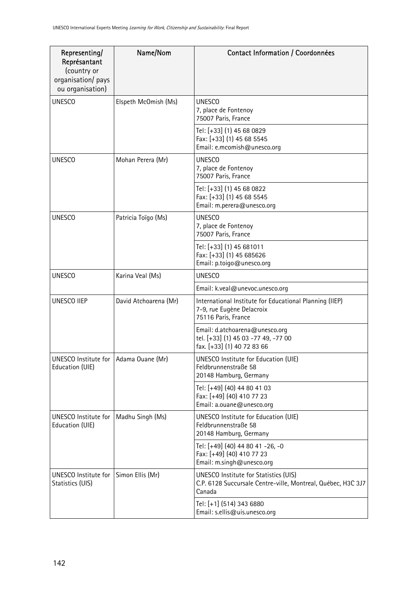| Representing/<br>Représantant<br>(country or<br>organisation/ pays<br>ou organisation) | Name/Nom              | Contact Information / Coordonnées                                                                                      |
|----------------------------------------------------------------------------------------|-----------------------|------------------------------------------------------------------------------------------------------------------------|
| <b>UNESCO</b>                                                                          | Elspeth McOmish (Ms)  | <b>UNESCO</b><br>7, place de Fontenoy<br>75007 Paris, France                                                           |
|                                                                                        |                       | Tel: [+33] (1) 45 68 0829<br>Fax: [+33] (1) 45 68 5545<br>Email: e.mcomish@unesco.org                                  |
| <b>UNESCO</b>                                                                          | Mohan Perera (Mr)     | <b>UNESCO</b><br>7, place de Fontenoy<br>75007 Paris, France                                                           |
|                                                                                        |                       | Tel: [+33] (1) 45 68 0822<br>Fax: [+33] (1) 45 68 5545<br>Email: m.perera@unesco.org                                   |
| <b>UNESCO</b>                                                                          | Patricia Toïgo (Ms)   | <b>UNESCO</b><br>7, place de Fontenoy<br>75007 Paris, France                                                           |
|                                                                                        |                       | Tel: [+33] (1) 45 681011<br>Fax: [+33] (1) 45 685626<br>Email: p.toigo@unesco.org                                      |
| <b>UNESCO</b>                                                                          | Karina Veal (Ms)      | <b>UNESCO</b>                                                                                                          |
|                                                                                        |                       | Email: k.veal@unevoc.unesco.org                                                                                        |
| <b>UNESCO IIEP</b>                                                                     | David Atchoarena (Mr) | International Institute for Educational Planning (IIEP)<br>7-9, rue Eugène Delacroix<br>75116 Paris, France            |
|                                                                                        |                       | Email: d.atchoarena@unesco.org<br>tel. [+33] (1) 45 03 -77 49, -77 00<br>fax. [+33] (1) 40 72 83 66                    |
| UNESCO Institute for   Adama Ouane (Mr)<br>Education (UIE)                             |                       | UNESCO Institute for Education (UIE)<br>Feldbrunnenstraße 58<br>20148 Hamburg, Germany                                 |
|                                                                                        |                       | Tel: [+49] (40) 44 80 41 03<br>Fax: [+49] (40) 410 77 23<br>Email: a.ouane@unesco.org                                  |
| <b>UNESCO Institute for</b><br>Education (UIE)                                         | Madhu Singh (Ms)      | UNESCO Institute for Education (UIE)<br>Feldbrunnenstraße 58<br>20148 Hamburg, Germany                                 |
|                                                                                        |                       | Tel: [+49] (40) 44 80 41 -26, -0<br>Fax: [+49] (40) 410 77 23<br>Email: m.singh@unesco.org                             |
| UNESCO Institute for<br>Statistics (UIS)                                               | Simon Ellis (Mr)      | <b>UNESCO Institute for Statistics (UIS)</b><br>C.P. 6128 Succursale Centre-ville, Montreal, Québec, H3C 3J7<br>Canada |
|                                                                                        |                       | Tel: [+1] (514) 343 6880<br>Email: s.ellis@uis.unesco.org                                                              |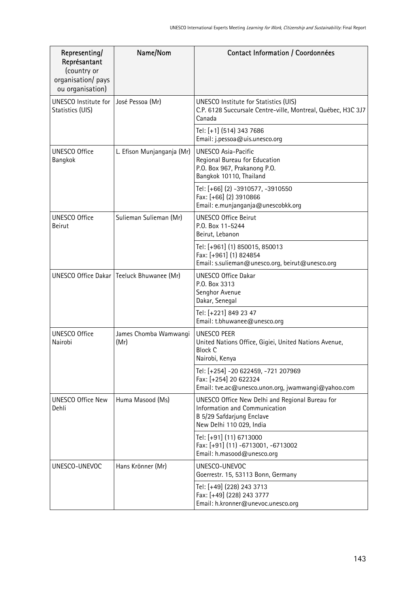| Representing/<br>Représantant<br>(country or<br>organisation/ pays<br>ou organisation) | Name/Nom                                    | Contact Information / Coordonnées                                                                                                         |
|----------------------------------------------------------------------------------------|---------------------------------------------|-------------------------------------------------------------------------------------------------------------------------------------------|
| <b>UNESCO Institute for</b><br>Statistics (UIS)                                        | José Pessoa (Mr)                            | UNESCO Institute for Statistics (UIS)<br>C.P. 6128 Succursale Centre-ville, Montreal, Québec, H3C 3J7<br>Canada                           |
|                                                                                        |                                             | Tel: [+1] (514) 343 7686<br>Email: j.pessoa@uis.unesco.org                                                                                |
| <b>UNESCO Office</b><br>Bangkok                                                        | L. Efison Munjanganja (Mr)                  | <b>UNESCO Asia-Pacific</b><br>Regional Bureau for Education<br>P.O. Box 967, Prakanong P.O.<br>Bangkok 10110, Thailand                    |
|                                                                                        |                                             | Tel: [+66] (2) -3910577, -3910550<br>Fax: [+66] (2) 3910866<br>Email: e.munjanganja@unescobkk.org                                         |
| <b>UNESCO Office</b><br><b>Beirut</b>                                                  | Sulieman Sulieman (Mr)                      | <b>UNESCO Office Beirut</b><br>P.O. Box 11-5244<br>Beirut, Lebanon                                                                        |
|                                                                                        |                                             | Tel: [+961] (1) 850015, 850013<br>Fax: [+961] (1) 824854<br>Email: s.sulieman@unesco.org, beirut@unesco.org                               |
|                                                                                        | UNESCO Office Dakar   Teeluck Bhuwanee (Mr) | <b>UNESCO Office Dakar</b><br>P.O. Box 3313<br>Senghor Avenue<br>Dakar, Senegal                                                           |
|                                                                                        |                                             | Tel: [+221] 849 23 47<br>Email: t.bhuwanee@unesco.org                                                                                     |
| <b>UNESCO Office</b><br>Nairobi                                                        | James Chomba Wamwangi<br>(Mr)               | UNESCO PEER<br>United Nations Office, Gigiei, United Nations Avenue,<br><b>Block C</b><br>Nairobi, Kenya                                  |
|                                                                                        |                                             | Tel: [+254] -20 622459, -721 207969<br>Fax: [+254] 20 622324<br>Email: tve.ac@unesco.unon.org, jwamwangi@yahoo.com                        |
| <b>UNESCO Office New</b><br>Dehli                                                      | Huma Masood (Ms)                            | UNESCO Office New Delhi and Regional Bureau for<br>Information and Communication<br>B 5/29 Safdarjung Enclave<br>New Delhi 110 029, India |
|                                                                                        |                                             | Tel: [+91] (11) 6713000<br>Fax: [+91] (11) -6713001, -6713002<br>Email: h.masood@unesco.org                                               |
| UNESCO-UNEVOC                                                                          | Hans Krönner (Mr)                           | UNESCO-UNEVOC<br>Goerrestr. 15, 53113 Bonn, Germany                                                                                       |
|                                                                                        |                                             | Tel: [+49] (228) 243 3713<br>Fax: [+49] (228) 243 3777<br>Email: h.kronner@unevoc.unesco.org                                              |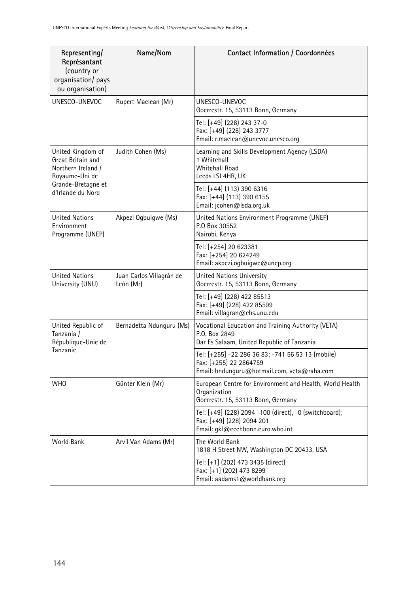| Representing/<br>Représantant<br>(country or<br>organisation/ pays<br>ou organisation)                                    | Name/Nom                              | Contact Information / Coordonnées                                                                                          |
|---------------------------------------------------------------------------------------------------------------------------|---------------------------------------|----------------------------------------------------------------------------------------------------------------------------|
| UNESCO-UNEVOC                                                                                                             | Rupert Maclean (Mr)                   | UNESCO-UNEVOC<br>Goerrestr. 15, 53113 Bonn, Germany                                                                        |
|                                                                                                                           |                                       | Tel: [+49] (228) 243 37-0<br>Fax: [+49] (228) 243 3777<br>Email: r.maclean@unevoc.unesco.org                               |
| United Kingdom of<br>Great Britain and<br>Northern Ireland /<br>Royaume-Uni de<br>Grande-Bretagne et<br>d'Irlande du Nord | Judith Cohen (Ms)                     | Learning and Skills Development Agency (LSDA)<br>1 Whitehall<br>Whitehall Road<br>Leeds LSI 4HR, UK                        |
|                                                                                                                           |                                       | Tel: [+44] (113) 390 6316<br>Fax: [+44] (113) 390 6155<br>Email: jcohen@lsda.org.uk                                        |
| <b>United Nations</b><br>Environment<br>Programme (UNEP)                                                                  | Akpezi Ogbuigwe (Ms)                  | United Nations Environment Programme (UNEP)<br>P.O Box 30552<br>Nairobi, Kenya                                             |
|                                                                                                                           |                                       | Tel: [+254] 20 623381<br>Fax: [+254] 20 624249<br>Email: akpezi.ogbuigwe@unep.org                                          |
| <b>United Nations</b><br>University (UNU)                                                                                 | Juan Carlos Villagrán de<br>León (Mr) | United Nations University<br>Goerrestr. 15, 53113 Bonn, Germany                                                            |
|                                                                                                                           |                                       | Tel: [+49] (228) 422 85513<br>Fax: [+49] (228) 422 85599<br>Email: villagran@ehs.unu.edu                                   |
| United Republic of<br>Tanzania /<br>République-Unie de<br>Tanzanie                                                        | Bernadetta Ndunguru (Ms)              | Vocational Education and Training Authority (VETA)<br>P.O. Box 2849<br>Dar Es Salaam, United Republic of Tanzania          |
|                                                                                                                           |                                       | Tel: [+255] -22 286 36 83; -741 56 53 13 (mobile)<br>Fax: [+255] 22 2864759<br>Email: bndunguru@hotmail.com, veta@raha.com |
| WHO                                                                                                                       | Günter Klein (Mr)                     | European Centre for Environment and Health, World Health<br>Organization<br>Goerrestr. 15, 53113 Bonn, Germany             |
|                                                                                                                           |                                       | Tel: [+49] (228) 2094 -100 (direct), -0 (switchboard);<br>Fax: [+49] (228) 2094 201<br>Email: gkl@ecehbonn.euro.who.int    |
| World Bank                                                                                                                | Arvil Van Adams (Mr)                  | The World Bank<br>1818 H Street NW, Washington DC 20433, USA                                                               |
|                                                                                                                           |                                       | Tel: [+1] (202) 473 3435 (direct)<br>Fax: [+1] (202) 473 8299<br>Email: aadams1@worldbank.org                              |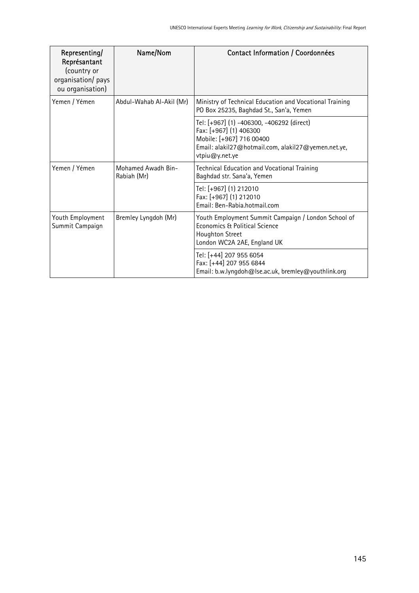| Representing/<br>Représantant<br>(country or<br>organisation/ pays<br>ou organisation) | Name/Nom                          | Contact Information / Coordonnées                                                                                                                                               |
|----------------------------------------------------------------------------------------|-----------------------------------|---------------------------------------------------------------------------------------------------------------------------------------------------------------------------------|
| Yemen / Yémen                                                                          | Abdul-Wahab Al-Akil (Mr)          | Ministry of Technical Education and Vocational Training<br>PO Box 25235, Baghdad St., San'a, Yemen                                                                              |
|                                                                                        |                                   | Tel: [+967] (1) -406300, -406292 (direct)<br>Fax: [+967] (1) 406300<br>Mobile: [+967] 716 00400<br>Email: alakil27@hotmail.com, alakil27@yemen.net.ye,<br>$v$ tpiu $@v$ .net.ye |
| Yemen / Yémen                                                                          | Mohamed Awadh Bin-<br>Rabiah (Mr) | Technical Education and Vocational Training<br>Baghdad str. Sana'a, Yemen                                                                                                       |
|                                                                                        |                                   | Tel: [+967] (1) 212010<br>Fax: [+967] (1) 212010<br>Email: Ben-Rabia.hotmail.com                                                                                                |
| Youth Employment<br>Summit Campaign                                                    | Bremley Lyngdoh (Mr)              | Youth Employment Summit Campaign / London School of<br>Economics & Political Science<br>Houghton Street<br>London WC2A 2AE, England UK                                          |
|                                                                                        |                                   | Tel: [+44] 207 955 6054<br>Fax: [+44] 207 955 6844<br>Email: b.w.lyngdoh@lse.ac.uk, bremley@youthlink.org                                                                       |